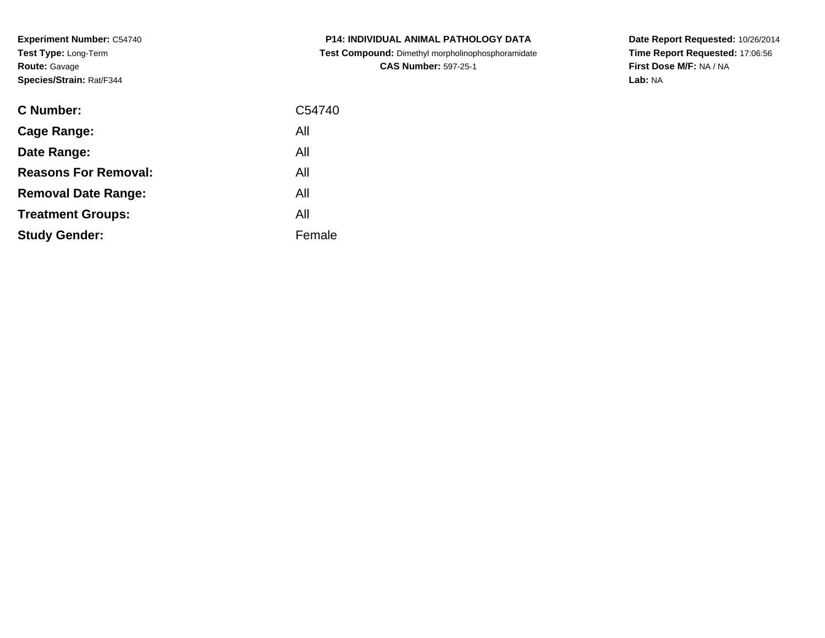**Experiment Number:** C54740**Test Type:** Long-Term**Route:** Gavage**Species/Strain:** Rat/F344

| <b>C Number:</b>            | C54740 |
|-----------------------------|--------|
| <b>Cage Range:</b>          | All    |
| Date Range:                 | All    |
| <b>Reasons For Removal:</b> | All    |
| <b>Removal Date Range:</b>  | All    |
| <b>Treatment Groups:</b>    | All    |
| <b>Study Gender:</b>        | Female |
|                             |        |

**P14: INDIVIDUAL ANIMAL PATHOLOGY DATA Test Compound:** Dimethyl morpholinophosphoramidate**CAS Number:** 597-25-1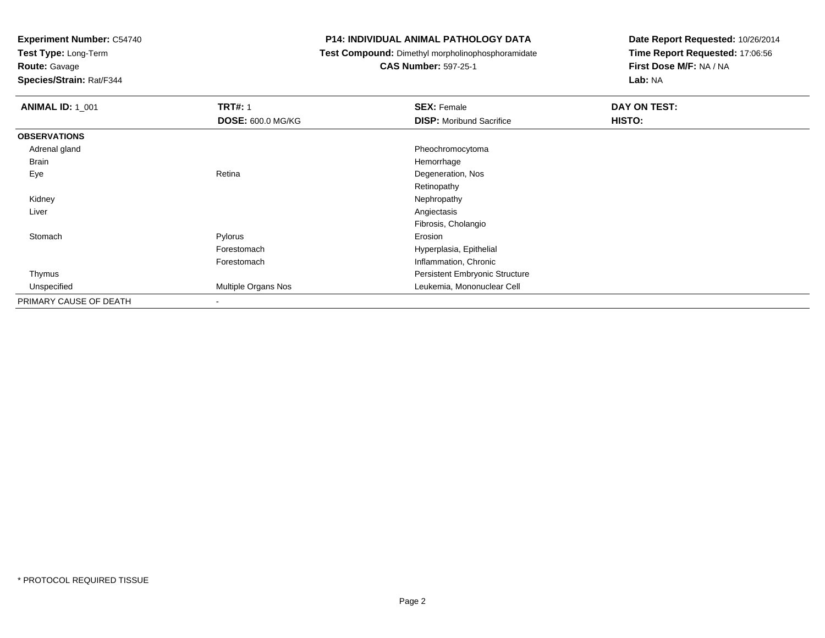**Test Type:** Long-Term

**Route:** Gavage

**Species/Strain:** Rat/F344

# **P14: INDIVIDUAL ANIMAL PATHOLOGY DATA**

**Test Compound:** Dimethyl morpholinophosphoramidate

**CAS Number:** 597-25-1

| <b>ANIMAL ID: 1 001</b> | <b>TRT#: 1</b>           | <b>SEX: Female</b>                    | DAY ON TEST: |  |
|-------------------------|--------------------------|---------------------------------------|--------------|--|
|                         | <b>DOSE: 600.0 MG/KG</b> | <b>DISP:</b> Moribund Sacrifice       | HISTO:       |  |
| <b>OBSERVATIONS</b>     |                          |                                       |              |  |
| Adrenal gland           |                          | Pheochromocytoma                      |              |  |
| Brain                   |                          | Hemorrhage                            |              |  |
| Eye                     | Retina                   | Degeneration, Nos                     |              |  |
|                         |                          | Retinopathy                           |              |  |
| Kidney                  |                          | Nephropathy                           |              |  |
| Liver                   |                          | Angiectasis                           |              |  |
|                         |                          | Fibrosis, Cholangio                   |              |  |
| Stomach                 | Pylorus                  | Erosion                               |              |  |
|                         | Forestomach              | Hyperplasia, Epithelial               |              |  |
|                         | Forestomach              | Inflammation, Chronic                 |              |  |
| Thymus                  |                          | <b>Persistent Embryonic Structure</b> |              |  |
| Unspecified             | Multiple Organs Nos      | Leukemia, Mononuclear Cell            |              |  |
| PRIMARY CAUSE OF DEATH  | $\blacksquare$           |                                       |              |  |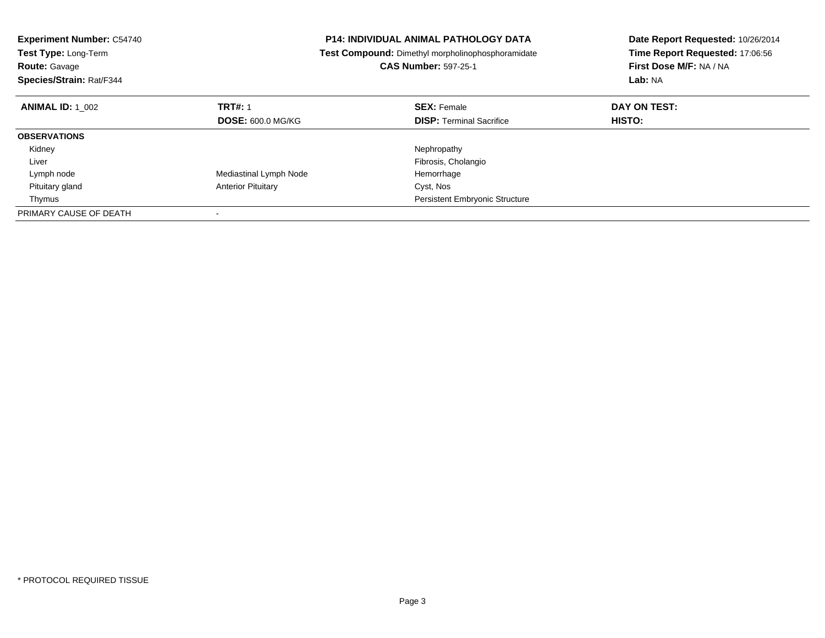| <b>Experiment Number: C54740</b><br>Test Type: Long-Term<br><b>Route: Gavage</b><br>Species/Strain: Rat/F344 |                           | P14: INDIVIDUAL ANIMAL PATHOLOGY DATA<br>Test Compound: Dimethyl morpholinophosphoramidate<br><b>CAS Number: 597-25-1</b> | Date Report Requested: 10/26/2014<br>Time Report Requested: 17:06:56<br>First Dose M/F: NA / NA<br>Lab: NA |
|--------------------------------------------------------------------------------------------------------------|---------------------------|---------------------------------------------------------------------------------------------------------------------------|------------------------------------------------------------------------------------------------------------|
| <b>ANIMAL ID: 1 002</b>                                                                                      | <b>TRT#: 1</b>            | <b>SEX: Female</b>                                                                                                        | DAY ON TEST:                                                                                               |
|                                                                                                              | <b>DOSE: 600.0 MG/KG</b>  | <b>DISP:</b> Terminal Sacrifice                                                                                           | HISTO:                                                                                                     |
| <b>OBSERVATIONS</b>                                                                                          |                           |                                                                                                                           |                                                                                                            |
| Kidney                                                                                                       |                           | Nephropathy                                                                                                               |                                                                                                            |
| Liver                                                                                                        |                           | Fibrosis, Cholangio                                                                                                       |                                                                                                            |
| Lymph node                                                                                                   | Mediastinal Lymph Node    | Hemorrhage                                                                                                                |                                                                                                            |
| Pituitary gland                                                                                              | <b>Anterior Pituitary</b> | Cyst, Nos                                                                                                                 |                                                                                                            |
| Thymus                                                                                                       |                           | Persistent Embryonic Structure                                                                                            |                                                                                                            |
| PRIMARY CAUSE OF DEATH                                                                                       |                           |                                                                                                                           |                                                                                                            |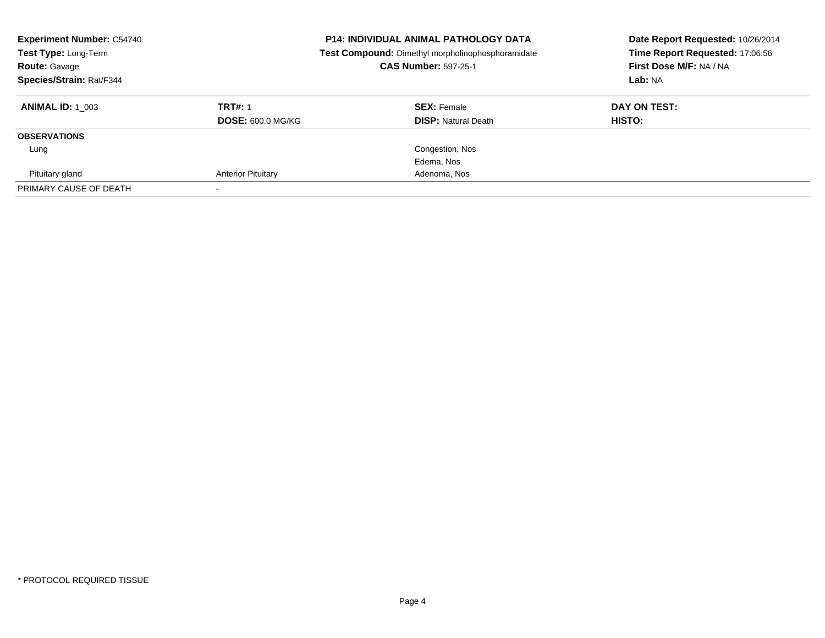| <b>Experiment Number: C54740</b><br>Test Type: Long-Term<br><b>Route: Gavage</b><br>Species/Strain: Rat/F344 | <b>P14: INDIVIDUAL ANIMAL PATHOLOGY DATA</b><br>Test Compound: Dimethyl morpholinophosphoramidate<br><b>CAS Number: 597-25-1</b> |                            | Date Report Requested: 10/26/2014<br>Time Report Requested: 17:06:56<br>First Dose M/F: NA / NA<br>Lab: NA |
|--------------------------------------------------------------------------------------------------------------|----------------------------------------------------------------------------------------------------------------------------------|----------------------------|------------------------------------------------------------------------------------------------------------|
| <b>ANIMAL ID: 1 003</b>                                                                                      | <b>TRT#: 1</b>                                                                                                                   | <b>SEX: Female</b>         | DAY ON TEST:                                                                                               |
|                                                                                                              | <b>DOSE: 600.0 MG/KG</b>                                                                                                         | <b>DISP:</b> Natural Death | <b>HISTO:</b>                                                                                              |
| <b>OBSERVATIONS</b>                                                                                          |                                                                                                                                  |                            |                                                                                                            |
| Lung                                                                                                         |                                                                                                                                  | Congestion, Nos            |                                                                                                            |
|                                                                                                              |                                                                                                                                  | Edema, Nos                 |                                                                                                            |
| Pituitary gland                                                                                              | <b>Anterior Pituitary</b>                                                                                                        | Adenoma, Nos               |                                                                                                            |
| PRIMARY CAUSE OF DEATH                                                                                       |                                                                                                                                  |                            |                                                                                                            |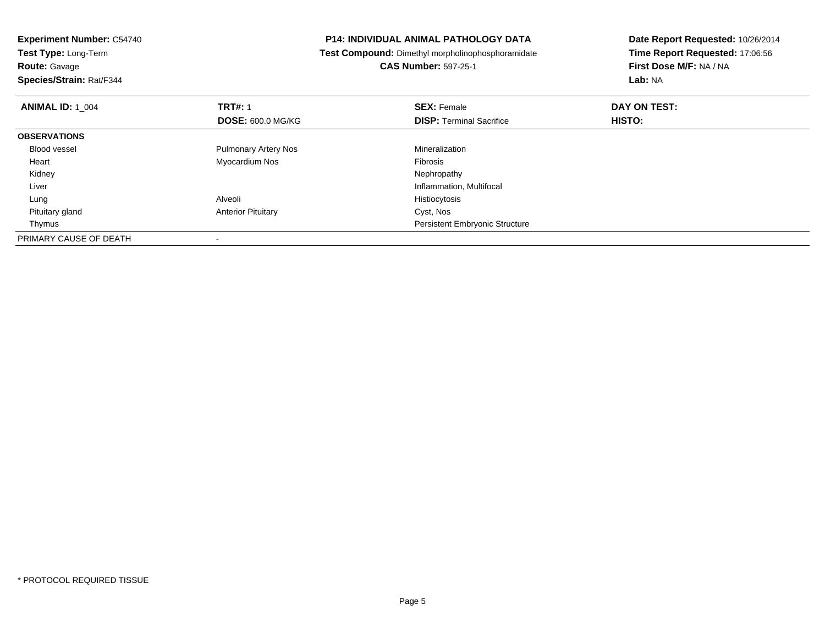| <b>Experiment Number: C54740</b><br>Test Type: Long-Term |  | <b>P14: INDIVIDUAL ANIMAL PATHOLOGY DATA</b>      | Date Report Requested: 10/26/2014<br>Time Report Requested: 17:06:56 |
|----------------------------------------------------------|--|---------------------------------------------------|----------------------------------------------------------------------|
|                                                          |  | Test Compound: Dimethyl morpholinophosphoramidate |                                                                      |
| <b>Route: Gavage</b>                                     |  | <b>CAS Number: 597-25-1</b>                       | First Dose M/F: NA / NA                                              |
| Species/Strain: Rat/F344                                 |  |                                                   | Lab: NA                                                              |
| <b>TRT#: 1</b><br><b>ANIMAL ID: 1 004</b>                |  | <b>SEX: Female</b>                                | DAY ON TEST:                                                         |
| <b>DOSE: 600.0 MG/KG</b>                                 |  | <b>DISP:</b> Terminal Sacrifice                   | <b>HISTO:</b>                                                        |
| <b>OBSERVATIONS</b>                                      |  |                                                   |                                                                      |
| <b>Blood vessel</b><br><b>Pulmonary Artery Nos</b>       |  | Mineralization                                    |                                                                      |
| Myocardium Nos<br>Heart                                  |  | <b>Fibrosis</b>                                   |                                                                      |
| Kidney                                                   |  | Nephropathy                                       |                                                                      |
| Liver                                                    |  | Inflammation, Multifocal                          |                                                                      |
| Alveoli<br>Lung                                          |  | Histiocytosis                                     |                                                                      |
| Pituitary gland<br><b>Anterior Pituitary</b>             |  | Cyst, Nos                                         |                                                                      |
| Thymus                                                   |  | <b>Persistent Embryonic Structure</b>             |                                                                      |
| PRIMARY CAUSE OF DEATH                                   |  |                                                   |                                                                      |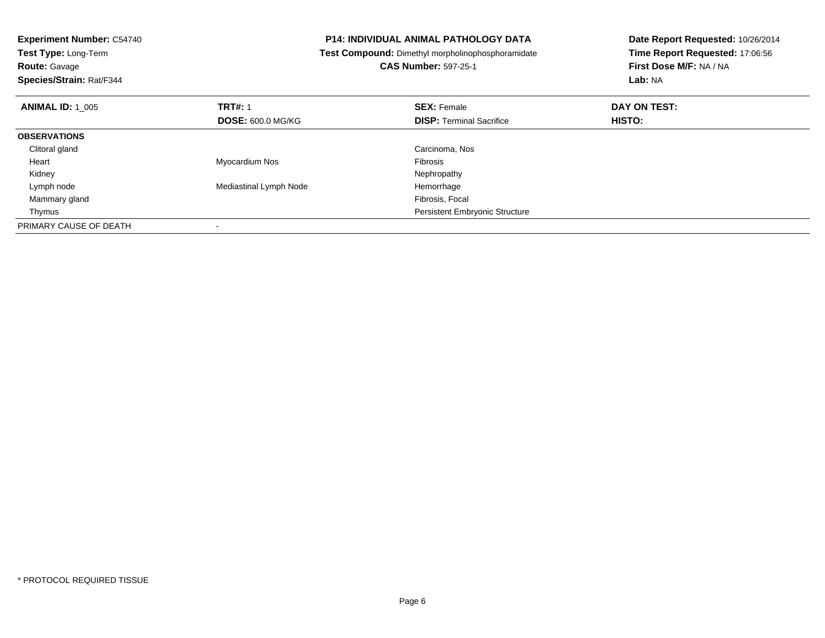| <b>Experiment Number: C54740</b><br>Test Type: Long-Term<br><b>Route: Gavage</b><br>Species/Strain: Rat/F344 |                          | <b>P14: INDIVIDUAL ANIMAL PATHOLOGY DATA</b><br>Test Compound: Dimethyl morpholinophosphoramidate<br><b>CAS Number: 597-25-1</b> | Date Report Requested: 10/26/2014<br>Time Report Requested: 17:06:56<br>First Dose M/F: NA / NA<br>Lab: NA |
|--------------------------------------------------------------------------------------------------------------|--------------------------|----------------------------------------------------------------------------------------------------------------------------------|------------------------------------------------------------------------------------------------------------|
| <b>ANIMAL ID: 1 005</b>                                                                                      | <b>TRT#: 1</b>           | <b>SEX: Female</b>                                                                                                               | DAY ON TEST:                                                                                               |
|                                                                                                              | <b>DOSE: 600.0 MG/KG</b> | <b>DISP:</b> Terminal Sacrifice                                                                                                  | HISTO:                                                                                                     |
| <b>OBSERVATIONS</b>                                                                                          |                          |                                                                                                                                  |                                                                                                            |
| Clitoral gland                                                                                               |                          | Carcinoma, Nos                                                                                                                   |                                                                                                            |
| Heart                                                                                                        | Myocardium Nos           | <b>Fibrosis</b>                                                                                                                  |                                                                                                            |
| Kidney                                                                                                       |                          | Nephropathy                                                                                                                      |                                                                                                            |
| Lymph node                                                                                                   | Mediastinal Lymph Node   | Hemorrhage                                                                                                                       |                                                                                                            |
| Mammary gland                                                                                                |                          | Fibrosis, Focal                                                                                                                  |                                                                                                            |
| Thymus                                                                                                       |                          | Persistent Embryonic Structure                                                                                                   |                                                                                                            |
| PRIMARY CAUSE OF DEATH                                                                                       |                          |                                                                                                                                  |                                                                                                            |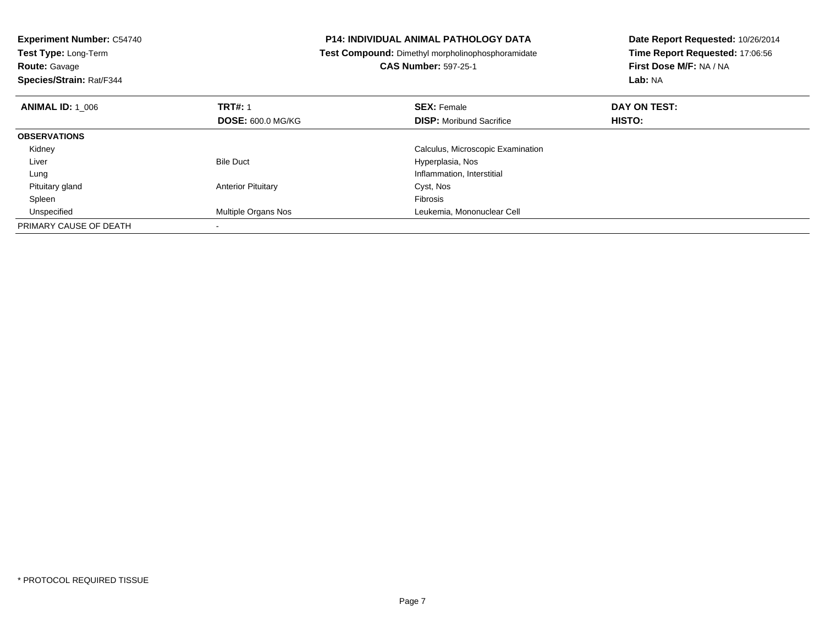| <b>Experiment Number: C54740</b><br>Test Type: Long-Term<br><b>Route: Gavage</b><br>Species/Strain: Rat/F344 |                           | <b>P14: INDIVIDUAL ANIMAL PATHOLOGY DATA</b><br>Test Compound: Dimethyl morpholinophosphoramidate<br><b>CAS Number: 597-25-1</b> | Date Report Requested: 10/26/2014<br>Time Report Requested: 17:06:56<br>First Dose M/F: NA / NA<br>Lab: NA |
|--------------------------------------------------------------------------------------------------------------|---------------------------|----------------------------------------------------------------------------------------------------------------------------------|------------------------------------------------------------------------------------------------------------|
| <b>ANIMAL ID: 1 006</b>                                                                                      | <b>TRT#: 1</b>            | <b>SEX: Female</b>                                                                                                               | DAY ON TEST:                                                                                               |
|                                                                                                              | <b>DOSE: 600.0 MG/KG</b>  | <b>DISP:</b> Moribund Sacrifice                                                                                                  | <b>HISTO:</b>                                                                                              |
| <b>OBSERVATIONS</b>                                                                                          |                           |                                                                                                                                  |                                                                                                            |
| Kidney                                                                                                       |                           | Calculus, Microscopic Examination                                                                                                |                                                                                                            |
| Liver                                                                                                        | <b>Bile Duct</b>          | Hyperplasia, Nos                                                                                                                 |                                                                                                            |
| Lung                                                                                                         |                           | Inflammation, Interstitial                                                                                                       |                                                                                                            |
| Pituitary gland                                                                                              | <b>Anterior Pituitary</b> | Cyst, Nos                                                                                                                        |                                                                                                            |
| Spleen                                                                                                       |                           | Fibrosis                                                                                                                         |                                                                                                            |
| Unspecified                                                                                                  | Multiple Organs Nos       | Leukemia, Mononuclear Cell                                                                                                       |                                                                                                            |
| PRIMARY CAUSE OF DEATH                                                                                       |                           |                                                                                                                                  |                                                                                                            |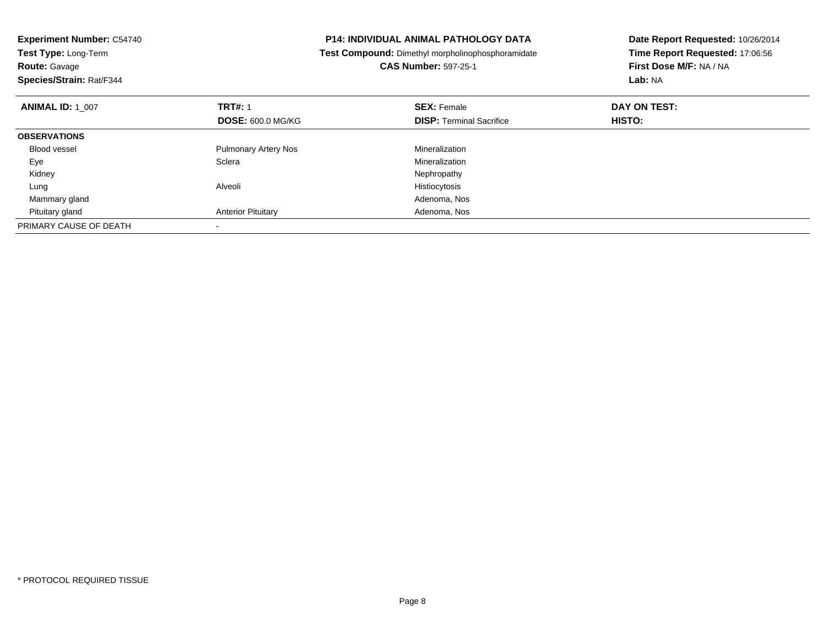| <b>Experiment Number: C54740</b><br>Test Type: Long-Term<br><b>Route: Gavage</b><br>Species/Strain: Rat/F344 |                             | <b>P14: INDIVIDUAL ANIMAL PATHOLOGY DATA</b><br>Test Compound: Dimethyl morpholinophosphoramidate<br><b>CAS Number: 597-25-1</b> | Date Report Requested: 10/26/2014<br>Time Report Requested: 17:06:56<br>First Dose M/F: NA / NA<br>Lab: NA |
|--------------------------------------------------------------------------------------------------------------|-----------------------------|----------------------------------------------------------------------------------------------------------------------------------|------------------------------------------------------------------------------------------------------------|
| <b>ANIMAL ID: 1 007</b>                                                                                      | <b>TRT#: 1</b>              | <b>SEX: Female</b>                                                                                                               | DAY ON TEST:                                                                                               |
|                                                                                                              | <b>DOSE: 600.0 MG/KG</b>    | <b>DISP:</b> Terminal Sacrifice                                                                                                  | <b>HISTO:</b>                                                                                              |
| <b>OBSERVATIONS</b>                                                                                          |                             |                                                                                                                                  |                                                                                                            |
| Blood vessel                                                                                                 | <b>Pulmonary Artery Nos</b> | Mineralization                                                                                                                   |                                                                                                            |
| Eye                                                                                                          | Sclera                      | Mineralization                                                                                                                   |                                                                                                            |
| Kidney                                                                                                       |                             | Nephropathy                                                                                                                      |                                                                                                            |
| Lung                                                                                                         | Alveoli                     | Histiocytosis                                                                                                                    |                                                                                                            |
| Mammary gland                                                                                                |                             | Adenoma, Nos                                                                                                                     |                                                                                                            |
| Pituitary gland                                                                                              | <b>Anterior Pituitary</b>   | Adenoma, Nos                                                                                                                     |                                                                                                            |
| PRIMARY CAUSE OF DEATH                                                                                       |                             |                                                                                                                                  |                                                                                                            |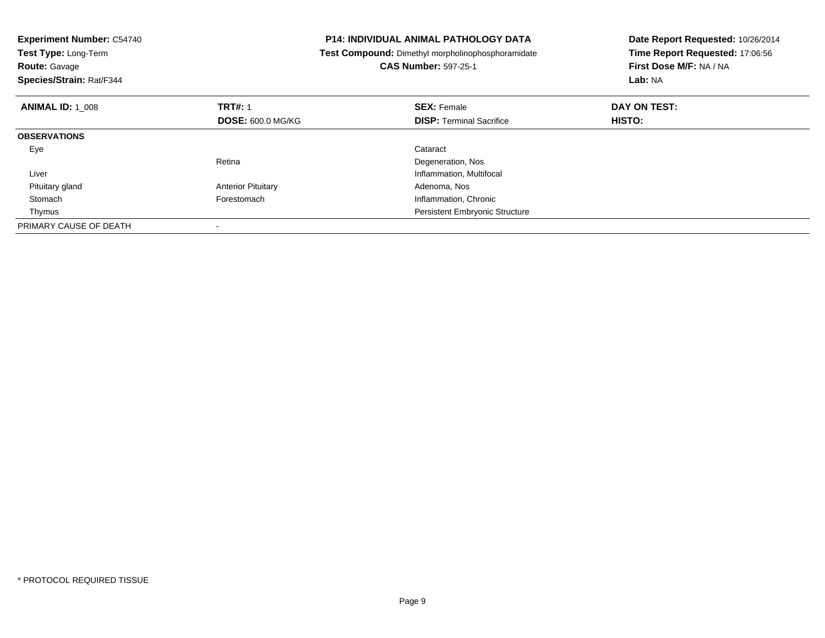| <b>Experiment Number: C54740</b><br>Test Type: Long-Term<br><b>Route: Gavage</b><br>Species/Strain: Rat/F344 |                           | <b>P14: INDIVIDUAL ANIMAL PATHOLOGY DATA</b><br><b>Test Compound:</b> Dimethyl morpholinophosphoramidate<br><b>CAS Number: 597-25-1</b> | Date Report Requested: 10/26/2014<br>Time Report Requested: 17:06:56<br>First Dose M/F: NA / NA<br>Lab: NA |
|--------------------------------------------------------------------------------------------------------------|---------------------------|-----------------------------------------------------------------------------------------------------------------------------------------|------------------------------------------------------------------------------------------------------------|
| <b>ANIMAL ID: 1 008</b>                                                                                      | <b>TRT#: 1</b>            | <b>SEX: Female</b>                                                                                                                      | DAY ON TEST:                                                                                               |
|                                                                                                              | <b>DOSE: 600.0 MG/KG</b>  | <b>DISP:</b> Terminal Sacrifice                                                                                                         | <b>HISTO:</b>                                                                                              |
| <b>OBSERVATIONS</b>                                                                                          |                           |                                                                                                                                         |                                                                                                            |
| Eye                                                                                                          |                           | Cataract                                                                                                                                |                                                                                                            |
|                                                                                                              | Retina                    | Degeneration, Nos                                                                                                                       |                                                                                                            |
| Liver                                                                                                        |                           | Inflammation, Multifocal                                                                                                                |                                                                                                            |
| Pituitary gland                                                                                              | <b>Anterior Pituitary</b> | Adenoma, Nos                                                                                                                            |                                                                                                            |
| Stomach                                                                                                      | Forestomach               | Inflammation, Chronic                                                                                                                   |                                                                                                            |
| Thymus                                                                                                       |                           | <b>Persistent Embryonic Structure</b>                                                                                                   |                                                                                                            |
| PRIMARY CAUSE OF DEATH                                                                                       |                           |                                                                                                                                         |                                                                                                            |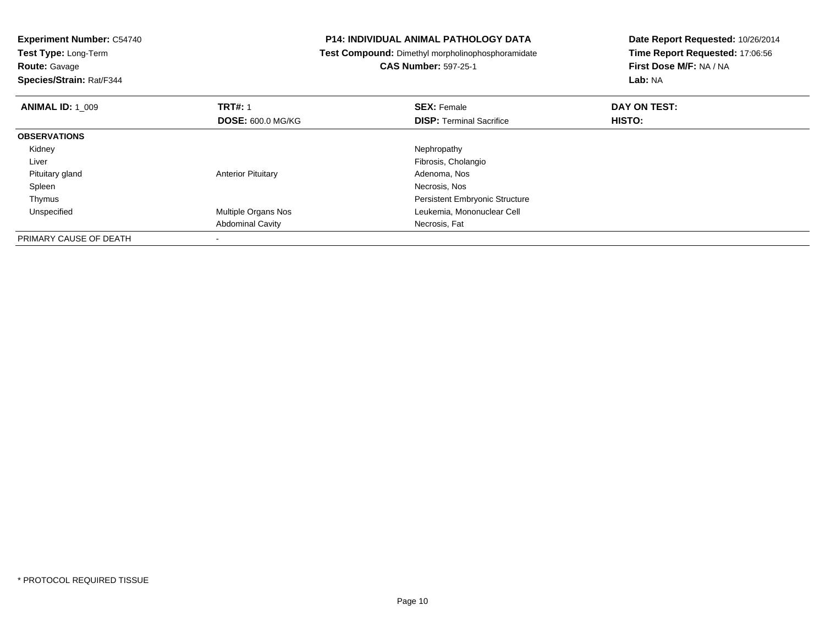| <b>Experiment Number: C54740</b><br>Test Type: Long-Term<br><b>Route: Gavage</b><br>Species/Strain: Rat/F344 |                           | <b>P14: INDIVIDUAL ANIMAL PATHOLOGY DATA</b><br>Test Compound: Dimethyl morpholinophosphoramidate<br><b>CAS Number: 597-25-1</b> | Date Report Requested: 10/26/2014<br>Time Report Requested: 17:06:56<br>First Dose M/F: NA / NA<br><b>Lab: NA</b> |
|--------------------------------------------------------------------------------------------------------------|---------------------------|----------------------------------------------------------------------------------------------------------------------------------|-------------------------------------------------------------------------------------------------------------------|
|                                                                                                              |                           |                                                                                                                                  |                                                                                                                   |
| <b>ANIMAL ID: 1 009</b>                                                                                      | <b>TRT#: 1</b>            | <b>SEX: Female</b>                                                                                                               | DAY ON TEST:                                                                                                      |
|                                                                                                              | <b>DOSE: 600.0 MG/KG</b>  | <b>DISP:</b> Terminal Sacrifice                                                                                                  | HISTO:                                                                                                            |
| <b>OBSERVATIONS</b>                                                                                          |                           |                                                                                                                                  |                                                                                                                   |
| Kidney                                                                                                       |                           | Nephropathy                                                                                                                      |                                                                                                                   |
| Liver                                                                                                        |                           | Fibrosis, Cholangio                                                                                                              |                                                                                                                   |
| Pituitary gland                                                                                              | <b>Anterior Pituitary</b> | Adenoma, Nos                                                                                                                     |                                                                                                                   |
| Spleen                                                                                                       |                           | Necrosis, Nos                                                                                                                    |                                                                                                                   |
| Thymus                                                                                                       |                           | <b>Persistent Embryonic Structure</b>                                                                                            |                                                                                                                   |
| Unspecified                                                                                                  | Multiple Organs Nos       | Leukemia, Mononuclear Cell                                                                                                       |                                                                                                                   |
|                                                                                                              | <b>Abdominal Cavity</b>   | Necrosis, Fat                                                                                                                    |                                                                                                                   |
| PRIMARY CAUSE OF DEATH                                                                                       |                           |                                                                                                                                  |                                                                                                                   |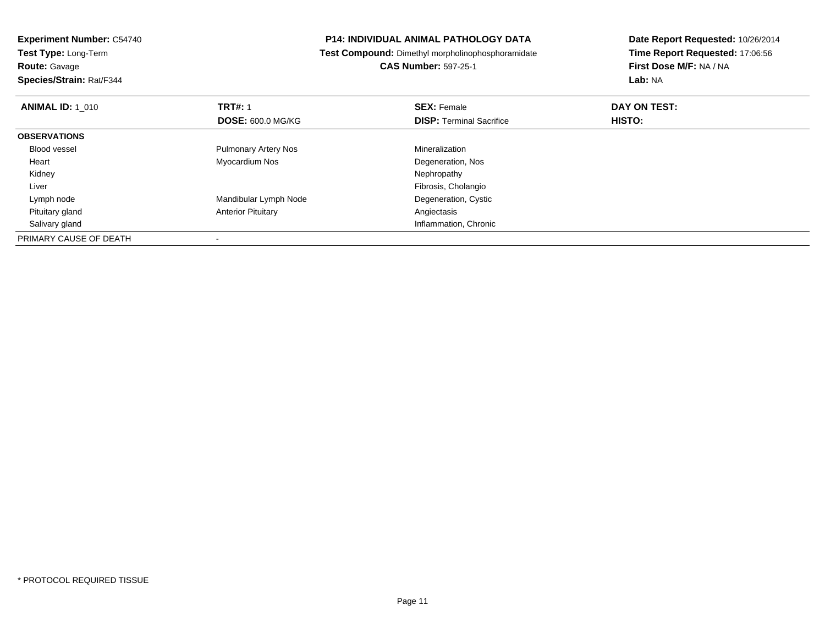| <b>Experiment Number: C54740</b>                   | <b>P14: INDIVIDUAL ANIMAL PATHOLOGY DATA</b>      | Date Report Requested: 10/26/2014 |  |
|----------------------------------------------------|---------------------------------------------------|-----------------------------------|--|
| <b>Test Type: Long-Term</b>                        | Test Compound: Dimethyl morpholinophosphoramidate | Time Report Requested: 17:06:56   |  |
| <b>Route: Gavage</b>                               | <b>CAS Number: 597-25-1</b>                       | First Dose M/F: NA / NA           |  |
| Species/Strain: Rat/F344                           |                                                   | Lab: NA                           |  |
| <b>TRT#: 1</b><br><b>ANIMAL ID: 1 010</b>          | <b>SEX: Female</b>                                | DAY ON TEST:                      |  |
| <b>DOSE: 600.0 MG/KG</b>                           | <b>DISP:</b> Terminal Sacrifice                   | HISTO:                            |  |
| <b>OBSERVATIONS</b>                                |                                                   |                                   |  |
| <b>Blood vessel</b><br><b>Pulmonary Artery Nos</b> | Mineralization                                    |                                   |  |
| Myocardium Nos<br>Heart                            | Degeneration, Nos                                 |                                   |  |
| Kidney                                             | Nephropathy                                       |                                   |  |
| Liver                                              | Fibrosis, Cholangio                               |                                   |  |
| Mandibular Lymph Node<br>Lymph node                | Degeneration, Cystic                              |                                   |  |
| <b>Anterior Pituitary</b><br>Pituitary gland       | Angiectasis                                       |                                   |  |
| Salivary gland                                     | Inflammation, Chronic                             |                                   |  |
| PRIMARY CAUSE OF DEATH                             |                                                   |                                   |  |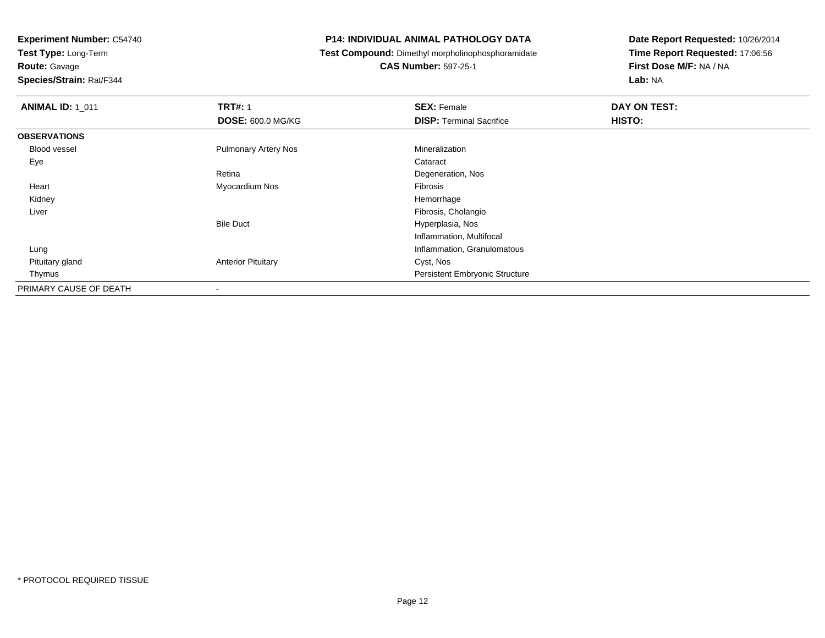**Test Type:** Long-Term**Route:** Gavage

**Species/Strain:** Rat/F344

# **P14: INDIVIDUAL ANIMAL PATHOLOGY DATA**

**Test Compound:** Dimethyl morpholinophosphoramidate

**CAS Number:** 597-25-1

| <b>ANIMAL ID: 1_011</b> | <b>TRT#: 1</b>              | <b>SEX: Female</b>                    | DAY ON TEST: |
|-------------------------|-----------------------------|---------------------------------------|--------------|
|                         | <b>DOSE: 600.0 MG/KG</b>    | <b>DISP: Terminal Sacrifice</b>       | HISTO:       |
| <b>OBSERVATIONS</b>     |                             |                                       |              |
| <b>Blood vessel</b>     | <b>Pulmonary Artery Nos</b> | Mineralization                        |              |
| Eye                     |                             | Cataract                              |              |
|                         | Retina                      | Degeneration, Nos                     |              |
| Heart                   | Myocardium Nos              | Fibrosis                              |              |
| Kidney                  |                             | Hemorrhage                            |              |
| Liver                   |                             | Fibrosis, Cholangio                   |              |
|                         | <b>Bile Duct</b>            | Hyperplasia, Nos                      |              |
|                         |                             | Inflammation, Multifocal              |              |
| Lung                    |                             | Inflammation, Granulomatous           |              |
| Pituitary gland         | <b>Anterior Pituitary</b>   | Cyst, Nos                             |              |
| Thymus                  |                             | <b>Persistent Embryonic Structure</b> |              |
| PRIMARY CAUSE OF DEATH  | $\overline{\phantom{0}}$    |                                       |              |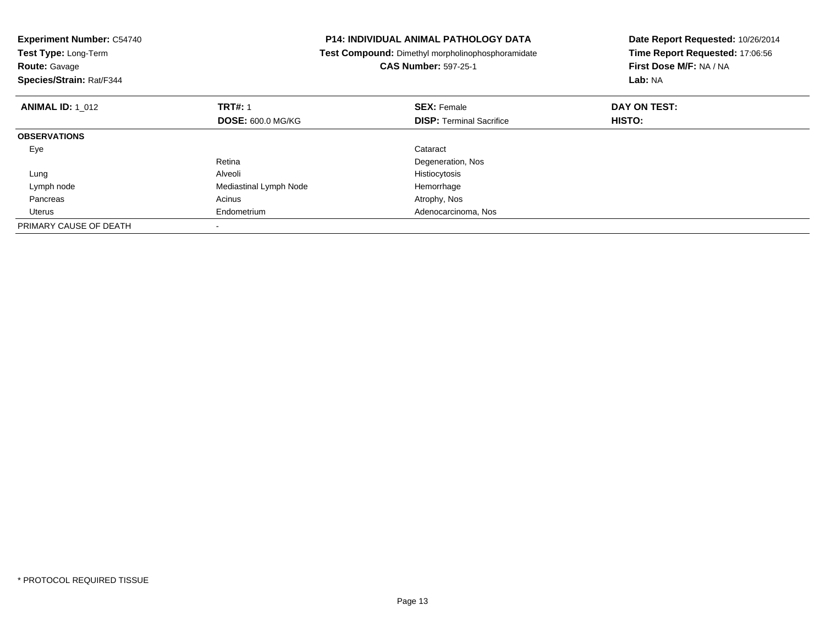| <b>Experiment Number: C54740</b><br>Test Type: Long-Term<br><b>Route: Gavage</b><br>Species/Strain: Rat/F344 |                          | <b>P14: INDIVIDUAL ANIMAL PATHOLOGY DATA</b><br>Test Compound: Dimethyl morpholinophosphoramidate<br><b>CAS Number: 597-25-1</b> | Date Report Requested: 10/26/2014<br>Time Report Requested: 17:06:56<br>First Dose M/F: NA / NA<br>Lab: NA |
|--------------------------------------------------------------------------------------------------------------|--------------------------|----------------------------------------------------------------------------------------------------------------------------------|------------------------------------------------------------------------------------------------------------|
| <b>ANIMAL ID: 1 012</b>                                                                                      | <b>TRT#: 1</b>           | <b>SEX: Female</b>                                                                                                               | DAY ON TEST:                                                                                               |
|                                                                                                              | <b>DOSE: 600.0 MG/KG</b> | <b>DISP:</b> Terminal Sacrifice                                                                                                  | <b>HISTO:</b>                                                                                              |
| <b>OBSERVATIONS</b>                                                                                          |                          |                                                                                                                                  |                                                                                                            |
| Eye                                                                                                          |                          | Cataract                                                                                                                         |                                                                                                            |
|                                                                                                              | Retina                   | Degeneration, Nos                                                                                                                |                                                                                                            |
| Lung                                                                                                         | Alveoli                  | Histiocytosis                                                                                                                    |                                                                                                            |
| Lymph node                                                                                                   | Mediastinal Lymph Node   | Hemorrhage                                                                                                                       |                                                                                                            |
| Pancreas                                                                                                     | Acinus                   | Atrophy, Nos                                                                                                                     |                                                                                                            |
| Uterus                                                                                                       | Endometrium              | Adenocarcinoma, Nos                                                                                                              |                                                                                                            |
| PRIMARY CAUSE OF DEATH                                                                                       |                          |                                                                                                                                  |                                                                                                            |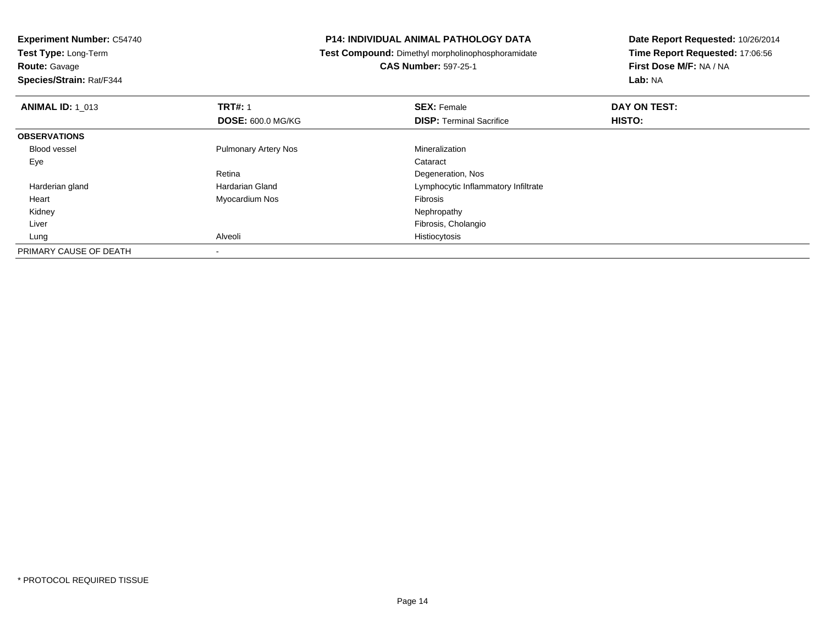**Test Type:** Long-Term

**Route:** Gavage

**Species/Strain:** Rat/F344

# **P14: INDIVIDUAL ANIMAL PATHOLOGY DATA**

**Test Compound:** Dimethyl morpholinophosphoramidate

**CAS Number:** 597-25-1

| <b>ANIMAL ID: 1_013</b> | <b>TRT#: 1</b>              | <b>SEX: Female</b>                  | DAY ON TEST: |  |
|-------------------------|-----------------------------|-------------------------------------|--------------|--|
|                         | <b>DOSE: 600.0 MG/KG</b>    | <b>DISP: Terminal Sacrifice</b>     | HISTO:       |  |
| <b>OBSERVATIONS</b>     |                             |                                     |              |  |
| <b>Blood vessel</b>     | <b>Pulmonary Artery Nos</b> | Mineralization                      |              |  |
| Eye                     |                             | Cataract                            |              |  |
|                         | Retina                      | Degeneration, Nos                   |              |  |
| Harderian gland         | Hardarian Gland             | Lymphocytic Inflammatory Infiltrate |              |  |
| Heart                   | Myocardium Nos              | Fibrosis                            |              |  |
| Kidney                  |                             | Nephropathy                         |              |  |
| Liver                   |                             | Fibrosis, Cholangio                 |              |  |
| Lung                    | Alveoli                     | Histiocytosis                       |              |  |
| PRIMARY CAUSE OF DEATH  |                             |                                     |              |  |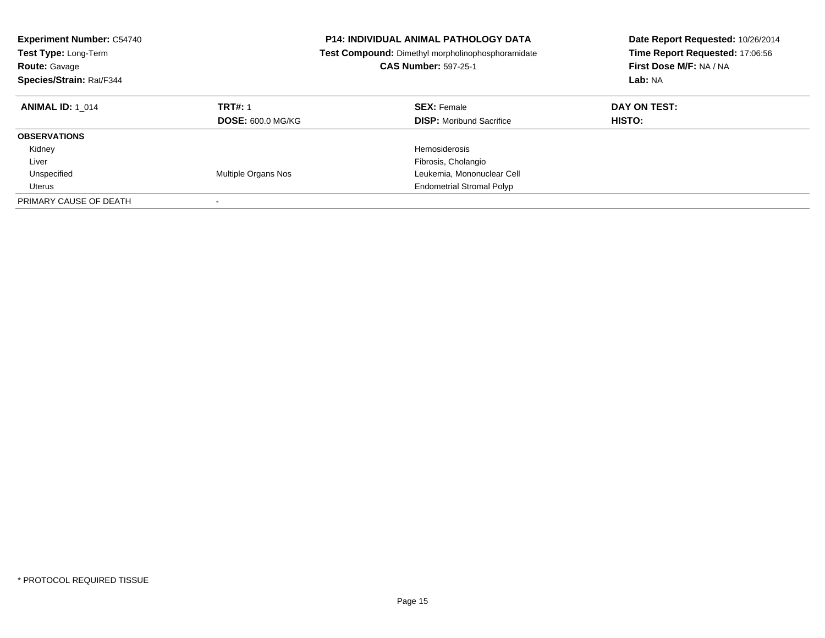| <b>Experiment Number: C54740</b><br><b>Test Type: Long-Term</b><br><b>Route: Gavage</b><br>Species/Strain: Rat/F344 |                                            | <b>P14: INDIVIDUAL ANIMAL PATHOLOGY DATA</b><br><b>Test Compound:</b> Dimethyl morpholinophosphoramidate<br><b>CAS Number: 597-25-1</b> | Date Report Requested: 10/26/2014<br>Time Report Requested: 17:06:56<br>First Dose M/F: NA / NA<br>Lab: NA |
|---------------------------------------------------------------------------------------------------------------------|--------------------------------------------|-----------------------------------------------------------------------------------------------------------------------------------------|------------------------------------------------------------------------------------------------------------|
| <b>ANIMAL ID: 1 014</b>                                                                                             | <b>TRT#: 1</b><br><b>DOSE: 600.0 MG/KG</b> | <b>SEX: Female</b><br><b>DISP:</b> Moribund Sacrifice                                                                                   | DAY ON TEST:<br><b>HISTO:</b>                                                                              |
| <b>OBSERVATIONS</b>                                                                                                 |                                            |                                                                                                                                         |                                                                                                            |
| Kidney                                                                                                              |                                            | Hemosiderosis                                                                                                                           |                                                                                                            |
| Liver                                                                                                               |                                            | Fibrosis, Cholangio                                                                                                                     |                                                                                                            |
| Unspecified                                                                                                         | Multiple Organs Nos                        | Leukemia, Mononuclear Cell                                                                                                              |                                                                                                            |
| Uterus                                                                                                              |                                            | <b>Endometrial Stromal Polyp</b>                                                                                                        |                                                                                                            |
| PRIMARY CAUSE OF DEATH                                                                                              |                                            |                                                                                                                                         |                                                                                                            |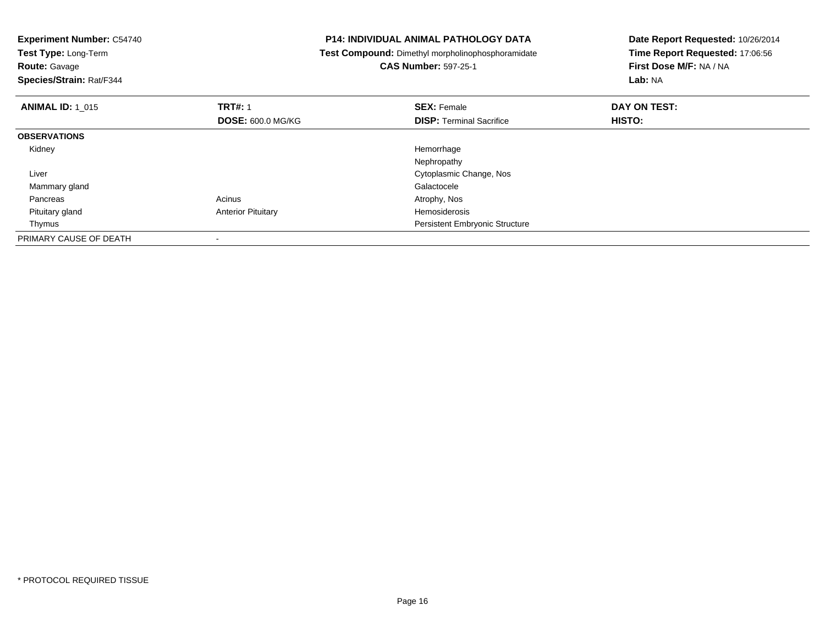| <b>Experiment Number: C54740</b><br>Test Type: Long-Term<br><b>Route: Gavage</b><br>Species/Strain: Rat/F344 |                           | <b>P14: INDIVIDUAL ANIMAL PATHOLOGY DATA</b><br>Test Compound: Dimethyl morpholinophosphoramidate<br><b>CAS Number: 597-25-1</b> | Date Report Requested: 10/26/2014<br>Time Report Requested: 17:06:56<br>First Dose M/F: NA / NA<br>Lab: NA |
|--------------------------------------------------------------------------------------------------------------|---------------------------|----------------------------------------------------------------------------------------------------------------------------------|------------------------------------------------------------------------------------------------------------|
| <b>ANIMAL ID: 1 015</b>                                                                                      | <b>TRT#: 1</b>            | <b>SEX: Female</b>                                                                                                               | DAY ON TEST:                                                                                               |
|                                                                                                              | <b>DOSE: 600.0 MG/KG</b>  | <b>DISP:</b> Terminal Sacrifice                                                                                                  | HISTO:                                                                                                     |
| <b>OBSERVATIONS</b>                                                                                          |                           |                                                                                                                                  |                                                                                                            |
| Kidney                                                                                                       |                           | Hemorrhage                                                                                                                       |                                                                                                            |
|                                                                                                              |                           | Nephropathy                                                                                                                      |                                                                                                            |
| Liver                                                                                                        |                           | Cytoplasmic Change, Nos                                                                                                          |                                                                                                            |
| Mammary gland                                                                                                |                           | Galactocele                                                                                                                      |                                                                                                            |
| Pancreas                                                                                                     | Acinus                    | Atrophy, Nos                                                                                                                     |                                                                                                            |
| Pituitary gland                                                                                              | <b>Anterior Pituitary</b> | Hemosiderosis                                                                                                                    |                                                                                                            |
| Thymus                                                                                                       |                           | <b>Persistent Embryonic Structure</b>                                                                                            |                                                                                                            |
| PRIMARY CAUSE OF DEATH                                                                                       |                           |                                                                                                                                  |                                                                                                            |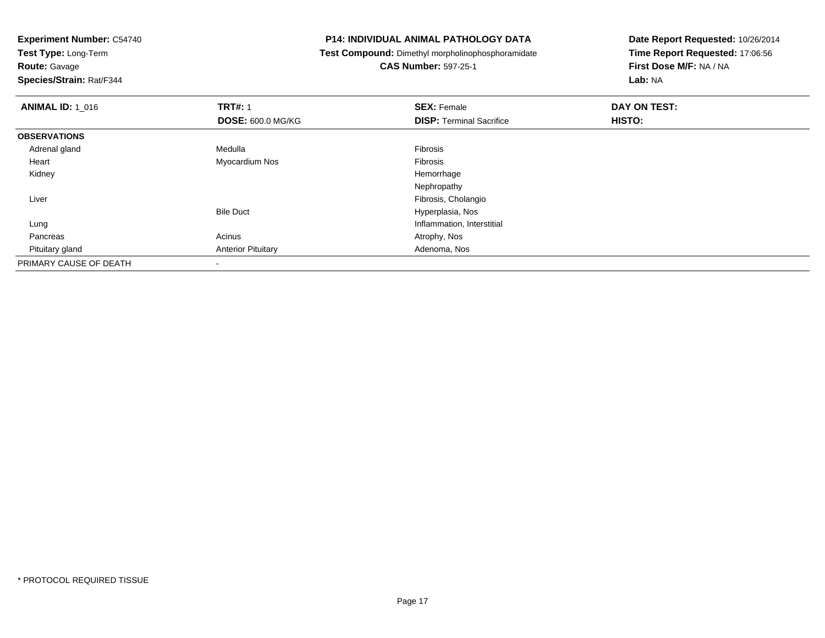**Test Type:** Long-Term

**Route:** Gavage

**Species/Strain:** Rat/F344

# **P14: INDIVIDUAL ANIMAL PATHOLOGY DATA**

**Test Compound:** Dimethyl morpholinophosphoramidate

**CAS Number:** 597-25-1

| <b>ANIMAL ID: 1_016</b> | <b>TRT#: 1</b>            | <b>SEX: Female</b>              | DAY ON TEST: |  |
|-------------------------|---------------------------|---------------------------------|--------------|--|
|                         | <b>DOSE: 600.0 MG/KG</b>  | <b>DISP: Terminal Sacrifice</b> | HISTO:       |  |
| <b>OBSERVATIONS</b>     |                           |                                 |              |  |
| Adrenal gland           | Medulla                   | Fibrosis                        |              |  |
| Heart                   | Myocardium Nos            | Fibrosis                        |              |  |
| Kidney                  |                           | Hemorrhage                      |              |  |
|                         |                           | Nephropathy                     |              |  |
| Liver                   |                           | Fibrosis, Cholangio             |              |  |
|                         | <b>Bile Duct</b>          | Hyperplasia, Nos                |              |  |
| Lung                    |                           | Inflammation, Interstitial      |              |  |
| Pancreas                | Acinus                    | Atrophy, Nos                    |              |  |
| Pituitary gland         | <b>Anterior Pituitary</b> | Adenoma, Nos                    |              |  |
| PRIMARY CAUSE OF DEATH  |                           |                                 |              |  |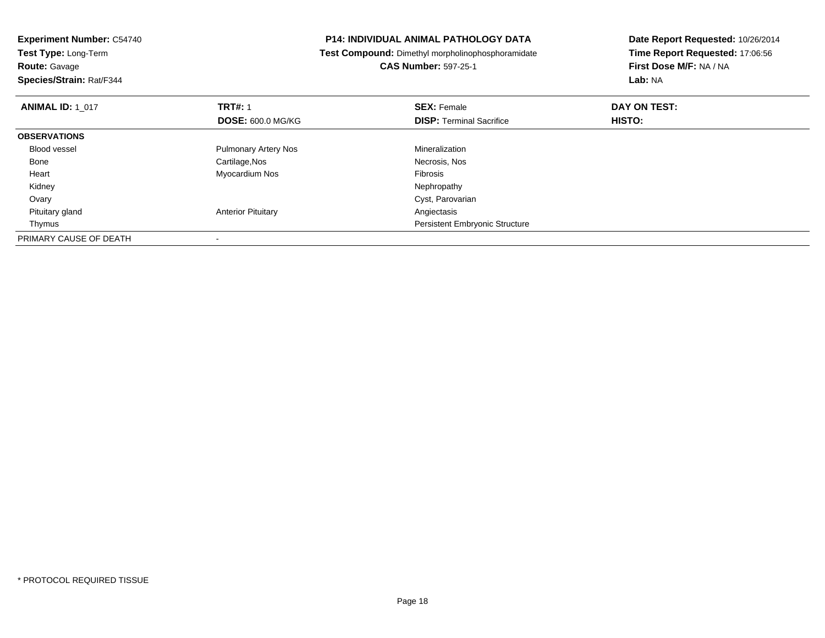| <b>Experiment Number: C54740</b><br>Test Type: Long-Term |                             | <b>P14: INDIVIDUAL ANIMAL PATHOLOGY DATA</b>             | Date Report Requested: 10/26/2014 |
|----------------------------------------------------------|-----------------------------|----------------------------------------------------------|-----------------------------------|
|                                                          |                             | <b>Test Compound:</b> Dimethyl morpholinophosphoramidate | Time Report Requested: 17:06:56   |
| <b>Route: Gavage</b>                                     |                             | <b>CAS Number: 597-25-1</b>                              | First Dose M/F: NA / NA           |
| Species/Strain: Rat/F344                                 |                             |                                                          | Lab: NA                           |
| <b>ANIMAL ID: 1 017</b>                                  | <b>TRT#: 1</b>              | <b>SEX: Female</b>                                       | DAY ON TEST:                      |
|                                                          | DOSE: 600.0 MG/KG           | <b>DISP:</b> Terminal Sacrifice                          | <b>HISTO:</b>                     |
| <b>OBSERVATIONS</b>                                      |                             |                                                          |                                   |
| <b>Blood vessel</b>                                      | <b>Pulmonary Artery Nos</b> | Mineralization                                           |                                   |
| Bone                                                     | Cartilage, Nos              | Necrosis, Nos                                            |                                   |
| Heart                                                    | Myocardium Nos              | Fibrosis                                                 |                                   |
| Kidney                                                   |                             | Nephropathy                                              |                                   |
| Ovary                                                    |                             | Cyst, Parovarian                                         |                                   |
| Pituitary gland                                          | <b>Anterior Pituitary</b>   | Angiectasis                                              |                                   |
| Thymus                                                   |                             | <b>Persistent Embryonic Structure</b>                    |                                   |
| PRIMARY CAUSE OF DEATH                                   |                             |                                                          |                                   |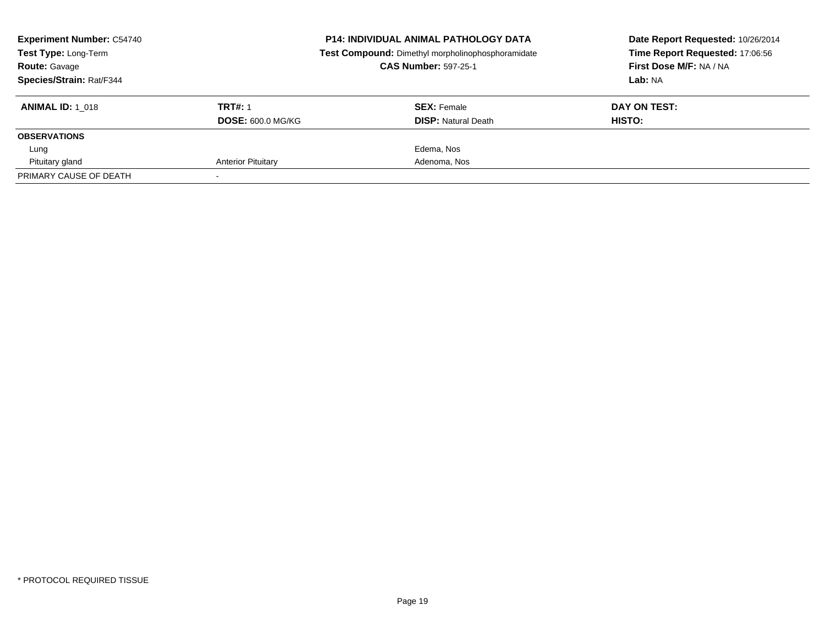| <b>Experiment Number: C54740</b><br>Test Type: Long-Term |                           | <b>P14: INDIVIDUAL ANIMAL PATHOLOGY DATA</b><br>Test Compound: Dimethyl morpholinophosphoramidate | Date Report Requested: 10/26/2014<br>Time Report Requested: 17:06:56 |  |
|----------------------------------------------------------|---------------------------|---------------------------------------------------------------------------------------------------|----------------------------------------------------------------------|--|
| <b>Route: Gavage</b>                                     |                           | <b>CAS Number: 597-25-1</b>                                                                       | First Dose M/F: NA / NA                                              |  |
| Species/Strain: Rat/F344                                 |                           |                                                                                                   | Lab: NA                                                              |  |
| <b>ANIMAL ID: 1 018</b>                                  | <b>TRT#: 1</b>            | <b>SEX: Female</b>                                                                                | DAY ON TEST:                                                         |  |
|                                                          | <b>DOSE: 600.0 MG/KG</b>  | <b>DISP:</b> Natural Death                                                                        | HISTO:                                                               |  |
| <b>OBSERVATIONS</b>                                      |                           |                                                                                                   |                                                                      |  |
| Lung                                                     |                           | Edema, Nos                                                                                        |                                                                      |  |
| Pituitary gland                                          | <b>Anterior Pituitary</b> | Adenoma, Nos                                                                                      |                                                                      |  |
| PRIMARY CAUSE OF DEATH                                   |                           |                                                                                                   |                                                                      |  |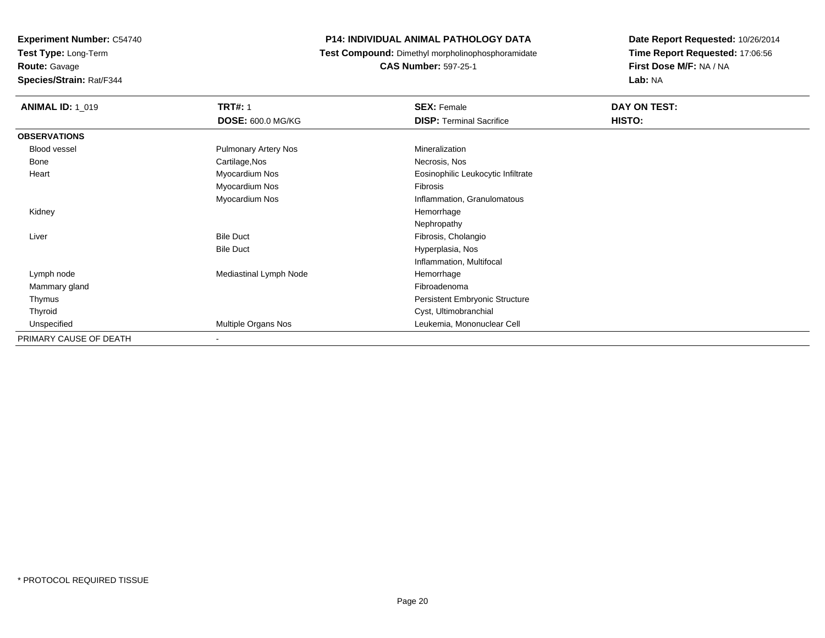**Experiment Number:** C54740**Test Type:** Long-Term

**Route:** Gavage

**Species/Strain:** Rat/F344

# **P14: INDIVIDUAL ANIMAL PATHOLOGY DATA**

**Test Compound:** Dimethyl morpholinophosphoramidate

**CAS Number:** 597-25-1

| <b>ANIMAL ID: 1_019</b> | <b>TRT#: 1</b>              | <b>SEX: Female</b>                    | DAY ON TEST: |  |
|-------------------------|-----------------------------|---------------------------------------|--------------|--|
|                         | <b>DOSE: 600.0 MG/KG</b>    | <b>DISP:</b> Terminal Sacrifice       | HISTO:       |  |
| <b>OBSERVATIONS</b>     |                             |                                       |              |  |
| Blood vessel            | <b>Pulmonary Artery Nos</b> | Mineralization                        |              |  |
| Bone                    | Cartilage, Nos              | Necrosis, Nos                         |              |  |
| Heart                   | Myocardium Nos              | Eosinophilic Leukocytic Infiltrate    |              |  |
|                         | Myocardium Nos              | Fibrosis                              |              |  |
|                         | Myocardium Nos              | Inflammation, Granulomatous           |              |  |
| Kidney                  |                             | Hemorrhage                            |              |  |
|                         |                             | Nephropathy                           |              |  |
| Liver                   | <b>Bile Duct</b>            | Fibrosis, Cholangio                   |              |  |
|                         | <b>Bile Duct</b>            | Hyperplasia, Nos                      |              |  |
|                         |                             | Inflammation, Multifocal              |              |  |
| Lymph node              | Mediastinal Lymph Node      | Hemorrhage                            |              |  |
| Mammary gland           |                             | Fibroadenoma                          |              |  |
| Thymus                  |                             | <b>Persistent Embryonic Structure</b> |              |  |
| Thyroid                 |                             | Cyst, Ultimobranchial                 |              |  |
| Unspecified             | Multiple Organs Nos         | Leukemia, Mononuclear Cell            |              |  |
| PRIMARY CAUSE OF DEATH  | $\overline{\phantom{a}}$    |                                       |              |  |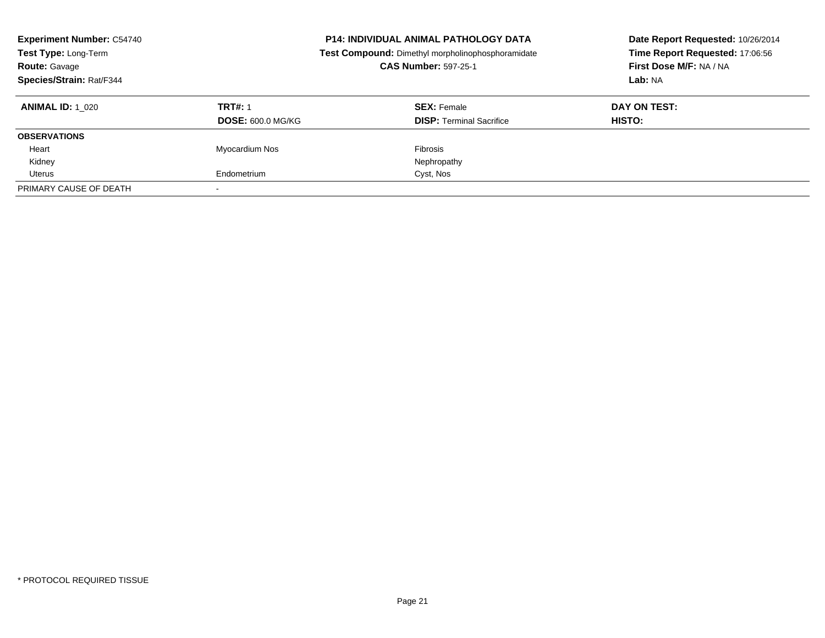| <b>Experiment Number: C54740</b><br><b>P14: INDIVIDUAL ANIMAL PATHOLOGY DATA</b><br>Test Compound: Dimethyl morpholinophosphoramidate<br>Test Type: Long-Term<br><b>CAS Number: 597-25-1</b><br><b>Route: Gavage</b><br>Species/Strain: Rat/F344 |                                            |                                                       | Date Report Requested: 10/26/2014<br>Time Report Requested: 17:06:56<br>First Dose M/F: NA / NA<br>Lab: NA |
|--------------------------------------------------------------------------------------------------------------------------------------------------------------------------------------------------------------------------------------------------|--------------------------------------------|-------------------------------------------------------|------------------------------------------------------------------------------------------------------------|
| <b>ANIMAL ID:</b> 1 020                                                                                                                                                                                                                          | <b>TRT#: 1</b><br><b>DOSE: 600.0 MG/KG</b> | <b>SEX: Female</b><br><b>DISP:</b> Terminal Sacrifice | DAY ON TEST:<br>HISTO:                                                                                     |
| <b>OBSERVATIONS</b>                                                                                                                                                                                                                              |                                            |                                                       |                                                                                                            |
| Heart                                                                                                                                                                                                                                            | <b>Myocardium Nos</b>                      | Fibrosis                                              |                                                                                                            |
| Kidney                                                                                                                                                                                                                                           |                                            | Nephropathy                                           |                                                                                                            |
| Uterus                                                                                                                                                                                                                                           | Endometrium                                | Cyst, Nos                                             |                                                                                                            |
| PRIMARY CAUSE OF DEATH                                                                                                                                                                                                                           |                                            |                                                       |                                                                                                            |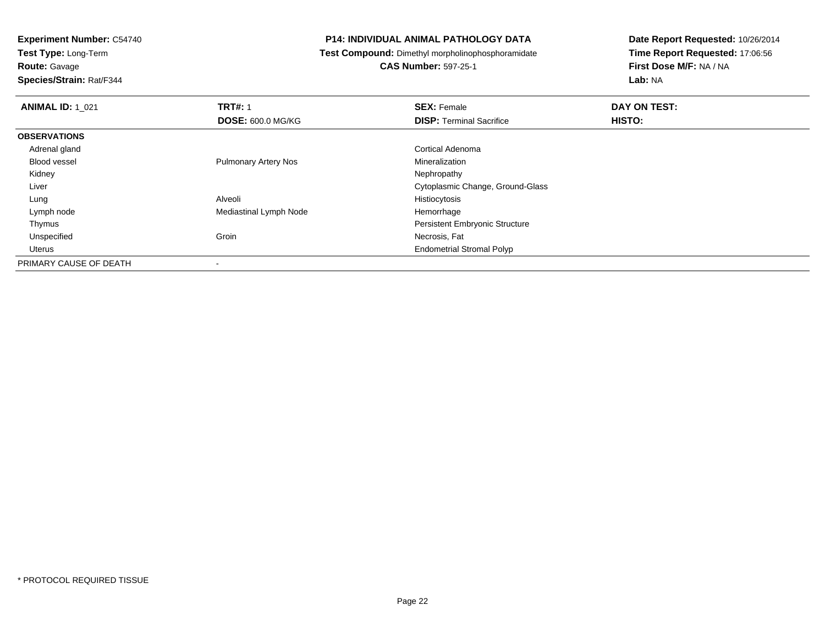**Test Type:** Long-Term

**Route:** Gavage

**Species/Strain:** Rat/F344

# **P14: INDIVIDUAL ANIMAL PATHOLOGY DATA**

**Test Compound:** Dimethyl morpholinophosphoramidate

**CAS Number:** 597-25-1

| <b>ANIMAL ID: 1 021</b> | <b>TRT#: 1</b>              | <b>SEX: Female</b>                    | DAY ON TEST: |  |
|-------------------------|-----------------------------|---------------------------------------|--------------|--|
|                         | <b>DOSE: 600.0 MG/KG</b>    | <b>DISP: Terminal Sacrifice</b>       | HISTO:       |  |
| <b>OBSERVATIONS</b>     |                             |                                       |              |  |
| Adrenal gland           |                             | Cortical Adenoma                      |              |  |
| <b>Blood vessel</b>     | <b>Pulmonary Artery Nos</b> | Mineralization                        |              |  |
| Kidney                  |                             | Nephropathy                           |              |  |
| Liver                   |                             | Cytoplasmic Change, Ground-Glass      |              |  |
| Lung                    | Alveoli                     | Histiocytosis                         |              |  |
| Lymph node              | Mediastinal Lymph Node      | Hemorrhage                            |              |  |
| Thymus                  |                             | <b>Persistent Embryonic Structure</b> |              |  |
| Unspecified             | Groin                       | Necrosis, Fat                         |              |  |
| Uterus                  |                             | <b>Endometrial Stromal Polyp</b>      |              |  |
| PRIMARY CAUSE OF DEATH  |                             |                                       |              |  |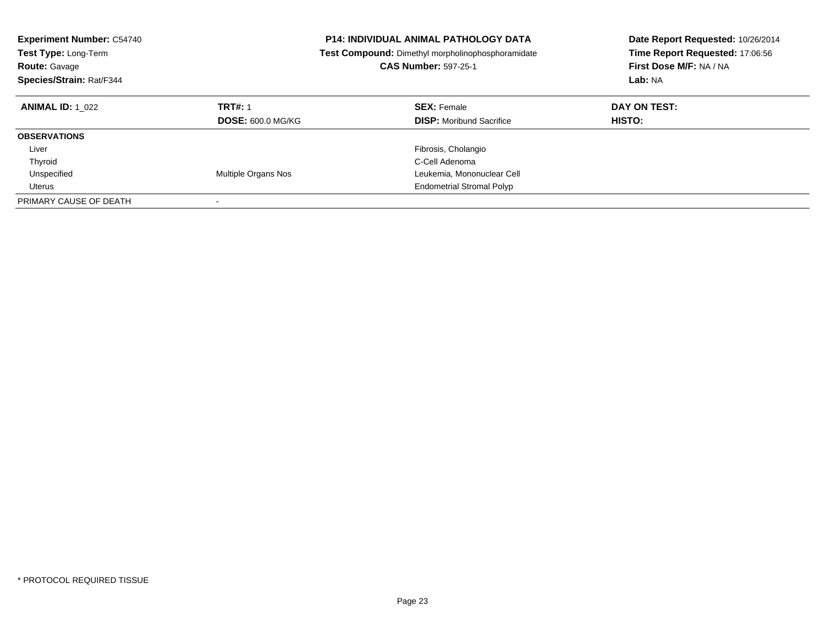| <b>Experiment Number: C54740</b><br><b>Test Type: Long-Term</b><br><b>Route: Gavage</b><br>Species/Strain: Rat/F344 |                                            | <b>P14: INDIVIDUAL ANIMAL PATHOLOGY DATA</b><br>Test Compound: Dimethyl morpholinophosphoramidate<br><b>CAS Number: 597-25-1</b> | Date Report Requested: 10/26/2014<br>Time Report Requested: 17:06:56<br>First Dose M/F: NA / NA<br>Lab: NA |
|---------------------------------------------------------------------------------------------------------------------|--------------------------------------------|----------------------------------------------------------------------------------------------------------------------------------|------------------------------------------------------------------------------------------------------------|
| <b>ANIMAL ID: 1 022</b>                                                                                             | <b>TRT#: 1</b><br><b>DOSE: 600.0 MG/KG</b> | <b>SEX: Female</b><br><b>DISP:</b> Moribund Sacrifice                                                                            | DAY ON TEST:<br><b>HISTO:</b>                                                                              |
| <b>OBSERVATIONS</b>                                                                                                 |                                            |                                                                                                                                  |                                                                                                            |
| Liver                                                                                                               |                                            | Fibrosis, Cholangio                                                                                                              |                                                                                                            |
| Thyroid                                                                                                             |                                            | C-Cell Adenoma                                                                                                                   |                                                                                                            |
| Unspecified                                                                                                         | Multiple Organs Nos                        | Leukemia, Mononuclear Cell                                                                                                       |                                                                                                            |
| Uterus                                                                                                              |                                            | <b>Endometrial Stromal Polyp</b>                                                                                                 |                                                                                                            |
| PRIMARY CAUSE OF DEATH                                                                                              |                                            |                                                                                                                                  |                                                                                                            |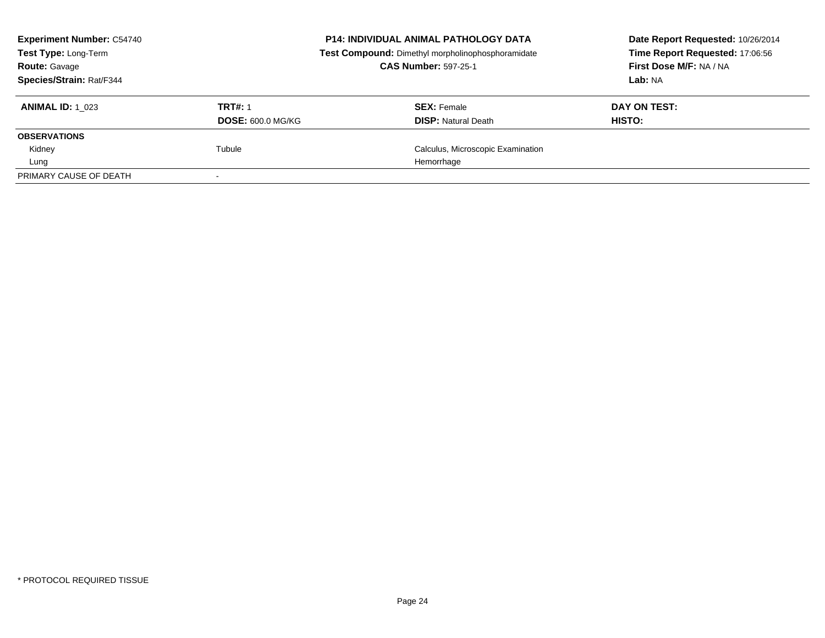| <b>Experiment Number: C54740</b><br>Test Type: Long-Term<br><b>Route: Gavage</b> |                          | <b>P14: INDIVIDUAL ANIMAL PATHOLOGY DATA</b><br>Test Compound: Dimethyl morpholinophosphoramidate<br><b>CAS Number: 597-25-1</b> | Date Report Requested: 10/26/2014<br>Time Report Requested: 17:06:56<br>First Dose M/F: NA / NA |
|----------------------------------------------------------------------------------|--------------------------|----------------------------------------------------------------------------------------------------------------------------------|-------------------------------------------------------------------------------------------------|
| Species/Strain: Rat/F344                                                         |                          |                                                                                                                                  | Lab: NA                                                                                         |
| <b>ANIMAL ID: 1 023</b>                                                          | <b>TRT#: 1</b>           | <b>SEX: Female</b>                                                                                                               | DAY ON TEST:                                                                                    |
|                                                                                  | <b>DOSE: 600.0 MG/KG</b> | <b>DISP:</b> Natural Death                                                                                                       | HISTO:                                                                                          |
| <b>OBSERVATIONS</b>                                                              |                          |                                                                                                                                  |                                                                                                 |
| Kidney                                                                           | Tubule                   | Calculus, Microscopic Examination                                                                                                |                                                                                                 |
| Lung                                                                             |                          | Hemorrhage                                                                                                                       |                                                                                                 |
| PRIMARY CAUSE OF DEATH                                                           |                          |                                                                                                                                  |                                                                                                 |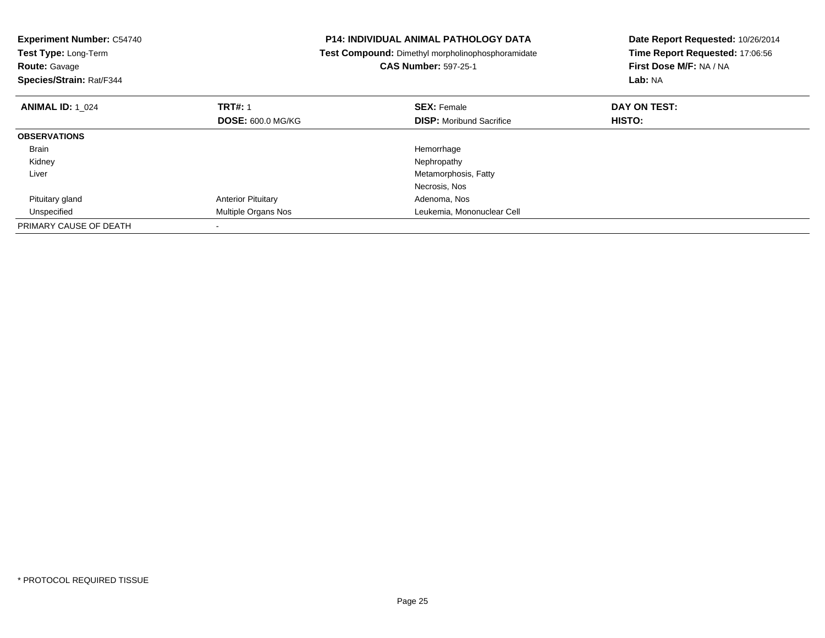| <b>Experiment Number: C54740</b><br>Test Type: Long-Term<br><b>Route: Gavage</b><br>Species/Strain: Rat/F344 |                           | <b>P14: INDIVIDUAL ANIMAL PATHOLOGY DATA</b><br><b>Test Compound:</b> Dimethyl morpholinophosphoramidate<br><b>CAS Number: 597-25-1</b> | Date Report Requested: 10/26/2014<br>Time Report Requested: 17:06:56<br>First Dose M/F: NA / NA<br>Lab: NA |
|--------------------------------------------------------------------------------------------------------------|---------------------------|-----------------------------------------------------------------------------------------------------------------------------------------|------------------------------------------------------------------------------------------------------------|
| <b>ANIMAL ID: 1 024</b>                                                                                      | <b>TRT#: 1</b>            | <b>SEX: Female</b>                                                                                                                      | DAY ON TEST:                                                                                               |
|                                                                                                              | <b>DOSE: 600.0 MG/KG</b>  | <b>DISP:</b> Moribund Sacrifice                                                                                                         | <b>HISTO:</b>                                                                                              |
| <b>OBSERVATIONS</b>                                                                                          |                           |                                                                                                                                         |                                                                                                            |
| Brain                                                                                                        |                           | Hemorrhage                                                                                                                              |                                                                                                            |
| Kidney                                                                                                       |                           | Nephropathy                                                                                                                             |                                                                                                            |
| Liver                                                                                                        |                           | Metamorphosis, Fatty                                                                                                                    |                                                                                                            |
|                                                                                                              |                           | Necrosis, Nos                                                                                                                           |                                                                                                            |
| Pituitary gland                                                                                              | <b>Anterior Pituitary</b> | Adenoma, Nos                                                                                                                            |                                                                                                            |
| Unspecified                                                                                                  | Multiple Organs Nos       | Leukemia, Mononuclear Cell                                                                                                              |                                                                                                            |
| PRIMARY CAUSE OF DEATH                                                                                       |                           |                                                                                                                                         |                                                                                                            |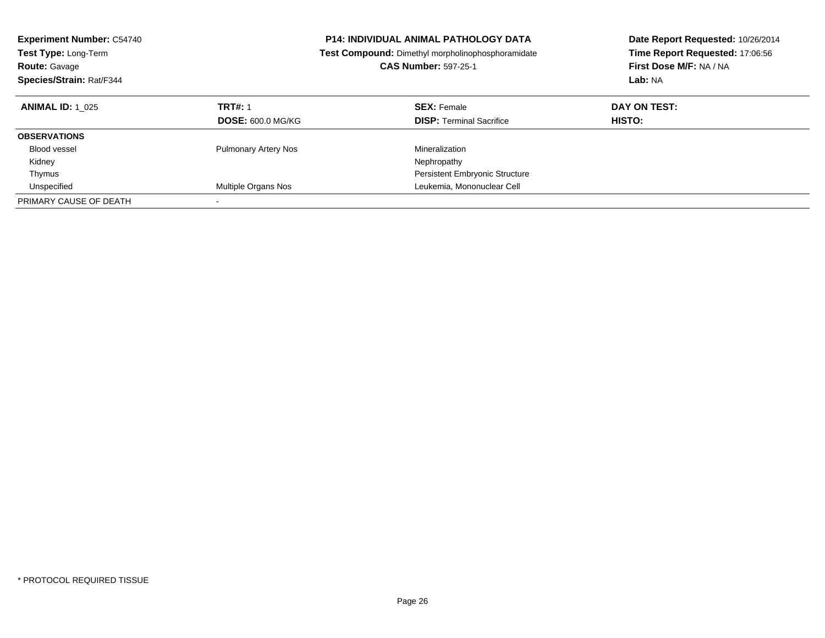| <b>Experiment Number: C54740</b><br><b>Test Type: Long-Term</b><br><b>Route: Gavage</b><br>Species/Strain: Rat/F344 |                                            | <b>P14: INDIVIDUAL ANIMAL PATHOLOGY DATA</b><br>Test Compound: Dimethyl morpholinophosphoramidate<br><b>CAS Number: 597-25-1</b> | Date Report Requested: 10/26/2014<br>Time Report Requested: 17:06:56<br>First Dose M/F: NA / NA<br>Lab: NA |  |
|---------------------------------------------------------------------------------------------------------------------|--------------------------------------------|----------------------------------------------------------------------------------------------------------------------------------|------------------------------------------------------------------------------------------------------------|--|
| <b>ANIMAL ID: 1 025</b>                                                                                             | <b>TRT#: 1</b><br><b>DOSE: 600.0 MG/KG</b> | <b>SEX: Female</b><br><b>DISP:</b> Terminal Sacrifice                                                                            | DAY ON TEST:<br><b>HISTO:</b>                                                                              |  |
| <b>OBSERVATIONS</b>                                                                                                 |                                            |                                                                                                                                  |                                                                                                            |  |
| Blood vessel                                                                                                        | <b>Pulmonary Artery Nos</b>                | Mineralization                                                                                                                   |                                                                                                            |  |
| Kidney                                                                                                              |                                            | Nephropathy                                                                                                                      |                                                                                                            |  |
| Thymus                                                                                                              |                                            | Persistent Embryonic Structure                                                                                                   |                                                                                                            |  |
| Unspecified                                                                                                         | Multiple Organs Nos                        | Leukemia, Mononuclear Cell                                                                                                       |                                                                                                            |  |
| PRIMARY CAUSE OF DEATH                                                                                              |                                            |                                                                                                                                  |                                                                                                            |  |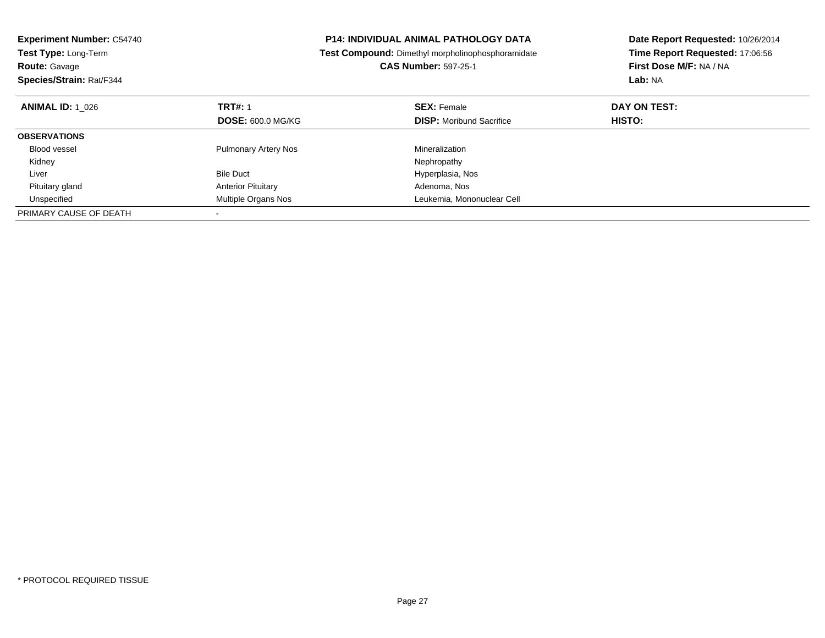| <b>Experiment Number: C54740</b><br>Test Type: Long-Term<br><b>Route: Gavage</b><br>Species/Strain: Rat/F344 |                             | <b>P14: INDIVIDUAL ANIMAL PATHOLOGY DATA</b><br><b>Test Compound:</b> Dimethyl morpholinophosphoramidate<br><b>CAS Number: 597-25-1</b> | Date Report Requested: 10/26/2014<br>Time Report Requested: 17:06:56<br>First Dose M/F: NA / NA<br>Lab: NA |
|--------------------------------------------------------------------------------------------------------------|-----------------------------|-----------------------------------------------------------------------------------------------------------------------------------------|------------------------------------------------------------------------------------------------------------|
| <b>ANIMAL ID:</b> 1 026                                                                                      | <b>TRT#: 1</b>              | <b>SEX: Female</b>                                                                                                                      | DAY ON TEST:                                                                                               |
|                                                                                                              | <b>DOSE: 600.0 MG/KG</b>    | <b>DISP:</b> Moribund Sacrifice                                                                                                         | HISTO:                                                                                                     |
| <b>OBSERVATIONS</b>                                                                                          |                             |                                                                                                                                         |                                                                                                            |
| <b>Blood vessel</b>                                                                                          | <b>Pulmonary Artery Nos</b> | Mineralization                                                                                                                          |                                                                                                            |
| Kidney                                                                                                       |                             | Nephropathy                                                                                                                             |                                                                                                            |
| Liver                                                                                                        | <b>Bile Duct</b>            | Hyperplasia, Nos                                                                                                                        |                                                                                                            |
| Pituitary gland                                                                                              | <b>Anterior Pituitary</b>   | Adenoma, Nos                                                                                                                            |                                                                                                            |
| Unspecified                                                                                                  | Multiple Organs Nos         | Leukemia, Mononuclear Cell                                                                                                              |                                                                                                            |
| PRIMARY CAUSE OF DEATH                                                                                       |                             |                                                                                                                                         |                                                                                                            |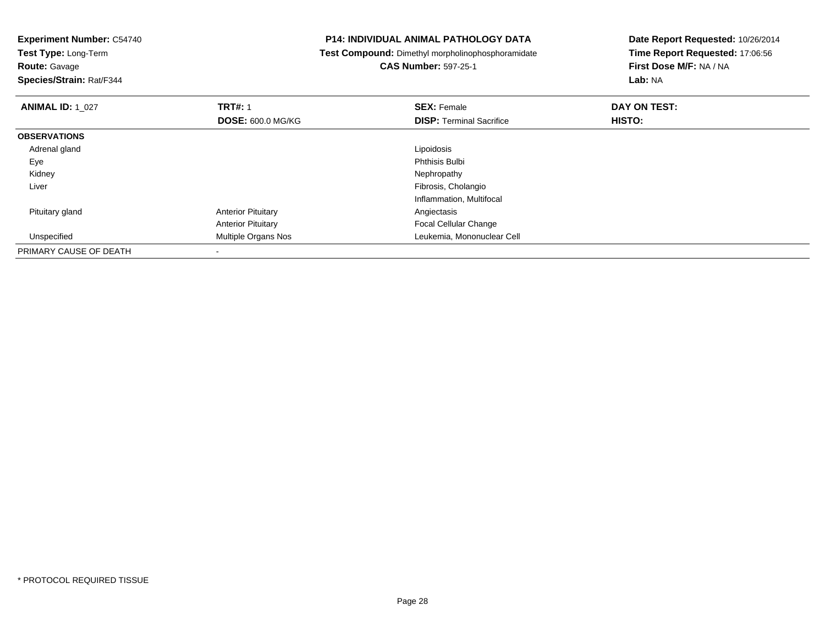**Experiment Number:** C54740**Test Type:** Long-Term**Route:** Gavage **Species/Strain:** Rat/F344**P14: INDIVIDUAL ANIMAL PATHOLOGY DATA Test Compound:** Dimethyl morpholinophosphoramidate**CAS Number:** 597-25-1**Date Report Requested:** 10/26/2014**Time Report Requested:** 17:06:56**First Dose M/F:** NA / NA**Lab:** NA**ANIMAL ID:** 1\_027**TRT#:** 1 **SEX:** Female **DAY ON TEST: DOSE:** 600.0 MG/KG**DISP:** Terminal Sacrifice **HISTO: OBSERVATIONS** Adrenal glandd <u>Lipoidosis and the second of the second of the second of the second of the second of the second of the second of the second of the second of the second of the second of the second of the second of the second of the seco</u> Eyee discussion of the control of the control of the control of the control of the control of the control of the control of the control of the control of the control of the control of the control of the control of the control Kidneyy the control of the control of the control of the control of the control of the control of the control of the control of the control of the control of the control of the control of the control of the control of the contro Liver Fibrosis, Cholangio Inflammation, Multifocal Pituitary glandAnterior Pituitary **Angiectasis** Angiectasis Anterior Pituitary Focal Cellular Changed **Multiple Organs Nos Leukemia, Mononuclear Cell**  UnspecifiedPRIMARY CAUSE OF DEATH-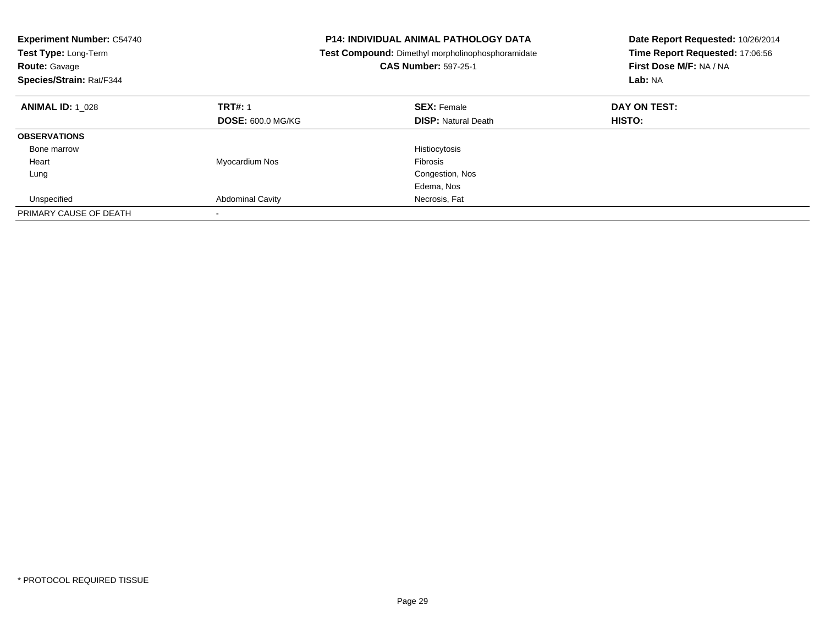| <b>Experiment Number: C54740</b><br>Test Type: Long-Term<br><b>Route: Gavage</b><br>Species/Strain: Rat/F344 |                          | <b>P14: INDIVIDUAL ANIMAL PATHOLOGY DATA</b><br>Test Compound: Dimethyl morpholinophosphoramidate<br><b>CAS Number: 597-25-1</b> | Date Report Requested: 10/26/2014<br>Time Report Requested: 17:06:56<br>First Dose M/F: NA / NA<br>Lab: NA |
|--------------------------------------------------------------------------------------------------------------|--------------------------|----------------------------------------------------------------------------------------------------------------------------------|------------------------------------------------------------------------------------------------------------|
| <b>ANIMAL ID: 1 028</b>                                                                                      | <b>TRT#: 1</b>           | <b>SEX: Female</b>                                                                                                               | DAY ON TEST:                                                                                               |
|                                                                                                              | <b>DOSE: 600.0 MG/KG</b> | <b>DISP:</b> Natural Death                                                                                                       | HISTO:                                                                                                     |
| <b>OBSERVATIONS</b>                                                                                          |                          |                                                                                                                                  |                                                                                                            |
| Bone marrow                                                                                                  |                          | Histiocytosis                                                                                                                    |                                                                                                            |
| Heart                                                                                                        | Myocardium Nos           | <b>Fibrosis</b>                                                                                                                  |                                                                                                            |
| Lung                                                                                                         |                          | Congestion, Nos                                                                                                                  |                                                                                                            |
|                                                                                                              |                          | Edema, Nos                                                                                                                       |                                                                                                            |
| Unspecified                                                                                                  | <b>Abdominal Cavity</b>  | Necrosis, Fat                                                                                                                    |                                                                                                            |
| PRIMARY CAUSE OF DEATH                                                                                       |                          |                                                                                                                                  |                                                                                                            |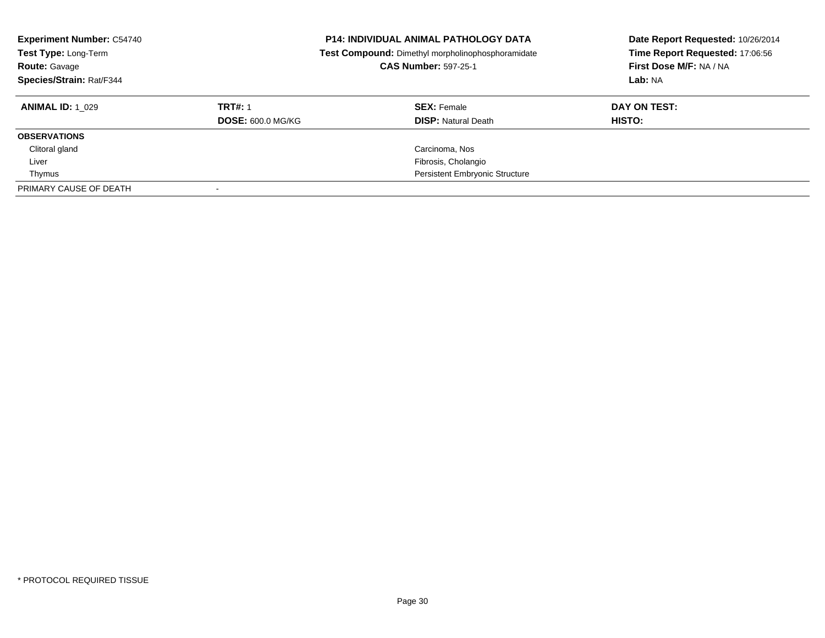| <b>Experiment Number: C54740</b><br>Test Type: Long-Term<br><b>Route: Gavage</b><br>Species/Strain: Rat/F344 |                          | <b>P14: INDIVIDUAL ANIMAL PATHOLOGY DATA</b><br>Test Compound: Dimethyl morpholinophosphoramidate<br><b>CAS Number: 597-25-1</b> | Date Report Requested: 10/26/2014<br>Time Report Requested: 17:06:56<br>First Dose M/F: NA / NA<br>Lab: NA |  |
|--------------------------------------------------------------------------------------------------------------|--------------------------|----------------------------------------------------------------------------------------------------------------------------------|------------------------------------------------------------------------------------------------------------|--|
| <b>ANIMAL ID: 1 029</b>                                                                                      | <b>TRT#: 1</b>           | <b>SEX: Female</b>                                                                                                               | DAY ON TEST:                                                                                               |  |
|                                                                                                              | <b>DOSE: 600.0 MG/KG</b> | <b>DISP: Natural Death</b>                                                                                                       | HISTO:                                                                                                     |  |
| <b>OBSERVATIONS</b>                                                                                          |                          |                                                                                                                                  |                                                                                                            |  |
| Clitoral gland                                                                                               |                          | Carcinoma, Nos                                                                                                                   |                                                                                                            |  |
| Liver                                                                                                        |                          | Fibrosis, Cholangio                                                                                                              |                                                                                                            |  |
| Thymus                                                                                                       |                          | <b>Persistent Embryonic Structure</b>                                                                                            |                                                                                                            |  |
| PRIMARY CAUSE OF DEATH                                                                                       |                          |                                                                                                                                  |                                                                                                            |  |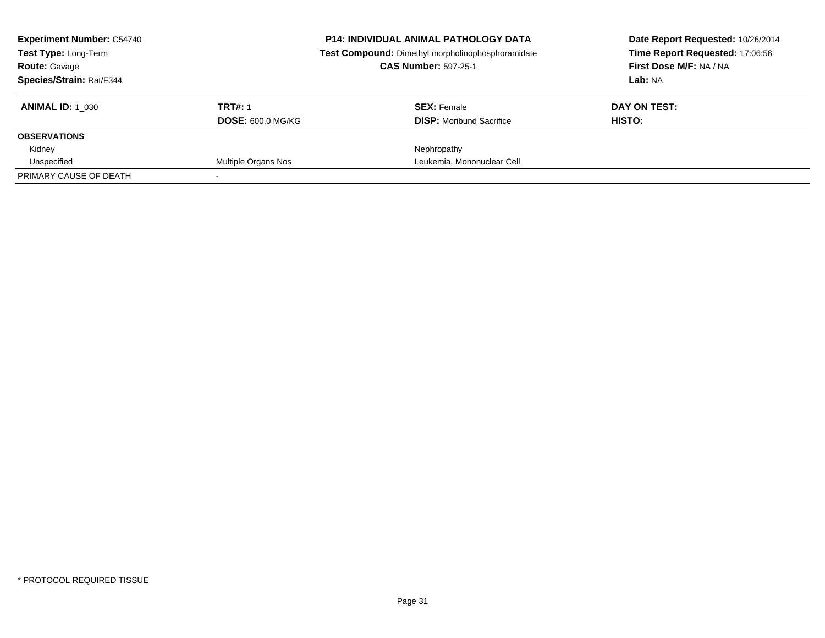| <b>Experiment Number: C54740</b><br><b>Test Type: Long-Term</b> |                          | <b>P14: INDIVIDUAL ANIMAL PATHOLOGY DATA</b><br>Test Compound: Dimethyl morpholinophosphoramidate | Date Report Requested: 10/26/2014<br>Time Report Requested: 17:06:56 |
|-----------------------------------------------------------------|--------------------------|---------------------------------------------------------------------------------------------------|----------------------------------------------------------------------|
| <b>Route: Gavage</b>                                            |                          | <b>CAS Number: 597-25-1</b>                                                                       | First Dose M/F: NA / NA                                              |
| <b>Species/Strain: Rat/F344</b>                                 |                          |                                                                                                   | Lab: NA                                                              |
| <b>ANIMAL ID: 1 030</b>                                         | <b>TRT#: 1</b>           | <b>SEX: Female</b>                                                                                | DAY ON TEST:                                                         |
|                                                                 | <b>DOSE: 600.0 MG/KG</b> | <b>DISP:</b> Moribund Sacrifice                                                                   | HISTO:                                                               |
| <b>OBSERVATIONS</b>                                             |                          |                                                                                                   |                                                                      |
| Kidney                                                          |                          | Nephropathy                                                                                       |                                                                      |
| Unspecified                                                     | Multiple Organs Nos      | Leukemia, Mononuclear Cell                                                                        |                                                                      |
| PRIMARY CAUSE OF DEATH                                          |                          |                                                                                                   |                                                                      |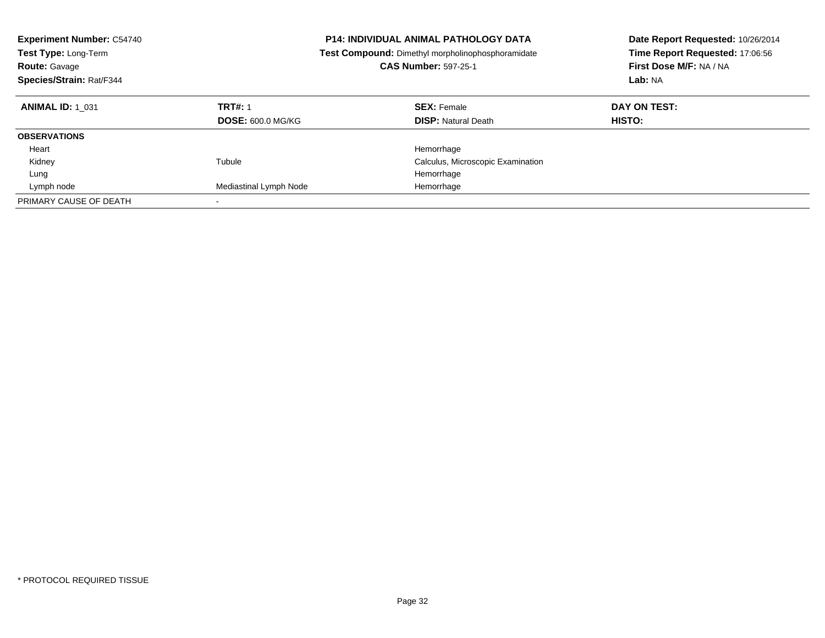| <b>Experiment Number: C54740</b><br>Test Type: Long-Term<br><b>Route: Gavage</b><br>Species/Strain: Rat/F344 |                                            | <b>P14: INDIVIDUAL ANIMAL PATHOLOGY DATA</b><br>Test Compound: Dimethyl morpholinophosphoramidate<br><b>CAS Number: 597-25-1</b> | Date Report Requested: 10/26/2014<br>Time Report Requested: 17:06:56<br>First Dose M/F: NA / NA<br>Lab: NA |  |
|--------------------------------------------------------------------------------------------------------------|--------------------------------------------|----------------------------------------------------------------------------------------------------------------------------------|------------------------------------------------------------------------------------------------------------|--|
| <b>ANIMAL ID: 1 031</b>                                                                                      | <b>TRT#: 1</b><br><b>DOSE: 600.0 MG/KG</b> | <b>SEX: Female</b><br><b>DISP: Natural Death</b>                                                                                 | DAY ON TEST:<br>HISTO:                                                                                     |  |
| <b>OBSERVATIONS</b>                                                                                          |                                            |                                                                                                                                  |                                                                                                            |  |
| Heart                                                                                                        |                                            | Hemorrhage                                                                                                                       |                                                                                                            |  |
| Kidney                                                                                                       | Tubule                                     | Calculus, Microscopic Examination                                                                                                |                                                                                                            |  |
| Lung                                                                                                         |                                            | Hemorrhage                                                                                                                       |                                                                                                            |  |
| Lymph node                                                                                                   | Mediastinal Lymph Node                     | Hemorrhage                                                                                                                       |                                                                                                            |  |
| PRIMARY CAUSE OF DEATH                                                                                       | $\overline{\phantom{a}}$                   |                                                                                                                                  |                                                                                                            |  |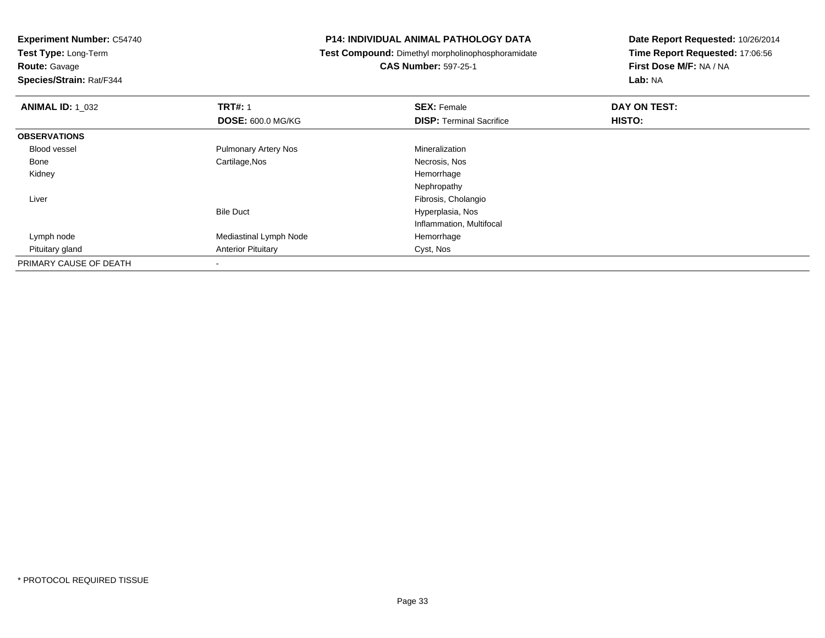**Test Type:** Long-Term

**Route:** Gavage

**Species/Strain:** Rat/F344

# **P14: INDIVIDUAL ANIMAL PATHOLOGY DATA**

**Test Compound:** Dimethyl morpholinophosphoramidate

**CAS Number:** 597-25-1

| <b>ANIMAL ID: 1 032</b> | <b>TRT#: 1</b>              | <b>SEX: Female</b>              | DAY ON TEST: |  |
|-------------------------|-----------------------------|---------------------------------|--------------|--|
|                         | <b>DOSE: 600.0 MG/KG</b>    | <b>DISP: Terminal Sacrifice</b> | HISTO:       |  |
| <b>OBSERVATIONS</b>     |                             |                                 |              |  |
| Blood vessel            | <b>Pulmonary Artery Nos</b> | Mineralization                  |              |  |
| Bone                    | Cartilage, Nos              | Necrosis, Nos                   |              |  |
| Kidney                  |                             | Hemorrhage                      |              |  |
|                         |                             | Nephropathy                     |              |  |
| Liver                   |                             | Fibrosis, Cholangio             |              |  |
|                         | <b>Bile Duct</b>            | Hyperplasia, Nos                |              |  |
|                         |                             | Inflammation, Multifocal        |              |  |
| Lymph node              | Mediastinal Lymph Node      | Hemorrhage                      |              |  |
| Pituitary gland         | <b>Anterior Pituitary</b>   | Cyst, Nos                       |              |  |
| PRIMARY CAUSE OF DEATH  |                             |                                 |              |  |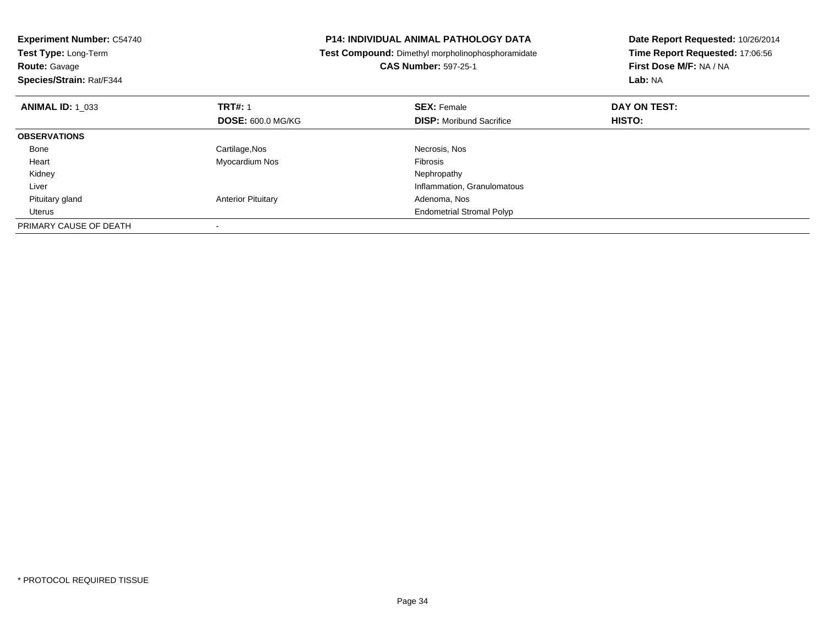| <b>Experiment Number: C54740</b><br>Test Type: Long-Term<br><b>Route: Gavage</b> |                           | <b>P14: INDIVIDUAL ANIMAL PATHOLOGY DATA</b><br>Test Compound: Dimethyl morpholinophosphoramidate<br><b>CAS Number: 597-25-1</b> | Date Report Requested: 10/26/2014<br>Time Report Requested: 17:06:56<br>First Dose M/F: NA / NA<br>Lab: NA |
|----------------------------------------------------------------------------------|---------------------------|----------------------------------------------------------------------------------------------------------------------------------|------------------------------------------------------------------------------------------------------------|
| Species/Strain: Rat/F344                                                         |                           |                                                                                                                                  |                                                                                                            |
| <b>ANIMAL ID: 1 033</b>                                                          | <b>TRT#: 1</b>            | <b>SEX: Female</b>                                                                                                               | DAY ON TEST:                                                                                               |
|                                                                                  | <b>DOSE: 600.0 MG/KG</b>  | <b>DISP:</b> Moribund Sacrifice                                                                                                  | HISTO:                                                                                                     |
| <b>OBSERVATIONS</b>                                                              |                           |                                                                                                                                  |                                                                                                            |
| Bone                                                                             | Cartilage, Nos            | Necrosis, Nos                                                                                                                    |                                                                                                            |
| Heart                                                                            | Myocardium Nos            | Fibrosis                                                                                                                         |                                                                                                            |
| Kidney                                                                           |                           | Nephropathy                                                                                                                      |                                                                                                            |
| Liver                                                                            |                           | Inflammation, Granulomatous                                                                                                      |                                                                                                            |
| Pituitary gland                                                                  | <b>Anterior Pituitary</b> | Adenoma, Nos                                                                                                                     |                                                                                                            |
| Uterus                                                                           |                           | <b>Endometrial Stromal Polyp</b>                                                                                                 |                                                                                                            |
| PRIMARY CAUSE OF DEATH                                                           |                           |                                                                                                                                  |                                                                                                            |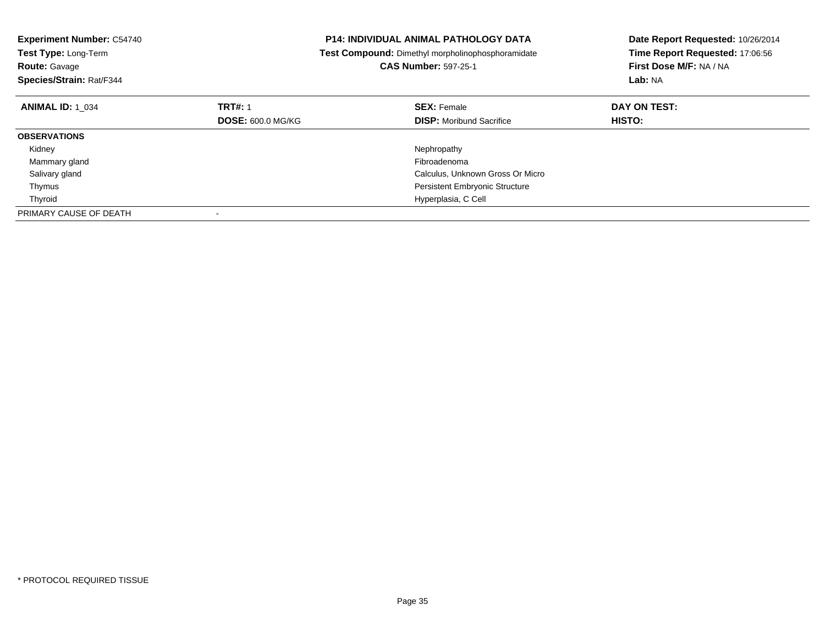| <b>Experiment Number: C54740</b><br>Test Type: Long-Term<br><b>Route: Gavage</b><br>Species/Strain: Rat/F344 |                          | <b>P14: INDIVIDUAL ANIMAL PATHOLOGY DATA</b><br>Test Compound: Dimethyl morpholinophosphoramidate<br><b>CAS Number: 597-25-1</b> | Date Report Requested: 10/26/2014<br>Time Report Requested: 17:06:56<br>First Dose M/F: NA / NA<br>Lab: NA |
|--------------------------------------------------------------------------------------------------------------|--------------------------|----------------------------------------------------------------------------------------------------------------------------------|------------------------------------------------------------------------------------------------------------|
| <b>ANIMAL ID: 1 034</b>                                                                                      | <b>TRT#: 1</b>           | <b>SEX: Female</b>                                                                                                               | DAY ON TEST:                                                                                               |
|                                                                                                              | <b>DOSE: 600.0 MG/KG</b> | <b>DISP:</b> Moribund Sacrifice                                                                                                  | HISTO:                                                                                                     |
| <b>OBSERVATIONS</b>                                                                                          |                          |                                                                                                                                  |                                                                                                            |
| Kidney                                                                                                       |                          | Nephropathy                                                                                                                      |                                                                                                            |
| Mammary gland                                                                                                |                          | Fibroadenoma                                                                                                                     |                                                                                                            |
| Salivary gland                                                                                               |                          | Calculus, Unknown Gross Or Micro                                                                                                 |                                                                                                            |
| Thymus                                                                                                       |                          | <b>Persistent Embryonic Structure</b>                                                                                            |                                                                                                            |
| Thyroid                                                                                                      |                          | Hyperplasia, C Cell                                                                                                              |                                                                                                            |
| PRIMARY CAUSE OF DEATH                                                                                       |                          |                                                                                                                                  |                                                                                                            |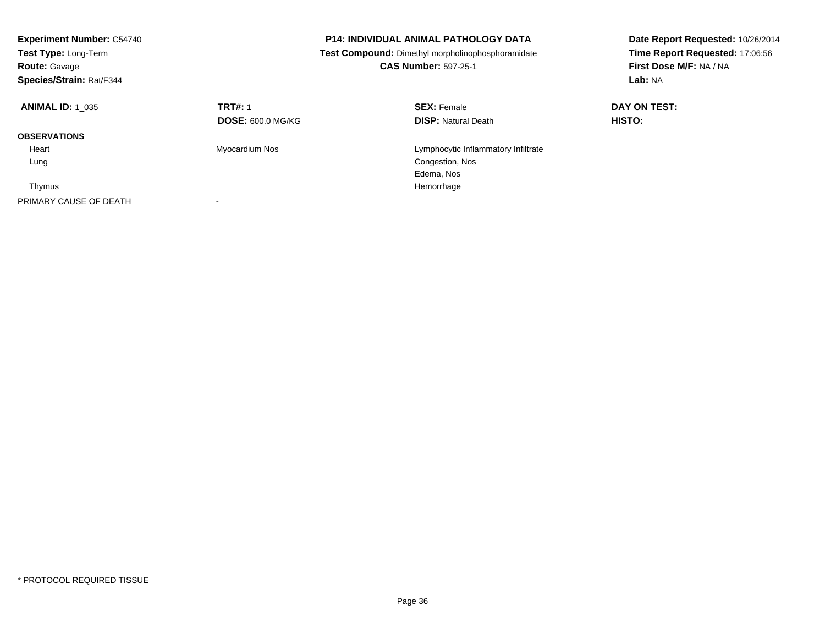| <b>Experiment Number: C54740</b><br>Test Type: Long-Term<br><b>Route: Gavage</b><br>Species/Strain: Rat/F344 |                                            | <b>P14: INDIVIDUAL ANIMAL PATHOLOGY DATA</b><br>Test Compound: Dimethyl morpholinophosphoramidate<br><b>CAS Number: 597-25-1</b> | Date Report Requested: 10/26/2014<br>Time Report Requested: 17:06:56<br>First Dose M/F: NA / NA<br>Lab: NA |  |
|--------------------------------------------------------------------------------------------------------------|--------------------------------------------|----------------------------------------------------------------------------------------------------------------------------------|------------------------------------------------------------------------------------------------------------|--|
| <b>ANIMAL ID: 1 035</b>                                                                                      | <b>TRT#: 1</b><br><b>DOSE: 600.0 MG/KG</b> | <b>SEX: Female</b><br><b>DISP: Natural Death</b>                                                                                 | DAY ON TEST:<br>HISTO:                                                                                     |  |
| <b>OBSERVATIONS</b>                                                                                          |                                            |                                                                                                                                  |                                                                                                            |  |
|                                                                                                              |                                            |                                                                                                                                  |                                                                                                            |  |
| Heart                                                                                                        | Myocardium Nos                             | Lymphocytic Inflammatory Infiltrate                                                                                              |                                                                                                            |  |
| Lung                                                                                                         |                                            | Congestion, Nos                                                                                                                  |                                                                                                            |  |
|                                                                                                              |                                            | Edema, Nos                                                                                                                       |                                                                                                            |  |
| Thymus                                                                                                       |                                            | Hemorrhage                                                                                                                       |                                                                                                            |  |
| PRIMARY CAUSE OF DEATH                                                                                       | $\overline{\phantom{a}}$                   |                                                                                                                                  |                                                                                                            |  |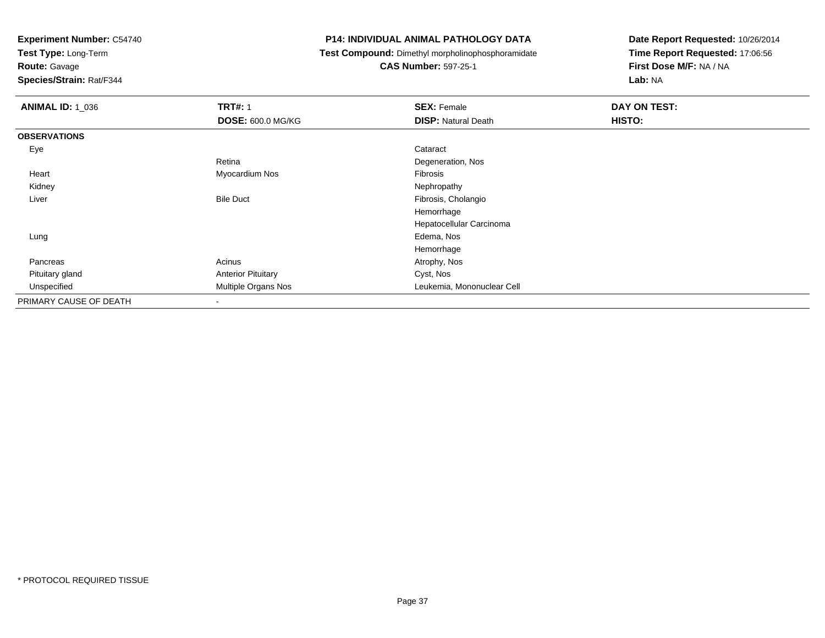**Test Type:** Long-Term

# **Route:** Gavage

**Species/Strain:** Rat/F344

#### **P14: INDIVIDUAL ANIMAL PATHOLOGY DATA**

**Test Compound:** Dimethyl morpholinophosphoramidate

### **CAS Number:** 597-25-1

| <b>ANIMAL ID: 1 036</b> | <b>TRT#: 1</b>            | <b>SEX: Female</b>         | DAY ON TEST: |
|-------------------------|---------------------------|----------------------------|--------------|
|                         | <b>DOSE: 600.0 MG/KG</b>  | <b>DISP: Natural Death</b> | HISTO:       |
| <b>OBSERVATIONS</b>     |                           |                            |              |
| Eye                     |                           | Cataract                   |              |
|                         | Retina                    | Degeneration, Nos          |              |
| Heart                   | Myocardium Nos            | Fibrosis                   |              |
| Kidney                  |                           | Nephropathy                |              |
| Liver                   | <b>Bile Duct</b>          | Fibrosis, Cholangio        |              |
|                         |                           | Hemorrhage                 |              |
|                         |                           | Hepatocellular Carcinoma   |              |
| Lung                    |                           | Edema, Nos                 |              |
|                         |                           | Hemorrhage                 |              |
| Pancreas                | Acinus                    | Atrophy, Nos               |              |
| Pituitary gland         | <b>Anterior Pituitary</b> | Cyst, Nos                  |              |
| Unspecified             | Multiple Organs Nos       | Leukemia, Mononuclear Cell |              |
| PRIMARY CAUSE OF DEATH  | $\overline{\phantom{a}}$  |                            |              |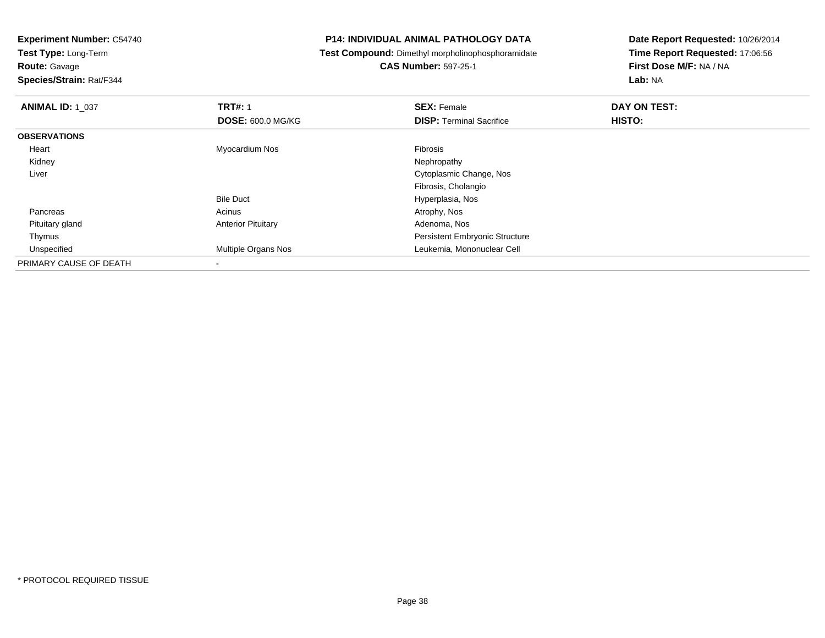**Test Type:** Long-Term**Route:** Gavage

**Species/Strain:** Rat/F344

#### **P14: INDIVIDUAL ANIMAL PATHOLOGY DATA**

**Test Compound:** Dimethyl morpholinophosphoramidate

**CAS Number:** 597-25-1

| <b>ANIMAL ID: 1_037</b> | <b>TRT#: 1</b>            | <b>SEX: Female</b>                    | DAY ON TEST: |  |
|-------------------------|---------------------------|---------------------------------------|--------------|--|
|                         | <b>DOSE: 600.0 MG/KG</b>  | <b>DISP: Terminal Sacrifice</b>       | HISTO:       |  |
| <b>OBSERVATIONS</b>     |                           |                                       |              |  |
| Heart                   | Myocardium Nos            | <b>Fibrosis</b>                       |              |  |
| Kidney                  |                           | Nephropathy                           |              |  |
| Liver                   |                           | Cytoplasmic Change, Nos               |              |  |
|                         |                           | Fibrosis, Cholangio                   |              |  |
|                         | <b>Bile Duct</b>          | Hyperplasia, Nos                      |              |  |
| Pancreas                | Acinus                    | Atrophy, Nos                          |              |  |
| Pituitary gland         | <b>Anterior Pituitary</b> | Adenoma, Nos                          |              |  |
| Thymus                  |                           | <b>Persistent Embryonic Structure</b> |              |  |
| Unspecified             | Multiple Organs Nos       | Leukemia, Mononuclear Cell            |              |  |
| PRIMARY CAUSE OF DEATH  |                           |                                       |              |  |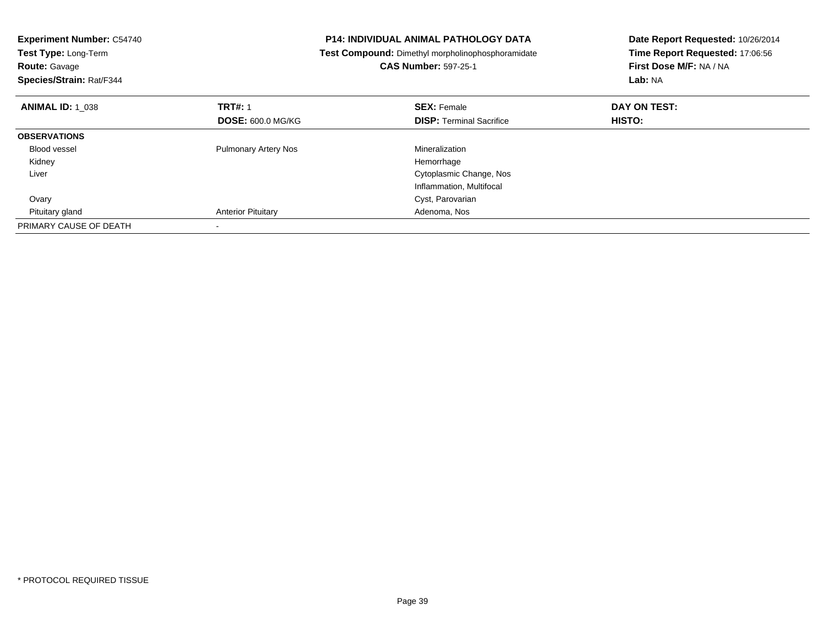| <b>Experiment Number: C54740</b><br><b>Test Type: Long-Term</b><br><b>Route: Gavage</b><br>Species/Strain: Rat/F344 |                             | <b>P14: INDIVIDUAL ANIMAL PATHOLOGY DATA</b><br>Test Compound: Dimethyl morpholinophosphoramidate<br><b>CAS Number: 597-25-1</b> | Date Report Requested: 10/26/2014<br>Time Report Requested: 17:06:56<br>First Dose M/F: NA / NA<br>Lab: NA |
|---------------------------------------------------------------------------------------------------------------------|-----------------------------|----------------------------------------------------------------------------------------------------------------------------------|------------------------------------------------------------------------------------------------------------|
| <b>ANIMAL ID: 1 038</b>                                                                                             | <b>TRT#: 1</b>              | <b>SEX: Female</b>                                                                                                               | DAY ON TEST:                                                                                               |
|                                                                                                                     | <b>DOSE: 600.0 MG/KG</b>    | <b>DISP:</b> Terminal Sacrifice                                                                                                  | HISTO:                                                                                                     |
| <b>OBSERVATIONS</b>                                                                                                 |                             |                                                                                                                                  |                                                                                                            |
| <b>Blood vessel</b>                                                                                                 | <b>Pulmonary Artery Nos</b> | Mineralization                                                                                                                   |                                                                                                            |
| Kidney                                                                                                              |                             | Hemorrhage                                                                                                                       |                                                                                                            |
| Liver                                                                                                               |                             | Cytoplasmic Change, Nos                                                                                                          |                                                                                                            |
|                                                                                                                     |                             | Inflammation, Multifocal                                                                                                         |                                                                                                            |
| Ovary                                                                                                               |                             | Cyst, Parovarian                                                                                                                 |                                                                                                            |
| Pituitary gland                                                                                                     | <b>Anterior Pituitary</b>   | Adenoma, Nos                                                                                                                     |                                                                                                            |
| PRIMARY CAUSE OF DEATH                                                                                              |                             |                                                                                                                                  |                                                                                                            |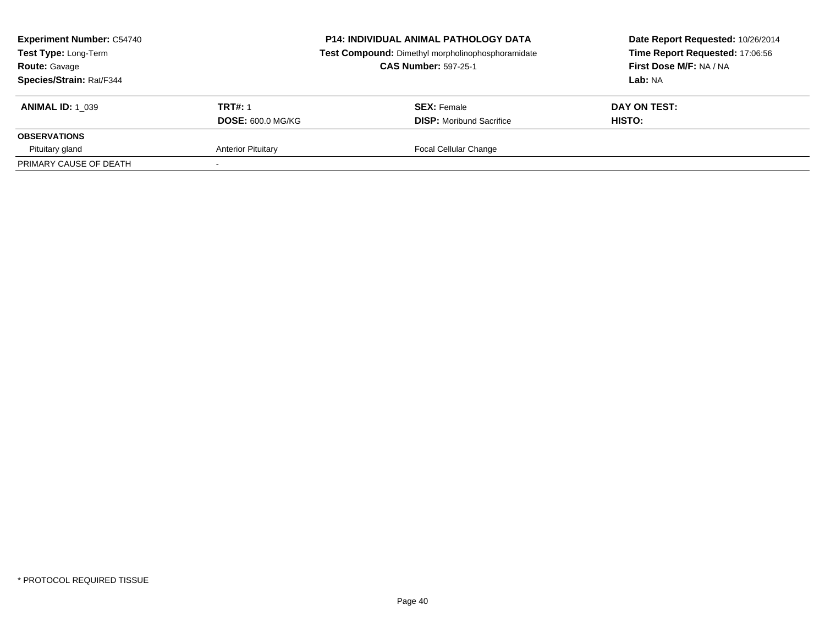| <b>Experiment Number: C54740</b><br>Test Type: Long-Term<br><b>Route: Gavage</b><br>Species/Strain: Rat/F344 |                           | <b>P14: INDIVIDUAL ANIMAL PATHOLOGY DATA</b><br>Test Compound: Dimethyl morpholinophosphoramidate<br><b>CAS Number: 597-25-1</b> | Date Report Requested: 10/26/2014<br>Time Report Requested: 17:06:56<br>First Dose M/F: NA / NA<br>Lab: NA |
|--------------------------------------------------------------------------------------------------------------|---------------------------|----------------------------------------------------------------------------------------------------------------------------------|------------------------------------------------------------------------------------------------------------|
| <b>ANIMAL ID: 1 039</b>                                                                                      | <b>TRT#: 1</b>            | <b>SEX: Female</b>                                                                                                               | DAY ON TEST:                                                                                               |
|                                                                                                              | <b>DOSE: 600.0 MG/KG</b>  | <b>DISP:</b> Moribund Sacrifice                                                                                                  | <b>HISTO:</b>                                                                                              |
| <b>OBSERVATIONS</b>                                                                                          |                           |                                                                                                                                  |                                                                                                            |
| Pituitary gland                                                                                              | <b>Anterior Pituitary</b> | Focal Cellular Change                                                                                                            |                                                                                                            |
| PRIMARY CAUSE OF DEATH                                                                                       |                           |                                                                                                                                  |                                                                                                            |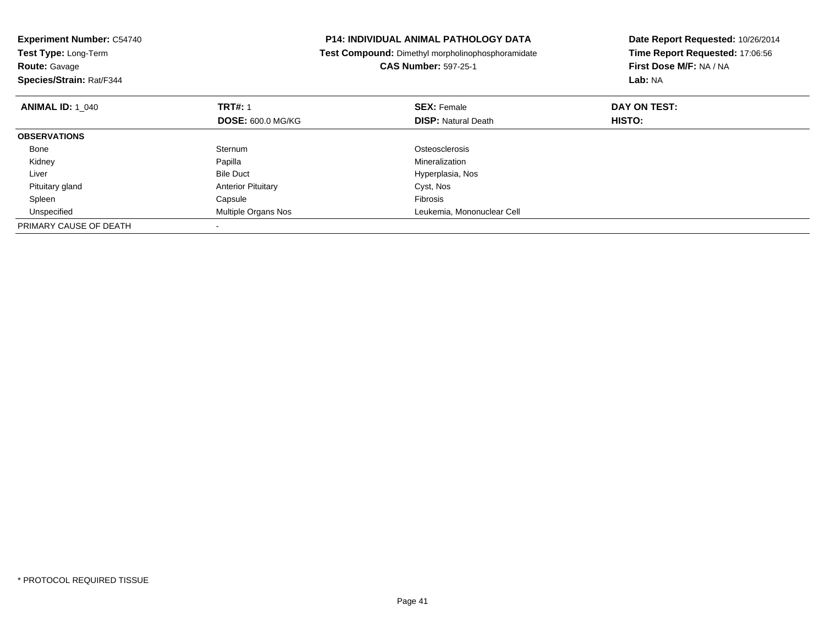| <b>Experiment Number: C54740</b><br><b>Test Type: Long-Term</b> |                           | <b>P14: INDIVIDUAL ANIMAL PATHOLOGY DATA</b><br>Test Compound: Dimethyl morpholinophosphoramidate | Date Report Requested: 10/26/2014<br>Time Report Requested: 17:06:56 |
|-----------------------------------------------------------------|---------------------------|---------------------------------------------------------------------------------------------------|----------------------------------------------------------------------|
| <b>Route: Gavage</b>                                            |                           | <b>CAS Number: 597-25-1</b>                                                                       | First Dose M/F: NA / NA                                              |
| Species/Strain: Rat/F344                                        |                           |                                                                                                   | Lab: NA                                                              |
| <b>ANIMAL ID: 1 040</b>                                         | <b>TRT#: 1</b>            | <b>SEX: Female</b>                                                                                | DAY ON TEST:                                                         |
|                                                                 | <b>DOSE: 600.0 MG/KG</b>  | <b>DISP: Natural Death</b>                                                                        | HISTO:                                                               |
| <b>OBSERVATIONS</b>                                             |                           |                                                                                                   |                                                                      |
| Bone                                                            | Sternum                   | Osteosclerosis                                                                                    |                                                                      |
| Kidney                                                          | Papilla                   | Mineralization                                                                                    |                                                                      |
| Liver                                                           | <b>Bile Duct</b>          | Hyperplasia, Nos                                                                                  |                                                                      |
| Pituitary gland                                                 | <b>Anterior Pituitary</b> | Cyst, Nos                                                                                         |                                                                      |
| Spleen                                                          | Capsule                   | Fibrosis                                                                                          |                                                                      |
| Unspecified                                                     | Multiple Organs Nos       | Leukemia, Mononuclear Cell                                                                        |                                                                      |
| PRIMARY CAUSE OF DEATH                                          |                           |                                                                                                   |                                                                      |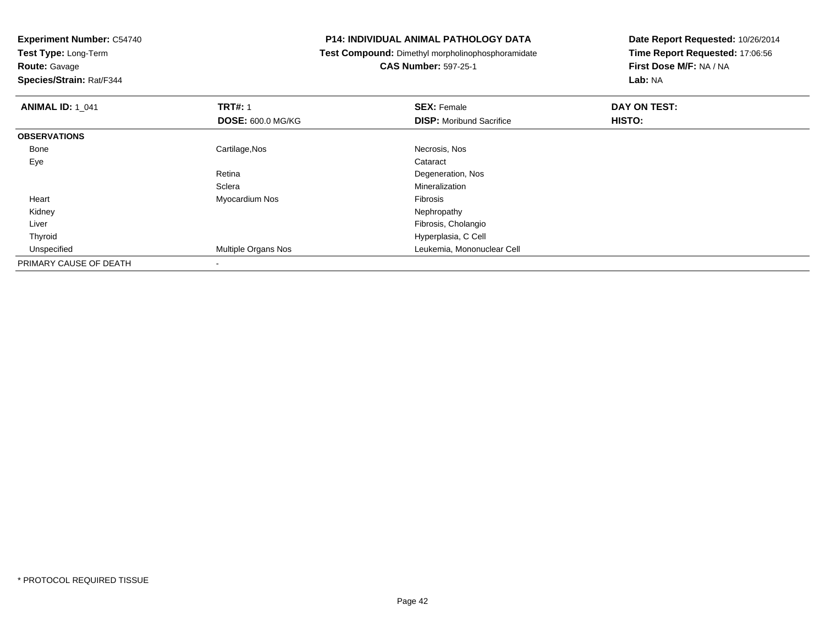**Experiment Number:** C54740**Test Type:** Long-Term**Route:** Gavage **Species/Strain:** Rat/F344**P14: INDIVIDUAL ANIMAL PATHOLOGY DATA Test Compound:** Dimethyl morpholinophosphoramidate**CAS Number:** 597-25-1**Date Report Requested:** 10/26/2014**Time Report Requested:** 17:06:56**First Dose M/F:** NA / NA**Lab:** NA**ANIMAL ID: 1\_041 TRT#:** 1 **SEX:** Female **DAY ON TEST: DOSE:** 600.0 MG/KG**DISP:** Moribund Sacrifice **HISTO: OBSERVATIONS** Bonee and the control of the Cartilage,Nos and the control of the control of the control of the Cartilage,Nos and the control of the control of the control of the control of the control of the control of the control of the con Eyee de la constitución de la constitución de la constitución de la constitución de la constitución de la constitución<br>En el constitución de la constitución de la constitución de la constitución de la constitución de la const Retina Degeneration, Nos **Sclera**  Mineralization Heart Myocardium Nos Fibrosis Kidneyy the control of the control of the control of the control of the control of the control of the control of the control of the control of the control of the control of the control of the control of the control of the contro Liver Fibrosis, Cholangio Hyperplasia, C Cell Thyroid Unspecified Multiple Organs Nos Leukemia, Mononuclear Cell PRIMARY CAUSE OF DEATH-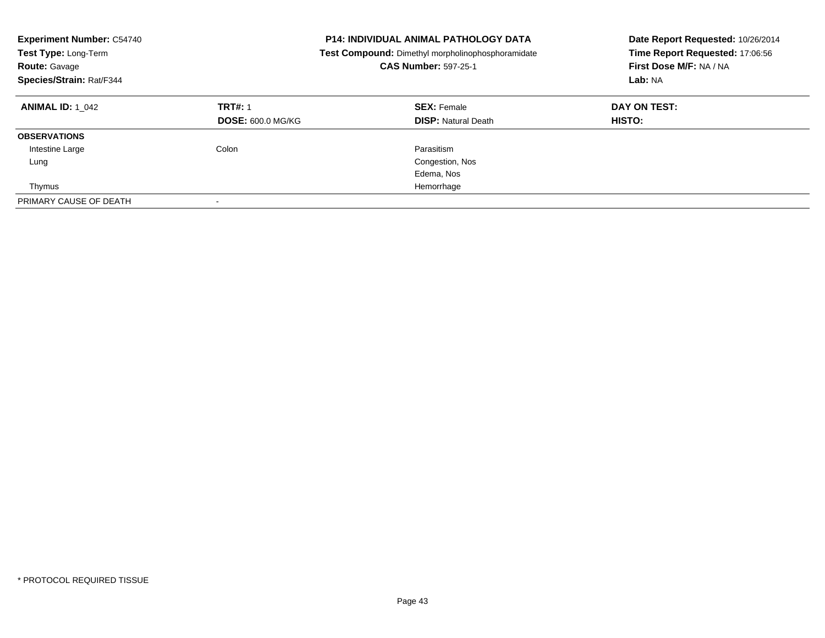| <b>Experiment Number: C54740</b><br>Test Type: Long-Term<br><b>Route: Gavage</b><br>Species/Strain: Rat/F344 |                                            | <b>P14: INDIVIDUAL ANIMAL PATHOLOGY DATA</b><br>Test Compound: Dimethyl morpholinophosphoramidate<br><b>CAS Number: 597-25-1</b> | Date Report Requested: 10/26/2014<br>Time Report Requested: 17:06:56<br>First Dose M/F: NA / NA<br>Lab: NA |
|--------------------------------------------------------------------------------------------------------------|--------------------------------------------|----------------------------------------------------------------------------------------------------------------------------------|------------------------------------------------------------------------------------------------------------|
| <b>ANIMAL ID: 1 042</b>                                                                                      | <b>TRT#: 1</b><br><b>DOSE: 600.0 MG/KG</b> | <b>SEX: Female</b><br><b>DISP: Natural Death</b>                                                                                 | DAY ON TEST:<br>HISTO:                                                                                     |
| <b>OBSERVATIONS</b>                                                                                          |                                            |                                                                                                                                  |                                                                                                            |
| Intestine Large                                                                                              | Colon                                      | Parasitism                                                                                                                       |                                                                                                            |
| Lung                                                                                                         |                                            | Congestion, Nos                                                                                                                  |                                                                                                            |
|                                                                                                              |                                            | Edema, Nos                                                                                                                       |                                                                                                            |
| Thymus                                                                                                       |                                            | Hemorrhage                                                                                                                       |                                                                                                            |
| PRIMARY CAUSE OF DEATH                                                                                       |                                            |                                                                                                                                  |                                                                                                            |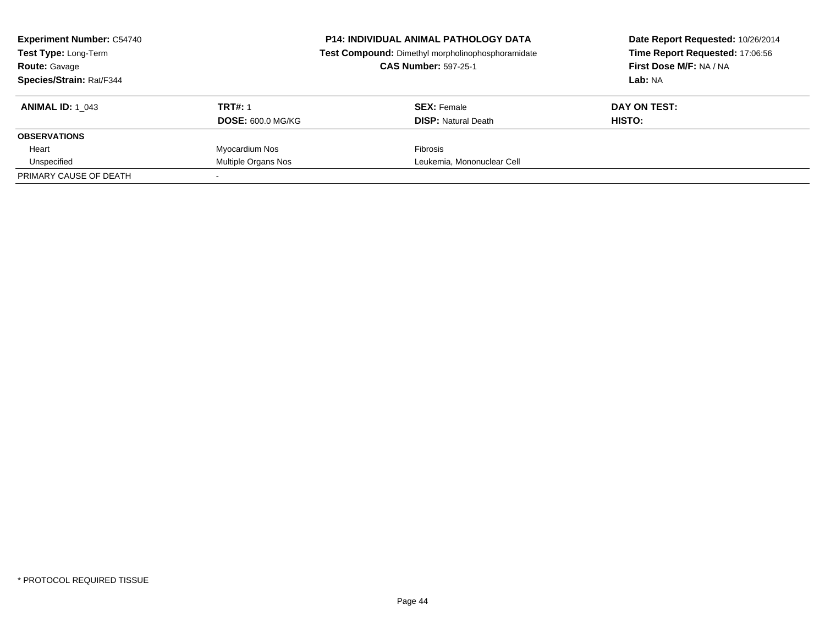| <b>Experiment Number: C54740</b><br>Test Type: Long-Term<br><b>Route: Gavage</b><br>Species/Strain: Rat/F344 | <b>P14: INDIVIDUAL ANIMAL PATHOLOGY DATA</b><br>Test Compound: Dimethyl morpholinophosphoramidate<br><b>CAS Number: 597-25-1</b> |                                                  | Date Report Requested: 10/26/2014<br>Time Report Requested: 17:06:56<br>First Dose M/F: NA / NA<br>Lab: NA |
|--------------------------------------------------------------------------------------------------------------|----------------------------------------------------------------------------------------------------------------------------------|--------------------------------------------------|------------------------------------------------------------------------------------------------------------|
| <b>ANIMAL ID: 1 043</b>                                                                                      | <b>TRT#: 1</b><br><b>DOSE: 600.0 MG/KG</b>                                                                                       | <b>SEX:</b> Female<br><b>DISP:</b> Natural Death | DAY ON TEST:<br>HISTO:                                                                                     |
| <b>OBSERVATIONS</b>                                                                                          |                                                                                                                                  |                                                  |                                                                                                            |
| Heart                                                                                                        | Myocardium Nos                                                                                                                   | <b>Fibrosis</b>                                  |                                                                                                            |
| Unspecified                                                                                                  | Multiple Organs Nos                                                                                                              | Leukemia, Mononuclear Cell                       |                                                                                                            |
| PRIMARY CAUSE OF DEATH                                                                                       |                                                                                                                                  |                                                  |                                                                                                            |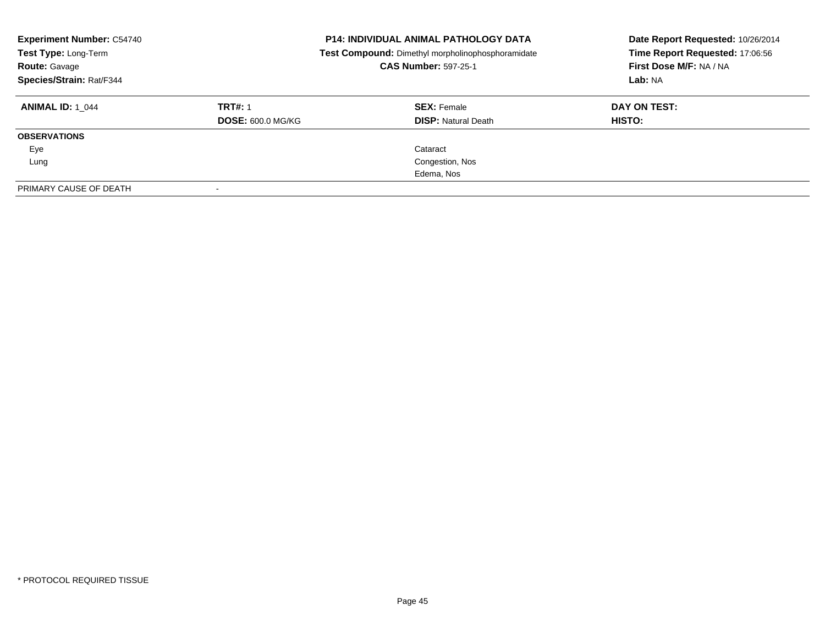| <b>Experiment Number: C54740</b><br>Test Type: Long-Term<br><b>Route: Gavage</b><br>Species/Strain: Rat/F344 | <b>P14: INDIVIDUAL ANIMAL PATHOLOGY DATA</b><br>Test Compound: Dimethyl morpholinophosphoramidate<br><b>CAS Number: 597-25-1</b> |                            | Date Report Requested: 10/26/2014<br>Time Report Requested: 17:06:56<br>First Dose M/F: NA / NA<br>Lab: NA |  |
|--------------------------------------------------------------------------------------------------------------|----------------------------------------------------------------------------------------------------------------------------------|----------------------------|------------------------------------------------------------------------------------------------------------|--|
| <b>ANIMAL ID: 1 044</b>                                                                                      | <b>TRT#: 1</b>                                                                                                                   | <b>SEX: Female</b>         | DAY ON TEST:                                                                                               |  |
|                                                                                                              | <b>DOSE: 600.0 MG/KG</b>                                                                                                         | <b>DISP: Natural Death</b> | <b>HISTO:</b>                                                                                              |  |
| <b>OBSERVATIONS</b>                                                                                          |                                                                                                                                  |                            |                                                                                                            |  |
| Eye                                                                                                          |                                                                                                                                  | Cataract                   |                                                                                                            |  |
| Lung                                                                                                         |                                                                                                                                  | Congestion, Nos            |                                                                                                            |  |
|                                                                                                              |                                                                                                                                  | Edema, Nos                 |                                                                                                            |  |
| PRIMARY CAUSE OF DEATH                                                                                       |                                                                                                                                  |                            |                                                                                                            |  |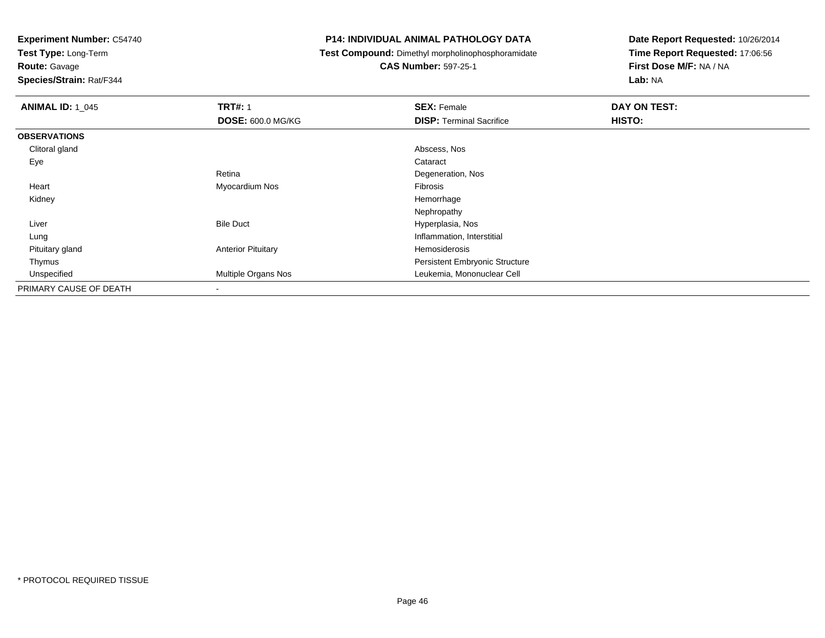**Test Type:** Long-Term

**Route:** Gavage

**Species/Strain:** Rat/F344

#### **P14: INDIVIDUAL ANIMAL PATHOLOGY DATA**

**Test Compound:** Dimethyl morpholinophosphoramidate

**CAS Number:** 597-25-1

| <b>ANIMAL ID: 1 045</b> | <b>TRT#: 1</b>            | <b>SEX: Female</b>                    | DAY ON TEST: |  |
|-------------------------|---------------------------|---------------------------------------|--------------|--|
|                         | <b>DOSE: 600.0 MG/KG</b>  | <b>DISP: Terminal Sacrifice</b>       | HISTO:       |  |
| <b>OBSERVATIONS</b>     |                           |                                       |              |  |
| Clitoral gland          |                           | Abscess, Nos                          |              |  |
| Eye                     |                           | Cataract                              |              |  |
|                         | Retina                    | Degeneration, Nos                     |              |  |
| Heart                   | Myocardium Nos            | Fibrosis                              |              |  |
| Kidney                  |                           | Hemorrhage                            |              |  |
|                         |                           | Nephropathy                           |              |  |
| Liver                   | <b>Bile Duct</b>          | Hyperplasia, Nos                      |              |  |
| Lung                    |                           | Inflammation, Interstitial            |              |  |
| Pituitary gland         | <b>Anterior Pituitary</b> | Hemosiderosis                         |              |  |
| Thymus                  |                           | <b>Persistent Embryonic Structure</b> |              |  |
| Unspecified             | Multiple Organs Nos       | Leukemia, Mononuclear Cell            |              |  |
| PRIMARY CAUSE OF DEATH  | $\overline{\phantom{a}}$  |                                       |              |  |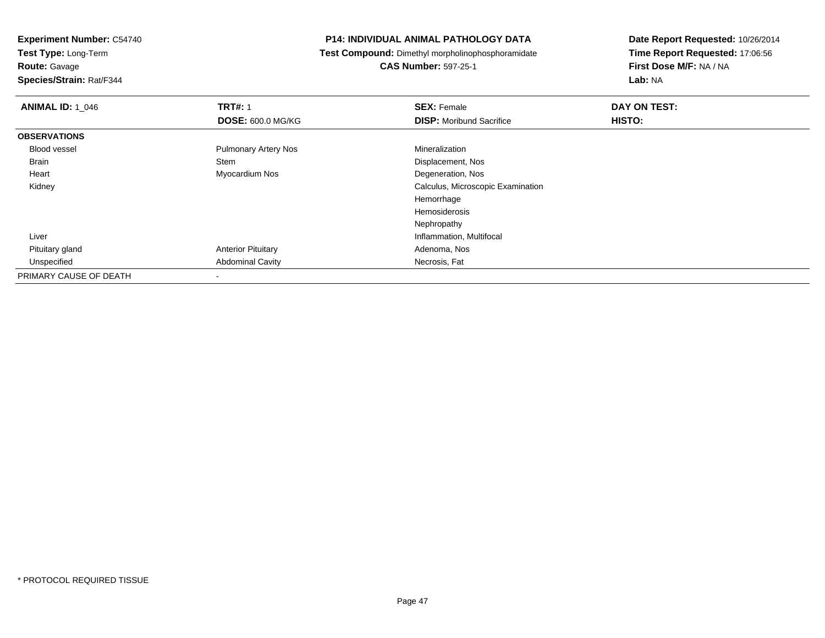**Experiment Number:** C54740**Test Type:** Long-Term

**Route:** Gavage

**Species/Strain:** Rat/F344

#### **P14: INDIVIDUAL ANIMAL PATHOLOGY DATA**

**Test Compound:** Dimethyl morpholinophosphoramidate

**CAS Number:** 597-25-1

| <b>ANIMAL ID: 1_046</b> | <b>TRT#: 1</b>              | <b>SEX: Female</b>                | DAY ON TEST: |
|-------------------------|-----------------------------|-----------------------------------|--------------|
|                         | <b>DOSE: 600.0 MG/KG</b>    | <b>DISP:</b> Moribund Sacrifice   | HISTO:       |
| <b>OBSERVATIONS</b>     |                             |                                   |              |
| <b>Blood vessel</b>     | <b>Pulmonary Artery Nos</b> | Mineralization                    |              |
| Brain                   | Stem                        | Displacement, Nos                 |              |
| Heart                   | Myocardium Nos              | Degeneration, Nos                 |              |
| Kidney                  |                             | Calculus, Microscopic Examination |              |
|                         |                             | Hemorrhage                        |              |
|                         |                             | Hemosiderosis                     |              |
|                         |                             | Nephropathy                       |              |
| Liver                   |                             | Inflammation, Multifocal          |              |
| Pituitary gland         | <b>Anterior Pituitary</b>   | Adenoma, Nos                      |              |
| Unspecified             | <b>Abdominal Cavity</b>     | Necrosis, Fat                     |              |
| PRIMARY CAUSE OF DEATH  |                             |                                   |              |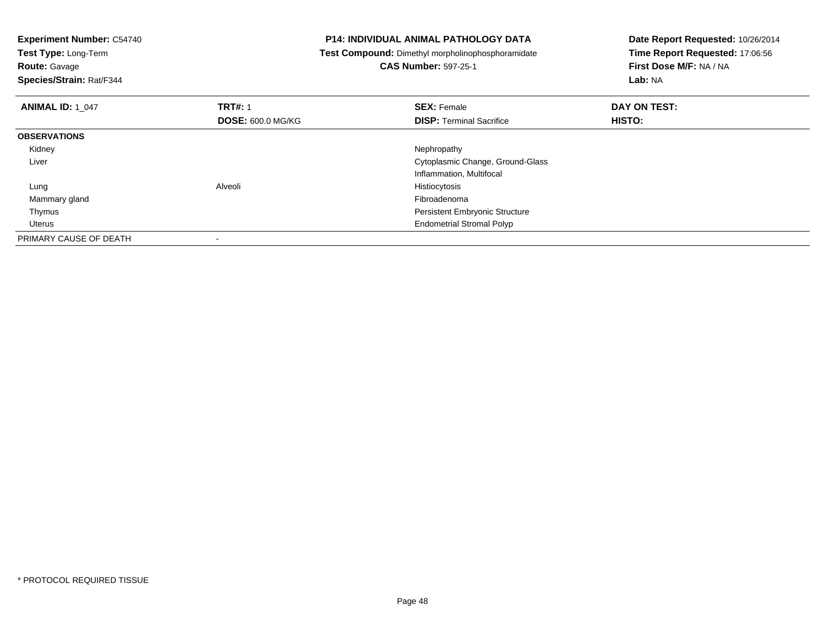| <b>Experiment Number: C54740</b><br>Test Type: Long-Term<br><b>Route: Gavage</b><br>Species/Strain: Rat/F344 |                          | <b>P14: INDIVIDUAL ANIMAL PATHOLOGY DATA</b><br>Test Compound: Dimethyl morpholinophosphoramidate<br><b>CAS Number: 597-25-1</b> | Date Report Requested: 10/26/2014<br>Time Report Requested: 17:06:56<br>First Dose M/F: NA / NA<br>Lab: NA |
|--------------------------------------------------------------------------------------------------------------|--------------------------|----------------------------------------------------------------------------------------------------------------------------------|------------------------------------------------------------------------------------------------------------|
| <b>ANIMAL ID: 1 047</b>                                                                                      | <b>TRT#: 1</b>           | <b>SEX: Female</b>                                                                                                               | DAY ON TEST:                                                                                               |
|                                                                                                              | <b>DOSE: 600.0 MG/KG</b> | <b>DISP:</b> Terminal Sacrifice                                                                                                  | HISTO:                                                                                                     |
| <b>OBSERVATIONS</b>                                                                                          |                          |                                                                                                                                  |                                                                                                            |
| Kidney                                                                                                       |                          | Nephropathy                                                                                                                      |                                                                                                            |
| Liver                                                                                                        |                          | Cytoplasmic Change, Ground-Glass                                                                                                 |                                                                                                            |
|                                                                                                              |                          | Inflammation, Multifocal                                                                                                         |                                                                                                            |
| Lung                                                                                                         | Alveoli                  | Histiocytosis                                                                                                                    |                                                                                                            |
| Mammary gland                                                                                                |                          | Fibroadenoma                                                                                                                     |                                                                                                            |
| Thymus                                                                                                       |                          | <b>Persistent Embryonic Structure</b>                                                                                            |                                                                                                            |
| Uterus                                                                                                       |                          | <b>Endometrial Stromal Polyp</b>                                                                                                 |                                                                                                            |
| PRIMARY CAUSE OF DEATH                                                                                       |                          |                                                                                                                                  |                                                                                                            |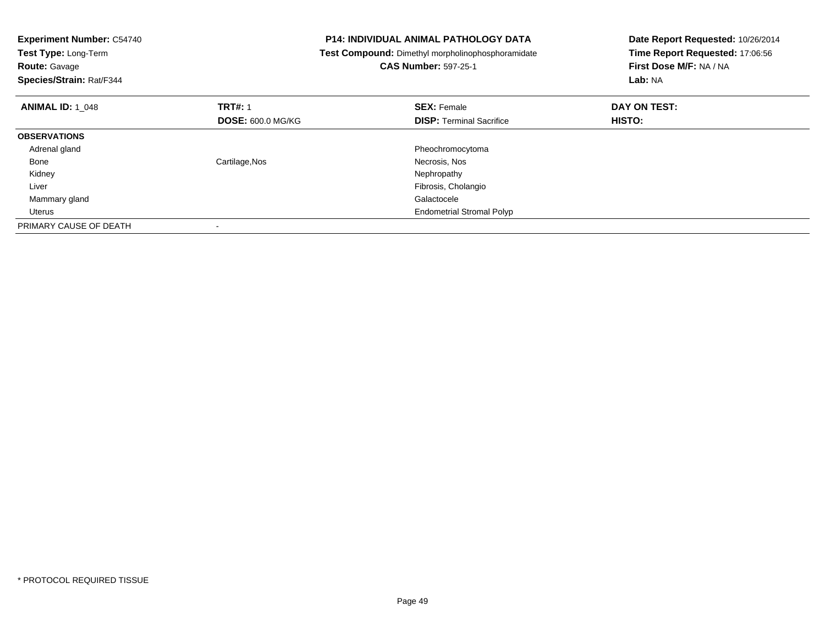| <b>Experiment Number: C54740</b><br>Test Type: Long-Term<br><b>Route: Gavage</b><br>Species/Strain: Rat/F344 |                          | <b>P14: INDIVIDUAL ANIMAL PATHOLOGY DATA</b><br><b>Test Compound:</b> Dimethyl morpholinophosphoramidate<br><b>CAS Number: 597-25-1</b> | Date Report Requested: 10/26/2014<br>Time Report Requested: 17:06:56<br>First Dose M/F: NA / NA<br>Lab: NA |
|--------------------------------------------------------------------------------------------------------------|--------------------------|-----------------------------------------------------------------------------------------------------------------------------------------|------------------------------------------------------------------------------------------------------------|
| <b>ANIMAL ID: 1 048</b>                                                                                      | <b>TRT#: 1</b>           | <b>SEX: Female</b>                                                                                                                      | DAY ON TEST:                                                                                               |
|                                                                                                              | <b>DOSE: 600.0 MG/KG</b> | <b>DISP:</b> Terminal Sacrifice                                                                                                         | <b>HISTO:</b>                                                                                              |
| <b>OBSERVATIONS</b>                                                                                          |                          |                                                                                                                                         |                                                                                                            |
| Adrenal gland                                                                                                |                          | Pheochromocytoma                                                                                                                        |                                                                                                            |
| Bone                                                                                                         | Cartilage, Nos           | Necrosis, Nos                                                                                                                           |                                                                                                            |
| Kidney                                                                                                       |                          | Nephropathy                                                                                                                             |                                                                                                            |
| Liver                                                                                                        |                          | Fibrosis, Cholangio                                                                                                                     |                                                                                                            |
| Mammary gland                                                                                                |                          | Galactocele                                                                                                                             |                                                                                                            |
| Uterus                                                                                                       |                          | <b>Endometrial Stromal Polyp</b>                                                                                                        |                                                                                                            |
| PRIMARY CAUSE OF DEATH                                                                                       |                          |                                                                                                                                         |                                                                                                            |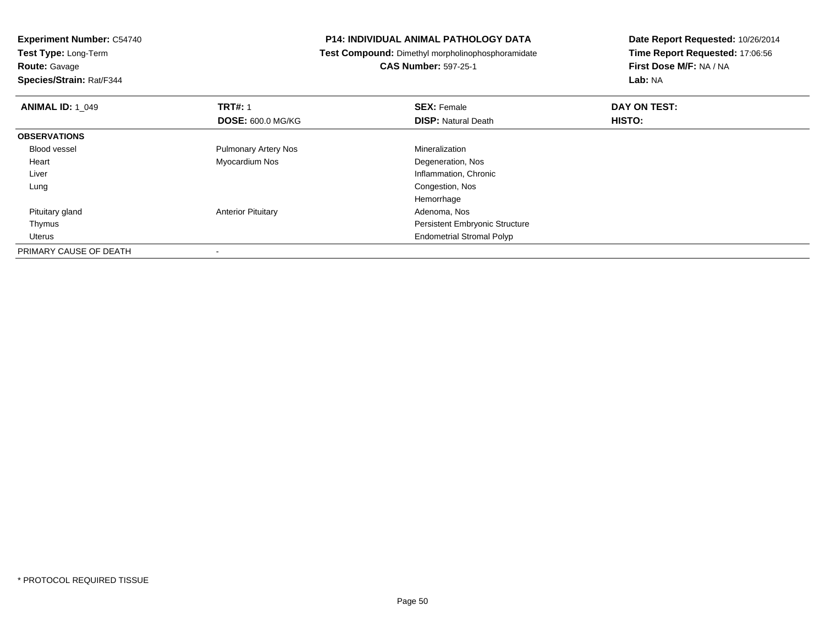**Experiment Number:** C54740**Test Type:** Long-Term**Route:** Gavage **Species/Strain:** Rat/F344**P14: INDIVIDUAL ANIMAL PATHOLOGY DATA Test Compound:** Dimethyl morpholinophosphoramidate**CAS Number:** 597-25-1**Date Report Requested:** 10/26/2014**Time Report Requested:** 17:06:56**First Dose M/F:** NA / NA**Lab:** NA**ANIMAL ID:** 1\_049**TRT#:** 1 **SEX:** Female **DAY ON TEST: DOSE:** 600.0 MG/KG**DISP:** Natural Death **HISTO: OBSERVATIONS** Blood vessel Pulmonary Artery Nos Mineralizations Degeneration, Nos Heart Myocardium Nos Liver Inflammation, Chronic Lung Congestion, Nos HemorrhageAdenoma, Nos Pituitary glandAnterior Pituitary Thymus Persistent Embryonic Structure UterusEndometrial Stromal Polyp

PRIMARY CAUSE OF DEATH-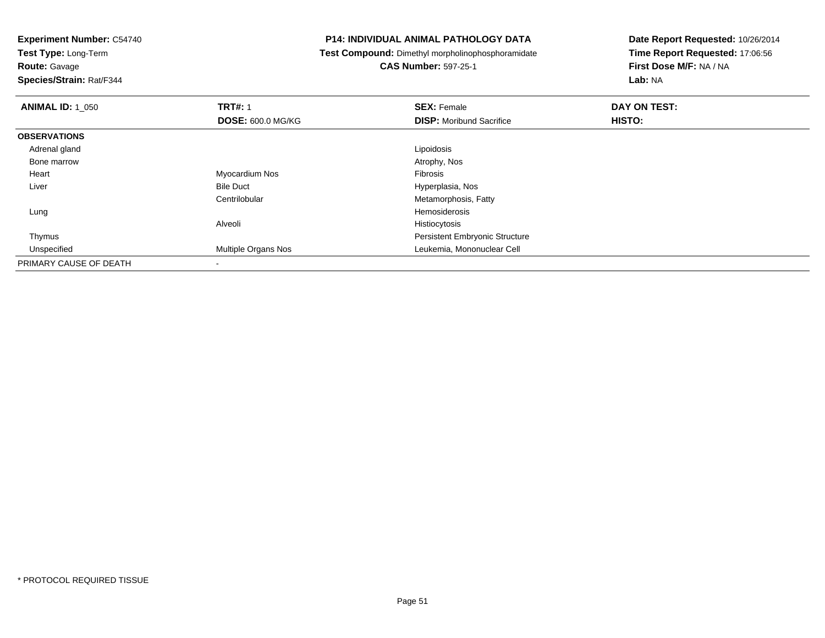**Test Type:** Long-Term

**Route:** Gavage

**Species/Strain:** Rat/F344

#### **P14: INDIVIDUAL ANIMAL PATHOLOGY DATA**

**Test Compound:** Dimethyl morpholinophosphoramidate

**CAS Number:** 597-25-1

| <b>ANIMAL ID: 1 050</b> | <b>TRT#: 1</b>             | <b>SEX: Female</b>                    | DAY ON TEST: |  |
|-------------------------|----------------------------|---------------------------------------|--------------|--|
|                         | <b>DOSE: 600.0 MG/KG</b>   | <b>DISP:</b> Moribund Sacrifice       | HISTO:       |  |
| <b>OBSERVATIONS</b>     |                            |                                       |              |  |
| Adrenal gland           |                            | Lipoidosis                            |              |  |
| Bone marrow             |                            | Atrophy, Nos                          |              |  |
| Heart                   | Myocardium Nos             | Fibrosis                              |              |  |
| Liver                   | <b>Bile Duct</b>           | Hyperplasia, Nos                      |              |  |
|                         | Centrilobular              | Metamorphosis, Fatty                  |              |  |
| Lung                    |                            | Hemosiderosis                         |              |  |
|                         | Alveoli                    | Histiocytosis                         |              |  |
| Thymus                  |                            | <b>Persistent Embryonic Structure</b> |              |  |
| Unspecified             | <b>Multiple Organs Nos</b> | Leukemia, Mononuclear Cell            |              |  |
| PRIMARY CAUSE OF DEATH  | $\,$                       |                                       |              |  |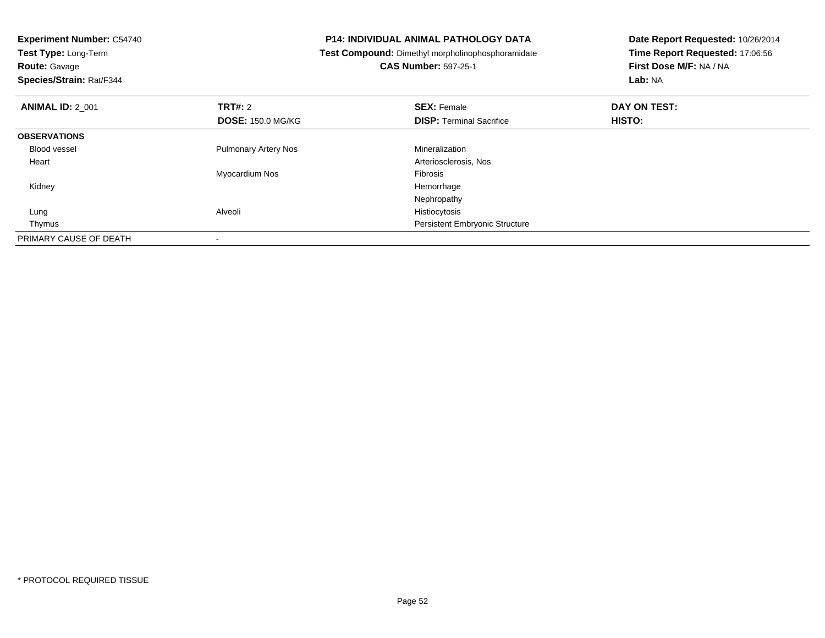| <b>Experiment Number: C54740</b><br>Test Type: Long-Term<br><b>Route: Gavage</b><br>Species/Strain: Rat/F344 |                             | P14: INDIVIDUAL ANIMAL PATHOLOGY DATA<br>Test Compound: Dimethyl morpholinophosphoramidate<br><b>CAS Number: 597-25-1</b> | Date Report Requested: 10/26/2014<br>Time Report Requested: 17:06:56<br>First Dose M/F: NA / NA<br>Lab: NA |
|--------------------------------------------------------------------------------------------------------------|-----------------------------|---------------------------------------------------------------------------------------------------------------------------|------------------------------------------------------------------------------------------------------------|
| <b>ANIMAL ID: 2 001</b>                                                                                      | <b>TRT#: 2</b>              | <b>SEX: Female</b>                                                                                                        | DAY ON TEST:                                                                                               |
|                                                                                                              | <b>DOSE: 150.0 MG/KG</b>    | <b>DISP:</b> Terminal Sacrifice                                                                                           | HISTO:                                                                                                     |
| <b>OBSERVATIONS</b>                                                                                          |                             |                                                                                                                           |                                                                                                            |
| Blood vessel                                                                                                 | <b>Pulmonary Artery Nos</b> | Mineralization                                                                                                            |                                                                                                            |
| Heart                                                                                                        |                             | Arteriosclerosis, Nos                                                                                                     |                                                                                                            |
|                                                                                                              | Myocardium Nos              | <b>Fibrosis</b>                                                                                                           |                                                                                                            |
| Kidney                                                                                                       |                             | Hemorrhage                                                                                                                |                                                                                                            |
|                                                                                                              |                             | Nephropathy                                                                                                               |                                                                                                            |
| Lung                                                                                                         | Alveoli                     | Histiocytosis                                                                                                             |                                                                                                            |
| Thymus                                                                                                       |                             | <b>Persistent Embryonic Structure</b>                                                                                     |                                                                                                            |
| PRIMARY CAUSE OF DEATH                                                                                       |                             |                                                                                                                           |                                                                                                            |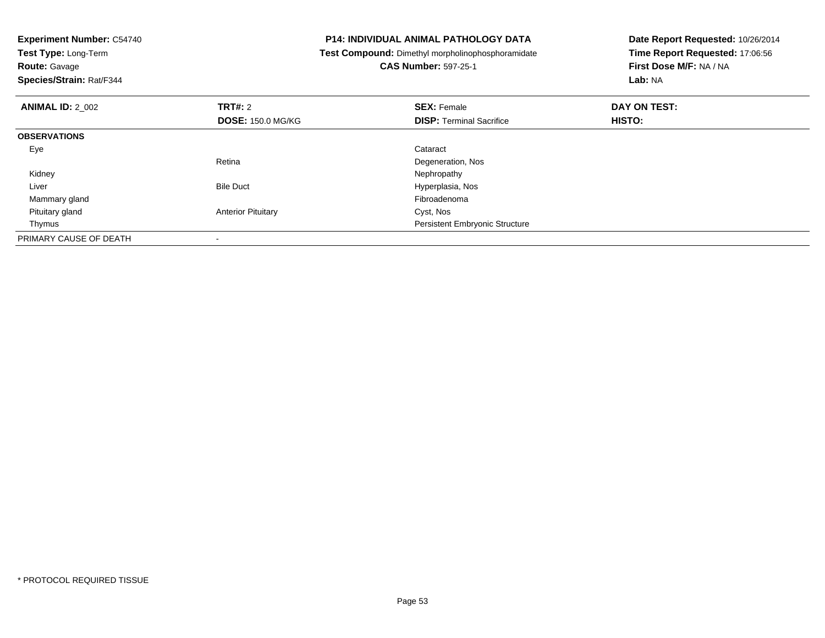| <b>Experiment Number: C54740</b><br>Test Type: Long-Term<br><b>Route: Gavage</b><br>Species/Strain: Rat/F344 |                           | <b>P14: INDIVIDUAL ANIMAL PATHOLOGY DATA</b><br>Test Compound: Dimethyl morpholinophosphoramidate<br><b>CAS Number: 597-25-1</b> | Date Report Requested: 10/26/2014<br>Time Report Requested: 17:06:56<br>First Dose M/F: NA / NA<br>Lab: NA |
|--------------------------------------------------------------------------------------------------------------|---------------------------|----------------------------------------------------------------------------------------------------------------------------------|------------------------------------------------------------------------------------------------------------|
| <b>ANIMAL ID: 2 002</b>                                                                                      | <b>TRT#: 2</b>            | <b>SEX: Female</b>                                                                                                               | DAY ON TEST:                                                                                               |
|                                                                                                              | <b>DOSE: 150.0 MG/KG</b>  | <b>DISP:</b> Terminal Sacrifice                                                                                                  | HISTO:                                                                                                     |
| <b>OBSERVATIONS</b>                                                                                          |                           |                                                                                                                                  |                                                                                                            |
| Eye                                                                                                          |                           | Cataract                                                                                                                         |                                                                                                            |
|                                                                                                              | Retina                    | Degeneration, Nos                                                                                                                |                                                                                                            |
| Kidney                                                                                                       |                           | Nephropathy                                                                                                                      |                                                                                                            |
| Liver                                                                                                        | <b>Bile Duct</b>          | Hyperplasia, Nos                                                                                                                 |                                                                                                            |
| Mammary gland                                                                                                |                           | Fibroadenoma                                                                                                                     |                                                                                                            |
| Pituitary gland                                                                                              | <b>Anterior Pituitary</b> | Cyst, Nos                                                                                                                        |                                                                                                            |
| Thymus                                                                                                       |                           | <b>Persistent Embryonic Structure</b>                                                                                            |                                                                                                            |
| PRIMARY CAUSE OF DEATH                                                                                       |                           |                                                                                                                                  |                                                                                                            |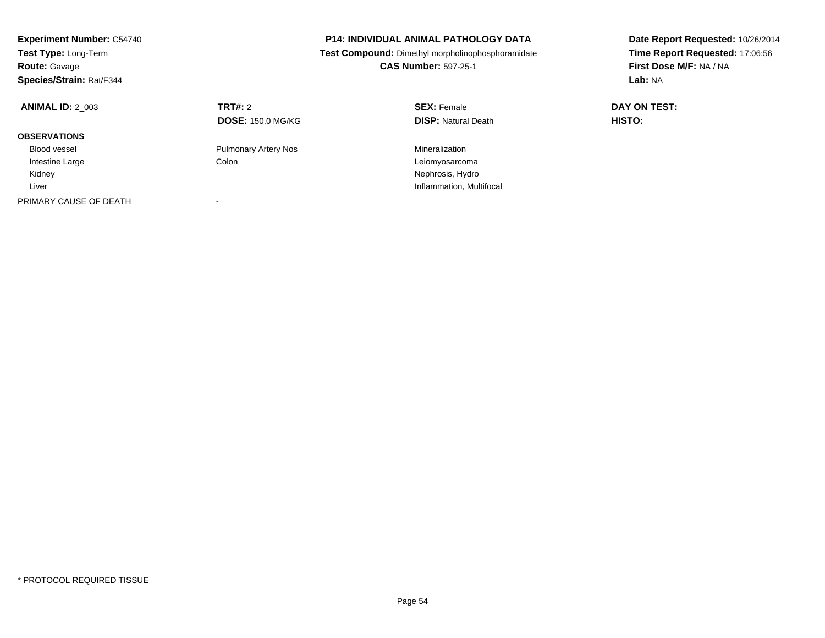| <b>Experiment Number: C54740</b><br>Test Type: Long-Term<br><b>Route: Gavage</b><br>Species/Strain: Rat/F344 |                                            | <b>P14: INDIVIDUAL ANIMAL PATHOLOGY DATA</b><br>Test Compound: Dimethyl morpholinophosphoramidate<br><b>CAS Number: 597-25-1</b> | Date Report Requested: 10/26/2014<br>Time Report Requested: 17:06:56<br>First Dose M/F: NA / NA<br>Lab: NA |
|--------------------------------------------------------------------------------------------------------------|--------------------------------------------|----------------------------------------------------------------------------------------------------------------------------------|------------------------------------------------------------------------------------------------------------|
| <b>ANIMAL ID: 2 003</b>                                                                                      | <b>TRT#: 2</b><br><b>DOSE: 150.0 MG/KG</b> | <b>SEX: Female</b><br><b>DISP:</b> Natural Death                                                                                 | DAY ON TEST:<br><b>HISTO:</b>                                                                              |
| <b>OBSERVATIONS</b>                                                                                          |                                            |                                                                                                                                  |                                                                                                            |
| Blood vessel                                                                                                 | <b>Pulmonary Artery Nos</b>                | Mineralization                                                                                                                   |                                                                                                            |
| Intestine Large                                                                                              | Colon                                      | Leiomyosarcoma                                                                                                                   |                                                                                                            |
| Kidney                                                                                                       |                                            | Nephrosis, Hydro                                                                                                                 |                                                                                                            |
| Liver                                                                                                        |                                            | Inflammation, Multifocal                                                                                                         |                                                                                                            |
| PRIMARY CAUSE OF DEATH                                                                                       |                                            |                                                                                                                                  |                                                                                                            |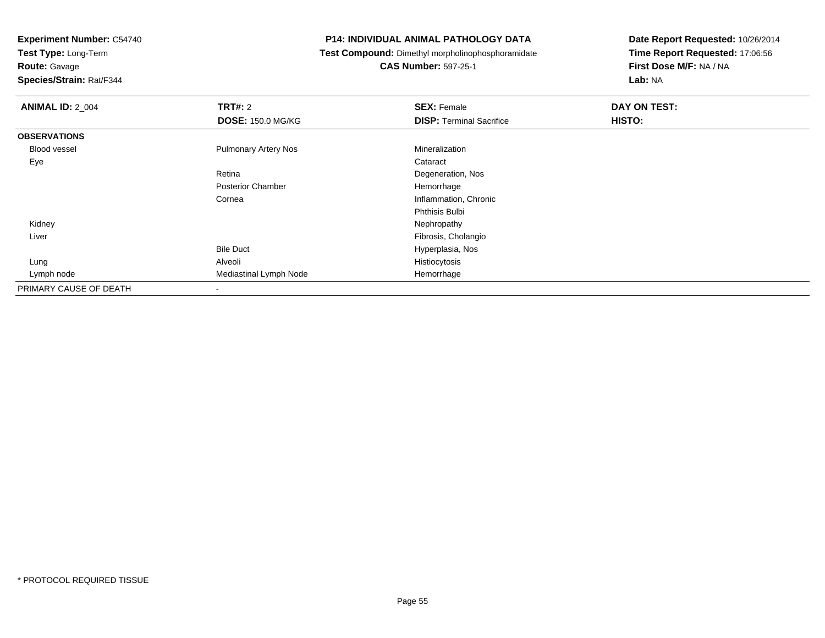**Test Type:** Long-Term

**Route:** Gavage

**Species/Strain:** Rat/F344

#### **P14: INDIVIDUAL ANIMAL PATHOLOGY DATA**

**Test Compound:** Dimethyl morpholinophosphoramidate

**CAS Number:** 597-25-1

| <b>ANIMAL ID: 2_004</b> | <b>TRT#: 2</b>              | <b>SEX: Female</b>              | DAY ON TEST: |  |
|-------------------------|-----------------------------|---------------------------------|--------------|--|
|                         | <b>DOSE: 150.0 MG/KG</b>    | <b>DISP: Terminal Sacrifice</b> | HISTO:       |  |
| <b>OBSERVATIONS</b>     |                             |                                 |              |  |
| <b>Blood vessel</b>     | <b>Pulmonary Artery Nos</b> | Mineralization                  |              |  |
| Eye                     |                             | Cataract                        |              |  |
|                         | Retina                      | Degeneration, Nos               |              |  |
|                         | <b>Posterior Chamber</b>    | Hemorrhage                      |              |  |
|                         | Cornea                      | Inflammation, Chronic           |              |  |
|                         |                             | Phthisis Bulbi                  |              |  |
| Kidney                  |                             | Nephropathy                     |              |  |
| Liver                   |                             | Fibrosis, Cholangio             |              |  |
|                         | <b>Bile Duct</b>            | Hyperplasia, Nos                |              |  |
| Lung                    | Alveoli                     | Histiocytosis                   |              |  |
| Lymph node              | Mediastinal Lymph Node      | Hemorrhage                      |              |  |
| PRIMARY CAUSE OF DEATH  |                             |                                 |              |  |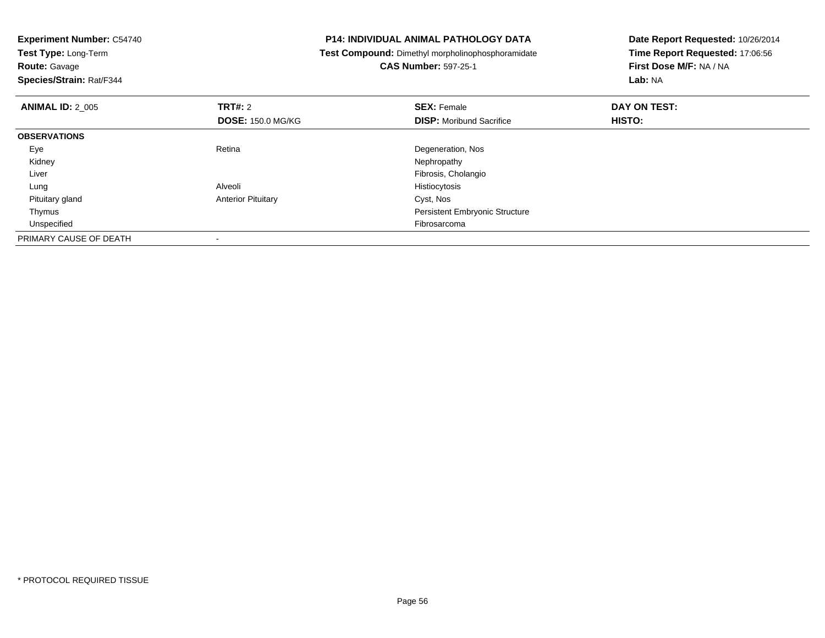**Experiment Number:** C54740**Test Type:** Long-Term**Route:** Gavage **Species/Strain:** Rat/F344**P14: INDIVIDUAL ANIMAL PATHOLOGY DATA Test Compound:** Dimethyl morpholinophosphoramidate**CAS Number:** 597-25-1**Date Report Requested:** 10/26/2014**Time Report Requested:** 17:06:56**First Dose M/F:** NA / NA**Lab:** NA**ANIMAL ID:** 2\_005**TRT#:** 2 **SEX:** Female **DAY ON TEST: DOSE:** 150.0 MG/KG**DISP:** Moribund Sacrifice **HISTO: OBSERVATIONS** EyeRetina Degeneration, Nos<br>
Nephropathy<br>
Nephropathy Kidneyy the control of the control of the control of the control of the control of the control of the control of the control of the control of the control of the control of the control of the control of the control of the contro Liver Fibrosis, Cholangio Lung Alveoli Histiocytosis Pituitary glandAnterior Pituitary **Cyst, Nos**  Thymus Persistent Embryonic Structure Unspecifiedd **Expedition Control** of the Control of the Control of the Control of the Control of The Control of the Control of the Control of the Control of the Control of the Control of the Control of the Control of the Control of t PRIMARY CAUSE OF DEATH-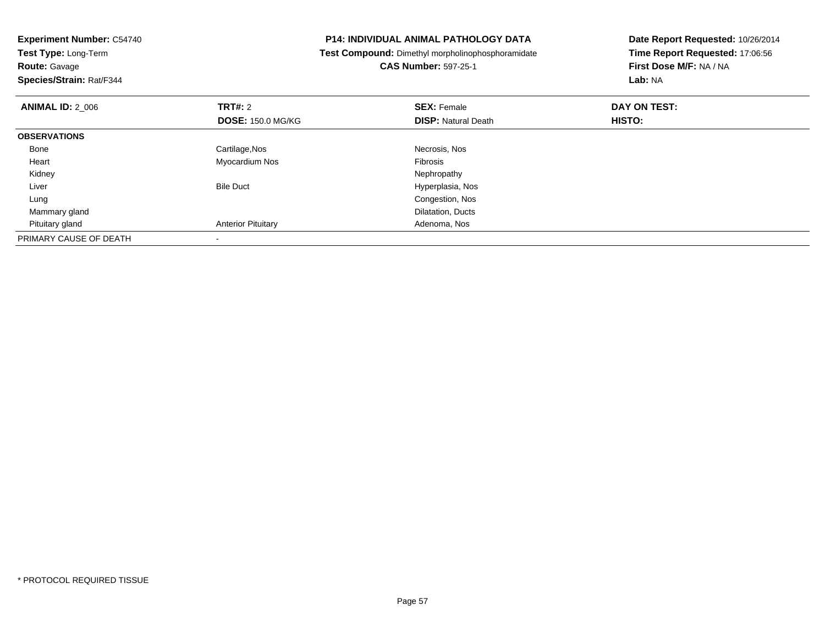| <b>Experiment Number: C54740</b><br>Test Type: Long-Term |                           | <b>P14: INDIVIDUAL ANIMAL PATHOLOGY DATA</b>      | Date Report Requested: 10/26/2014 |
|----------------------------------------------------------|---------------------------|---------------------------------------------------|-----------------------------------|
|                                                          |                           | Test Compound: Dimethyl morpholinophosphoramidate | Time Report Requested: 17:06:56   |
| <b>Route: Gavage</b>                                     |                           | <b>CAS Number: 597-25-1</b>                       | First Dose M/F: NA / NA           |
| Species/Strain: Rat/F344                                 |                           |                                                   | <b>Lab: NA</b>                    |
| <b>ANIMAL ID: 2_006</b>                                  | <b>TRT#: 2</b>            | <b>SEX: Female</b>                                | DAY ON TEST:                      |
|                                                          | <b>DOSE: 150.0 MG/KG</b>  | <b>DISP: Natural Death</b>                        | HISTO:                            |
| <b>OBSERVATIONS</b>                                      |                           |                                                   |                                   |
| Bone                                                     | Cartilage, Nos            | Necrosis, Nos                                     |                                   |
| Heart                                                    | Myocardium Nos            | Fibrosis                                          |                                   |
| Kidney                                                   |                           | Nephropathy                                       |                                   |
| Liver                                                    | <b>Bile Duct</b>          | Hyperplasia, Nos                                  |                                   |
| Lung                                                     |                           | Congestion, Nos                                   |                                   |
| Mammary gland                                            |                           | Dilatation, Ducts                                 |                                   |
| Pituitary gland                                          | <b>Anterior Pituitary</b> | Adenoma, Nos                                      |                                   |
| PRIMARY CAUSE OF DEATH                                   |                           |                                                   |                                   |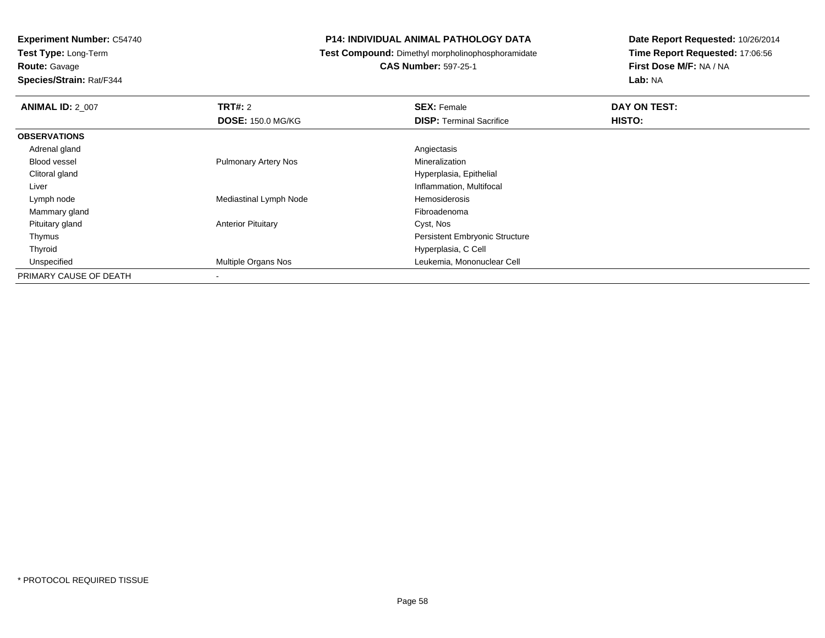**Test Type:** Long-Term**Route:** Gavage

**Species/Strain:** Rat/F344

#### **P14: INDIVIDUAL ANIMAL PATHOLOGY DATA**

**Test Compound:** Dimethyl morpholinophosphoramidate

**CAS Number:** 597-25-1

| <b>ANIMAL ID: 2 007</b> | <b>TRT#: 2</b>              | <b>SEX: Female</b>                    | DAY ON TEST:  |  |
|-------------------------|-----------------------------|---------------------------------------|---------------|--|
|                         | <b>DOSE: 150.0 MG/KG</b>    | <b>DISP:</b> Terminal Sacrifice       | <b>HISTO:</b> |  |
| <b>OBSERVATIONS</b>     |                             |                                       |               |  |
| Adrenal gland           |                             | Angiectasis                           |               |  |
| Blood vessel            | <b>Pulmonary Artery Nos</b> | Mineralization                        |               |  |
| Clitoral gland          |                             | Hyperplasia, Epithelial               |               |  |
| Liver                   |                             | Inflammation, Multifocal              |               |  |
| Lymph node              | Mediastinal Lymph Node      | Hemosiderosis                         |               |  |
| Mammary gland           |                             | Fibroadenoma                          |               |  |
| Pituitary gland         | <b>Anterior Pituitary</b>   | Cyst, Nos                             |               |  |
| Thymus                  |                             | <b>Persistent Embryonic Structure</b> |               |  |
| Thyroid                 |                             | Hyperplasia, C Cell                   |               |  |
| Unspecified             | Multiple Organs Nos         | Leukemia, Mononuclear Cell            |               |  |
| PRIMARY CAUSE OF DEATH  |                             |                                       |               |  |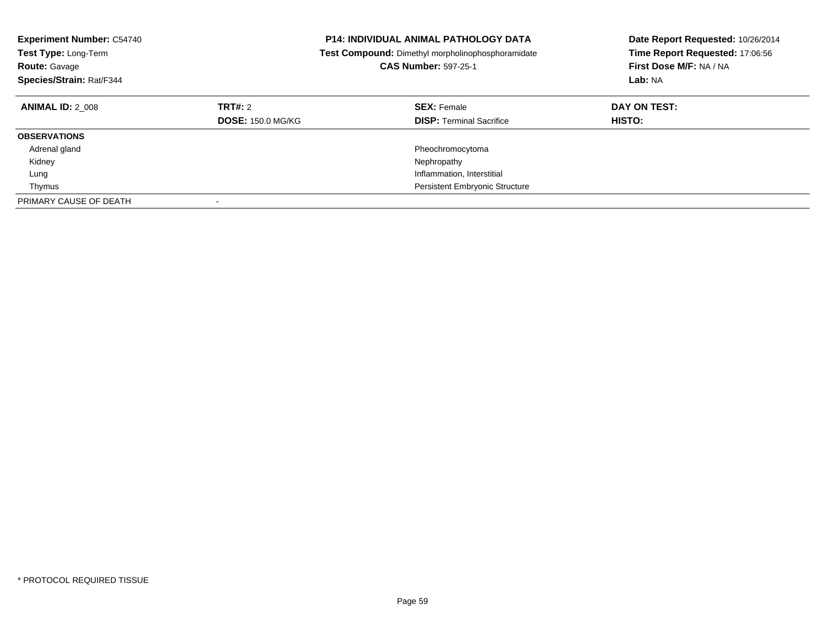| <b>Experiment Number: C54740</b><br><b>Test Type: Long-Term</b><br><b>Route: Gavage</b><br>Species/Strain: Rat/F344 |                                     | <b>P14: INDIVIDUAL ANIMAL PATHOLOGY DATA</b><br>Test Compound: Dimethyl morpholinophosphoramidate<br><b>CAS Number: 597-25-1</b> | Date Report Requested: 10/26/2014<br>Time Report Requested: 17:06:56<br>First Dose M/F: NA / NA<br>Lab: NA |
|---------------------------------------------------------------------------------------------------------------------|-------------------------------------|----------------------------------------------------------------------------------------------------------------------------------|------------------------------------------------------------------------------------------------------------|
| <b>ANIMAL ID: 2 008</b>                                                                                             | TRT#: 2<br><b>DOSE: 150.0 MG/KG</b> | <b>SEX: Female</b><br><b>DISP:</b> Terminal Sacrifice                                                                            | DAY ON TEST:<br>HISTO:                                                                                     |
| <b>OBSERVATIONS</b>                                                                                                 |                                     |                                                                                                                                  |                                                                                                            |
| Adrenal gland                                                                                                       |                                     | Pheochromocytoma                                                                                                                 |                                                                                                            |
| Kidney                                                                                                              |                                     | Nephropathy                                                                                                                      |                                                                                                            |
| Lung                                                                                                                |                                     | Inflammation, Interstitial                                                                                                       |                                                                                                            |
| Thymus                                                                                                              |                                     | <b>Persistent Embryonic Structure</b>                                                                                            |                                                                                                            |
| PRIMARY CAUSE OF DEATH                                                                                              |                                     |                                                                                                                                  |                                                                                                            |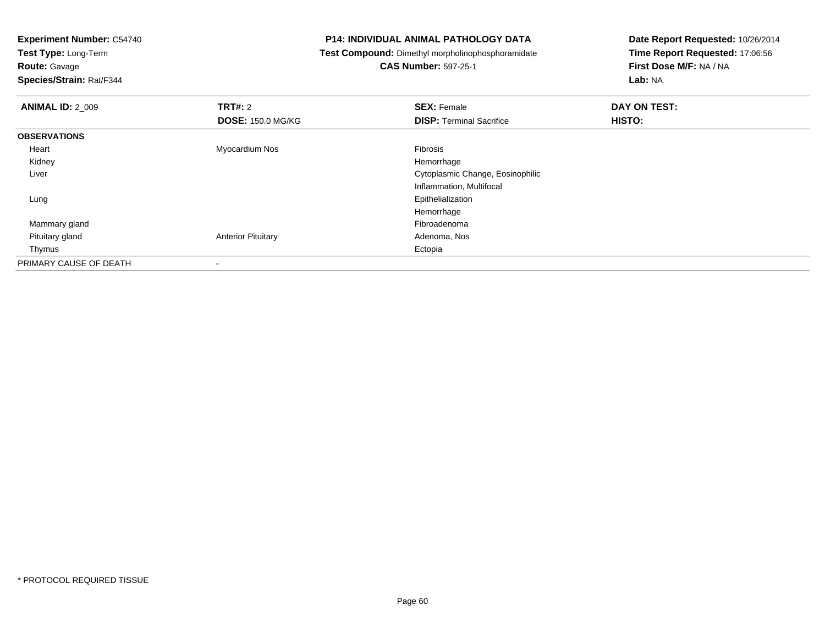**Test Type:** Long-Term

**Route:** Gavage

**Species/Strain:** Rat/F344

#### **P14: INDIVIDUAL ANIMAL PATHOLOGY DATA**

**Test Compound:** Dimethyl morpholinophosphoramidate

**CAS Number:** 597-25-1

| <b>ANIMAL ID: 2_009</b> | <b>TRT#: 2</b>            | <b>SEX: Female</b>               | DAY ON TEST: |  |
|-------------------------|---------------------------|----------------------------------|--------------|--|
|                         | <b>DOSE: 150.0 MG/KG</b>  | <b>DISP: Terminal Sacrifice</b>  | HISTO:       |  |
| <b>OBSERVATIONS</b>     |                           |                                  |              |  |
| Heart                   | Myocardium Nos            | Fibrosis                         |              |  |
| Kidney                  |                           | Hemorrhage                       |              |  |
| Liver                   |                           | Cytoplasmic Change, Eosinophilic |              |  |
|                         |                           | Inflammation, Multifocal         |              |  |
| Lung                    |                           | Epithelialization                |              |  |
|                         |                           | Hemorrhage                       |              |  |
| Mammary gland           |                           | Fibroadenoma                     |              |  |
| Pituitary gland         | <b>Anterior Pituitary</b> | Adenoma, Nos                     |              |  |
| Thymus                  |                           | Ectopia                          |              |  |
| PRIMARY CAUSE OF DEATH  |                           |                                  |              |  |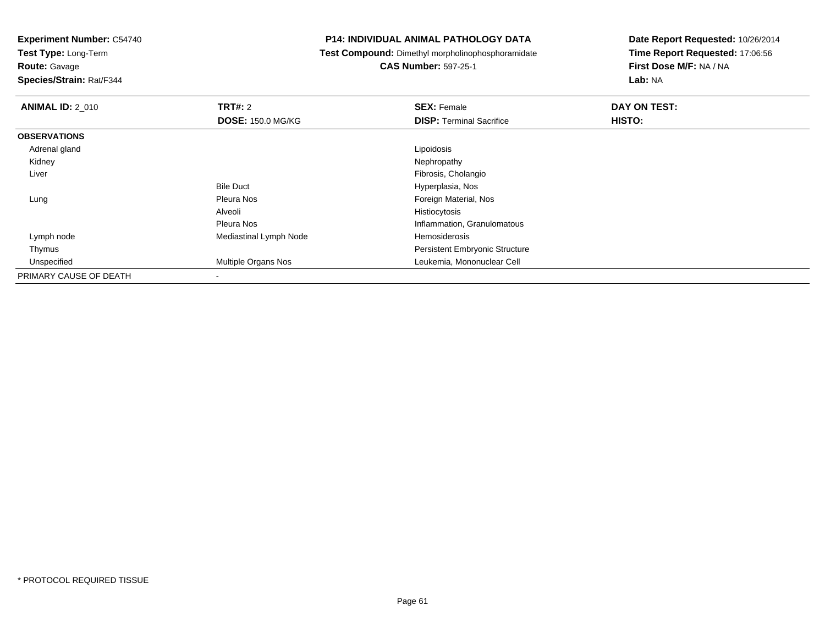**Test Type:** Long-Term

**Route:** Gavage

**Species/Strain:** Rat/F344

#### **P14: INDIVIDUAL ANIMAL PATHOLOGY DATA**

**Test Compound:** Dimethyl morpholinophosphoramidate

**CAS Number:** 597-25-1

| <b>ANIMAL ID: 2_010</b> | TRT#: 2                    | <b>SEX: Female</b>                    | DAY ON TEST: |  |
|-------------------------|----------------------------|---------------------------------------|--------------|--|
|                         | <b>DOSE: 150.0 MG/KG</b>   | <b>DISP: Terminal Sacrifice</b>       | HISTO:       |  |
| <b>OBSERVATIONS</b>     |                            |                                       |              |  |
| Adrenal gland           |                            | Lipoidosis                            |              |  |
| Kidney                  |                            | Nephropathy                           |              |  |
| Liver                   |                            | Fibrosis, Cholangio                   |              |  |
|                         | <b>Bile Duct</b>           | Hyperplasia, Nos                      |              |  |
| Lung                    | Pleura Nos                 | Foreign Material, Nos                 |              |  |
|                         | Alveoli                    | Histiocytosis                         |              |  |
|                         | Pleura Nos                 | Inflammation, Granulomatous           |              |  |
| Lymph node              | Mediastinal Lymph Node     | Hemosiderosis                         |              |  |
| Thymus                  |                            | <b>Persistent Embryonic Structure</b> |              |  |
| Unspecified             | <b>Multiple Organs Nos</b> | Leukemia, Mononuclear Cell            |              |  |
| PRIMARY CAUSE OF DEATH  | $\overline{\phantom{a}}$   |                                       |              |  |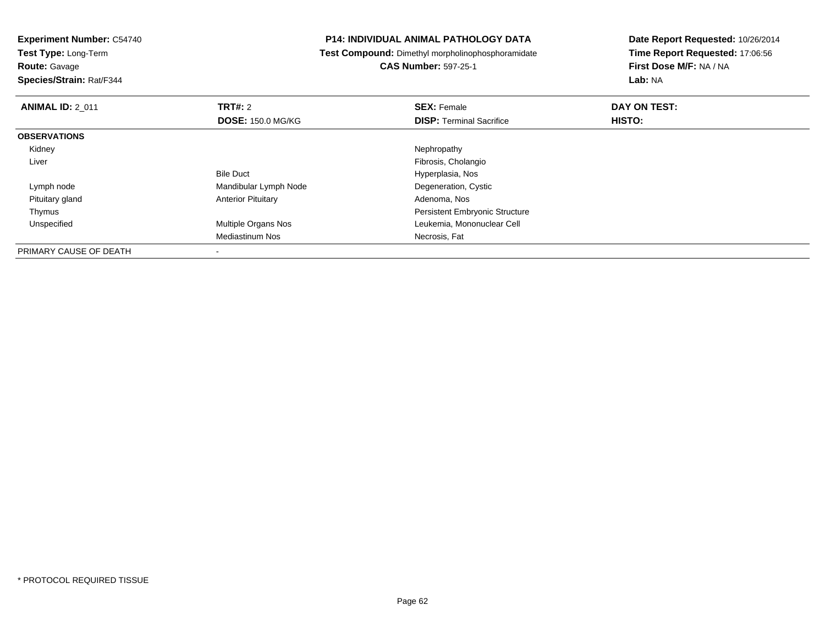**Test Type:** Long-Term

## **Route:** Gavage

**Species/Strain:** Rat/F344

#### **P14: INDIVIDUAL ANIMAL PATHOLOGY DATA**

**Test Compound:** Dimethyl morpholinophosphoramidate

## **CAS Number:** 597-25-1

| <b>ANIMAL ID: 2 011</b> | TRT#: 2                    | <b>SEX: Female</b>                    | DAY ON TEST: |  |
|-------------------------|----------------------------|---------------------------------------|--------------|--|
|                         | <b>DOSE: 150.0 MG/KG</b>   | <b>DISP:</b> Terminal Sacrifice       | HISTO:       |  |
| <b>OBSERVATIONS</b>     |                            |                                       |              |  |
| Kidney                  |                            | Nephropathy                           |              |  |
| Liver                   |                            | Fibrosis, Cholangio                   |              |  |
|                         | <b>Bile Duct</b>           | Hyperplasia, Nos                      |              |  |
| Lymph node              | Mandibular Lymph Node      | Degeneration, Cystic                  |              |  |
| Pituitary gland         | <b>Anterior Pituitary</b>  | Adenoma, Nos                          |              |  |
| Thymus                  |                            | <b>Persistent Embryonic Structure</b> |              |  |
| Unspecified             | <b>Multiple Organs Nos</b> | Leukemia, Mononuclear Cell            |              |  |
|                         | Mediastinum Nos            | Necrosis, Fat                         |              |  |
| PRIMARY CAUSE OF DEATH  |                            |                                       |              |  |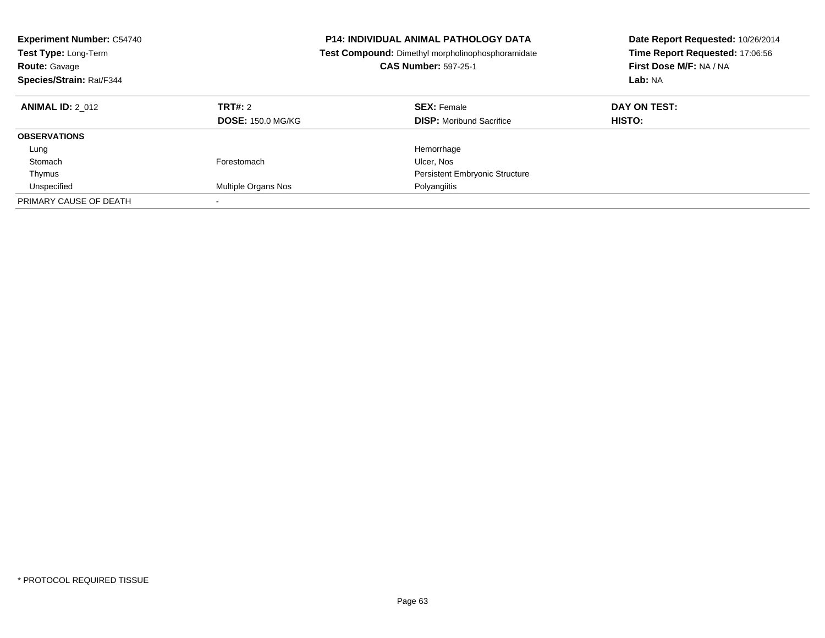| <b>Experiment Number: C54740</b><br>Test Type: Long-Term<br><b>Route: Gavage</b><br>Species/Strain: Rat/F344 | <b>P14: INDIVIDUAL ANIMAL PATHOLOGY DATA</b><br>Test Compound: Dimethyl morpholinophosphoramidate<br><b>CAS Number: 597-25-1</b> |                                                       |                        |  | Date Report Requested: 10/26/2014<br>Time Report Requested: 17:06:56<br>First Dose M/F: NA / NA<br>Lab: NA |
|--------------------------------------------------------------------------------------------------------------|----------------------------------------------------------------------------------------------------------------------------------|-------------------------------------------------------|------------------------|--|------------------------------------------------------------------------------------------------------------|
| <b>ANIMAL ID: 2 012</b>                                                                                      | TRT#: 2<br><b>DOSE: 150.0 MG/KG</b>                                                                                              | <b>SEX: Female</b><br><b>DISP:</b> Moribund Sacrifice | DAY ON TEST:<br>HISTO: |  |                                                                                                            |
| <b>OBSERVATIONS</b>                                                                                          |                                                                                                                                  |                                                       |                        |  |                                                                                                            |
| Lung                                                                                                         |                                                                                                                                  | Hemorrhage                                            |                        |  |                                                                                                            |
| Stomach                                                                                                      | Forestomach                                                                                                                      | Ulcer, Nos                                            |                        |  |                                                                                                            |
| Thymus                                                                                                       |                                                                                                                                  | <b>Persistent Embryonic Structure</b>                 |                        |  |                                                                                                            |
| Unspecified                                                                                                  | <b>Multiple Organs Nos</b>                                                                                                       | Polyangiitis                                          |                        |  |                                                                                                            |
| PRIMARY CAUSE OF DEATH                                                                                       | $\overline{\phantom{a}}$                                                                                                         |                                                       |                        |  |                                                                                                            |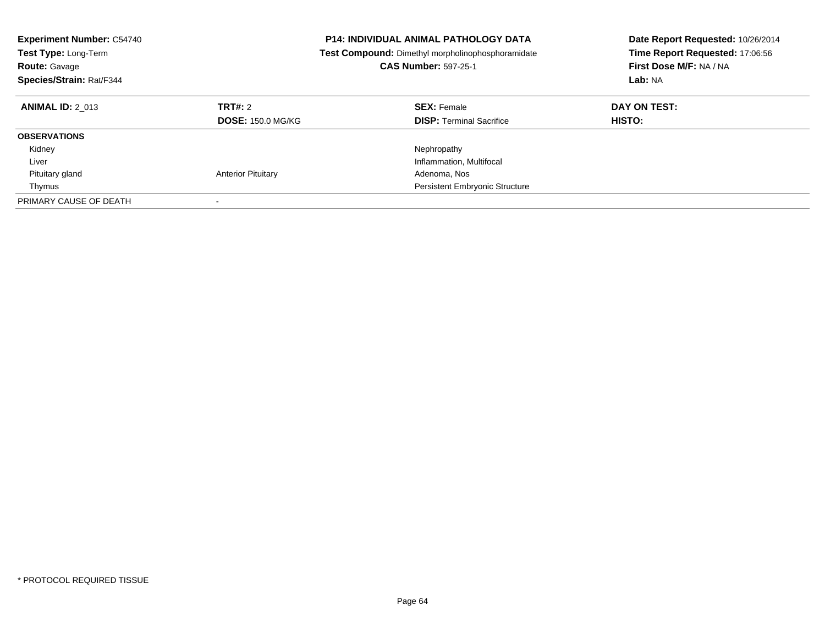| <b>Experiment Number: C54740</b><br><b>Test Type: Long-Term</b><br><b>Route: Gavage</b><br>Species/Strain: Rat/F344 |                                     | <b>P14: INDIVIDUAL ANIMAL PATHOLOGY DATA</b><br><b>Test Compound:</b> Dimethyl morpholinophosphoramidate<br><b>CAS Number: 597-25-1</b> | Date Report Requested: 10/26/2014<br>Time Report Requested: 17:06:56<br>First Dose M/F: NA / NA<br>Lab: NA |
|---------------------------------------------------------------------------------------------------------------------|-------------------------------------|-----------------------------------------------------------------------------------------------------------------------------------------|------------------------------------------------------------------------------------------------------------|
| <b>ANIMAL ID: 2 013</b>                                                                                             | TRT#: 2<br><b>DOSE: 150.0 MG/KG</b> | <b>SEX: Female</b><br><b>DISP: Terminal Sacrifice</b>                                                                                   | DAY ON TEST:<br>HISTO:                                                                                     |
| <b>OBSERVATIONS</b>                                                                                                 |                                     |                                                                                                                                         |                                                                                                            |
| Kidney                                                                                                              |                                     | Nephropathy                                                                                                                             |                                                                                                            |
| Liver                                                                                                               |                                     | Inflammation, Multifocal                                                                                                                |                                                                                                            |
| Pituitary gland                                                                                                     | <b>Anterior Pituitary</b>           | Adenoma, Nos                                                                                                                            |                                                                                                            |
| Thymus                                                                                                              |                                     | <b>Persistent Embryonic Structure</b>                                                                                                   |                                                                                                            |
| PRIMARY CAUSE OF DEATH                                                                                              |                                     |                                                                                                                                         |                                                                                                            |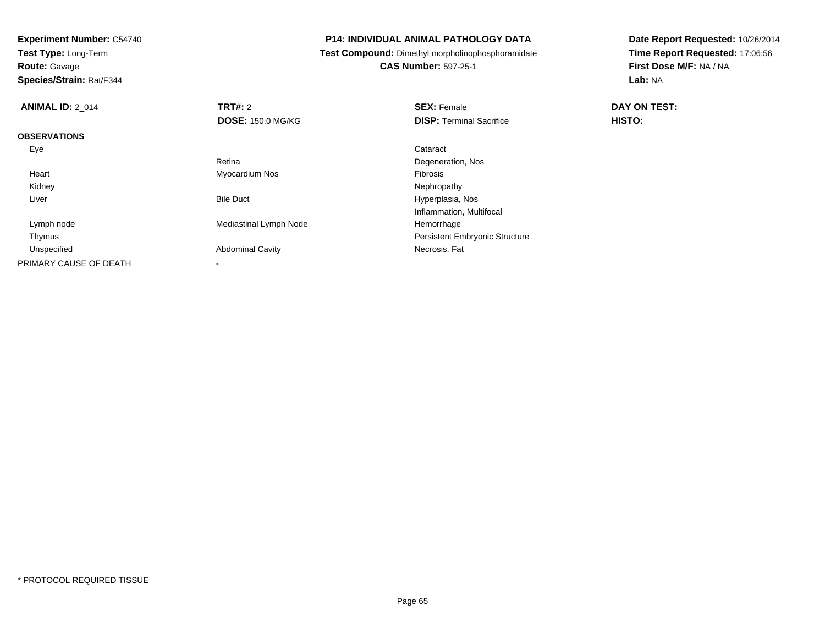**Test Type:** Long-Term

**Route:** Gavage

**Species/Strain:** Rat/F344

#### **P14: INDIVIDUAL ANIMAL PATHOLOGY DATA**

**Test Compound:** Dimethyl morpholinophosphoramidate

**CAS Number:** 597-25-1

| <b>ANIMAL ID: 2_014</b> | TRT#: 2                  | <b>SEX: Female</b>                    | DAY ON TEST: |  |
|-------------------------|--------------------------|---------------------------------------|--------------|--|
|                         | <b>DOSE: 150.0 MG/KG</b> | <b>DISP: Terminal Sacrifice</b>       | HISTO:       |  |
| <b>OBSERVATIONS</b>     |                          |                                       |              |  |
| Eye                     |                          | Cataract                              |              |  |
|                         | Retina                   | Degeneration, Nos                     |              |  |
| Heart                   | Myocardium Nos           | <b>Fibrosis</b>                       |              |  |
| Kidney                  |                          | Nephropathy                           |              |  |
| Liver                   | <b>Bile Duct</b>         | Hyperplasia, Nos                      |              |  |
|                         |                          | Inflammation, Multifocal              |              |  |
| Lymph node              | Mediastinal Lymph Node   | Hemorrhage                            |              |  |
| Thymus                  |                          | <b>Persistent Embryonic Structure</b> |              |  |
| Unspecified             | <b>Abdominal Cavity</b>  | Necrosis, Fat                         |              |  |
| PRIMARY CAUSE OF DEATH  | $\overline{\phantom{a}}$ |                                       |              |  |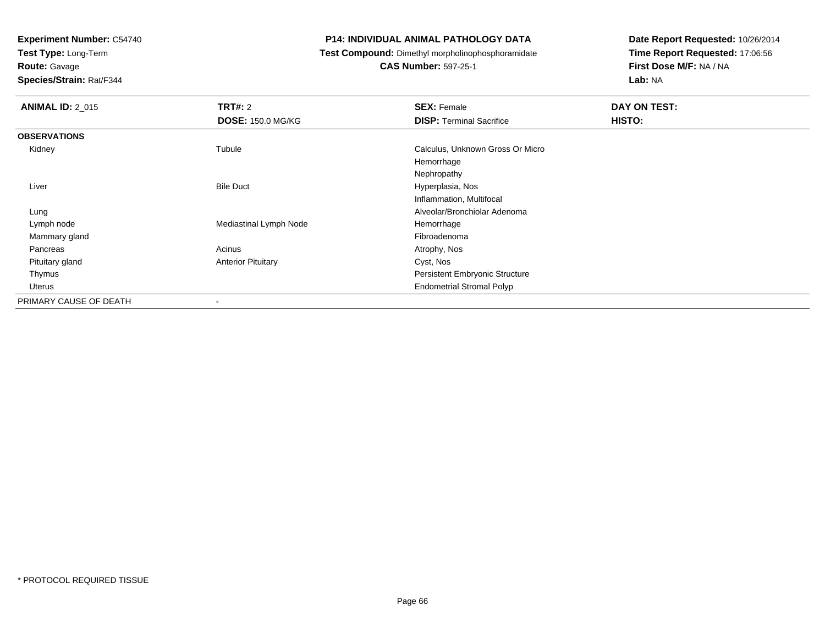**Test Type:** Long-Term

**Route:** Gavage

**Species/Strain:** Rat/F344

#### **P14: INDIVIDUAL ANIMAL PATHOLOGY DATA**

**Test Compound:** Dimethyl morpholinophosphoramidate

**CAS Number:** 597-25-1

| <b>ANIMAL ID: 2 015</b> | TRT#: 2<br><b>DOSE: 150.0 MG/KG</b> | <b>SEX: Female</b><br><b>DISP: Terminal Sacrifice</b> | DAY ON TEST:<br>HISTO: |
|-------------------------|-------------------------------------|-------------------------------------------------------|------------------------|
| <b>OBSERVATIONS</b>     |                                     |                                                       |                        |
| Kidney                  | Tubule                              | Calculus, Unknown Gross Or Micro                      |                        |
|                         |                                     | Hemorrhage                                            |                        |
|                         |                                     | Nephropathy                                           |                        |
| Liver                   | <b>Bile Duct</b>                    | Hyperplasia, Nos                                      |                        |
|                         |                                     | Inflammation, Multifocal                              |                        |
| Lung                    |                                     | Alveolar/Bronchiolar Adenoma                          |                        |
| Lymph node              | Mediastinal Lymph Node              | Hemorrhage                                            |                        |
| Mammary gland           |                                     | Fibroadenoma                                          |                        |
| Pancreas                | Acinus                              | Atrophy, Nos                                          |                        |
| Pituitary gland         | <b>Anterior Pituitary</b>           | Cyst, Nos                                             |                        |
| Thymus                  |                                     | Persistent Embryonic Structure                        |                        |
| Uterus                  |                                     | <b>Endometrial Stromal Polyp</b>                      |                        |
| PRIMARY CAUSE OF DEATH  | ٠                                   |                                                       |                        |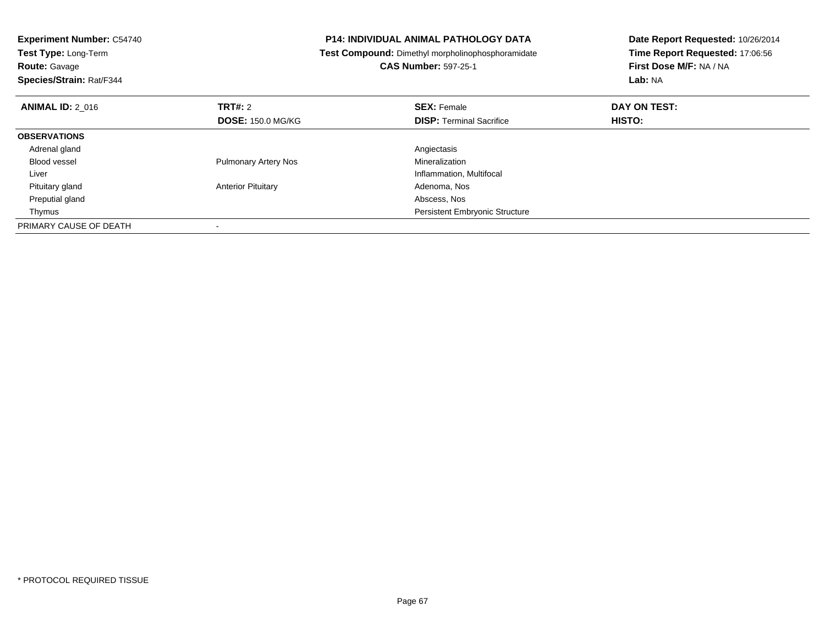| <b>Experiment Number: C54740</b><br><b>Test Type: Long-Term</b><br><b>Route: Gavage</b><br>Species/Strain: Rat/F344 |                             | <b>P14: INDIVIDUAL ANIMAL PATHOLOGY DATA</b><br>Test Compound: Dimethyl morpholinophosphoramidate<br><b>CAS Number: 597-25-1</b> | Date Report Requested: 10/26/2014<br>Time Report Requested: 17:06:56<br>First Dose M/F: NA / NA<br>Lab: NA |
|---------------------------------------------------------------------------------------------------------------------|-----------------------------|----------------------------------------------------------------------------------------------------------------------------------|------------------------------------------------------------------------------------------------------------|
| <b>ANIMAL ID: 2 016</b>                                                                                             | TRT#: 2                     | <b>SEX: Female</b>                                                                                                               | DAY ON TEST:                                                                                               |
|                                                                                                                     | <b>DOSE: 150.0 MG/KG</b>    | <b>DISP:</b> Terminal Sacrifice                                                                                                  | <b>HISTO:</b>                                                                                              |
| <b>OBSERVATIONS</b>                                                                                                 |                             |                                                                                                                                  |                                                                                                            |
| Adrenal gland                                                                                                       |                             | Angiectasis                                                                                                                      |                                                                                                            |
| Blood vessel                                                                                                        | <b>Pulmonary Artery Nos</b> | Mineralization                                                                                                                   |                                                                                                            |
| Liver                                                                                                               |                             | Inflammation, Multifocal                                                                                                         |                                                                                                            |
| Pituitary gland                                                                                                     | <b>Anterior Pituitary</b>   | Adenoma, Nos                                                                                                                     |                                                                                                            |
| Preputial gland                                                                                                     |                             | Abscess, Nos                                                                                                                     |                                                                                                            |
| Thymus                                                                                                              |                             | <b>Persistent Embryonic Structure</b>                                                                                            |                                                                                                            |
| PRIMARY CAUSE OF DEATH                                                                                              |                             |                                                                                                                                  |                                                                                                            |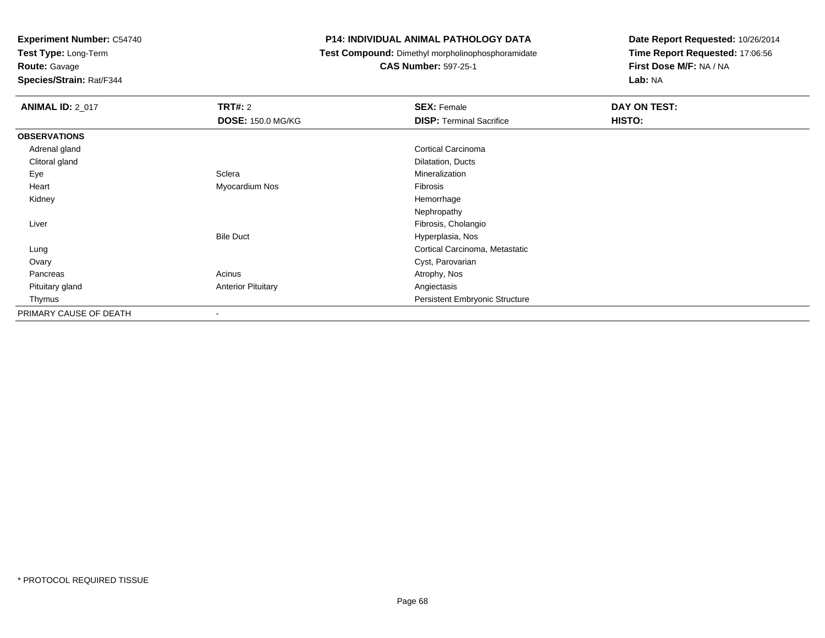**Test Type:** Long-Term

**Route:** Gavage

**Species/Strain:** Rat/F344

#### **P14: INDIVIDUAL ANIMAL PATHOLOGY DATA**

**Test Compound:** Dimethyl morpholinophosphoramidate

**CAS Number:** 597-25-1

| <b>ANIMAL ID: 2_017</b> | TRT#: 2                   | <b>SEX: Female</b>              | DAY ON TEST: |  |
|-------------------------|---------------------------|---------------------------------|--------------|--|
|                         | <b>DOSE: 150.0 MG/KG</b>  | <b>DISP: Terminal Sacrifice</b> | HISTO:       |  |
| <b>OBSERVATIONS</b>     |                           |                                 |              |  |
| Adrenal gland           |                           | Cortical Carcinoma              |              |  |
| Clitoral gland          |                           | Dilatation, Ducts               |              |  |
| Eye                     | Sclera                    | Mineralization                  |              |  |
| Heart                   | Myocardium Nos            | Fibrosis                        |              |  |
| Kidney                  |                           | Hemorrhage                      |              |  |
|                         |                           | Nephropathy                     |              |  |
| Liver                   |                           | Fibrosis, Cholangio             |              |  |
|                         | <b>Bile Duct</b>          | Hyperplasia, Nos                |              |  |
| Lung                    |                           | Cortical Carcinoma, Metastatic  |              |  |
| Ovary                   |                           | Cyst, Parovarian                |              |  |
| Pancreas                | Acinus                    | Atrophy, Nos                    |              |  |
| Pituitary gland         | <b>Anterior Pituitary</b> | Angiectasis                     |              |  |
| Thymus                  |                           | Persistent Embryonic Structure  |              |  |
| PRIMARY CAUSE OF DEATH  |                           |                                 |              |  |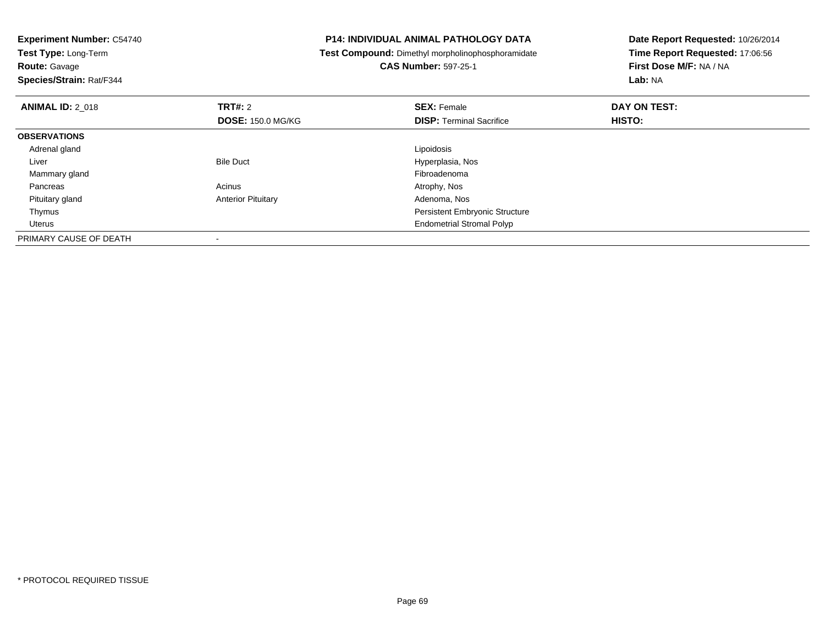| <b>Experiment Number: C54740</b><br>Test Type: Long-Term |                           | <b>P14: INDIVIDUAL ANIMAL PATHOLOGY DATA</b>             | Date Report Requested: 10/26/2014 |  |
|----------------------------------------------------------|---------------------------|----------------------------------------------------------|-----------------------------------|--|
|                                                          |                           | <b>Test Compound:</b> Dimethyl morpholinophosphoramidate | Time Report Requested: 17:06:56   |  |
| <b>Route: Gavage</b>                                     |                           | <b>CAS Number: 597-25-1</b>                              | First Dose M/F: NA / NA           |  |
| Species/Strain: Rat/F344                                 |                           |                                                          | Lab: NA                           |  |
| <b>ANIMAL ID: 2 018</b>                                  | <b>TRT#: 2</b>            | <b>SEX: Female</b>                                       | DAY ON TEST:                      |  |
|                                                          | <b>DOSE: 150.0 MG/KG</b>  | <b>DISP:</b> Terminal Sacrifice                          | HISTO:                            |  |
| <b>OBSERVATIONS</b>                                      |                           |                                                          |                                   |  |
| Adrenal gland                                            |                           | Lipoidosis                                               |                                   |  |
| Liver                                                    | <b>Bile Duct</b>          | Hyperplasia, Nos                                         |                                   |  |
| Mammary gland                                            |                           | Fibroadenoma                                             |                                   |  |
| Pancreas                                                 | Acinus                    | Atrophy, Nos                                             |                                   |  |
| Pituitary gland                                          | <b>Anterior Pituitary</b> | Adenoma, Nos                                             |                                   |  |
| Thymus                                                   |                           | <b>Persistent Embryonic Structure</b>                    |                                   |  |
| Uterus                                                   |                           | <b>Endometrial Stromal Polyp</b>                         |                                   |  |
| PRIMARY CAUSE OF DEATH                                   |                           |                                                          |                                   |  |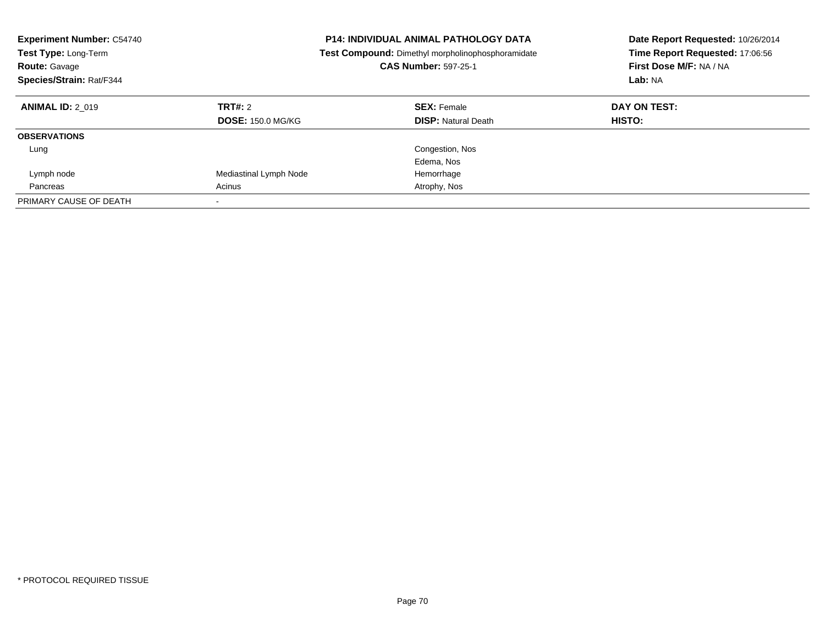| <b>Experiment Number: C54740</b><br><b>Test Type: Long-Term</b><br><b>Route: Gavage</b><br>Species/Strain: Rat/F344 |                                     | <b>P14: INDIVIDUAL ANIMAL PATHOLOGY DATA</b><br>Test Compound: Dimethyl morpholinophosphoramidate<br><b>CAS Number: 597-25-1</b> | Date Report Requested: 10/26/2014<br>Time Report Requested: 17:06:56<br>First Dose M/F: NA / NA<br>Lab: NA |
|---------------------------------------------------------------------------------------------------------------------|-------------------------------------|----------------------------------------------------------------------------------------------------------------------------------|------------------------------------------------------------------------------------------------------------|
| <b>ANIMAL ID: 2 019</b>                                                                                             | TRT#: 2<br><b>DOSE: 150.0 MG/KG</b> | <b>SEX: Female</b><br><b>DISP:</b> Natural Death                                                                                 | DAY ON TEST:<br>HISTO:                                                                                     |
| <b>OBSERVATIONS</b>                                                                                                 |                                     |                                                                                                                                  |                                                                                                            |
| Lung                                                                                                                |                                     | Congestion, Nos                                                                                                                  |                                                                                                            |
|                                                                                                                     |                                     | Edema, Nos                                                                                                                       |                                                                                                            |
| Lymph node                                                                                                          | Mediastinal Lymph Node              | Hemorrhage                                                                                                                       |                                                                                                            |
| Pancreas                                                                                                            | Acinus                              | Atrophy, Nos                                                                                                                     |                                                                                                            |
| PRIMARY CAUSE OF DEATH                                                                                              |                                     |                                                                                                                                  |                                                                                                            |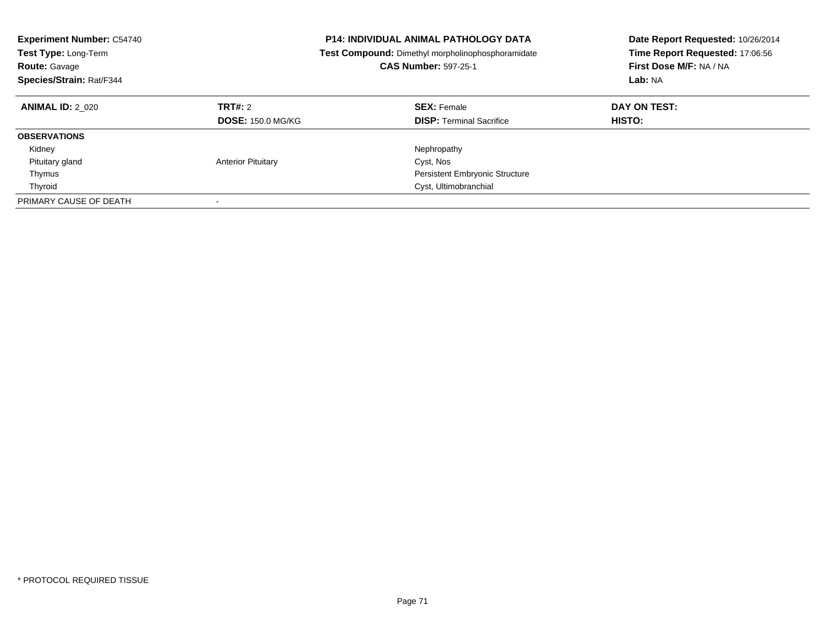| <b>Experiment Number: C54740</b><br>Test Type: Long-Term<br><b>Route: Gavage</b><br>Species/Strain: Rat/F344 |                                     | <b>P14: INDIVIDUAL ANIMAL PATHOLOGY DATA</b><br>Test Compound: Dimethyl morpholinophosphoramidate<br><b>CAS Number: 597-25-1</b> | Date Report Requested: 10/26/2014<br>Time Report Requested: 17:06:56<br>First Dose M/F: NA / NA<br>Lab: NA |
|--------------------------------------------------------------------------------------------------------------|-------------------------------------|----------------------------------------------------------------------------------------------------------------------------------|------------------------------------------------------------------------------------------------------------|
| <b>ANIMAL ID: 2 020</b>                                                                                      | TRT#: 2<br><b>DOSE: 150.0 MG/KG</b> | <b>SEX: Female</b><br><b>DISP:</b> Terminal Sacrifice                                                                            | DAY ON TEST:<br>HISTO:                                                                                     |
| <b>OBSERVATIONS</b>                                                                                          |                                     |                                                                                                                                  |                                                                                                            |
| Kidney                                                                                                       |                                     | Nephropathy                                                                                                                      |                                                                                                            |
| Pituitary gland                                                                                              | <b>Anterior Pituitary</b>           | Cyst, Nos                                                                                                                        |                                                                                                            |
| Thymus                                                                                                       |                                     | <b>Persistent Embryonic Structure</b>                                                                                            |                                                                                                            |
| Thyroid                                                                                                      |                                     | Cyst, Ultimobranchial                                                                                                            |                                                                                                            |
| PRIMARY CAUSE OF DEATH                                                                                       |                                     |                                                                                                                                  |                                                                                                            |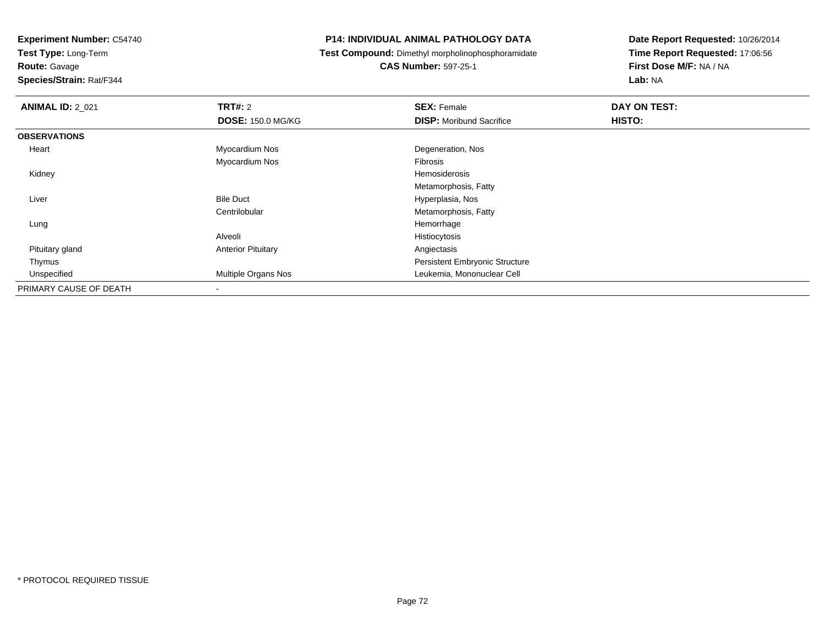**Test Type:** Long-Term

**Route:** Gavage

**Species/Strain:** Rat/F344

#### **P14: INDIVIDUAL ANIMAL PATHOLOGY DATA**

**Test Compound:** Dimethyl morpholinophosphoramidate

**CAS Number:** 597-25-1

| <b>ANIMAL ID: 2_021</b> | <b>TRT#: 2</b>            | <b>SEX: Female</b>                    | DAY ON TEST: |
|-------------------------|---------------------------|---------------------------------------|--------------|
|                         | <b>DOSE: 150.0 MG/KG</b>  | <b>DISP:</b> Moribund Sacrifice       | HISTO:       |
| <b>OBSERVATIONS</b>     |                           |                                       |              |
| Heart                   | Myocardium Nos            | Degeneration, Nos                     |              |
|                         | Myocardium Nos            | Fibrosis                              |              |
| Kidney                  |                           | Hemosiderosis                         |              |
|                         |                           | Metamorphosis, Fatty                  |              |
| Liver                   | <b>Bile Duct</b>          | Hyperplasia, Nos                      |              |
|                         | Centrilobular             | Metamorphosis, Fatty                  |              |
| Lung                    |                           | Hemorrhage                            |              |
|                         | Alveoli                   | Histiocytosis                         |              |
| Pituitary gland         | <b>Anterior Pituitary</b> | Angiectasis                           |              |
| Thymus                  |                           | <b>Persistent Embryonic Structure</b> |              |
| Unspecified             | Multiple Organs Nos       | Leukemia, Mononuclear Cell            |              |
| PRIMARY CAUSE OF DEATH  |                           |                                       |              |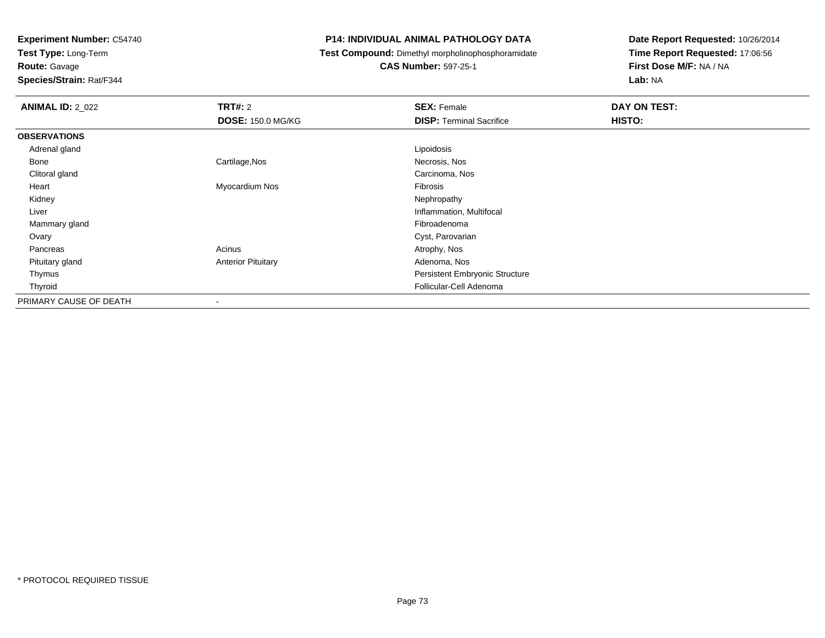**Test Type:** Long-Term

**Route:** Gavage

**Species/Strain:** Rat/F344

### **P14: INDIVIDUAL ANIMAL PATHOLOGY DATA**

**Test Compound:** Dimethyl morpholinophosphoramidate

**CAS Number:** 597-25-1

| <b>ANIMAL ID: 2_022</b> | <b>TRT#: 2</b>            | <b>SEX: Female</b>              | DAY ON TEST: |  |
|-------------------------|---------------------------|---------------------------------|--------------|--|
|                         | <b>DOSE: 150.0 MG/KG</b>  | <b>DISP: Terminal Sacrifice</b> | HISTO:       |  |
| <b>OBSERVATIONS</b>     |                           |                                 |              |  |
| Adrenal gland           |                           | Lipoidosis                      |              |  |
| Bone                    | Cartilage, Nos            | Necrosis, Nos                   |              |  |
| Clitoral gland          |                           | Carcinoma, Nos                  |              |  |
| Heart                   | Myocardium Nos            | Fibrosis                        |              |  |
| Kidney                  |                           | Nephropathy                     |              |  |
| Liver                   |                           | Inflammation, Multifocal        |              |  |
| Mammary gland           |                           | Fibroadenoma                    |              |  |
| Ovary                   |                           | Cyst, Parovarian                |              |  |
| Pancreas                | Acinus                    | Atrophy, Nos                    |              |  |
| Pituitary gland         | <b>Anterior Pituitary</b> | Adenoma, Nos                    |              |  |
| Thymus                  |                           | Persistent Embryonic Structure  |              |  |
| Thyroid                 |                           | Follicular-Cell Adenoma         |              |  |
| PRIMARY CAUSE OF DEATH  |                           |                                 |              |  |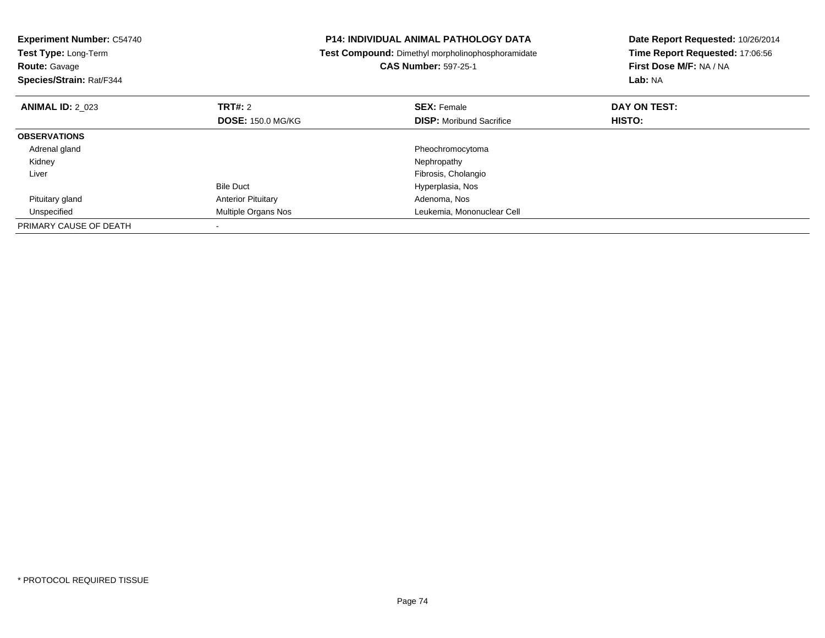| <b>Experiment Number: C54740</b><br>Test Type: Long-Term<br><b>Route: Gavage</b><br>Species/Strain: Rat/F344 |                           | <b>P14: INDIVIDUAL ANIMAL PATHOLOGY DATA</b><br>Test Compound: Dimethyl morpholinophosphoramidate<br><b>CAS Number: 597-25-1</b> | Date Report Requested: 10/26/2014<br>Time Report Requested: 17:06:56<br>First Dose M/F: NA / NA<br>Lab: NA |
|--------------------------------------------------------------------------------------------------------------|---------------------------|----------------------------------------------------------------------------------------------------------------------------------|------------------------------------------------------------------------------------------------------------|
| <b>ANIMAL ID: 2 023</b>                                                                                      | TRT#: 2                   | <b>SEX: Female</b>                                                                                                               | DAY ON TEST:                                                                                               |
|                                                                                                              | <b>DOSE: 150.0 MG/KG</b>  | <b>DISP:</b> Moribund Sacrifice                                                                                                  | HISTO:                                                                                                     |
| <b>OBSERVATIONS</b>                                                                                          |                           |                                                                                                                                  |                                                                                                            |
| Adrenal gland                                                                                                |                           | Pheochromocytoma                                                                                                                 |                                                                                                            |
| Kidney                                                                                                       |                           | Nephropathy                                                                                                                      |                                                                                                            |
| Liver                                                                                                        |                           | Fibrosis, Cholangio                                                                                                              |                                                                                                            |
|                                                                                                              | <b>Bile Duct</b>          | Hyperplasia, Nos                                                                                                                 |                                                                                                            |
| Pituitary gland                                                                                              | <b>Anterior Pituitary</b> | Adenoma, Nos                                                                                                                     |                                                                                                            |
| Unspecified                                                                                                  | Multiple Organs Nos       | Leukemia, Mononuclear Cell                                                                                                       |                                                                                                            |
| PRIMARY CAUSE OF DEATH                                                                                       |                           |                                                                                                                                  |                                                                                                            |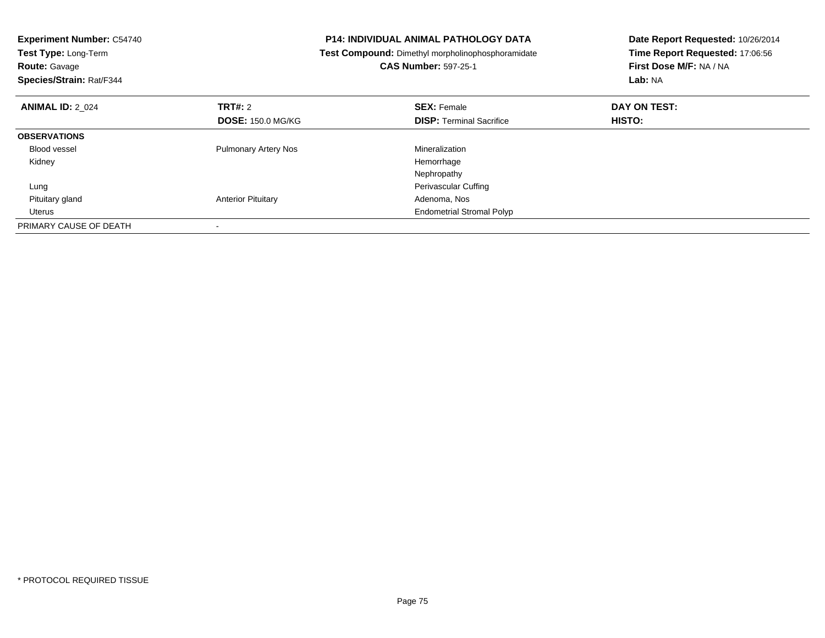| <b>Experiment Number: C54740</b><br>Test Type: Long-Term<br><b>Route: Gavage</b><br>Species/Strain: Rat/F344 |                             | <b>P14: INDIVIDUAL ANIMAL PATHOLOGY DATA</b><br>Test Compound: Dimethyl morpholinophosphoramidate<br><b>CAS Number: 597-25-1</b> | Date Report Requested: 10/26/2014<br>Time Report Requested: 17:06:56<br>First Dose M/F: NA / NA<br>Lab: NA |
|--------------------------------------------------------------------------------------------------------------|-----------------------------|----------------------------------------------------------------------------------------------------------------------------------|------------------------------------------------------------------------------------------------------------|
| <b>ANIMAL ID: 2 024</b>                                                                                      | TRT#: 2                     | <b>SEX: Female</b>                                                                                                               | DAY ON TEST:                                                                                               |
|                                                                                                              | <b>DOSE: 150.0 MG/KG</b>    | <b>DISP:</b> Terminal Sacrifice                                                                                                  | <b>HISTO:</b>                                                                                              |
| <b>OBSERVATIONS</b>                                                                                          |                             |                                                                                                                                  |                                                                                                            |
| <b>Blood vessel</b>                                                                                          | <b>Pulmonary Artery Nos</b> | Mineralization                                                                                                                   |                                                                                                            |
| Kidney                                                                                                       |                             | Hemorrhage                                                                                                                       |                                                                                                            |
|                                                                                                              |                             | Nephropathy                                                                                                                      |                                                                                                            |
| Lung                                                                                                         |                             | Perivascular Cuffing                                                                                                             |                                                                                                            |
| Pituitary gland                                                                                              | <b>Anterior Pituitary</b>   | Adenoma, Nos                                                                                                                     |                                                                                                            |
| Uterus                                                                                                       |                             | <b>Endometrial Stromal Polyp</b>                                                                                                 |                                                                                                            |
| PRIMARY CAUSE OF DEATH                                                                                       |                             |                                                                                                                                  |                                                                                                            |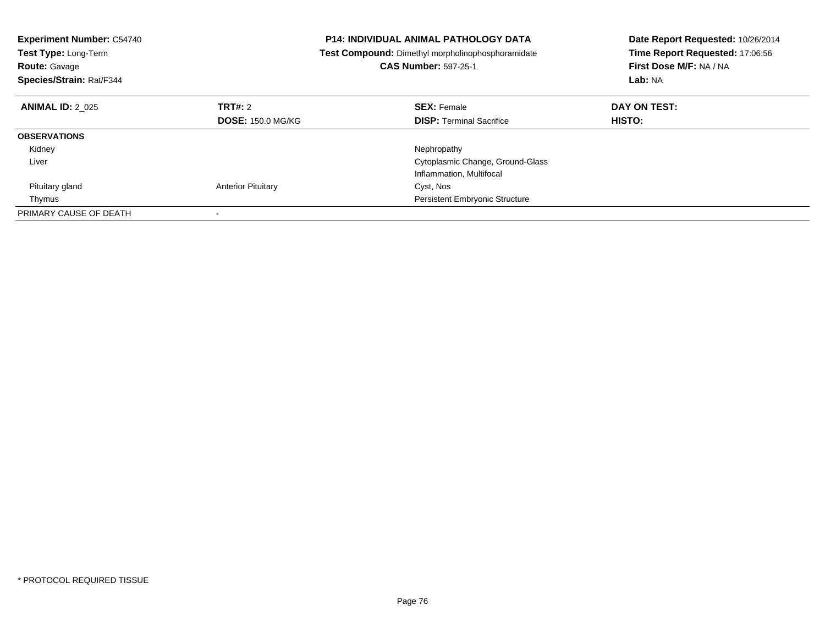| <b>Experiment Number: C54740</b><br>Test Type: Long-Term<br><b>Route: Gavage</b><br>Species/Strain: Rat/F344 |                           | <b>P14: INDIVIDUAL ANIMAL PATHOLOGY DATA</b><br><b>Test Compound:</b> Dimethyl morpholinophosphoramidate<br><b>CAS Number: 597-25-1</b> | Date Report Requested: 10/26/2014<br>Time Report Requested: 17:06:56<br>First Dose M/F: NA / NA<br>Lab: NA |  |
|--------------------------------------------------------------------------------------------------------------|---------------------------|-----------------------------------------------------------------------------------------------------------------------------------------|------------------------------------------------------------------------------------------------------------|--|
| <b>ANIMAL ID: 2 025</b>                                                                                      | TRT#: 2                   | <b>SEX: Female</b>                                                                                                                      | DAY ON TEST:                                                                                               |  |
|                                                                                                              | <b>DOSE: 150.0 MG/KG</b>  | <b>DISP:</b> Terminal Sacrifice                                                                                                         | HISTO:                                                                                                     |  |
| <b>OBSERVATIONS</b>                                                                                          |                           |                                                                                                                                         |                                                                                                            |  |
| Kidney                                                                                                       |                           | Nephropathy                                                                                                                             |                                                                                                            |  |
| Liver                                                                                                        |                           | Cytoplasmic Change, Ground-Glass                                                                                                        |                                                                                                            |  |
|                                                                                                              |                           | Inflammation, Multifocal                                                                                                                |                                                                                                            |  |
| Pituitary gland                                                                                              | <b>Anterior Pituitary</b> | Cyst, Nos                                                                                                                               |                                                                                                            |  |
| Thymus                                                                                                       |                           | <b>Persistent Embryonic Structure</b>                                                                                                   |                                                                                                            |  |
| PRIMARY CAUSE OF DEATH                                                                                       |                           |                                                                                                                                         |                                                                                                            |  |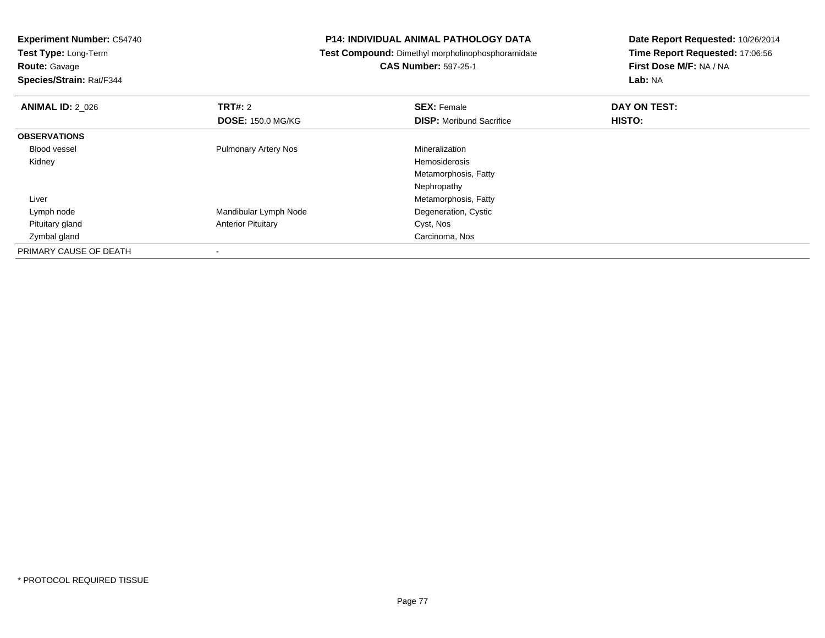| <b>Experiment Number: C54740</b> |                             | <b>P14: INDIVIDUAL ANIMAL PATHOLOGY DATA</b>      | Date Report Requested: 10/26/2014 |  |
|----------------------------------|-----------------------------|---------------------------------------------------|-----------------------------------|--|
| Test Type: Long-Term             |                             | Test Compound: Dimethyl morpholinophosphoramidate | Time Report Requested: 17:06:56   |  |
| <b>Route: Gavage</b>             |                             | <b>CAS Number: 597-25-1</b>                       | First Dose M/F: NA / NA           |  |
| Species/Strain: Rat/F344         |                             |                                                   | Lab: NA                           |  |
| <b>ANIMAL ID: 2 026</b>          | <b>TRT#: 2</b>              | <b>SEX: Female</b>                                | DAY ON TEST:                      |  |
|                                  | <b>DOSE: 150.0 MG/KG</b>    | <b>DISP:</b> Moribund Sacrifice                   | HISTO:                            |  |
| <b>OBSERVATIONS</b>              |                             |                                                   |                                   |  |
| <b>Blood vessel</b>              | <b>Pulmonary Artery Nos</b> | Mineralization                                    |                                   |  |
| Kidney                           |                             | Hemosiderosis                                     |                                   |  |
|                                  |                             | Metamorphosis, Fatty                              |                                   |  |
|                                  |                             | Nephropathy                                       |                                   |  |
| Liver                            |                             | Metamorphosis, Fatty                              |                                   |  |
| Lymph node                       | Mandibular Lymph Node       | Degeneration, Cystic                              |                                   |  |
| Pituitary gland                  | <b>Anterior Pituitary</b>   | Cyst, Nos                                         |                                   |  |
| Zymbal gland                     |                             | Carcinoma, Nos                                    |                                   |  |
| PRIMARY CAUSE OF DEATH           |                             |                                                   |                                   |  |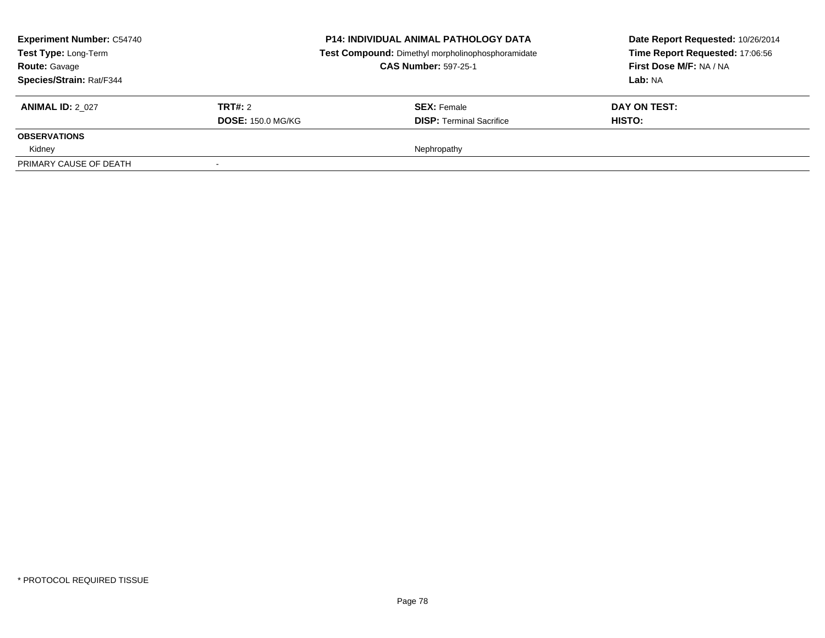| <b>Experiment Number: C54740</b><br>Test Type: Long-Term<br><b>Route: Gavage</b><br><b>Species/Strain: Rat/F344</b> |                          | <b>P14: INDIVIDUAL ANIMAL PATHOLOGY DATA</b><br>Test Compound: Dimethyl morpholinophosphoramidate<br><b>CAS Number: 597-25-1</b> | Date Report Requested: 10/26/2014<br>Time Report Requested: 17:06:56<br>First Dose M/F: NA / NA<br>Lab: NA |
|---------------------------------------------------------------------------------------------------------------------|--------------------------|----------------------------------------------------------------------------------------------------------------------------------|------------------------------------------------------------------------------------------------------------|
| <b>ANIMAL ID: 2 027</b>                                                                                             | TRT#: 2                  | <b>SEX:</b> Female                                                                                                               | DAY ON TEST:                                                                                               |
|                                                                                                                     | <b>DOSE: 150.0 MG/KG</b> | <b>DISP: Terminal Sacrifice</b>                                                                                                  | HISTO:                                                                                                     |
| <b>OBSERVATIONS</b>                                                                                                 |                          |                                                                                                                                  |                                                                                                            |
| Kidney                                                                                                              |                          | Nephropathy                                                                                                                      |                                                                                                            |
| PRIMARY CAUSE OF DEATH                                                                                              |                          |                                                                                                                                  |                                                                                                            |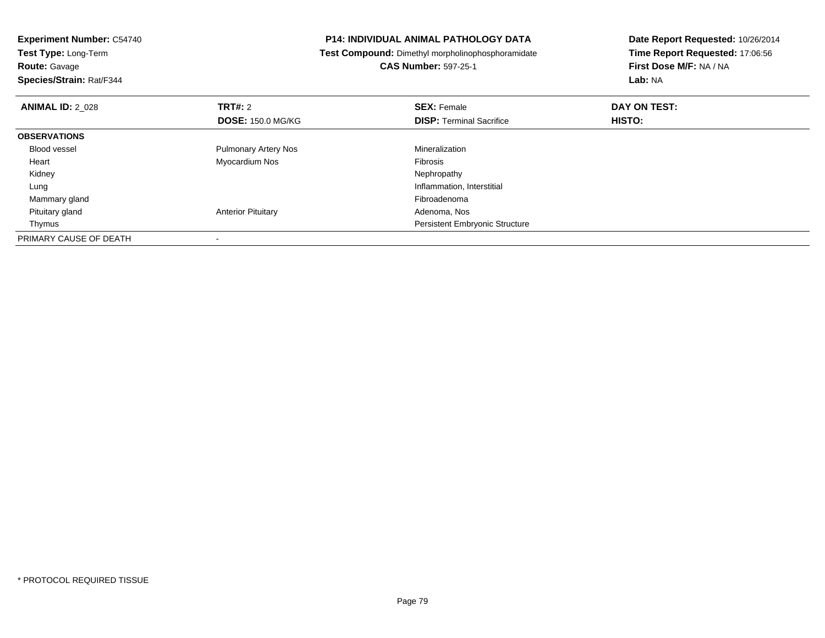| <b>Experiment Number: C54740</b><br>Test Type: Long-Term |                             | <b>P14: INDIVIDUAL ANIMAL PATHOLOGY DATA</b>             | Date Report Requested: 10/26/2014<br>Time Report Requested: 17:06:56 |  |
|----------------------------------------------------------|-----------------------------|----------------------------------------------------------|----------------------------------------------------------------------|--|
|                                                          |                             | <b>Test Compound:</b> Dimethyl morpholinophosphoramidate |                                                                      |  |
| <b>Route: Gavage</b>                                     |                             | <b>CAS Number: 597-25-1</b>                              | First Dose M/F: NA / NA                                              |  |
| Species/Strain: Rat/F344                                 |                             |                                                          | Lab: NA                                                              |  |
| <b>ANIMAL ID: 2 028</b>                                  | <b>TRT#: 2</b>              | <b>SEX: Female</b>                                       | DAY ON TEST:                                                         |  |
|                                                          | <b>DOSE: 150.0 MG/KG</b>    | <b>DISP:</b> Terminal Sacrifice                          | <b>HISTO:</b>                                                        |  |
| <b>OBSERVATIONS</b>                                      |                             |                                                          |                                                                      |  |
| <b>Blood vessel</b>                                      | <b>Pulmonary Artery Nos</b> | Mineralization                                           |                                                                      |  |
| Heart                                                    | Myocardium Nos              | <b>Fibrosis</b>                                          |                                                                      |  |
| Kidney                                                   |                             | Nephropathy                                              |                                                                      |  |
| Lung                                                     |                             | Inflammation, Interstitial                               |                                                                      |  |
| Mammary gland                                            |                             | Fibroadenoma                                             |                                                                      |  |
| Pituitary gland                                          | <b>Anterior Pituitary</b>   | Adenoma, Nos                                             |                                                                      |  |
| Thymus                                                   |                             | Persistent Embryonic Structure                           |                                                                      |  |
| PRIMARY CAUSE OF DEATH                                   |                             |                                                          |                                                                      |  |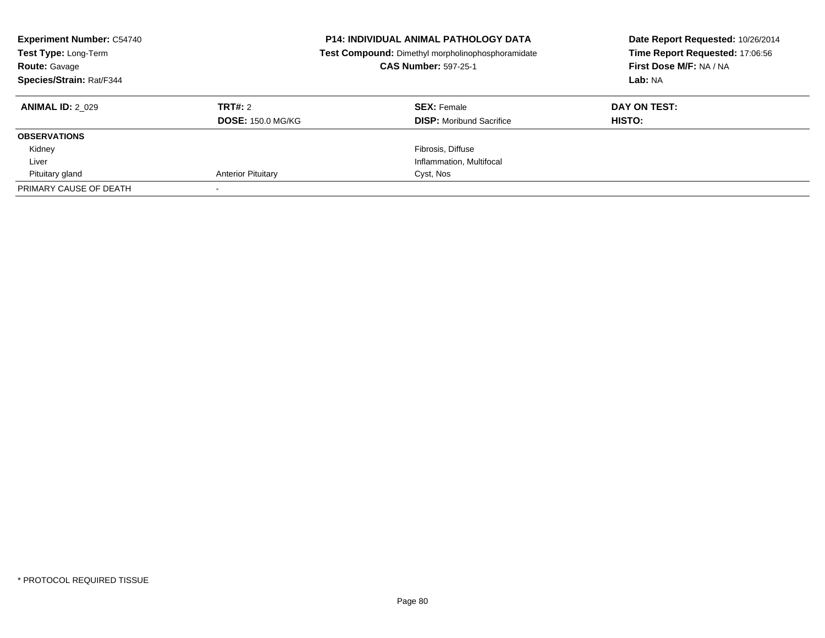| <b>Experiment Number: C54740</b><br>Test Type: Long-Term<br><b>Route: Gavage</b><br>Species/Strain: Rat/F344 |                           | <b>P14: INDIVIDUAL ANIMAL PATHOLOGY DATA</b><br>Test Compound: Dimethyl morpholinophosphoramidate<br><b>CAS Number: 597-25-1</b> | Date Report Requested: 10/26/2014<br>Time Report Requested: 17:06:56<br>First Dose M/F: NA / NA<br>Lab: NA |
|--------------------------------------------------------------------------------------------------------------|---------------------------|----------------------------------------------------------------------------------------------------------------------------------|------------------------------------------------------------------------------------------------------------|
| <b>ANIMAL ID: 2 029</b>                                                                                      | TRT#: 2                   | <b>SEX: Female</b>                                                                                                               | DAY ON TEST:                                                                                               |
|                                                                                                              | <b>DOSE: 150.0 MG/KG</b>  | <b>DISP:</b> Moribund Sacrifice                                                                                                  | <b>HISTO:</b>                                                                                              |
| <b>OBSERVATIONS</b>                                                                                          |                           |                                                                                                                                  |                                                                                                            |
| Kidney                                                                                                       |                           | Fibrosis, Diffuse                                                                                                                |                                                                                                            |
| Liver                                                                                                        |                           | Inflammation, Multifocal                                                                                                         |                                                                                                            |
| Pituitary gland                                                                                              | <b>Anterior Pituitary</b> | Cyst, Nos                                                                                                                        |                                                                                                            |
| PRIMARY CAUSE OF DEATH                                                                                       |                           |                                                                                                                                  |                                                                                                            |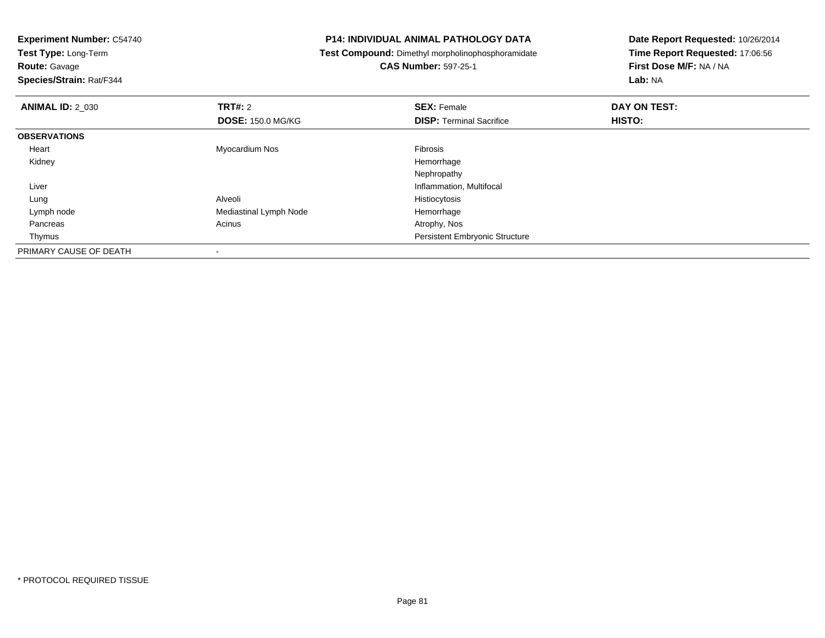| <b>Experiment Number: C54740</b> |                                                   | <b>P14: INDIVIDUAL ANIMAL PATHOLOGY DATA</b> | Date Report Requested: 10/26/2014 |  |
|----------------------------------|---------------------------------------------------|----------------------------------------------|-----------------------------------|--|
| <b>Test Type: Long-Term</b>      | Test Compound: Dimethyl morpholinophosphoramidate |                                              | Time Report Requested: 17:06:56   |  |
| <b>Route: Gavage</b>             |                                                   | <b>CAS Number: 597-25-1</b>                  | First Dose M/F: NA / NA           |  |
| Species/Strain: Rat/F344         |                                                   |                                              | Lab: NA                           |  |
| <b>ANIMAL ID: 2 030</b>          | <b>TRT#: 2</b>                                    | <b>SEX: Female</b>                           | DAY ON TEST:                      |  |
|                                  | <b>DOSE: 150.0 MG/KG</b>                          | <b>DISP:</b> Terminal Sacrifice              | HISTO:                            |  |
| <b>OBSERVATIONS</b>              |                                                   |                                              |                                   |  |
| Heart                            | Myocardium Nos                                    | Fibrosis                                     |                                   |  |
| Kidney                           |                                                   | Hemorrhage                                   |                                   |  |
|                                  |                                                   | Nephropathy                                  |                                   |  |
| Liver                            |                                                   | Inflammation, Multifocal                     |                                   |  |
| Lung                             | Alveoli                                           | Histiocytosis                                |                                   |  |
| Lymph node                       | Mediastinal Lymph Node                            | Hemorrhage                                   |                                   |  |
| Pancreas                         | Acinus                                            | Atrophy, Nos                                 |                                   |  |
| Thymus                           |                                                   | Persistent Embryonic Structure               |                                   |  |
| PRIMARY CAUSE OF DEATH           |                                                   |                                              |                                   |  |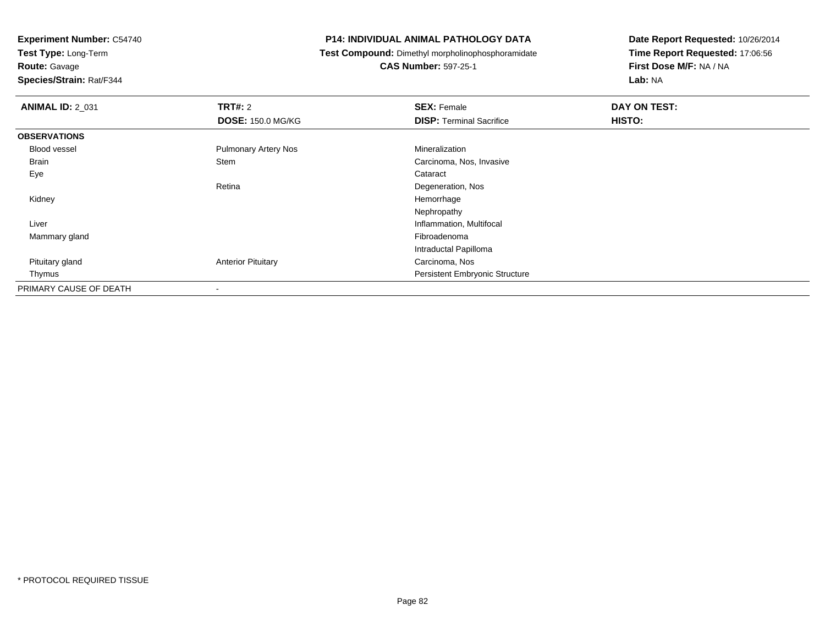**Test Type:** Long-Term

**Route:** Gavage

**Species/Strain:** Rat/F344

### **P14: INDIVIDUAL ANIMAL PATHOLOGY DATA**

**Test Compound:** Dimethyl morpholinophosphoramidate

**CAS Number:** 597-25-1

| <b>ANIMAL ID: 2_031</b> | TRT#: 2                     | <b>SEX: Female</b>                    | DAY ON TEST: |
|-------------------------|-----------------------------|---------------------------------------|--------------|
|                         | <b>DOSE: 150.0 MG/KG</b>    | <b>DISP:</b> Terminal Sacrifice       | HISTO:       |
| <b>OBSERVATIONS</b>     |                             |                                       |              |
| Blood vessel            | <b>Pulmonary Artery Nos</b> | Mineralization                        |              |
| <b>Brain</b>            | Stem                        | Carcinoma, Nos, Invasive              |              |
| Eye                     |                             | Cataract                              |              |
|                         | Retina                      | Degeneration, Nos                     |              |
| Kidney                  |                             | Hemorrhage                            |              |
|                         |                             | Nephropathy                           |              |
| Liver                   |                             | Inflammation, Multifocal              |              |
| Mammary gland           |                             | Fibroadenoma                          |              |
|                         |                             | Intraductal Papilloma                 |              |
| Pituitary gland         | <b>Anterior Pituitary</b>   | Carcinoma, Nos                        |              |
| Thymus                  |                             | <b>Persistent Embryonic Structure</b> |              |
| PRIMARY CAUSE OF DEATH  | $\,$                        |                                       |              |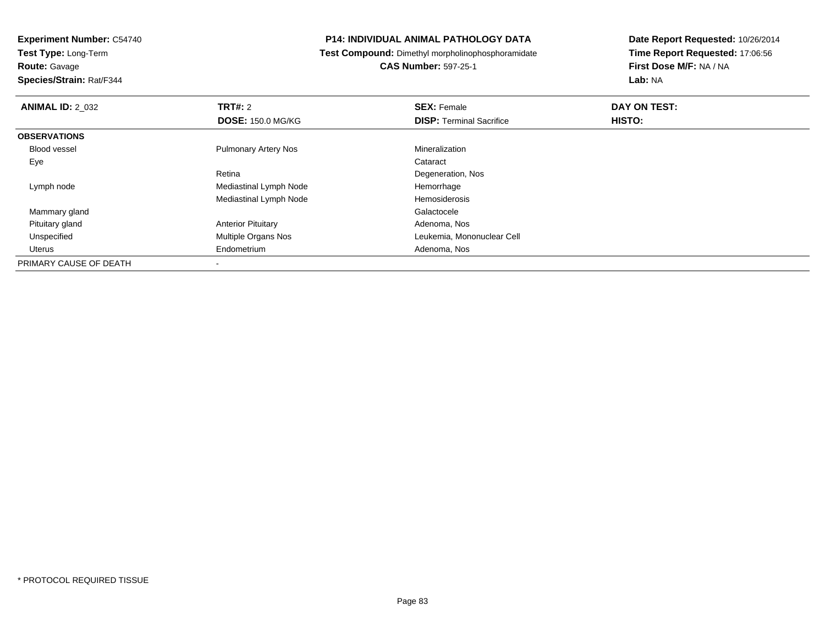**Test Type:** Long-Term

**Route:** Gavage

**Species/Strain:** Rat/F344

### **P14: INDIVIDUAL ANIMAL PATHOLOGY DATA**

**Test Compound:** Dimethyl morpholinophosphoramidate

**CAS Number:** 597-25-1

| <b>ANIMAL ID: 2_032</b> | <b>TRT#: 2</b>              | <b>SEX: Female</b>              | DAY ON TEST: |  |
|-------------------------|-----------------------------|---------------------------------|--------------|--|
|                         | <b>DOSE: 150.0 MG/KG</b>    | <b>DISP: Terminal Sacrifice</b> | HISTO:       |  |
| <b>OBSERVATIONS</b>     |                             |                                 |              |  |
| Blood vessel            | <b>Pulmonary Artery Nos</b> | Mineralization                  |              |  |
| Eye                     |                             | Cataract                        |              |  |
|                         | Retina                      | Degeneration, Nos               |              |  |
| Lymph node              | Mediastinal Lymph Node      | Hemorrhage                      |              |  |
|                         | Mediastinal Lymph Node      | Hemosiderosis                   |              |  |
| Mammary gland           |                             | Galactocele                     |              |  |
| Pituitary gland         | <b>Anterior Pituitary</b>   | Adenoma, Nos                    |              |  |
| Unspecified             | <b>Multiple Organs Nos</b>  | Leukemia, Mononuclear Cell      |              |  |
| Uterus                  | Endometrium                 | Adenoma, Nos                    |              |  |
| PRIMARY CAUSE OF DEATH  |                             |                                 |              |  |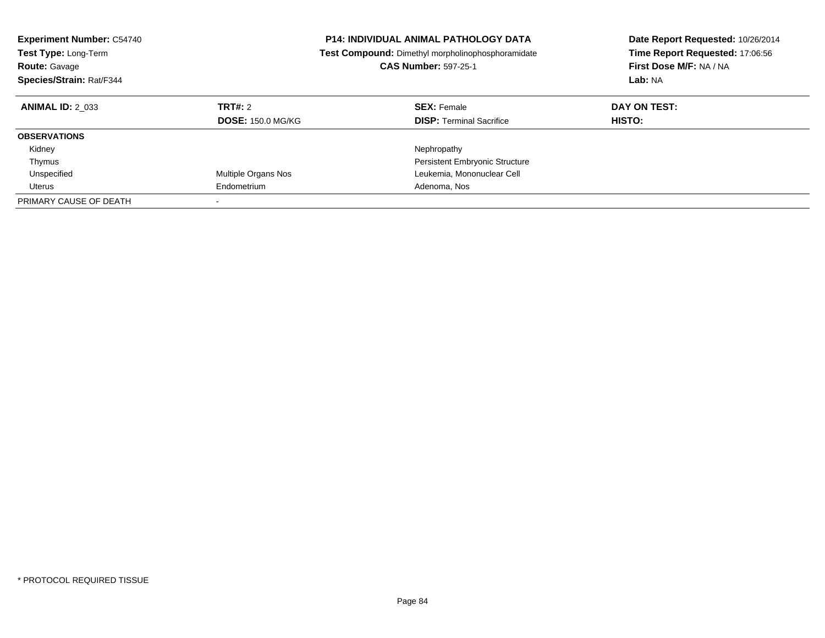| <b>Experiment Number: C54740</b><br><b>Test Type: Long-Term</b><br><b>Route: Gavage</b><br>Species/Strain: Rat/F344 |                                     | <b>P14: INDIVIDUAL ANIMAL PATHOLOGY DATA</b><br><b>Test Compound:</b> Dimethyl morpholinophosphoramidate<br><b>CAS Number: 597-25-1</b> | Date Report Requested: 10/26/2014<br>Time Report Requested: 17:06:56<br>First Dose M/F: NA / NA<br>Lab: NA |
|---------------------------------------------------------------------------------------------------------------------|-------------------------------------|-----------------------------------------------------------------------------------------------------------------------------------------|------------------------------------------------------------------------------------------------------------|
| <b>ANIMAL ID: 2 033</b>                                                                                             | TRT#: 2<br><b>DOSE: 150.0 MG/KG</b> | <b>SEX: Female</b><br><b>DISP:</b> Terminal Sacrifice                                                                                   | DAY ON TEST:<br>HISTO:                                                                                     |
| <b>OBSERVATIONS</b>                                                                                                 |                                     |                                                                                                                                         |                                                                                                            |
| Kidney                                                                                                              |                                     | Nephropathy                                                                                                                             |                                                                                                            |
| Thymus                                                                                                              |                                     | <b>Persistent Embryonic Structure</b>                                                                                                   |                                                                                                            |
| Unspecified                                                                                                         | Multiple Organs Nos                 | Leukemia, Mononuclear Cell                                                                                                              |                                                                                                            |
| Uterus                                                                                                              | Endometrium                         | Adenoma, Nos                                                                                                                            |                                                                                                            |
| PRIMARY CAUSE OF DEATH                                                                                              | $\overline{\phantom{a}}$            |                                                                                                                                         |                                                                                                            |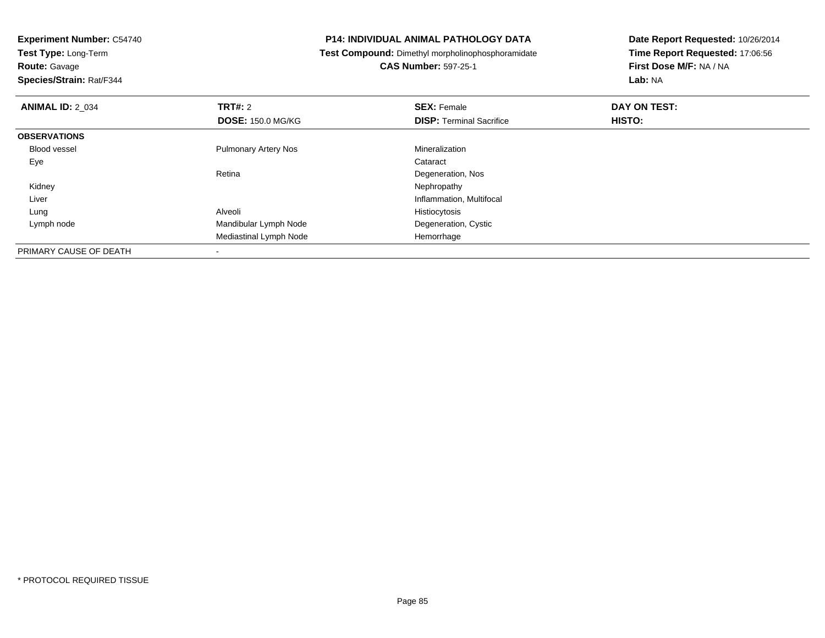**Experiment Number:** C54740**Test Type:** Long-Term**Route:** Gavage **Species/Strain:** Rat/F344**P14: INDIVIDUAL ANIMAL PATHOLOGY DATA Test Compound:** Dimethyl morpholinophosphoramidate**CAS Number:** 597-25-1**Date Report Requested:** 10/26/2014**Time Report Requested:** 17:06:56**First Dose M/F:** NA / NA**Lab:** NA**ANIMAL ID:** 2\_034**TRT#:** 2 **SEX:** Female **DAY ON TEST: DOSE:** 150.0 MG/KG**DISP:** Terminal Sacrifice **HISTO: OBSERVATIONS** Blood vessel Pulmonary Artery Nos Mineralization Eyee de la constitución de la constitución de la constitución de la constitución de la constitución de la constitución<br>En el constitución de la constitución de la constitución de la constitución de la constitución de la const RetinaDegeneration, Nos<br>Nephropathy Kidneyy the control of the control of the control of the control of the control of the control of the control of the control of the control of the control of the control of the control of the control of the control of the contro Liver Inflammation, Multifocal Lung Alveoli Histiocytosis Lymph nodeMandibular Lymph Node **Degeneration**, Cystic Mediastinal Lymph Node Hemorrhage PRIMARY CAUSE OF DEATH

-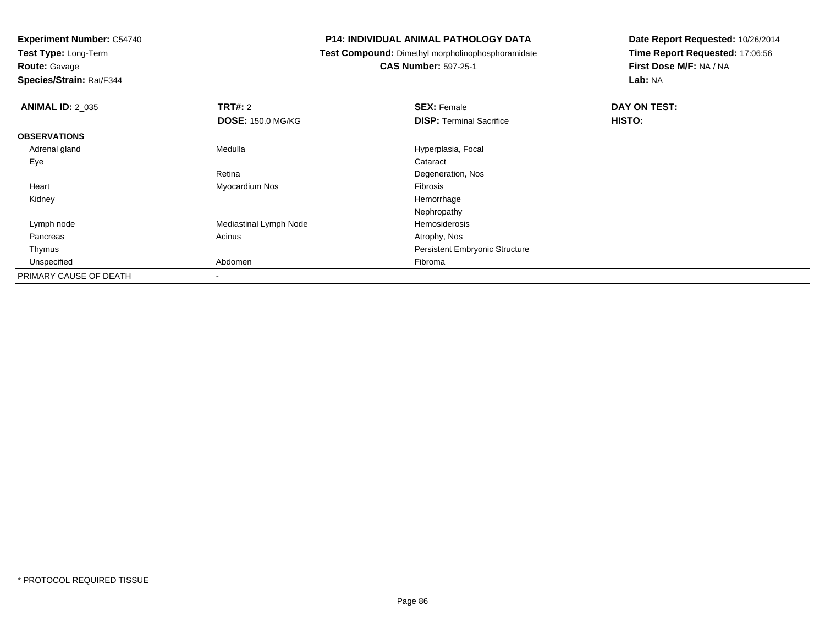**Test Type:** Long-Term

**Route:** Gavage

**Species/Strain:** Rat/F344

### **P14: INDIVIDUAL ANIMAL PATHOLOGY DATA**

**Test Compound:** Dimethyl morpholinophosphoramidate

**CAS Number:** 597-25-1

| <b>ANIMAL ID: 2 035</b> | TRT#: 2                  | <b>SEX: Female</b>                    | DAY ON TEST: |
|-------------------------|--------------------------|---------------------------------------|--------------|
|                         | <b>DOSE: 150.0 MG/KG</b> | <b>DISP: Terminal Sacrifice</b>       | HISTO:       |
| <b>OBSERVATIONS</b>     |                          |                                       |              |
| Adrenal gland           | Medulla                  | Hyperplasia, Focal                    |              |
| Eye                     |                          | Cataract                              |              |
|                         | Retina                   | Degeneration, Nos                     |              |
| Heart                   | Myocardium Nos           | Fibrosis                              |              |
| Kidney                  |                          | Hemorrhage                            |              |
|                         |                          | Nephropathy                           |              |
| Lymph node              | Mediastinal Lymph Node   | Hemosiderosis                         |              |
| Pancreas                | Acinus                   | Atrophy, Nos                          |              |
| Thymus                  |                          | <b>Persistent Embryonic Structure</b> |              |
| Unspecified             | Abdomen                  | Fibroma                               |              |
| PRIMARY CAUSE OF DEATH  | ٠                        |                                       |              |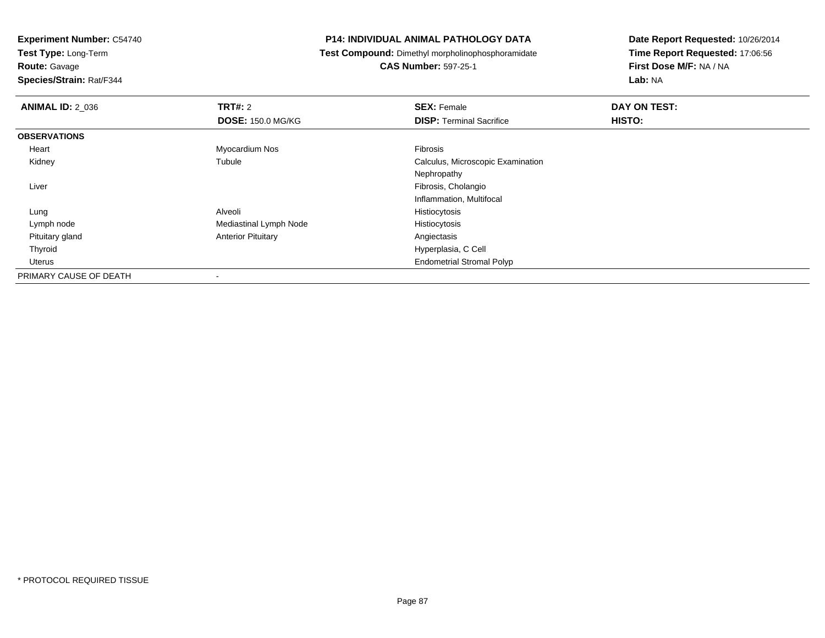**Test Type:** Long-Term

**Route:** Gavage

**Species/Strain:** Rat/F344

### **P14: INDIVIDUAL ANIMAL PATHOLOGY DATA**

**Test Compound:** Dimethyl morpholinophosphoramidate

**CAS Number:** 597-25-1

| <b>ANIMAL ID: 2 036</b> | TRT#: 2                   | <b>SEX: Female</b>                | DAY ON TEST: |
|-------------------------|---------------------------|-----------------------------------|--------------|
|                         | <b>DOSE: 150.0 MG/KG</b>  | <b>DISP: Terminal Sacrifice</b>   | HISTO:       |
| <b>OBSERVATIONS</b>     |                           |                                   |              |
| Heart                   | Myocardium Nos            | Fibrosis                          |              |
| Kidney                  | Tubule                    | Calculus, Microscopic Examination |              |
|                         |                           | Nephropathy                       |              |
| Liver                   |                           | Fibrosis, Cholangio               |              |
|                         |                           | Inflammation, Multifocal          |              |
| Lung                    | Alveoli                   | Histiocytosis                     |              |
| Lymph node              | Mediastinal Lymph Node    | Histiocytosis                     |              |
| Pituitary gland         | <b>Anterior Pituitary</b> | Angiectasis                       |              |
| Thyroid                 |                           | Hyperplasia, C Cell               |              |
| Uterus                  |                           | <b>Endometrial Stromal Polyp</b>  |              |
| PRIMARY CAUSE OF DEATH  | $\blacksquare$            |                                   |              |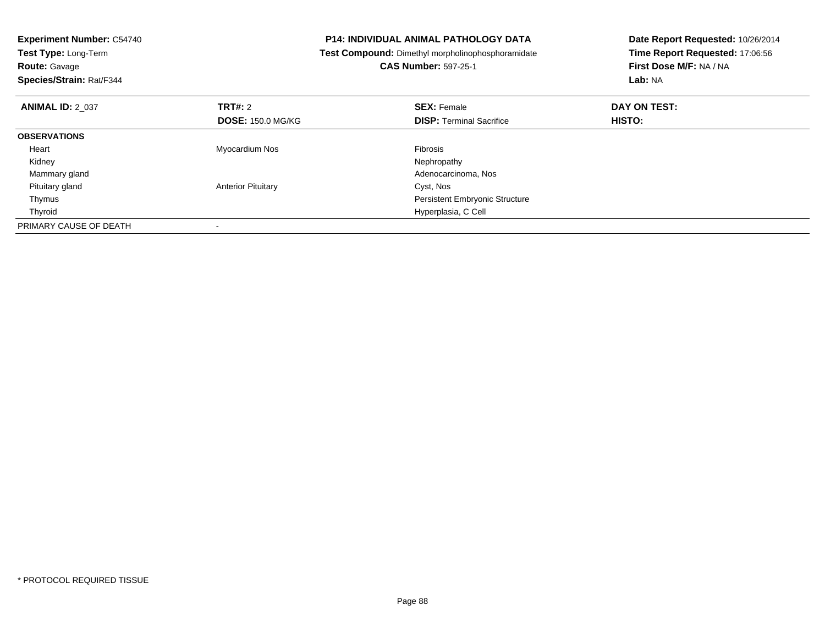| <b>Experiment Number: C54740</b><br>Test Type: Long-Term<br><b>Route: Gavage</b><br>Species/Strain: Rat/F344 |                           | <b>P14: INDIVIDUAL ANIMAL PATHOLOGY DATA</b><br><b>Test Compound:</b> Dimethyl morpholinophosphoramidate<br><b>CAS Number: 597-25-1</b> | Date Report Requested: 10/26/2014<br>Time Report Requested: 17:06:56<br>First Dose M/F: NA / NA<br>Lab: NA |
|--------------------------------------------------------------------------------------------------------------|---------------------------|-----------------------------------------------------------------------------------------------------------------------------------------|------------------------------------------------------------------------------------------------------------|
| <b>ANIMAL ID: 2 037</b>                                                                                      | TRT#: 2                   | <b>SEX: Female</b>                                                                                                                      | DAY ON TEST:                                                                                               |
|                                                                                                              | <b>DOSE: 150.0 MG/KG</b>  | <b>DISP:</b> Terminal Sacrifice                                                                                                         | HISTO:                                                                                                     |
| <b>OBSERVATIONS</b>                                                                                          |                           |                                                                                                                                         |                                                                                                            |
| Heart                                                                                                        | Myocardium Nos            | <b>Fibrosis</b>                                                                                                                         |                                                                                                            |
| Kidney                                                                                                       |                           | Nephropathy                                                                                                                             |                                                                                                            |
| Mammary gland                                                                                                |                           | Adenocarcinoma, Nos                                                                                                                     |                                                                                                            |
| Pituitary gland                                                                                              | <b>Anterior Pituitary</b> | Cyst, Nos                                                                                                                               |                                                                                                            |
| Thymus                                                                                                       |                           | <b>Persistent Embryonic Structure</b>                                                                                                   |                                                                                                            |
| Thyroid                                                                                                      |                           | Hyperplasia, C Cell                                                                                                                     |                                                                                                            |
| PRIMARY CAUSE OF DEATH                                                                                       |                           |                                                                                                                                         |                                                                                                            |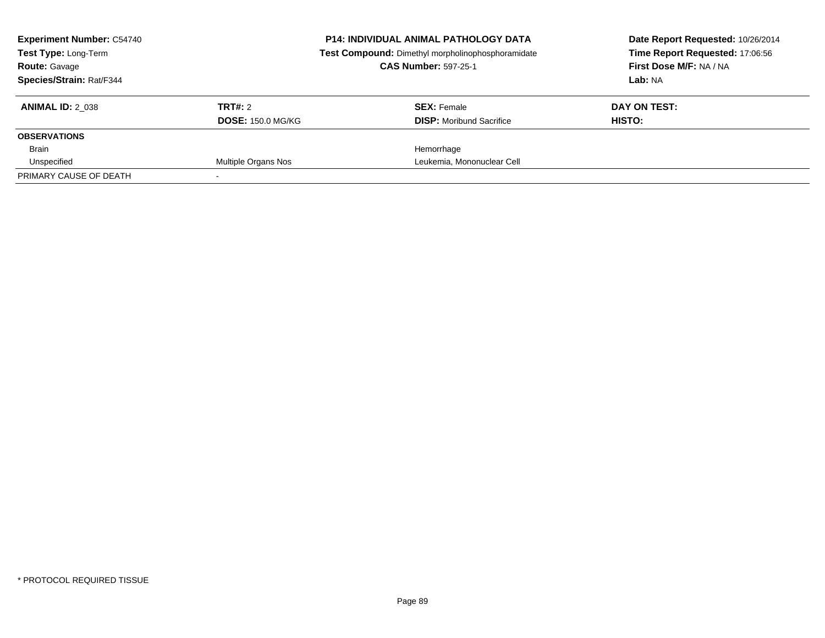| <b>Experiment Number: C54740</b><br><b>Test Type: Long-Term</b> | <b>P14: INDIVIDUAL ANIMAL PATHOLOGY DATA</b><br>Test Compound: Dimethyl morpholinophosphoramidate |                                 | Date Report Requested: 10/26/2014<br>Time Report Requested: 17:06:56 |
|-----------------------------------------------------------------|---------------------------------------------------------------------------------------------------|---------------------------------|----------------------------------------------------------------------|
| <b>Route: Gavage</b>                                            |                                                                                                   | <b>CAS Number: 597-25-1</b>     | First Dose M/F: NA / NA                                              |
| Species/Strain: Rat/F344                                        |                                                                                                   |                                 | Lab: NA                                                              |
| <b>ANIMAL ID: 2 038</b>                                         | TRT#: 2                                                                                           | <b>SEX: Female</b>              | DAY ON TEST:                                                         |
|                                                                 | <b>DOSE: 150.0 MG/KG</b>                                                                          | <b>DISP:</b> Moribund Sacrifice | HISTO:                                                               |
| <b>OBSERVATIONS</b>                                             |                                                                                                   |                                 |                                                                      |
| Brain                                                           |                                                                                                   | Hemorrhage                      |                                                                      |
| Unspecified                                                     | Multiple Organs Nos                                                                               | Leukemia, Mononuclear Cell      |                                                                      |
| PRIMARY CAUSE OF DEATH                                          |                                                                                                   |                                 |                                                                      |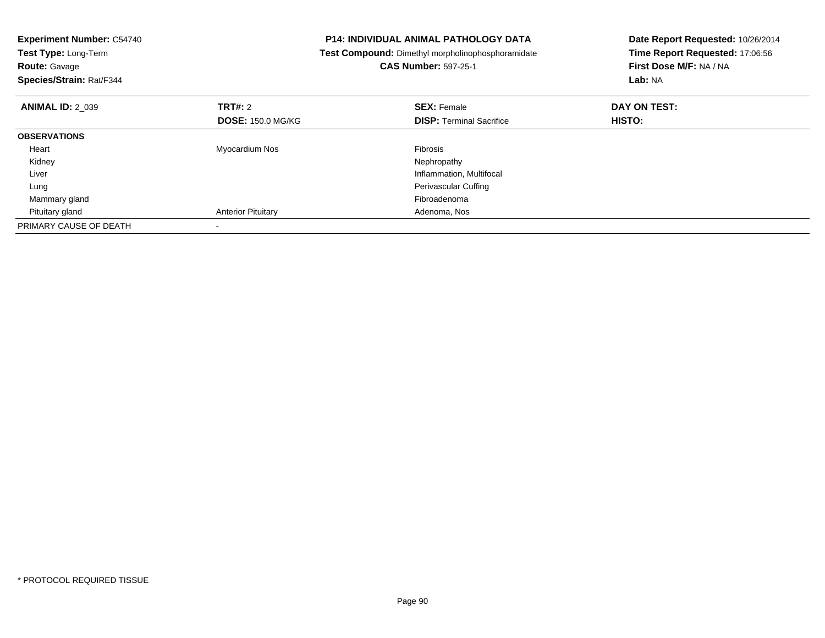| <b>Experiment Number: C54740</b><br>Test Type: Long-Term<br><b>Route: Gavage</b><br>Species/Strain: Rat/F344 |                           | <b>P14: INDIVIDUAL ANIMAL PATHOLOGY DATA</b><br>Test Compound: Dimethyl morpholinophosphoramidate<br><b>CAS Number: 597-25-1</b> | Date Report Requested: 10/26/2014<br>Time Report Requested: 17:06:56<br>First Dose M/F: NA / NA<br>Lab: NA |
|--------------------------------------------------------------------------------------------------------------|---------------------------|----------------------------------------------------------------------------------------------------------------------------------|------------------------------------------------------------------------------------------------------------|
| <b>ANIMAL ID: 2 039</b>                                                                                      | TRT#: 2                   | <b>SEX: Female</b>                                                                                                               | DAY ON TEST:                                                                                               |
|                                                                                                              | <b>DOSE: 150.0 MG/KG</b>  | <b>DISP:</b> Terminal Sacrifice                                                                                                  | HISTO:                                                                                                     |
| <b>OBSERVATIONS</b>                                                                                          |                           |                                                                                                                                  |                                                                                                            |
| Heart                                                                                                        | Myocardium Nos            | <b>Fibrosis</b>                                                                                                                  |                                                                                                            |
| Kidney                                                                                                       |                           | Nephropathy                                                                                                                      |                                                                                                            |
| Liver                                                                                                        |                           | Inflammation, Multifocal                                                                                                         |                                                                                                            |
| Lung                                                                                                         |                           | Perivascular Cuffing                                                                                                             |                                                                                                            |
| Mammary gland                                                                                                |                           | Fibroadenoma                                                                                                                     |                                                                                                            |
| Pituitary gland                                                                                              | <b>Anterior Pituitary</b> | Adenoma, Nos                                                                                                                     |                                                                                                            |
| PRIMARY CAUSE OF DEATH                                                                                       |                           |                                                                                                                                  |                                                                                                            |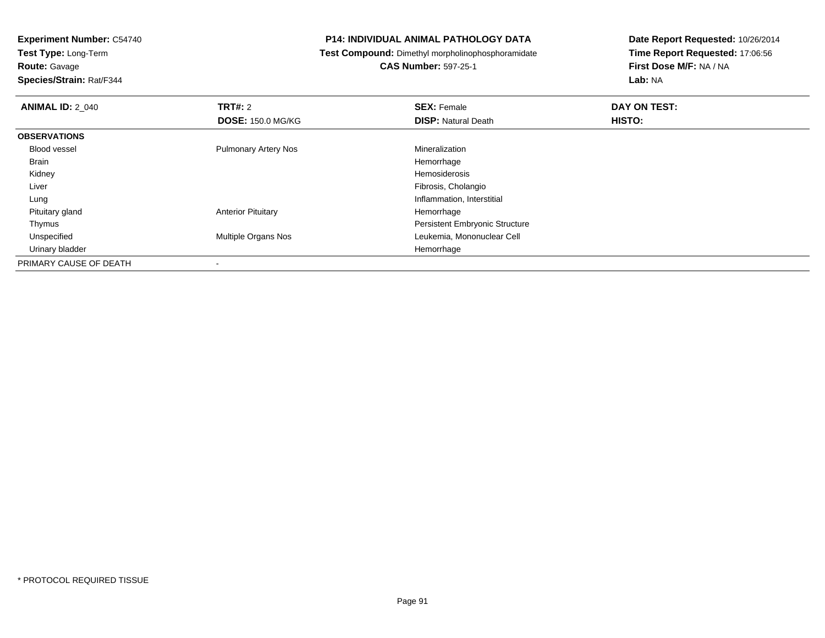**Experiment Number:** C54740**Test Type:** Long-Term

**Route:** Gavage

**Species/Strain:** Rat/F344

### **P14: INDIVIDUAL ANIMAL PATHOLOGY DATA**

**Test Compound:** Dimethyl morpholinophosphoramidate

**CAS Number:** 597-25-1

| <b>ANIMAL ID: 2_040</b> | TRT#: 2                     | <b>SEX: Female</b>                    | DAY ON TEST: |
|-------------------------|-----------------------------|---------------------------------------|--------------|
|                         | <b>DOSE: 150.0 MG/KG</b>    | <b>DISP: Natural Death</b>            | HISTO:       |
| <b>OBSERVATIONS</b>     |                             |                                       |              |
| <b>Blood vessel</b>     | <b>Pulmonary Artery Nos</b> | Mineralization                        |              |
| <b>Brain</b>            |                             | Hemorrhage                            |              |
| Kidney                  |                             | Hemosiderosis                         |              |
| Liver                   |                             | Fibrosis, Cholangio                   |              |
| Lung                    |                             | Inflammation, Interstitial            |              |
| Pituitary gland         | <b>Anterior Pituitary</b>   | Hemorrhage                            |              |
| Thymus                  |                             | <b>Persistent Embryonic Structure</b> |              |
| Unspecified             | <b>Multiple Organs Nos</b>  | Leukemia, Mononuclear Cell            |              |
| Urinary bladder         |                             | Hemorrhage                            |              |
| PRIMARY CAUSE OF DEATH  |                             |                                       |              |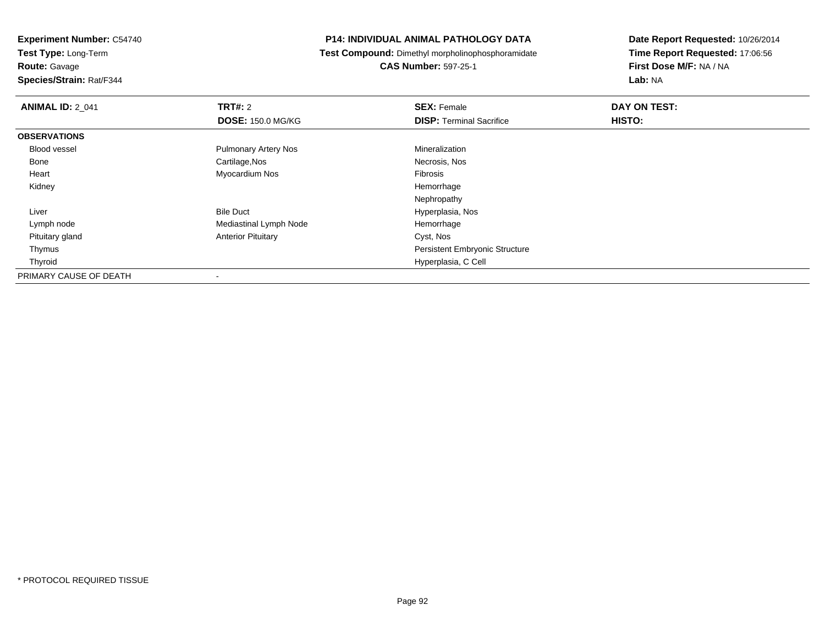**Experiment Number:** C54740**Test Type:** Long-Term

**Route:** Gavage

**Species/Strain:** Rat/F344

### **P14: INDIVIDUAL ANIMAL PATHOLOGY DATA**

**Test Compound:** Dimethyl morpholinophosphoramidate

**CAS Number:** 597-25-1

| <b>ANIMAL ID: 2 041</b> | TRT#: 2                     | <b>SEX: Female</b>                    | DAY ON TEST: |
|-------------------------|-----------------------------|---------------------------------------|--------------|
|                         | <b>DOSE: 150.0 MG/KG</b>    | <b>DISP: Terminal Sacrifice</b>       | HISTO:       |
| <b>OBSERVATIONS</b>     |                             |                                       |              |
| Blood vessel            | <b>Pulmonary Artery Nos</b> | Mineralization                        |              |
| Bone                    | Cartilage, Nos              | Necrosis, Nos                         |              |
| Heart                   | Myocardium Nos              | Fibrosis                              |              |
| Kidney                  |                             | Hemorrhage                            |              |
|                         |                             | Nephropathy                           |              |
| Liver                   | <b>Bile Duct</b>            | Hyperplasia, Nos                      |              |
| Lymph node              | Mediastinal Lymph Node      | Hemorrhage                            |              |
| Pituitary gland         | <b>Anterior Pituitary</b>   | Cyst, Nos                             |              |
| Thymus                  |                             | <b>Persistent Embryonic Structure</b> |              |
| Thyroid                 |                             | Hyperplasia, C Cell                   |              |
| PRIMARY CAUSE OF DEATH  | $\overline{\phantom{a}}$    |                                       |              |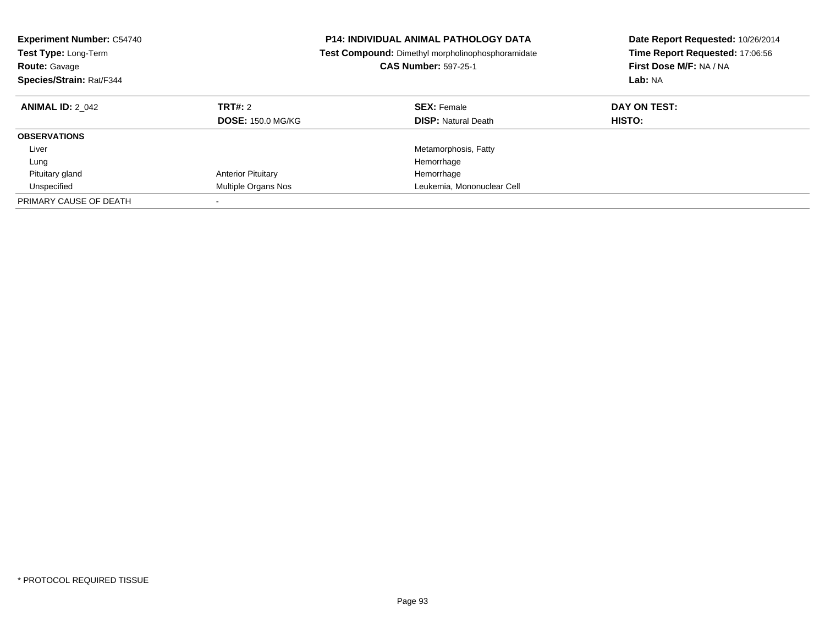| <b>Experiment Number: C54740</b><br><b>Test Type: Long-Term</b><br><b>Route: Gavage</b><br>Species/Strain: Rat/F344 | <b>P14: INDIVIDUAL ANIMAL PATHOLOGY DATA</b><br><b>Test Compound:</b> Dimethyl morpholinophosphoramidate<br><b>CAS Number: 597-25-1</b> |                                                  | Date Report Requested: 10/26/2014<br>Time Report Requested: 17:06:56<br>First Dose M/F: NA / NA<br>Lab: NA |
|---------------------------------------------------------------------------------------------------------------------|-----------------------------------------------------------------------------------------------------------------------------------------|--------------------------------------------------|------------------------------------------------------------------------------------------------------------|
| <b>ANIMAL ID: 2 042</b>                                                                                             | TRT#: 2<br><b>DOSE: 150.0 MG/KG</b>                                                                                                     | <b>SEX: Female</b><br><b>DISP:</b> Natural Death | DAY ON TEST:<br>HISTO:                                                                                     |
| <b>OBSERVATIONS</b>                                                                                                 |                                                                                                                                         |                                                  |                                                                                                            |
| Liver                                                                                                               |                                                                                                                                         | Metamorphosis, Fatty                             |                                                                                                            |
| Lung                                                                                                                |                                                                                                                                         | Hemorrhage                                       |                                                                                                            |
| Pituitary gland                                                                                                     | <b>Anterior Pituitary</b>                                                                                                               | Hemorrhage                                       |                                                                                                            |
| Unspecified                                                                                                         | Multiple Organs Nos                                                                                                                     | Leukemia, Mononuclear Cell                       |                                                                                                            |
| PRIMARY CAUSE OF DEATH                                                                                              |                                                                                                                                         |                                                  |                                                                                                            |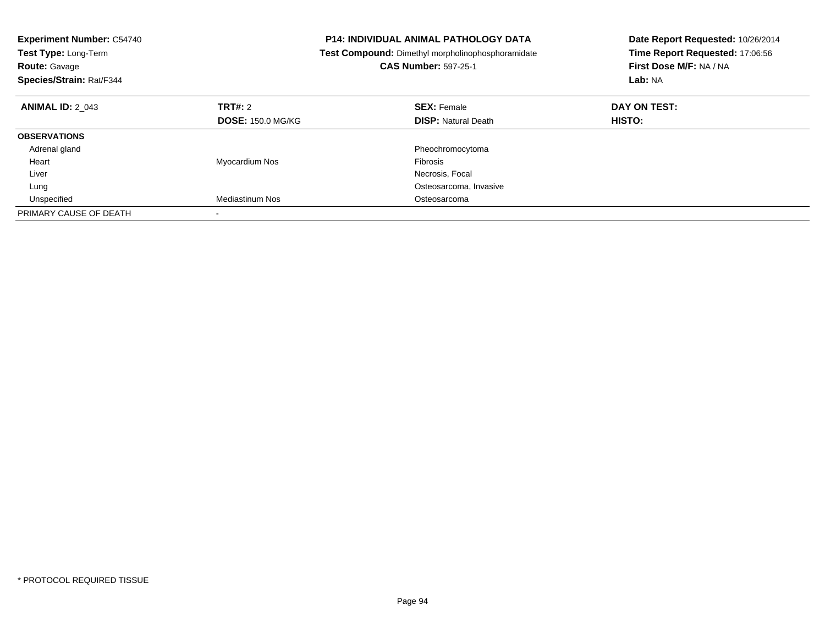| <b>Experiment Number: C54740</b><br>Test Type: Long-Term<br><b>Route: Gavage</b><br>Species/Strain: Rat/F344 |                          | <b>P14: INDIVIDUAL ANIMAL PATHOLOGY DATA</b><br>Test Compound: Dimethyl morpholinophosphoramidate<br><b>CAS Number: 597-25-1</b> | Date Report Requested: 10/26/2014<br>Time Report Requested: 17:06:56<br>First Dose M/F: NA / NA<br>Lab: NA |
|--------------------------------------------------------------------------------------------------------------|--------------------------|----------------------------------------------------------------------------------------------------------------------------------|------------------------------------------------------------------------------------------------------------|
| <b>ANIMAL ID: 2 043</b>                                                                                      | TRT#: 2                  | <b>SEX: Female</b>                                                                                                               | DAY ON TEST:                                                                                               |
|                                                                                                              | <b>DOSE: 150.0 MG/KG</b> | <b>DISP:</b> Natural Death                                                                                                       | HISTO:                                                                                                     |
| <b>OBSERVATIONS</b>                                                                                          |                          |                                                                                                                                  |                                                                                                            |
| Adrenal gland                                                                                                |                          | Pheochromocytoma                                                                                                                 |                                                                                                            |
| Heart                                                                                                        | Myocardium Nos           | Fibrosis                                                                                                                         |                                                                                                            |
| Liver                                                                                                        |                          | Necrosis, Focal                                                                                                                  |                                                                                                            |
| Lung                                                                                                         |                          | Osteosarcoma, Invasive                                                                                                           |                                                                                                            |
| Unspecified                                                                                                  | Mediastinum Nos          | Osteosarcoma                                                                                                                     |                                                                                                            |
| PRIMARY CAUSE OF DEATH                                                                                       |                          |                                                                                                                                  |                                                                                                            |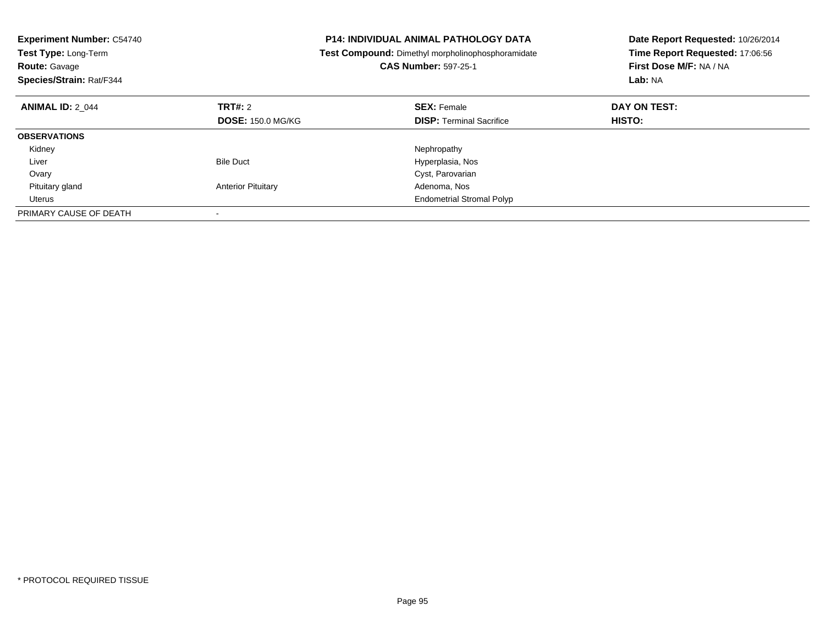| <b>Experiment Number: C54740</b><br>Test Type: Long-Term<br><b>Route: Gavage</b><br>Species/Strain: Rat/F344 |                           | <b>P14: INDIVIDUAL ANIMAL PATHOLOGY DATA</b><br><b>Test Compound:</b> Dimethyl morpholinophosphoramidate<br><b>CAS Number: 597-25-1</b> | Date Report Requested: 10/26/2014<br>Time Report Requested: 17:06:56<br>First Dose M/F: NA / NA<br>Lab: NA |
|--------------------------------------------------------------------------------------------------------------|---------------------------|-----------------------------------------------------------------------------------------------------------------------------------------|------------------------------------------------------------------------------------------------------------|
| <b>ANIMAL ID: 2 044</b>                                                                                      | <b>TRT#: 2</b>            | <b>SEX: Female</b>                                                                                                                      | DAY ON TEST:                                                                                               |
|                                                                                                              | <b>DOSE: 150.0 MG/KG</b>  | <b>DISP:</b> Terminal Sacrifice                                                                                                         | <b>HISTO:</b>                                                                                              |
| <b>OBSERVATIONS</b>                                                                                          |                           |                                                                                                                                         |                                                                                                            |
| Kidney                                                                                                       |                           | Nephropathy                                                                                                                             |                                                                                                            |
| Liver                                                                                                        | <b>Bile Duct</b>          | Hyperplasia, Nos                                                                                                                        |                                                                                                            |
| Ovary                                                                                                        |                           | Cyst, Parovarian                                                                                                                        |                                                                                                            |
| Pituitary gland                                                                                              | <b>Anterior Pituitary</b> | Adenoma, Nos                                                                                                                            |                                                                                                            |
| Uterus                                                                                                       |                           | <b>Endometrial Stromal Polyp</b>                                                                                                        |                                                                                                            |
| PRIMARY CAUSE OF DEATH                                                                                       |                           |                                                                                                                                         |                                                                                                            |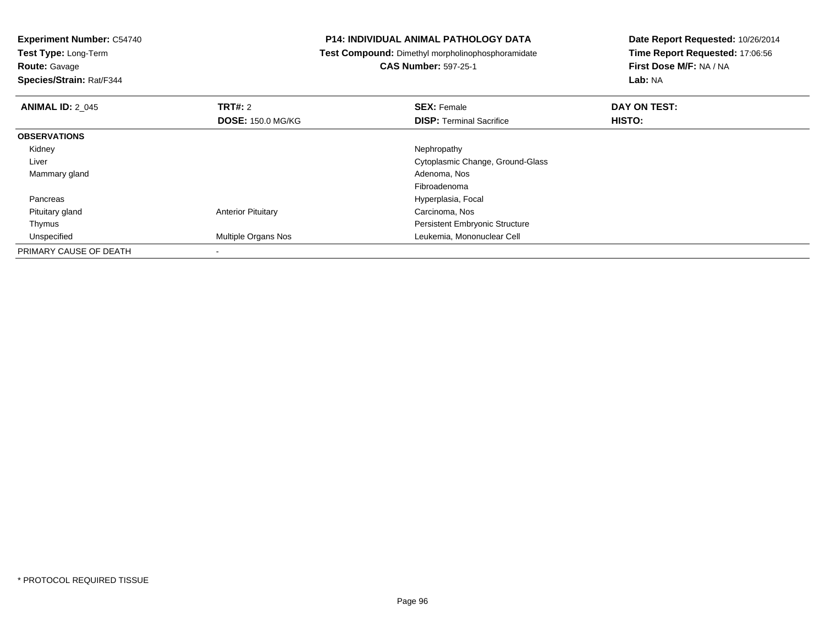**Experiment Number:** C54740**Test Type:** Long-Term**Route:** Gavage **Species/Strain:** Rat/F344**P14: INDIVIDUAL ANIMAL PATHOLOGY DATA Test Compound:** Dimethyl morpholinophosphoramidate**CAS Number:** 597-25-1**Date Report Requested:** 10/26/2014**Time Report Requested:** 17:06:56**First Dose M/F:** NA / NA**Lab:** NA**ANIMAL ID: 2 045 TRT#:** 2 **SEX:** Female **DAY ON TEST: DOSE:** 150.0 MG/KG**DISP:** Terminal Sacrifice **HISTO: OBSERVATIONS** Kidneyy the control of the control of the control of the control of the control of the control of the control of the control of the control of the control of the control of the control of the control of the control of the contro Liver Cytoplasmic Change, Ground-Glass Mammary gland Adenoma, Nos Fibroadenomas and the contract of the contract of the contract of the contract of the Hyperplasia, Focal Pancreas Pituitary glandAnterior Pituitary **Carcinoma**, Nos Thymus Persistent Embryonic Structure Unspecified Multiple Organs Nos Leukemia, Mononuclear Cell PRIMARY CAUSE OF DEATH-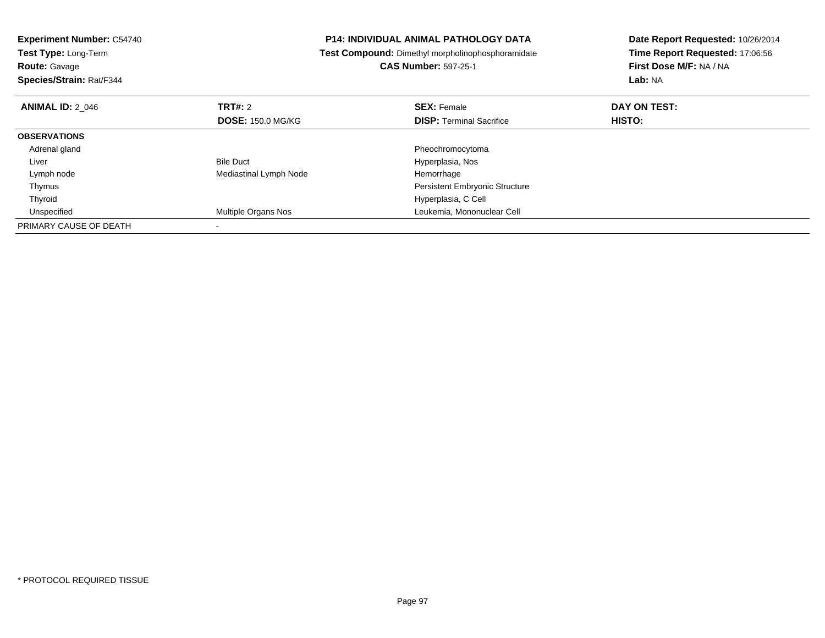| <b>Experiment Number: C54740</b> |                          | <b>P14: INDIVIDUAL ANIMAL PATHOLOGY DATA</b>      | Date Report Requested: 10/26/2014 |
|----------------------------------|--------------------------|---------------------------------------------------|-----------------------------------|
| <b>Test Type: Long-Term</b>      |                          | Test Compound: Dimethyl morpholinophosphoramidate | Time Report Requested: 17:06:56   |
| <b>Route: Gavage</b>             |                          | <b>CAS Number: 597-25-1</b>                       | First Dose M/F: NA / NA           |
| Species/Strain: Rat/F344         |                          |                                                   | Lab: NA                           |
| <b>ANIMAL ID: 2 046</b>          | TRT#: 2                  | <b>SEX: Female</b>                                | DAY ON TEST:                      |
|                                  | <b>DOSE: 150.0 MG/KG</b> | <b>DISP:</b> Terminal Sacrifice                   | HISTO:                            |
| <b>OBSERVATIONS</b>              |                          |                                                   |                                   |
| Adrenal gland                    |                          | Pheochromocytoma                                  |                                   |
| Liver                            | <b>Bile Duct</b>         | Hyperplasia, Nos                                  |                                   |
| Lymph node                       | Mediastinal Lymph Node   | Hemorrhage                                        |                                   |
| Thymus                           |                          | <b>Persistent Embryonic Structure</b>             |                                   |
| Thyroid                          |                          | Hyperplasia, C Cell                               |                                   |
| Unspecified                      | Multiple Organs Nos      | Leukemia, Mononuclear Cell                        |                                   |
| PRIMARY CAUSE OF DEATH           |                          |                                                   |                                   |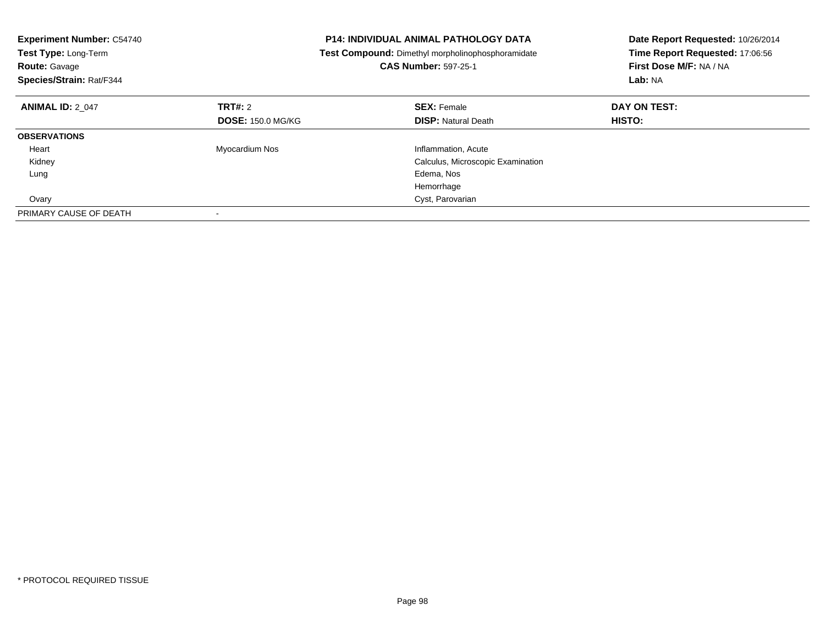| <b>Experiment Number: C54740</b><br>Test Type: Long-Term<br><b>Route: Gavage</b><br>Species/Strain: Rat/F344 |                          | <b>P14: INDIVIDUAL ANIMAL PATHOLOGY DATA</b><br>Test Compound: Dimethyl morpholinophosphoramidate<br><b>CAS Number: 597-25-1</b> | Date Report Requested: 10/26/2014<br>Time Report Requested: 17:06:56<br>First Dose M/F: NA / NA<br>Lab: NA |
|--------------------------------------------------------------------------------------------------------------|--------------------------|----------------------------------------------------------------------------------------------------------------------------------|------------------------------------------------------------------------------------------------------------|
| <b>ANIMAL ID: 2 047</b>                                                                                      | TRT#: 2                  | <b>SEX: Female</b>                                                                                                               | DAY ON TEST:                                                                                               |
|                                                                                                              | <b>DOSE: 150.0 MG/KG</b> | <b>DISP:</b> Natural Death                                                                                                       | <b>HISTO:</b>                                                                                              |
| <b>OBSERVATIONS</b>                                                                                          |                          |                                                                                                                                  |                                                                                                            |
| Heart                                                                                                        | Myocardium Nos           | Inflammation, Acute                                                                                                              |                                                                                                            |
| Kidney                                                                                                       |                          | Calculus, Microscopic Examination                                                                                                |                                                                                                            |
| Lung                                                                                                         |                          | Edema, Nos                                                                                                                       |                                                                                                            |
|                                                                                                              |                          | Hemorrhage                                                                                                                       |                                                                                                            |
| Ovary                                                                                                        |                          | Cyst, Parovarian                                                                                                                 |                                                                                                            |
| PRIMARY CAUSE OF DEATH                                                                                       |                          |                                                                                                                                  |                                                                                                            |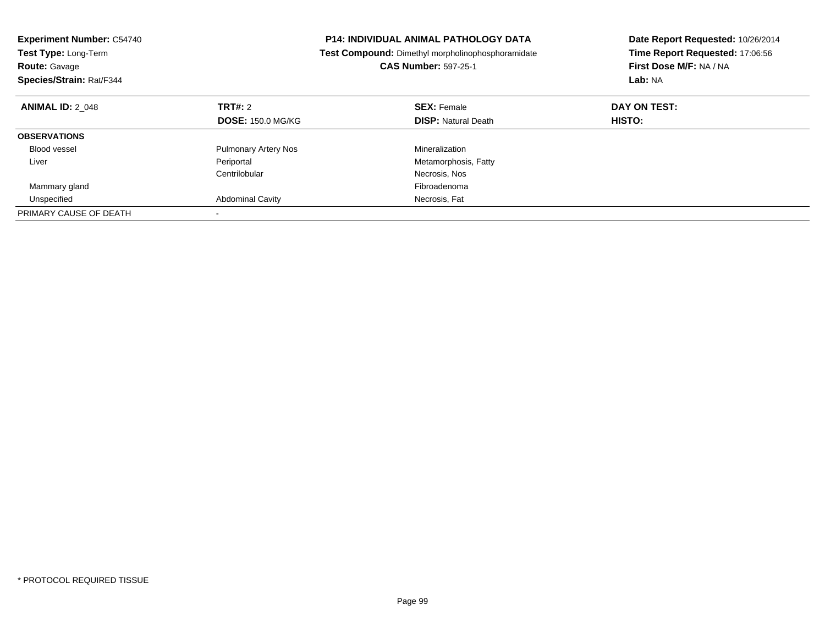| <b>Experiment Number: C54740</b><br>Test Type: Long-Term<br><b>Route: Gavage</b><br>Species/Strain: Rat/F344 |                             | <b>P14: INDIVIDUAL ANIMAL PATHOLOGY DATA</b><br>Test Compound: Dimethyl morpholinophosphoramidate<br><b>CAS Number: 597-25-1</b> | Date Report Requested: 10/26/2014<br>Time Report Requested: 17:06:56<br>First Dose M/F: NA / NA<br>Lab: NA |
|--------------------------------------------------------------------------------------------------------------|-----------------------------|----------------------------------------------------------------------------------------------------------------------------------|------------------------------------------------------------------------------------------------------------|
| <b>ANIMAL ID: 2 048</b>                                                                                      | TRT#: 2                     | <b>SEX: Female</b>                                                                                                               | DAY ON TEST:                                                                                               |
|                                                                                                              | <b>DOSE: 150.0 MG/KG</b>    | <b>DISP:</b> Natural Death                                                                                                       | HISTO:                                                                                                     |
| <b>OBSERVATIONS</b>                                                                                          |                             |                                                                                                                                  |                                                                                                            |
| <b>Blood vessel</b>                                                                                          | <b>Pulmonary Artery Nos</b> | Mineralization                                                                                                                   |                                                                                                            |
| Liver                                                                                                        | Periportal                  | Metamorphosis, Fatty                                                                                                             |                                                                                                            |
|                                                                                                              | Centrilobular               | Necrosis, Nos                                                                                                                    |                                                                                                            |
| Mammary gland                                                                                                |                             | Fibroadenoma                                                                                                                     |                                                                                                            |
| Unspecified                                                                                                  | <b>Abdominal Cavity</b>     | Necrosis, Fat                                                                                                                    |                                                                                                            |
| PRIMARY CAUSE OF DEATH                                                                                       |                             |                                                                                                                                  |                                                                                                            |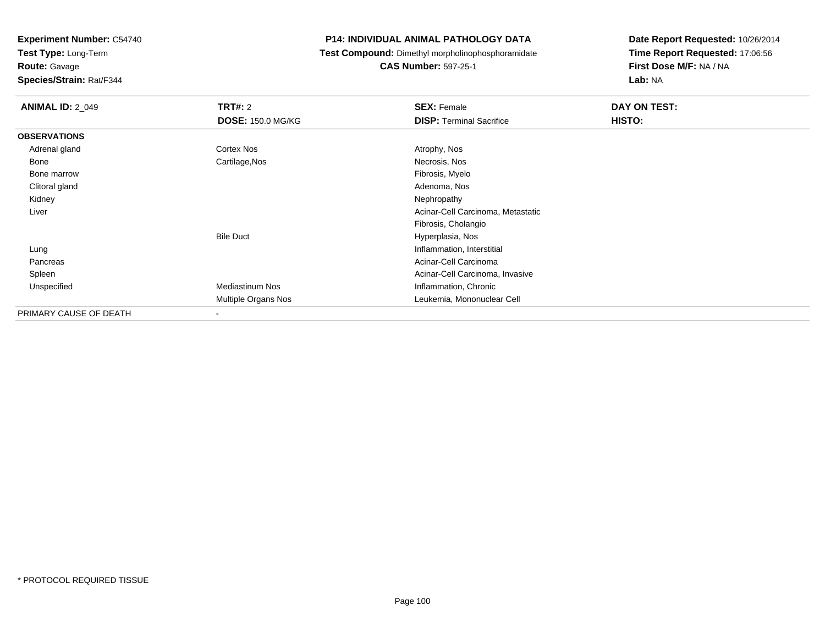**Test Type:** Long-Term

# **Route:** Gavage

**Species/Strain:** Rat/F344

### **P14: INDIVIDUAL ANIMAL PATHOLOGY DATA**

## **Test Compound:** Dimethyl morpholinophosphoramidate

**CAS Number:** 597-25-1

| <b>ANIMAL ID: 2_049</b> | <b>TRT#: 2</b>           | <b>SEX: Female</b>                | DAY ON TEST: |
|-------------------------|--------------------------|-----------------------------------|--------------|
|                         | <b>DOSE: 150.0 MG/KG</b> | <b>DISP:</b> Terminal Sacrifice   | HISTO:       |
| <b>OBSERVATIONS</b>     |                          |                                   |              |
| Adrenal gland           | Cortex Nos               | Atrophy, Nos                      |              |
| Bone                    | Cartilage, Nos           | Necrosis, Nos                     |              |
| Bone marrow             |                          | Fibrosis, Myelo                   |              |
| Clitoral gland          |                          | Adenoma, Nos                      |              |
| Kidney                  |                          | Nephropathy                       |              |
| Liver                   |                          | Acinar-Cell Carcinoma, Metastatic |              |
|                         |                          | Fibrosis, Cholangio               |              |
|                         | <b>Bile Duct</b>         | Hyperplasia, Nos                  |              |
| Lung                    |                          | Inflammation, Interstitial        |              |
| Pancreas                |                          | Acinar-Cell Carcinoma             |              |
| Spleen                  |                          | Acinar-Cell Carcinoma, Invasive   |              |
| Unspecified             | <b>Mediastinum Nos</b>   | Inflammation, Chronic             |              |
|                         | Multiple Organs Nos      | Leukemia, Mononuclear Cell        |              |
| PRIMARY CAUSE OF DEATH  | ۰                        |                                   |              |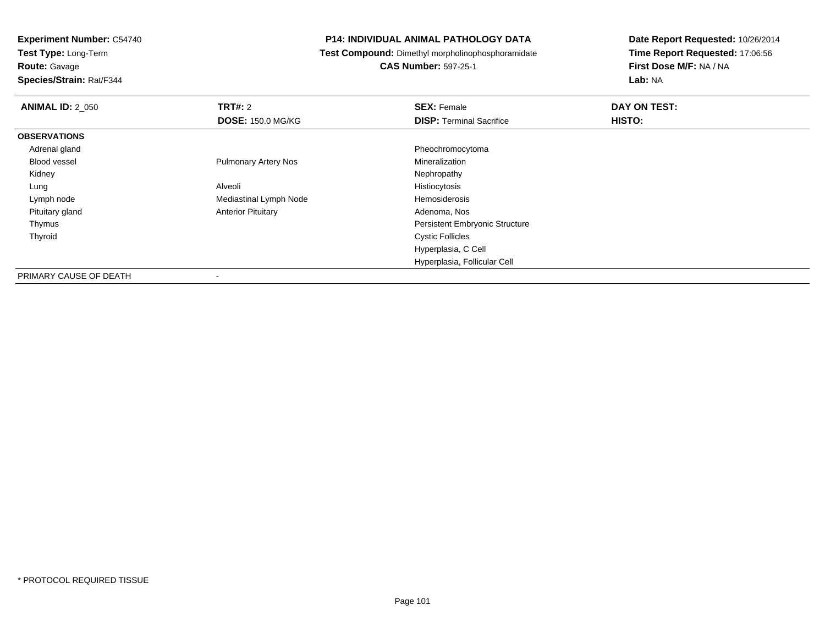**Test Type:** Long-Term

**Route:** Gavage

**Species/Strain:** Rat/F344

### **P14: INDIVIDUAL ANIMAL PATHOLOGY DATA**

**Test Compound:** Dimethyl morpholinophosphoramidate

**CAS Number:** 597-25-1

| <b>ANIMAL ID: 2 050</b> | TRT#: 2                     | <b>SEX: Female</b>                    | DAY ON TEST: |
|-------------------------|-----------------------------|---------------------------------------|--------------|
|                         | <b>DOSE: 150.0 MG/KG</b>    | <b>DISP: Terminal Sacrifice</b>       | HISTO:       |
| <b>OBSERVATIONS</b>     |                             |                                       |              |
| Adrenal gland           |                             | Pheochromocytoma                      |              |
| Blood vessel            | <b>Pulmonary Artery Nos</b> | Mineralization                        |              |
| Kidney                  |                             | Nephropathy                           |              |
| Lung                    | Alveoli                     | Histiocytosis                         |              |
| Lymph node              | Mediastinal Lymph Node      | Hemosiderosis                         |              |
| Pituitary gland         | <b>Anterior Pituitary</b>   | Adenoma, Nos                          |              |
| Thymus                  |                             | <b>Persistent Embryonic Structure</b> |              |
| Thyroid                 |                             | <b>Cystic Follicles</b>               |              |
|                         |                             | Hyperplasia, C Cell                   |              |
|                         |                             | Hyperplasia, Follicular Cell          |              |
| PRIMARY CAUSE OF DEATH  | ۰                           |                                       |              |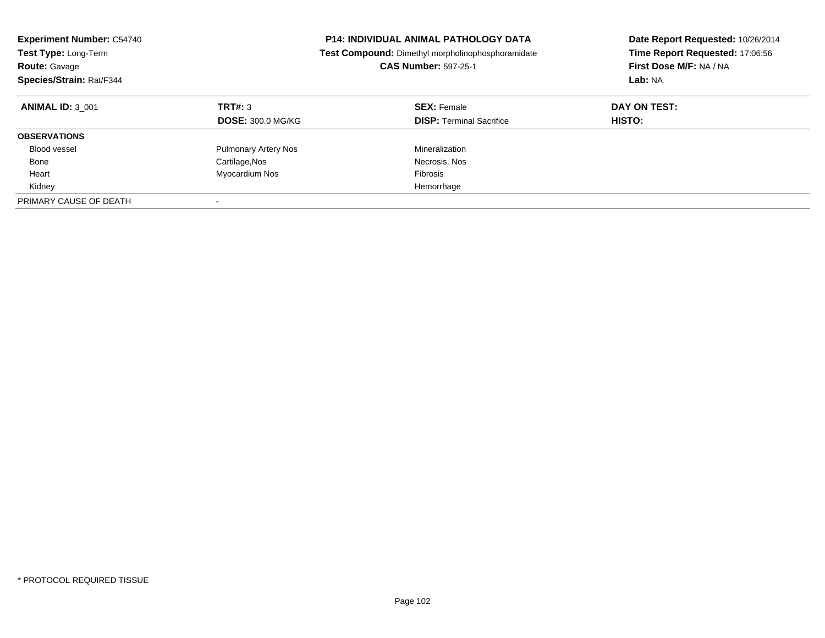| <b>Experiment Number: C54740</b><br>Test Type: Long-Term<br><b>Route: Gavage</b><br>Species/Strain: Rat/F344 | <b>P14: INDIVIDUAL ANIMAL PATHOLOGY DATA</b><br>Test Compound: Dimethyl morpholinophosphoramidate<br><b>CAS Number: 597-25-1</b> |                                                       | Date Report Requested: 10/26/2014<br>Time Report Requested: 17:06:56<br>First Dose M/F: NA / NA<br>Lab: NA |
|--------------------------------------------------------------------------------------------------------------|----------------------------------------------------------------------------------------------------------------------------------|-------------------------------------------------------|------------------------------------------------------------------------------------------------------------|
| <b>ANIMAL ID: 3 001</b>                                                                                      | <b>TRT#: 3</b><br><b>DOSE: 300.0 MG/KG</b>                                                                                       | <b>SEX: Female</b><br><b>DISP:</b> Terminal Sacrifice | DAY ON TEST:<br>HISTO:                                                                                     |
| <b>OBSERVATIONS</b>                                                                                          |                                                                                                                                  |                                                       |                                                                                                            |
| Blood vessel                                                                                                 | <b>Pulmonary Artery Nos</b>                                                                                                      | Mineralization                                        |                                                                                                            |
| Bone                                                                                                         | Cartilage, Nos                                                                                                                   | Necrosis, Nos                                         |                                                                                                            |
| Heart                                                                                                        | Myocardium Nos                                                                                                                   | Fibrosis                                              |                                                                                                            |
| Kidney                                                                                                       |                                                                                                                                  | Hemorrhage                                            |                                                                                                            |
| PRIMARY CAUSE OF DEATH                                                                                       |                                                                                                                                  |                                                       |                                                                                                            |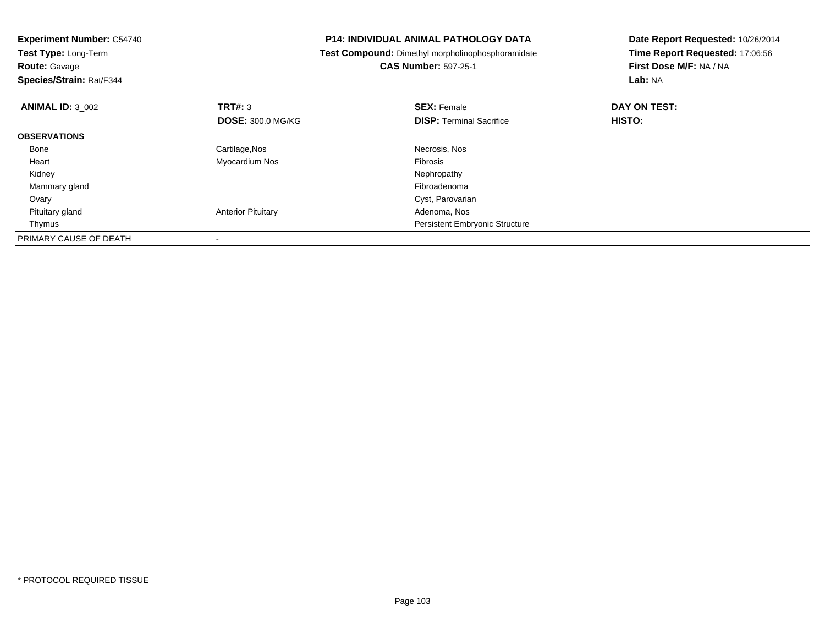| <b>Experiment Number: C54740</b><br>Test Type: Long-Term<br><b>Route: Gavage</b><br>Species/Strain: Rat/F344 |                           | <b>P14: INDIVIDUAL ANIMAL PATHOLOGY DATA</b><br>Test Compound: Dimethyl morpholinophosphoramidate<br><b>CAS Number: 597-25-1</b> | Date Report Requested: 10/26/2014<br>Time Report Requested: 17:06:56<br>First Dose M/F: NA / NA<br>Lab: NA |
|--------------------------------------------------------------------------------------------------------------|---------------------------|----------------------------------------------------------------------------------------------------------------------------------|------------------------------------------------------------------------------------------------------------|
| <b>ANIMAL ID: 3 002</b>                                                                                      | <b>TRT#: 3</b>            | <b>SEX: Female</b>                                                                                                               | DAY ON TEST:                                                                                               |
|                                                                                                              | <b>DOSE: 300.0 MG/KG</b>  | <b>DISP:</b> Terminal Sacrifice                                                                                                  | HISTO:                                                                                                     |
| <b>OBSERVATIONS</b>                                                                                          |                           |                                                                                                                                  |                                                                                                            |
| Bone                                                                                                         | Cartilage, Nos            | Necrosis, Nos                                                                                                                    |                                                                                                            |
| Heart                                                                                                        | Myocardium Nos            | Fibrosis                                                                                                                         |                                                                                                            |
| Kidney                                                                                                       |                           | Nephropathy                                                                                                                      |                                                                                                            |
| Mammary gland                                                                                                |                           | Fibroadenoma                                                                                                                     |                                                                                                            |
| Ovary                                                                                                        |                           | Cyst, Parovarian                                                                                                                 |                                                                                                            |
| Pituitary gland                                                                                              | <b>Anterior Pituitary</b> | Adenoma, Nos                                                                                                                     |                                                                                                            |
| Thymus                                                                                                       |                           | <b>Persistent Embryonic Structure</b>                                                                                            |                                                                                                            |
| PRIMARY CAUSE OF DEATH                                                                                       |                           |                                                                                                                                  |                                                                                                            |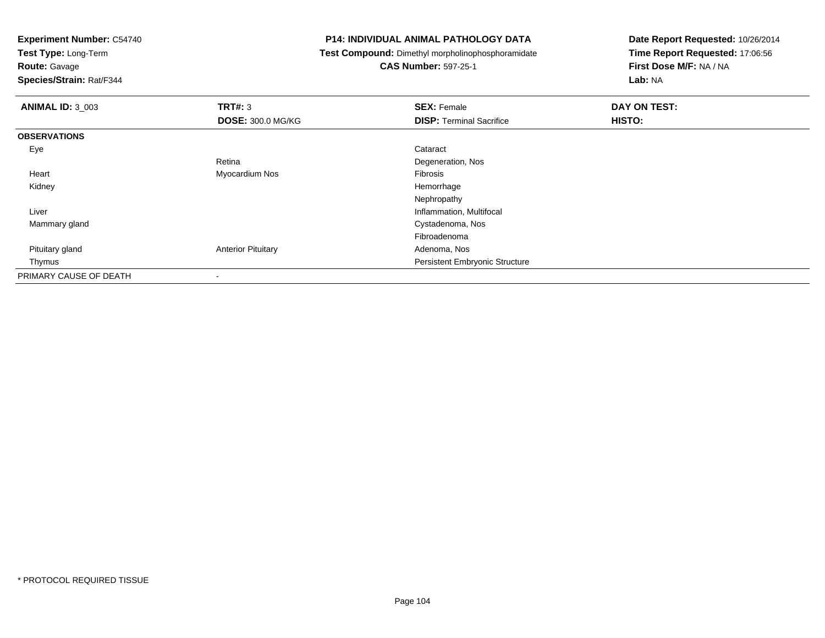**Test Type:** Long-Term

**Route:** Gavage

**Species/Strain:** Rat/F344

### **P14: INDIVIDUAL ANIMAL PATHOLOGY DATA**

**Test Compound:** Dimethyl morpholinophosphoramidate

### **CAS Number:** 597-25-1

| <b>ANIMAL ID: 3_003</b> | TRT#: 3                   | <b>SEX: Female</b>                    | DAY ON TEST: |
|-------------------------|---------------------------|---------------------------------------|--------------|
|                         | <b>DOSE: 300.0 MG/KG</b>  | <b>DISP: Terminal Sacrifice</b>       | HISTO:       |
| <b>OBSERVATIONS</b>     |                           |                                       |              |
| Eye                     |                           | Cataract                              |              |
|                         | Retina                    | Degeneration, Nos                     |              |
| Heart                   | Myocardium Nos            | Fibrosis                              |              |
| Kidney                  |                           | Hemorrhage                            |              |
|                         |                           | Nephropathy                           |              |
| Liver                   |                           | Inflammation, Multifocal              |              |
| Mammary gland           |                           | Cystadenoma, Nos                      |              |
|                         |                           | Fibroadenoma                          |              |
| Pituitary gland         | <b>Anterior Pituitary</b> | Adenoma, Nos                          |              |
| Thymus                  |                           | <b>Persistent Embryonic Structure</b> |              |
| PRIMARY CAUSE OF DEATH  | $\overline{\phantom{a}}$  |                                       |              |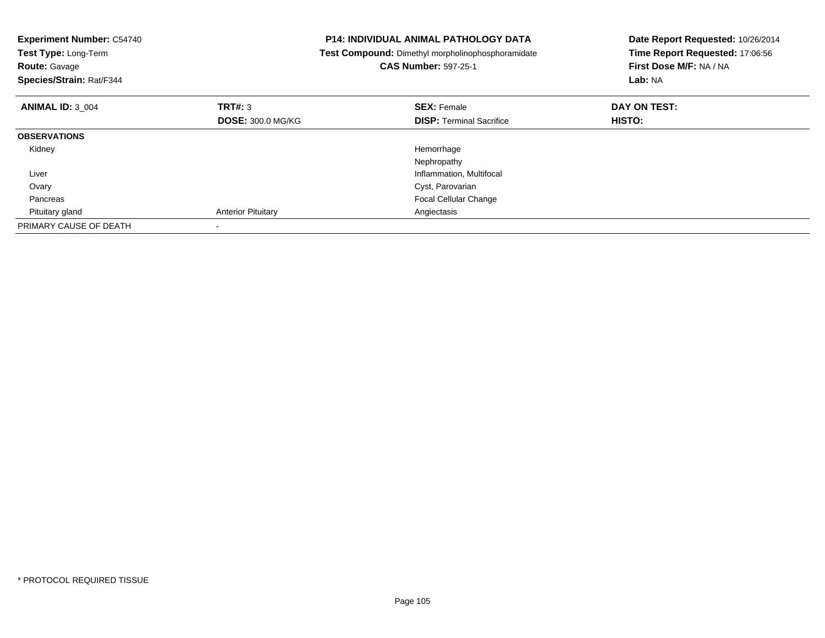| <b>Experiment Number: C54740</b><br>Test Type: Long-Term<br><b>Route: Gavage</b><br>Species/Strain: Rat/F344 |                           | <b>P14: INDIVIDUAL ANIMAL PATHOLOGY DATA</b><br>Test Compound: Dimethyl morpholinophosphoramidate<br><b>CAS Number: 597-25-1</b> | Date Report Requested: 10/26/2014<br>Time Report Requested: 17:06:56<br>First Dose M/F: NA / NA<br>Lab: NA |
|--------------------------------------------------------------------------------------------------------------|---------------------------|----------------------------------------------------------------------------------------------------------------------------------|------------------------------------------------------------------------------------------------------------|
| <b>ANIMAL ID: 3 004</b>                                                                                      | TRT#: 3                   | <b>SEX: Female</b>                                                                                                               | DAY ON TEST:                                                                                               |
|                                                                                                              | <b>DOSE: 300.0 MG/KG</b>  | <b>DISP:</b> Terminal Sacrifice                                                                                                  | <b>HISTO:</b>                                                                                              |
| <b>OBSERVATIONS</b>                                                                                          |                           |                                                                                                                                  |                                                                                                            |
| Kidney                                                                                                       |                           | Hemorrhage                                                                                                                       |                                                                                                            |
|                                                                                                              |                           | Nephropathy                                                                                                                      |                                                                                                            |
| Liver                                                                                                        |                           | Inflammation, Multifocal                                                                                                         |                                                                                                            |
| Ovary                                                                                                        |                           | Cyst, Parovarian                                                                                                                 |                                                                                                            |
| Pancreas                                                                                                     |                           | Focal Cellular Change                                                                                                            |                                                                                                            |
| Pituitary gland                                                                                              | <b>Anterior Pituitary</b> | Angiectasis                                                                                                                      |                                                                                                            |
| PRIMARY CAUSE OF DEATH                                                                                       |                           |                                                                                                                                  |                                                                                                            |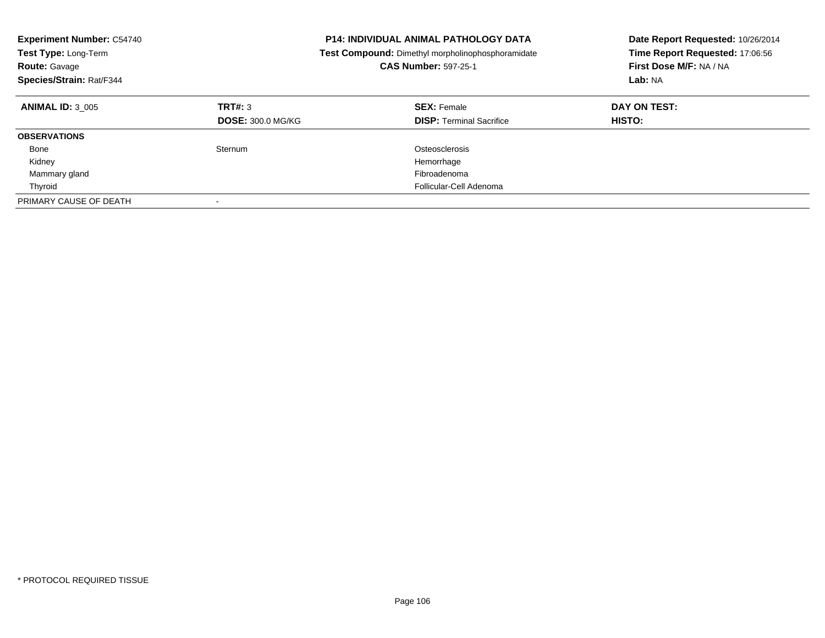| <b>Experiment Number: C54740</b><br>Test Type: Long-Term<br><b>Route: Gavage</b><br>Species/Strain: Rat/F344 |                                     | <b>P14: INDIVIDUAL ANIMAL PATHOLOGY DATA</b><br>Test Compound: Dimethyl morpholinophosphoramidate<br><b>CAS Number: 597-25-1</b> | Date Report Requested: 10/26/2014<br>Time Report Requested: 17:06:56<br>First Dose M/F: NA / NA<br>Lab: NA |
|--------------------------------------------------------------------------------------------------------------|-------------------------------------|----------------------------------------------------------------------------------------------------------------------------------|------------------------------------------------------------------------------------------------------------|
| <b>ANIMAL ID: 3 005</b>                                                                                      | TRT#: 3<br><b>DOSE: 300.0 MG/KG</b> | <b>SEX: Female</b><br><b>DISP: Terminal Sacrifice</b>                                                                            | DAY ON TEST:<br><b>HISTO:</b>                                                                              |
| <b>OBSERVATIONS</b>                                                                                          |                                     |                                                                                                                                  |                                                                                                            |
| Bone                                                                                                         | Sternum                             | Osteosclerosis                                                                                                                   |                                                                                                            |
| Kidney                                                                                                       |                                     | Hemorrhage                                                                                                                       |                                                                                                            |
| Mammary gland                                                                                                |                                     | Fibroadenoma                                                                                                                     |                                                                                                            |
| Thyroid                                                                                                      |                                     | Follicular-Cell Adenoma                                                                                                          |                                                                                                            |
| PRIMARY CAUSE OF DEATH                                                                                       |                                     |                                                                                                                                  |                                                                                                            |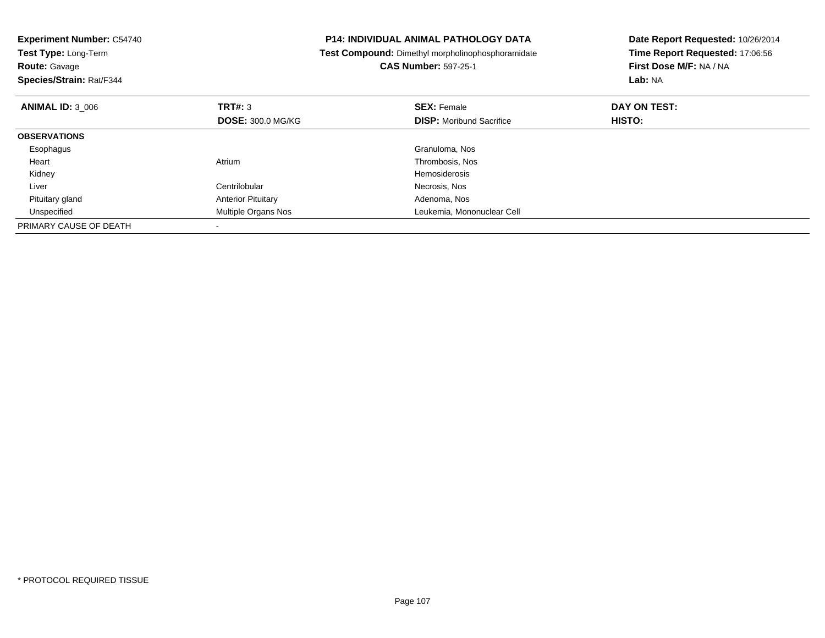| <b>Experiment Number: C54740</b><br>Test Type: Long-Term<br><b>Route: Gavage</b><br>Species/Strain: Rat/F344 |                           | <b>P14: INDIVIDUAL ANIMAL PATHOLOGY DATA</b><br>Test Compound: Dimethyl morpholinophosphoramidate<br><b>CAS Number: 597-25-1</b> | Date Report Requested: 10/26/2014<br>Time Report Requested: 17:06:56<br>First Dose M/F: NA / NA<br>Lab: NA |
|--------------------------------------------------------------------------------------------------------------|---------------------------|----------------------------------------------------------------------------------------------------------------------------------|------------------------------------------------------------------------------------------------------------|
| <b>ANIMAL ID: 3 006</b>                                                                                      | TRT#: 3                   | <b>SEX: Female</b>                                                                                                               | DAY ON TEST:                                                                                               |
|                                                                                                              | <b>DOSE: 300.0 MG/KG</b>  | <b>DISP:</b> Moribund Sacrifice                                                                                                  | <b>HISTO:</b>                                                                                              |
| <b>OBSERVATIONS</b>                                                                                          |                           |                                                                                                                                  |                                                                                                            |
| Esophagus                                                                                                    |                           | Granuloma, Nos                                                                                                                   |                                                                                                            |
| Heart                                                                                                        | Atrium                    | Thrombosis, Nos                                                                                                                  |                                                                                                            |
| Kidney                                                                                                       |                           | <b>Hemosiderosis</b>                                                                                                             |                                                                                                            |
| Liver                                                                                                        | Centrilobular             | Necrosis, Nos                                                                                                                    |                                                                                                            |
| Pituitary gland                                                                                              | <b>Anterior Pituitary</b> | Adenoma, Nos                                                                                                                     |                                                                                                            |
| Unspecified                                                                                                  | Multiple Organs Nos       | Leukemia, Mononuclear Cell                                                                                                       |                                                                                                            |
| PRIMARY CAUSE OF DEATH                                                                                       |                           |                                                                                                                                  |                                                                                                            |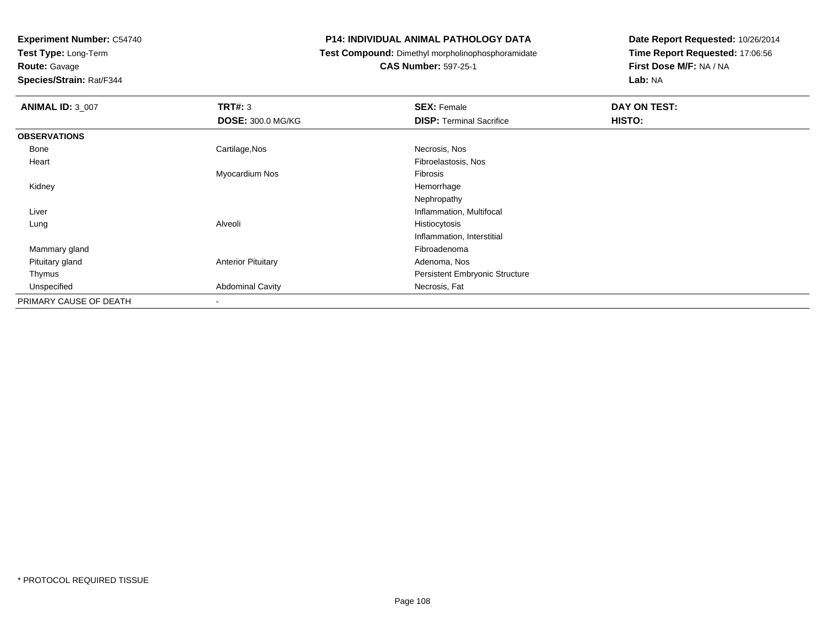**Test Type:** Long-Term

**Route:** Gavage

**Species/Strain:** Rat/F344

### **P14: INDIVIDUAL ANIMAL PATHOLOGY DATA**

**Test Compound:** Dimethyl morpholinophosphoramidate

**CAS Number:** 597-25-1

| <b>ANIMAL ID: 3_007</b> | TRT#: 3                   | <b>SEX: Female</b>                    | DAY ON TEST: |  |
|-------------------------|---------------------------|---------------------------------------|--------------|--|
|                         | <b>DOSE: 300.0 MG/KG</b>  | <b>DISP: Terminal Sacrifice</b>       | HISTO:       |  |
| <b>OBSERVATIONS</b>     |                           |                                       |              |  |
| Bone                    | Cartilage, Nos            | Necrosis, Nos                         |              |  |
| Heart                   |                           | Fibroelastosis, Nos                   |              |  |
|                         | Myocardium Nos            | Fibrosis                              |              |  |
| Kidney                  |                           | Hemorrhage                            |              |  |
|                         |                           | Nephropathy                           |              |  |
| Liver                   |                           | Inflammation, Multifocal              |              |  |
| Lung                    | Alveoli                   | Histiocytosis                         |              |  |
|                         |                           | Inflammation, Interstitial            |              |  |
| Mammary gland           |                           | Fibroadenoma                          |              |  |
| Pituitary gland         | <b>Anterior Pituitary</b> | Adenoma, Nos                          |              |  |
| Thymus                  |                           | <b>Persistent Embryonic Structure</b> |              |  |
| Unspecified             | <b>Abdominal Cavity</b>   | Necrosis, Fat                         |              |  |
| PRIMARY CAUSE OF DEATH  | $\overline{\phantom{a}}$  |                                       |              |  |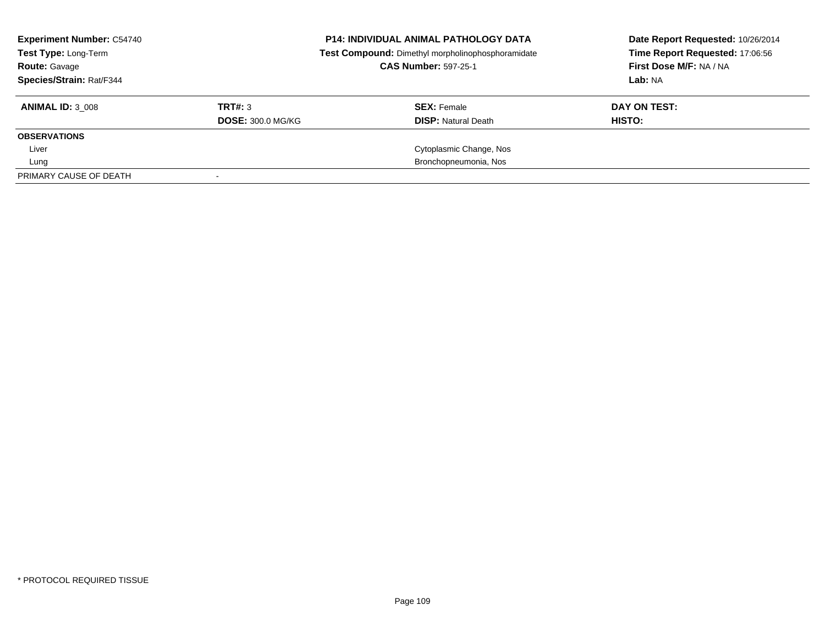| <b>Experiment Number: C54740</b><br>Test Type: Long-Term<br><b>Route: Gavage</b><br>Species/Strain: Rat/F344 |                                     | <b>P14: INDIVIDUAL ANIMAL PATHOLOGY DATA</b><br>Test Compound: Dimethyl morpholinophosphoramidate<br><b>CAS Number: 597-25-1</b> | Date Report Requested: 10/26/2014<br>Time Report Requested: 17:06:56<br>First Dose M/F: NA / NA<br>Lab: NA |
|--------------------------------------------------------------------------------------------------------------|-------------------------------------|----------------------------------------------------------------------------------------------------------------------------------|------------------------------------------------------------------------------------------------------------|
| <b>ANIMAL ID: 3 008</b>                                                                                      | TRT#: 3<br><b>DOSE: 300.0 MG/KG</b> | <b>SEX: Female</b><br><b>DISP: Natural Death</b>                                                                                 | DAY ON TEST:<br>HISTO:                                                                                     |
| <b>OBSERVATIONS</b>                                                                                          |                                     |                                                                                                                                  |                                                                                                            |
| Liver                                                                                                        |                                     | Cytoplasmic Change, Nos                                                                                                          |                                                                                                            |
| Lung                                                                                                         |                                     | Bronchopneumonia, Nos                                                                                                            |                                                                                                            |
| PRIMARY CAUSE OF DEATH                                                                                       |                                     |                                                                                                                                  |                                                                                                            |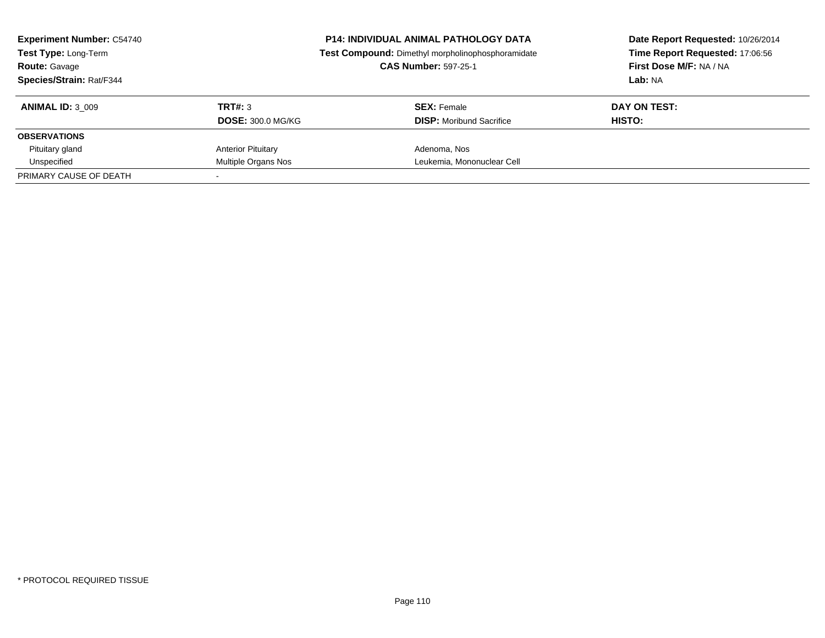| <b>Experiment Number: C54740</b><br><b>Test Type: Long-Term</b><br><b>Route: Gavage</b><br><b>Species/Strain: Rat/F344</b> |                                     | <b>P14: INDIVIDUAL ANIMAL PATHOLOGY DATA</b><br>Test Compound: Dimethyl morpholinophosphoramidate<br><b>CAS Number: 597-25-1</b> | Date Report Requested: 10/26/2014<br>Time Report Requested: 17:06:56<br>First Dose M/F: NA / NA<br>Lab: NA |
|----------------------------------------------------------------------------------------------------------------------------|-------------------------------------|----------------------------------------------------------------------------------------------------------------------------------|------------------------------------------------------------------------------------------------------------|
| <b>ANIMAL ID: 3 009</b>                                                                                                    | TRT#: 3<br><b>DOSE: 300.0 MG/KG</b> | <b>SEX:</b> Female<br><b>DISP:</b> Moribund Sacrifice                                                                            | DAY ON TEST:<br>HISTO:                                                                                     |
| <b>OBSERVATIONS</b>                                                                                                        |                                     |                                                                                                                                  |                                                                                                            |
| Pituitary gland                                                                                                            | <b>Anterior Pituitary</b>           | Adenoma, Nos                                                                                                                     |                                                                                                            |
| Unspecified                                                                                                                | Multiple Organs Nos                 | Leukemia, Mononuclear Cell                                                                                                       |                                                                                                            |
| PRIMARY CAUSE OF DEATH                                                                                                     |                                     |                                                                                                                                  |                                                                                                            |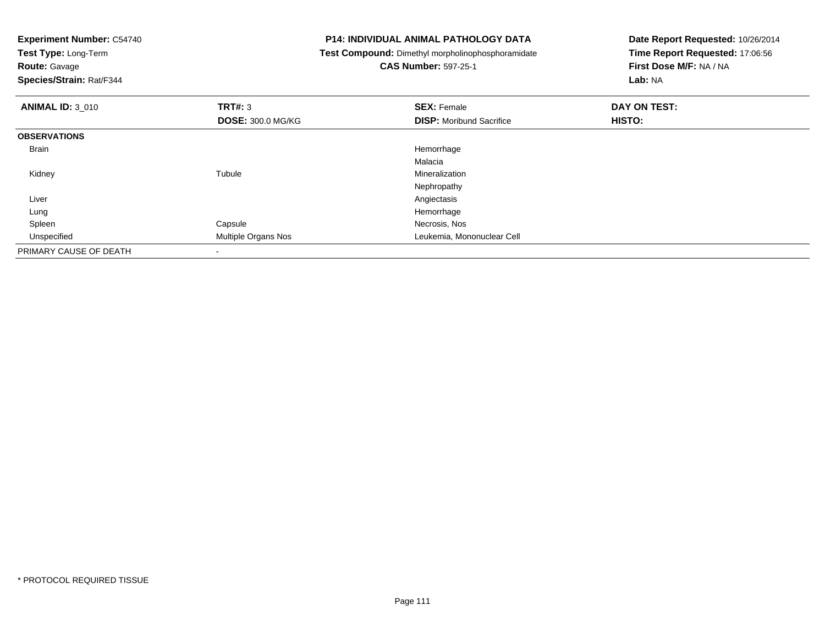| <b>Experiment Number: C54740</b><br>Test Type: Long-Term<br><b>Route: Gavage</b><br>Species/Strain: Rat/F344 |                          | <b>P14: INDIVIDUAL ANIMAL PATHOLOGY DATA</b><br>Test Compound: Dimethyl morpholinophosphoramidate<br><b>CAS Number: 597-25-1</b> | Date Report Requested: 10/26/2014<br>Time Report Requested: 17:06:56<br>First Dose M/F: NA / NA<br>Lab: NA |
|--------------------------------------------------------------------------------------------------------------|--------------------------|----------------------------------------------------------------------------------------------------------------------------------|------------------------------------------------------------------------------------------------------------|
| <b>ANIMAL ID: 3 010</b>                                                                                      | TRT#: 3                  | <b>SEX: Female</b>                                                                                                               | DAY ON TEST:                                                                                               |
|                                                                                                              | <b>DOSE: 300.0 MG/KG</b> | <b>DISP:</b> Moribund Sacrifice                                                                                                  | <b>HISTO:</b>                                                                                              |
| <b>OBSERVATIONS</b>                                                                                          |                          |                                                                                                                                  |                                                                                                            |
| Brain                                                                                                        |                          | Hemorrhage                                                                                                                       |                                                                                                            |
|                                                                                                              |                          | Malacia                                                                                                                          |                                                                                                            |
| Kidney                                                                                                       | Tubule                   | Mineralization                                                                                                                   |                                                                                                            |
|                                                                                                              |                          | Nephropathy                                                                                                                      |                                                                                                            |
| Liver                                                                                                        |                          | Angiectasis                                                                                                                      |                                                                                                            |
| Lung                                                                                                         |                          | Hemorrhage                                                                                                                       |                                                                                                            |
| Spleen                                                                                                       | Capsule                  | Necrosis, Nos                                                                                                                    |                                                                                                            |
| Unspecified                                                                                                  | Multiple Organs Nos      | Leukemia, Mononuclear Cell                                                                                                       |                                                                                                            |
| PRIMARY CAUSE OF DEATH                                                                                       | $\overline{\phantom{a}}$ |                                                                                                                                  |                                                                                                            |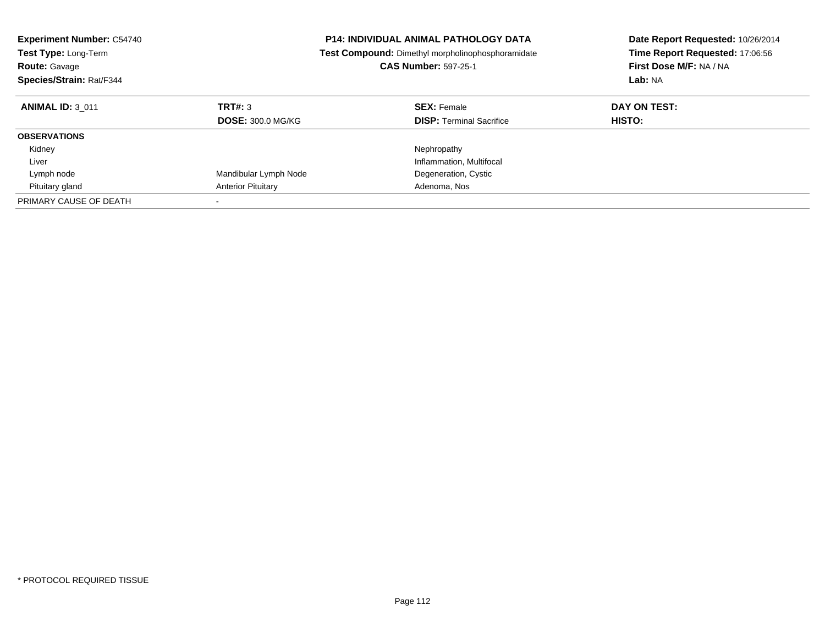| <b>Experiment Number: C54740</b><br><b>Test Type: Long-Term</b><br><b>Route: Gavage</b><br>Species/Strain: Rat/F344 |                                     | <b>P14: INDIVIDUAL ANIMAL PATHOLOGY DATA</b><br><b>Test Compound:</b> Dimethyl morpholinophosphoramidate<br><b>CAS Number: 597-25-1</b> | Date Report Requested: 10/26/2014<br>Time Report Requested: 17:06:56<br>First Dose M/F: NA / NA<br>Lab: NA |
|---------------------------------------------------------------------------------------------------------------------|-------------------------------------|-----------------------------------------------------------------------------------------------------------------------------------------|------------------------------------------------------------------------------------------------------------|
| <b>ANIMAL ID: 3 011</b>                                                                                             | TRT#: 3<br><b>DOSE: 300.0 MG/KG</b> | <b>SEX: Female</b><br><b>DISP:</b> Terminal Sacrifice                                                                                   | DAY ON TEST:<br><b>HISTO:</b>                                                                              |
| <b>OBSERVATIONS</b>                                                                                                 |                                     |                                                                                                                                         |                                                                                                            |
| Kidney                                                                                                              |                                     | Nephropathy                                                                                                                             |                                                                                                            |
| Liver                                                                                                               |                                     | Inflammation, Multifocal                                                                                                                |                                                                                                            |
| Lymph node                                                                                                          | Mandibular Lymph Node               | Degeneration, Cystic                                                                                                                    |                                                                                                            |
| Pituitary gland                                                                                                     | <b>Anterior Pituitary</b>           | Adenoma, Nos                                                                                                                            |                                                                                                            |
| PRIMARY CAUSE OF DEATH                                                                                              |                                     |                                                                                                                                         |                                                                                                            |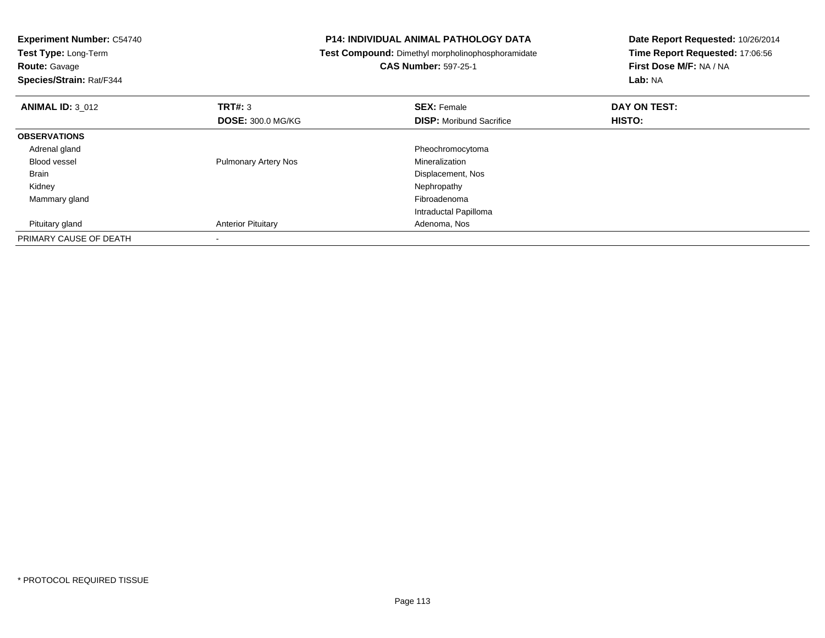| <b>Experiment Number: C54740</b><br>Test Type: Long-Term<br><b>Route: Gavage</b> |                             | <b>P14: INDIVIDUAL ANIMAL PATHOLOGY DATA</b><br>Test Compound: Dimethyl morpholinophosphoramidate<br><b>CAS Number: 597-25-1</b> | Date Report Requested: 10/26/2014<br>Time Report Requested: 17:06:56<br>First Dose M/F: NA / NA |
|----------------------------------------------------------------------------------|-----------------------------|----------------------------------------------------------------------------------------------------------------------------------|-------------------------------------------------------------------------------------------------|
| Species/Strain: Rat/F344                                                         |                             |                                                                                                                                  | Lab: NA                                                                                         |
| <b>ANIMAL ID: 3_012</b>                                                          | <b>TRT#: 3</b>              | <b>SEX: Female</b>                                                                                                               | DAY ON TEST:                                                                                    |
|                                                                                  | <b>DOSE: 300.0 MG/KG</b>    | <b>DISP:</b> Moribund Sacrifice                                                                                                  | <b>HISTO:</b>                                                                                   |
| <b>OBSERVATIONS</b>                                                              |                             |                                                                                                                                  |                                                                                                 |
| Adrenal gland                                                                    |                             | Pheochromocytoma                                                                                                                 |                                                                                                 |
| <b>Blood vessel</b>                                                              | <b>Pulmonary Artery Nos</b> | Mineralization                                                                                                                   |                                                                                                 |
| Brain                                                                            |                             | Displacement, Nos                                                                                                                |                                                                                                 |
| Kidney                                                                           |                             | Nephropathy                                                                                                                      |                                                                                                 |
| Mammary gland                                                                    |                             | Fibroadenoma                                                                                                                     |                                                                                                 |
|                                                                                  |                             | Intraductal Papilloma                                                                                                            |                                                                                                 |
| Pituitary gland                                                                  | <b>Anterior Pituitary</b>   | Adenoma, Nos                                                                                                                     |                                                                                                 |
| PRIMARY CAUSE OF DEATH                                                           |                             |                                                                                                                                  |                                                                                                 |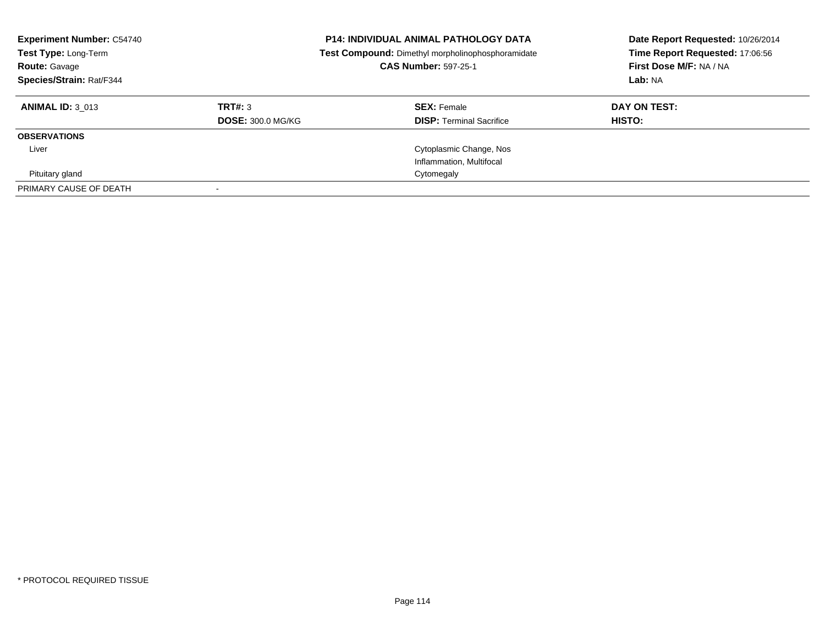| <b>Experiment Number: C54740</b><br>Test Type: Long-Term<br><b>Route: Gavage</b><br>Species/Strain: Rat/F344 | <b>P14: INDIVIDUAL ANIMAL PATHOLOGY DATA</b><br>Test Compound: Dimethyl morpholinophosphoramidate<br><b>CAS Number: 597-25-1</b> |                                 | Date Report Requested: 10/26/2014<br>Time Report Requested: 17:06:56<br>First Dose M/F: NA / NA<br>Lab: NA |
|--------------------------------------------------------------------------------------------------------------|----------------------------------------------------------------------------------------------------------------------------------|---------------------------------|------------------------------------------------------------------------------------------------------------|
| <b>ANIMAL ID: 3 013</b>                                                                                      | TRT#: 3                                                                                                                          | <b>SEX: Female</b>              | DAY ON TEST:                                                                                               |
|                                                                                                              | <b>DOSE: 300.0 MG/KG</b>                                                                                                         | <b>DISP:</b> Terminal Sacrifice | <b>HISTO:</b>                                                                                              |
| <b>OBSERVATIONS</b>                                                                                          |                                                                                                                                  |                                 |                                                                                                            |
| Liver                                                                                                        |                                                                                                                                  | Cytoplasmic Change, Nos         |                                                                                                            |
|                                                                                                              |                                                                                                                                  | Inflammation, Multifocal        |                                                                                                            |
| Pituitary gland                                                                                              |                                                                                                                                  | Cytomegaly                      |                                                                                                            |
| PRIMARY CAUSE OF DEATH                                                                                       |                                                                                                                                  |                                 |                                                                                                            |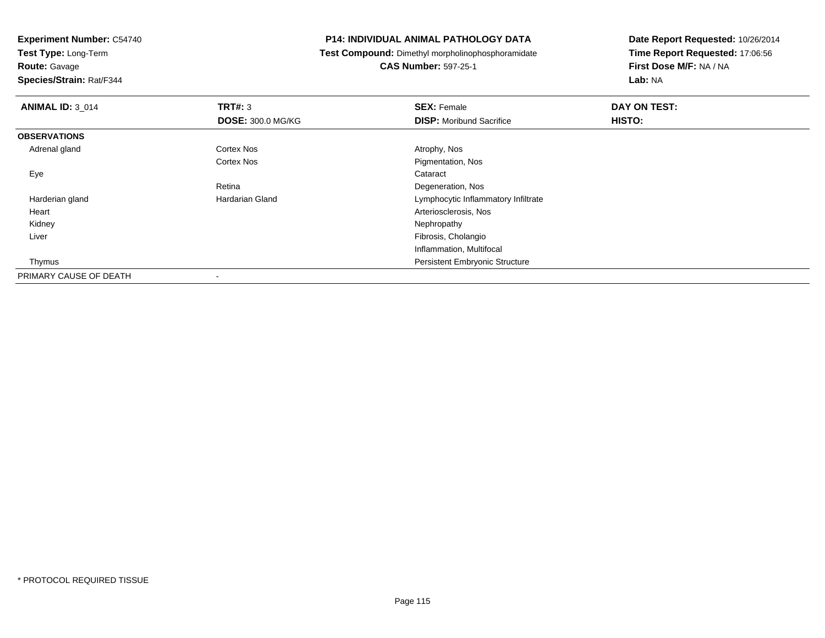**Test Type:** Long-Term

**Route:** Gavage

**Species/Strain:** Rat/F344

### **P14: INDIVIDUAL ANIMAL PATHOLOGY DATA**

**Test Compound:** Dimethyl morpholinophosphoramidate

**CAS Number:** 597-25-1

| <b>ANIMAL ID: 3 014</b> | TRT#: 3                  | <b>SEX: Female</b>                    | DAY ON TEST: |  |
|-------------------------|--------------------------|---------------------------------------|--------------|--|
|                         | <b>DOSE: 300.0 MG/KG</b> | <b>DISP:</b> Moribund Sacrifice       | HISTO:       |  |
| <b>OBSERVATIONS</b>     |                          |                                       |              |  |
| Adrenal gland           | <b>Cortex Nos</b>        | Atrophy, Nos                          |              |  |
|                         | <b>Cortex Nos</b>        | Pigmentation, Nos                     |              |  |
| Eye                     |                          | Cataract                              |              |  |
|                         | Retina                   | Degeneration, Nos                     |              |  |
| Harderian gland         | <b>Hardarian Gland</b>   | Lymphocytic Inflammatory Infiltrate   |              |  |
| Heart                   |                          | Arteriosclerosis, Nos                 |              |  |
| Kidney                  |                          | Nephropathy                           |              |  |
| Liver                   |                          | Fibrosis, Cholangio                   |              |  |
|                         |                          | Inflammation, Multifocal              |              |  |
| Thymus                  |                          | <b>Persistent Embryonic Structure</b> |              |  |
| PRIMARY CAUSE OF DEATH  |                          |                                       |              |  |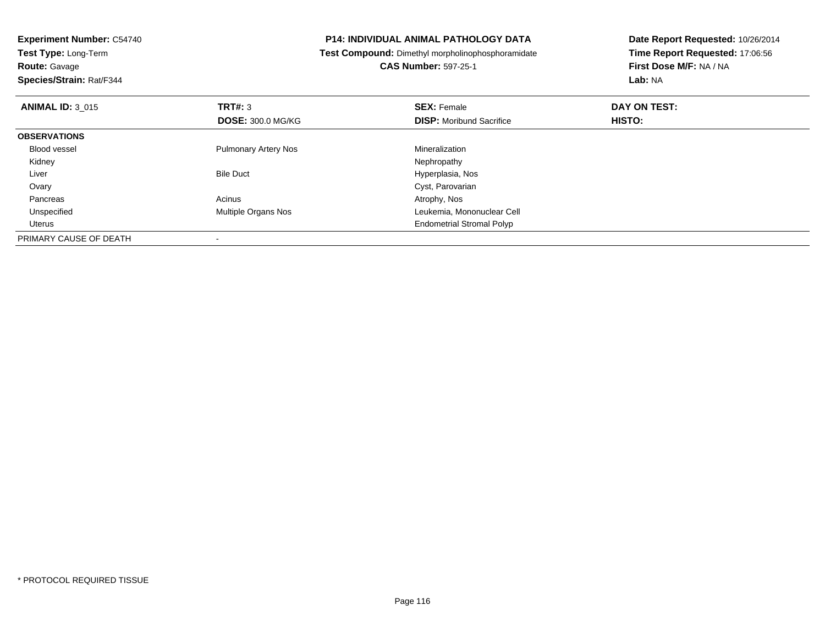| <b>Experiment Number: C54740</b> |                             | <b>P14: INDIVIDUAL ANIMAL PATHOLOGY DATA</b>             | Date Report Requested: 10/26/2014 |
|----------------------------------|-----------------------------|----------------------------------------------------------|-----------------------------------|
| Test Type: Long-Term             |                             | <b>Test Compound:</b> Dimethyl morpholinophosphoramidate | Time Report Requested: 17:06:56   |
| <b>Route: Gavage</b>             |                             | <b>CAS Number: 597-25-1</b>                              | First Dose M/F: NA / NA           |
| Species/Strain: Rat/F344         |                             |                                                          | Lab: NA                           |
| <b>ANIMAL ID: 3 015</b>          | TRT#: 3                     | <b>SEX: Female</b>                                       | DAY ON TEST:                      |
|                                  | <b>DOSE: 300.0 MG/KG</b>    | <b>DISP:</b> Moribund Sacrifice                          | HISTO:                            |
| <b>OBSERVATIONS</b>              |                             |                                                          |                                   |
| <b>Blood vessel</b>              | <b>Pulmonary Artery Nos</b> | Mineralization                                           |                                   |
| Kidney                           |                             | Nephropathy                                              |                                   |
| Liver                            | <b>Bile Duct</b>            | Hyperplasia, Nos                                         |                                   |
| Ovary                            |                             | Cyst, Parovarian                                         |                                   |
| Pancreas                         | Acinus                      | Atrophy, Nos                                             |                                   |
| Unspecified                      | <b>Multiple Organs Nos</b>  | Leukemia, Mononuclear Cell                               |                                   |
| Uterus                           |                             | <b>Endometrial Stromal Polyp</b>                         |                                   |
| PRIMARY CAUSE OF DEATH           |                             |                                                          |                                   |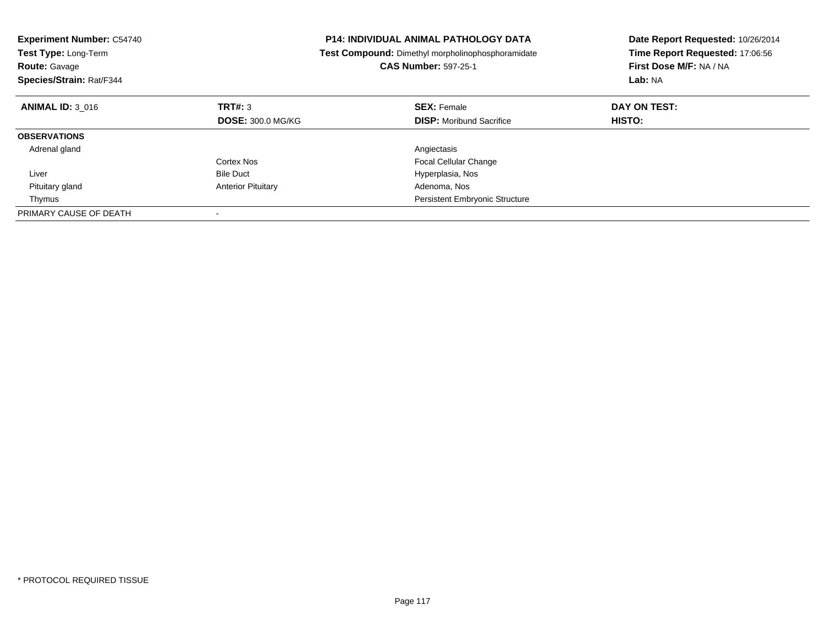| <b>Experiment Number: C54740</b><br><b>Test Type: Long-Term</b><br><b>Route: Gavage</b><br>Species/Strain: Rat/F344 |                           | <b>P14: INDIVIDUAL ANIMAL PATHOLOGY DATA</b><br><b>Test Compound:</b> Dimethyl morpholinophosphoramidate<br><b>CAS Number: 597-25-1</b> | Date Report Requested: 10/26/2014<br>Time Report Requested: 17:06:56<br>First Dose M/F: NA / NA<br>Lab: NA |
|---------------------------------------------------------------------------------------------------------------------|---------------------------|-----------------------------------------------------------------------------------------------------------------------------------------|------------------------------------------------------------------------------------------------------------|
| <b>ANIMAL ID: 3 016</b>                                                                                             | TRT#: 3                   | <b>SEX: Female</b>                                                                                                                      | DAY ON TEST:                                                                                               |
|                                                                                                                     | <b>DOSE: 300.0 MG/KG</b>  | <b>DISP:</b> Moribund Sacrifice                                                                                                         | HISTO:                                                                                                     |
| <b>OBSERVATIONS</b>                                                                                                 |                           |                                                                                                                                         |                                                                                                            |
| Adrenal gland                                                                                                       |                           | Angiectasis                                                                                                                             |                                                                                                            |
|                                                                                                                     | Cortex Nos                | <b>Focal Cellular Change</b>                                                                                                            |                                                                                                            |
| Liver                                                                                                               | <b>Bile Duct</b>          | Hyperplasia, Nos                                                                                                                        |                                                                                                            |
| Pituitary gland                                                                                                     | <b>Anterior Pituitary</b> | Adenoma, Nos                                                                                                                            |                                                                                                            |
| Thymus                                                                                                              |                           | <b>Persistent Embryonic Structure</b>                                                                                                   |                                                                                                            |
| PRIMARY CAUSE OF DEATH                                                                                              |                           |                                                                                                                                         |                                                                                                            |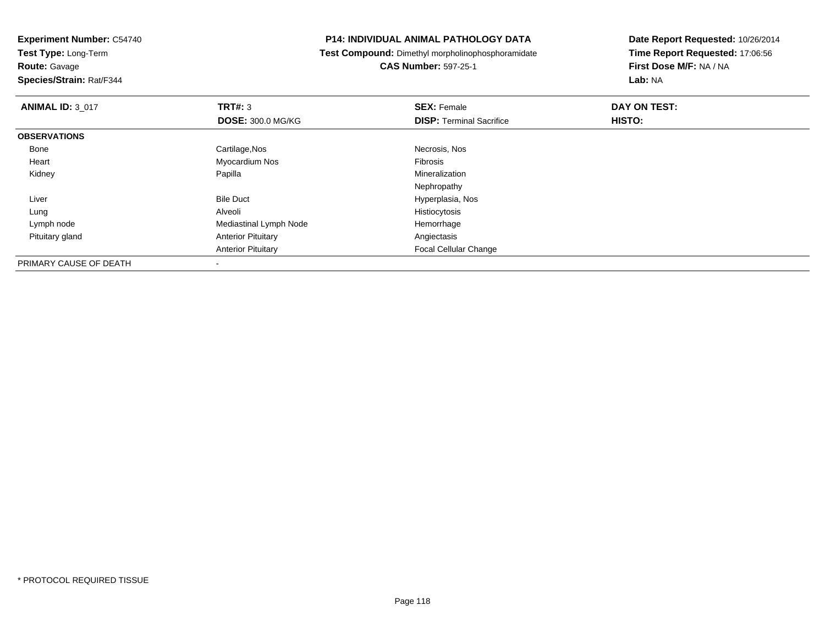**Experiment Number:** C54740**Test Type:** Long-Term

**Route:** Gavage

**Species/Strain:** Rat/F344

### **P14: INDIVIDUAL ANIMAL PATHOLOGY DATA**

**Test Compound:** Dimethyl morpholinophosphoramidate

**CAS Number:** 597-25-1

| <b>ANIMAL ID: 3 017</b> | TRT#: 3                   | <b>SEX: Female</b>              | DAY ON TEST: |  |
|-------------------------|---------------------------|---------------------------------|--------------|--|
|                         | <b>DOSE: 300.0 MG/KG</b>  | <b>DISP: Terminal Sacrifice</b> | HISTO:       |  |
| <b>OBSERVATIONS</b>     |                           |                                 |              |  |
| Bone                    | Cartilage, Nos            | Necrosis, Nos                   |              |  |
| Heart                   | Myocardium Nos            | <b>Fibrosis</b>                 |              |  |
| Kidney                  | Papilla                   | Mineralization                  |              |  |
|                         |                           | Nephropathy                     |              |  |
| Liver                   | <b>Bile Duct</b>          | Hyperplasia, Nos                |              |  |
| Lung                    | Alveoli                   | Histiocytosis                   |              |  |
| Lymph node              | Mediastinal Lymph Node    | Hemorrhage                      |              |  |
| Pituitary gland         | <b>Anterior Pituitary</b> | Angiectasis                     |              |  |
|                         | <b>Anterior Pituitary</b> | <b>Focal Cellular Change</b>    |              |  |
| PRIMARY CAUSE OF DEATH  |                           |                                 |              |  |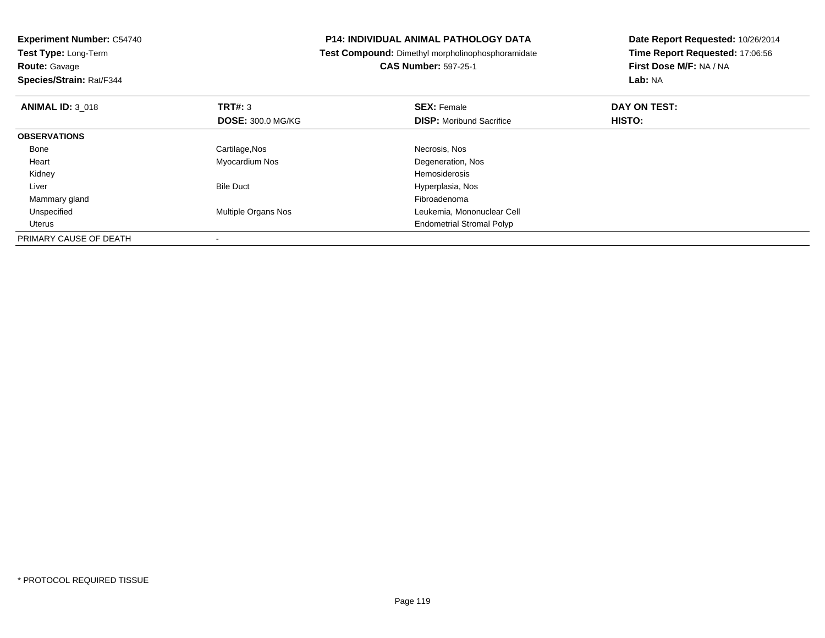| <b>Experiment Number: C54740</b> |                            | <b>P14: INDIVIDUAL ANIMAL PATHOLOGY DATA</b>             | Date Report Requested: 10/26/2014 |
|----------------------------------|----------------------------|----------------------------------------------------------|-----------------------------------|
| Test Type: Long-Term             |                            | <b>Test Compound:</b> Dimethyl morpholinophosphoramidate | Time Report Requested: 17:06:56   |
| <b>Route: Gavage</b>             |                            | <b>CAS Number: 597-25-1</b>                              | First Dose M/F: NA / NA           |
| Species/Strain: Rat/F344         |                            |                                                          | Lab: NA                           |
| <b>ANIMAL ID: 3 018</b>          | <b>TRT#: 3</b>             | <b>SEX: Female</b>                                       | DAY ON TEST:                      |
|                                  | <b>DOSE: 300.0 MG/KG</b>   | <b>DISP:</b> Moribund Sacrifice                          | HISTO:                            |
| <b>OBSERVATIONS</b>              |                            |                                                          |                                   |
| Bone                             | Cartilage, Nos             | Necrosis, Nos                                            |                                   |
| Heart                            | Myocardium Nos             | Degeneration, Nos                                        |                                   |
| Kidney                           |                            | Hemosiderosis                                            |                                   |
| Liver                            | <b>Bile Duct</b>           | Hyperplasia, Nos                                         |                                   |
| Mammary gland                    |                            | Fibroadenoma                                             |                                   |
| Unspecified                      | <b>Multiple Organs Nos</b> | Leukemia, Mononuclear Cell                               |                                   |
| Uterus                           |                            | <b>Endometrial Stromal Polyp</b>                         |                                   |
| PRIMARY CAUSE OF DEATH           |                            |                                                          |                                   |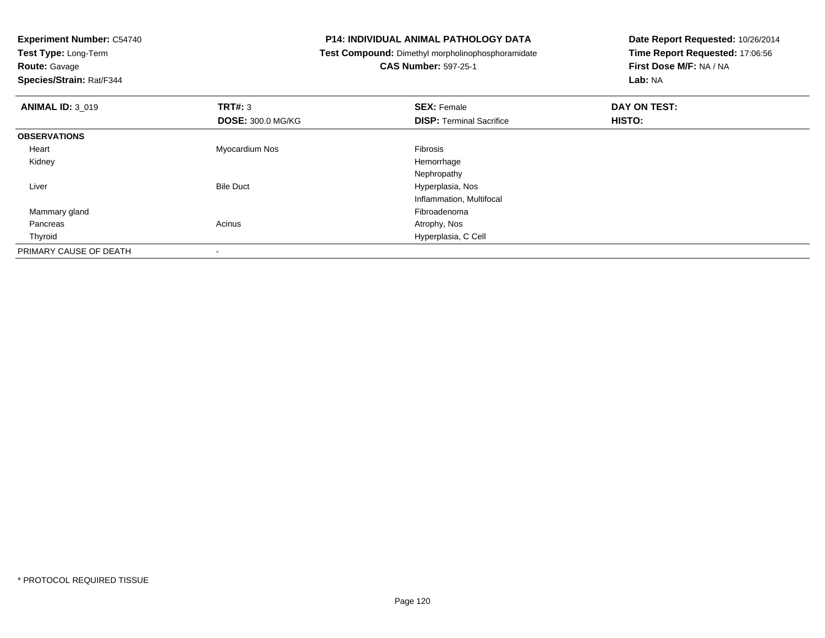| <b>Experiment Number: C54740</b> |                          | <b>P14: INDIVIDUAL ANIMAL PATHOLOGY DATA</b>      | Date Report Requested: 10/26/2014 |
|----------------------------------|--------------------------|---------------------------------------------------|-----------------------------------|
| Test Type: Long-Term             |                          | Test Compound: Dimethyl morpholinophosphoramidate | Time Report Requested: 17:06:56   |
| <b>Route: Gavage</b>             |                          | <b>CAS Number: 597-25-1</b>                       | First Dose M/F: NA / NA           |
| Species/Strain: Rat/F344         |                          |                                                   | Lab: NA                           |
| <b>ANIMAL ID: 3_019</b>          | <b>TRT#: 3</b>           | <b>SEX: Female</b>                                | DAY ON TEST:                      |
|                                  | <b>DOSE: 300.0 MG/KG</b> | <b>DISP:</b> Terminal Sacrifice                   | HISTO:                            |
| <b>OBSERVATIONS</b>              |                          |                                                   |                                   |
| Heart                            | Myocardium Nos           | Fibrosis                                          |                                   |
| Kidney                           |                          | Hemorrhage                                        |                                   |
|                                  |                          | Nephropathy                                       |                                   |
| Liver                            | <b>Bile Duct</b>         | Hyperplasia, Nos                                  |                                   |
|                                  |                          | Inflammation, Multifocal                          |                                   |
| Mammary gland                    |                          | Fibroadenoma                                      |                                   |
| Pancreas                         | Acinus                   | Atrophy, Nos                                      |                                   |
| Thyroid                          |                          | Hyperplasia, C Cell                               |                                   |
| PRIMARY CAUSE OF DEATH           |                          |                                                   |                                   |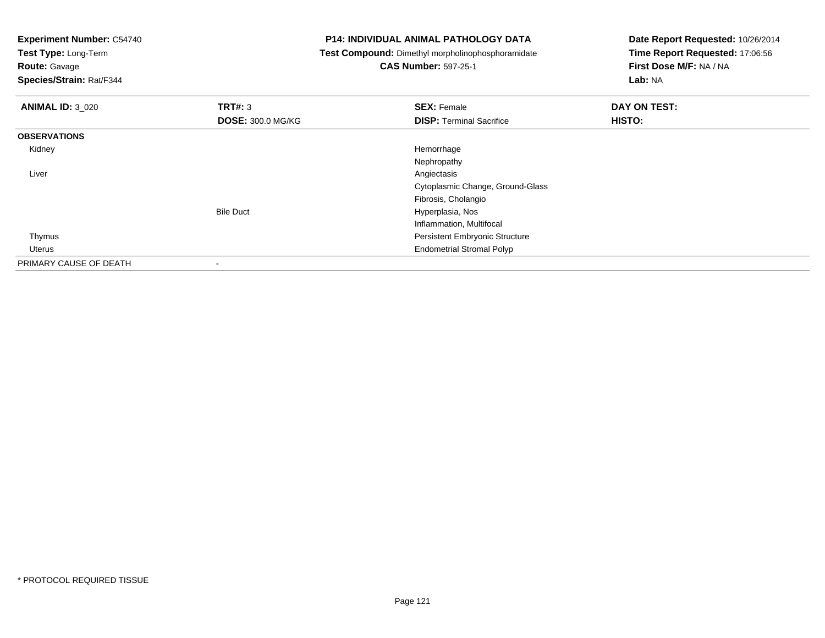**Experiment Number:** C54740**Test Type:** Long-Term**Route:** Gavage **Species/Strain:** Rat/F344**P14: INDIVIDUAL ANIMAL PATHOLOGY DATA Test Compound:** Dimethyl morpholinophosphoramidate**CAS Number:** 597-25-1**Date Report Requested:** 10/26/2014**Time Report Requested:** 17:06:56**First Dose M/F:** NA / NA**Lab:** NA**ANIMAL ID:** 3\_020**C SEX:** Female **DAY ON TEST: DAY ON TEST: DOSE:** 300.0 MG/KG**DISP:** Terminal Sacrifice **HISTO: OBSERVATIONS** Kidneyy the control of the control of the control of the control of the control of the control of the control of the control of the control of the control of the control of the control of the control of the control of the contro NephropathyAngiectasis Liverr and the contract of the contract of the contract of the contract of the contract of the contract of the contract of the contract of the contract of the contract of the contract of the contract of the contract of the cont Cytoplasmic Change, Ground-GlassFibrosis, CholangioBile Duct Hyperplasia, Nos Inflammation, Multifocal Thymus Persistent Embryonic Structure Uterus Endometrial Stromal PolypPRIMARY CAUSE OF DEATH-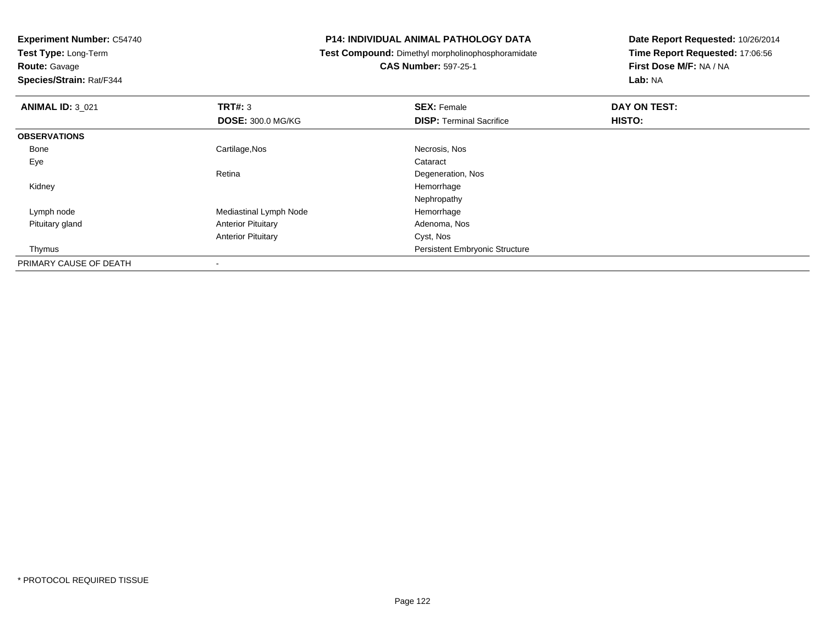**Test Type:** Long-Term

**Route:** Gavage

**Species/Strain:** Rat/F344

### **P14: INDIVIDUAL ANIMAL PATHOLOGY DATA**

**Test Compound:** Dimethyl morpholinophosphoramidate

**CAS Number:** 597-25-1

| <b>ANIMAL ID: 3_021</b> | TRT#: 3                   | <b>SEX: Female</b>                    | DAY ON TEST: |  |
|-------------------------|---------------------------|---------------------------------------|--------------|--|
|                         | <b>DOSE: 300.0 MG/KG</b>  | <b>DISP: Terminal Sacrifice</b>       | HISTO:       |  |
| <b>OBSERVATIONS</b>     |                           |                                       |              |  |
| Bone                    | Cartilage, Nos            | Necrosis, Nos                         |              |  |
| Eye                     |                           | Cataract                              |              |  |
|                         | Retina                    | Degeneration, Nos                     |              |  |
| Kidney                  |                           | Hemorrhage                            |              |  |
|                         |                           | Nephropathy                           |              |  |
| Lymph node              | Mediastinal Lymph Node    | Hemorrhage                            |              |  |
| Pituitary gland         | <b>Anterior Pituitary</b> | Adenoma, Nos                          |              |  |
|                         | <b>Anterior Pituitary</b> | Cyst, Nos                             |              |  |
| Thymus                  |                           | <b>Persistent Embryonic Structure</b> |              |  |
| PRIMARY CAUSE OF DEATH  | $\overline{\phantom{a}}$  |                                       |              |  |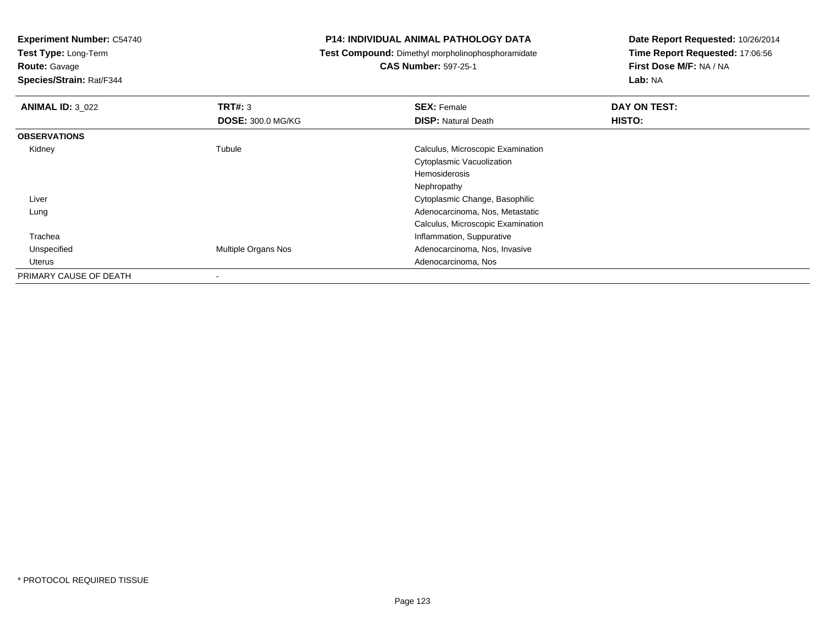**Test Type:** Long-Term

**Route:** Gavage

**Species/Strain:** Rat/F344

### **P14: INDIVIDUAL ANIMAL PATHOLOGY DATA**

**Test Compound:** Dimethyl morpholinophosphoramidate

**CAS Number:** 597-25-1

| <b>ANIMAL ID: 3_022</b> | TRT#: 3                    | <b>SEX: Female</b>                | DAY ON TEST: |
|-------------------------|----------------------------|-----------------------------------|--------------|
|                         | <b>DOSE: 300.0 MG/KG</b>   | <b>DISP: Natural Death</b>        | HISTO:       |
| <b>OBSERVATIONS</b>     |                            |                                   |              |
| Kidney                  | Tubule                     | Calculus, Microscopic Examination |              |
|                         |                            | <b>Cytoplasmic Vacuolization</b>  |              |
|                         |                            | Hemosiderosis                     |              |
|                         |                            | Nephropathy                       |              |
| Liver                   |                            | Cytoplasmic Change, Basophilic    |              |
| Lung                    |                            | Adenocarcinoma, Nos, Metastatic   |              |
|                         |                            | Calculus, Microscopic Examination |              |
| Trachea                 |                            | Inflammation, Suppurative         |              |
| Unspecified             | <b>Multiple Organs Nos</b> | Adenocarcinoma, Nos, Invasive     |              |
| Uterus                  |                            | Adenocarcinoma, Nos               |              |
| PRIMARY CAUSE OF DEATH  | $\overline{\phantom{a}}$   |                                   |              |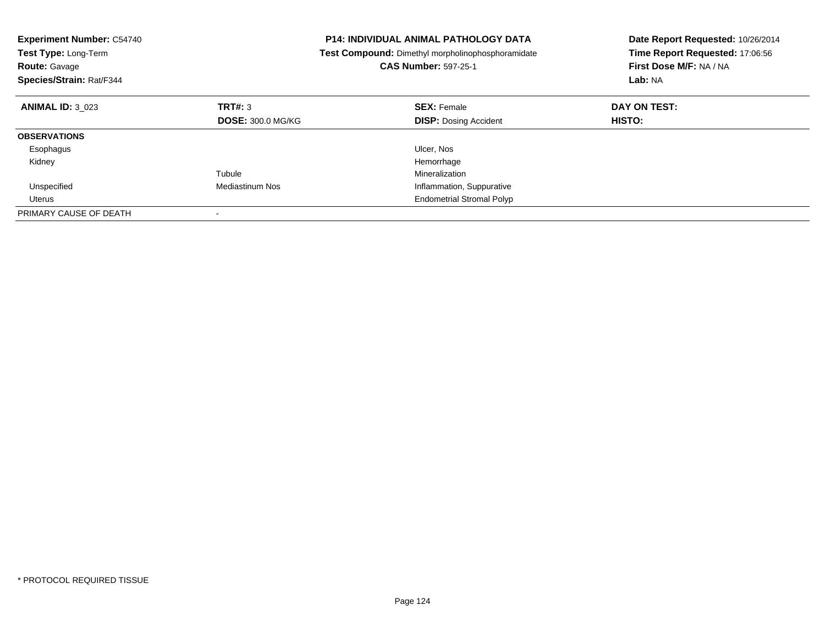| <b>Experiment Number: C54740</b><br><b>Test Type: Long-Term</b><br><b>Route: Gavage</b><br>Species/Strain: Rat/F344 |                          | <b>P14: INDIVIDUAL ANIMAL PATHOLOGY DATA</b><br><b>Test Compound:</b> Dimethyl morpholinophosphoramidate<br><b>CAS Number: 597-25-1</b> | Date Report Requested: 10/26/2014<br>Time Report Requested: 17:06:56<br>First Dose M/F: NA / NA<br>Lab: NA |
|---------------------------------------------------------------------------------------------------------------------|--------------------------|-----------------------------------------------------------------------------------------------------------------------------------------|------------------------------------------------------------------------------------------------------------|
| <b>ANIMAL ID: 3 023</b>                                                                                             | TRT#: 3                  | <b>SEX: Female</b>                                                                                                                      | DAY ON TEST:                                                                                               |
|                                                                                                                     | <b>DOSE: 300.0 MG/KG</b> | <b>DISP:</b> Dosing Accident                                                                                                            | <b>HISTO:</b>                                                                                              |
| <b>OBSERVATIONS</b>                                                                                                 |                          |                                                                                                                                         |                                                                                                            |
| Esophagus                                                                                                           |                          | Ulcer, Nos                                                                                                                              |                                                                                                            |
| Kidney                                                                                                              |                          | Hemorrhage                                                                                                                              |                                                                                                            |
|                                                                                                                     | Tubule                   | Mineralization                                                                                                                          |                                                                                                            |
| Unspecified                                                                                                         | Mediastinum Nos          | Inflammation, Suppurative                                                                                                               |                                                                                                            |
| Uterus                                                                                                              |                          | <b>Endometrial Stromal Polyp</b>                                                                                                        |                                                                                                            |
| PRIMARY CAUSE OF DEATH                                                                                              |                          |                                                                                                                                         |                                                                                                            |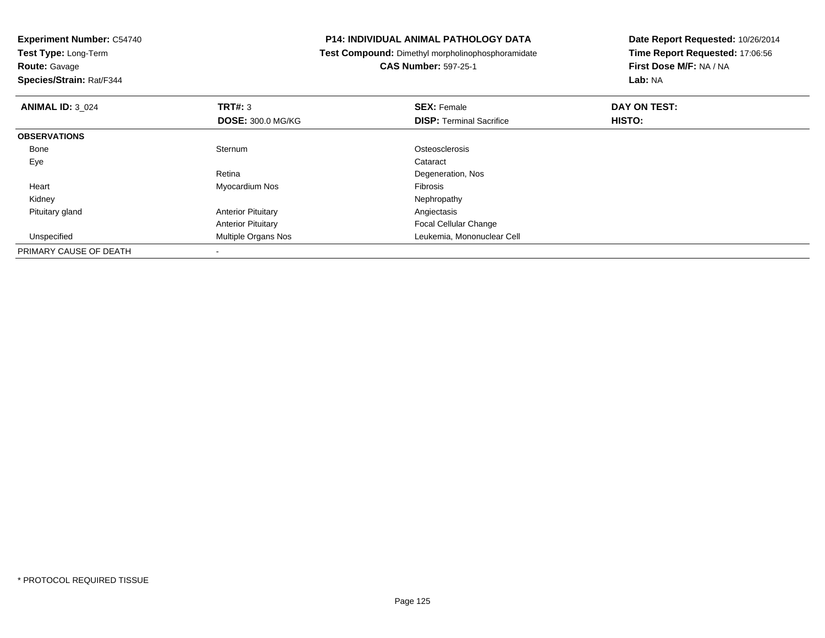**Experiment Number:** C54740**Test Type:** Long-Term**Route:** Gavage **Species/Strain:** Rat/F344**P14: INDIVIDUAL ANIMAL PATHOLOGY DATA Test Compound:** Dimethyl morpholinophosphoramidate**CAS Number:** 597-25-1**Date Report Requested:** 10/26/2014**Time Report Requested:** 17:06:56**First Dose M/F:** NA / NA**Lab:** NA**ANIMAL ID:** 3\_024**TRT#:** 3 **SEX:** Female **DAY ON TEST: DOSE:** 300.0 MG/KG**DISP:** Terminal Sacrifice **HISTO: OBSERVATIONS** Bonee Sternum Sternum Cataractic Control Control Cataractic Cataractic Cataractic Cataractic Cataractic Cataractic Cataractic Cataractic Cataractic Cataractic Cataractic Cataractic Cataractic Cataractic Cataractic Cataractic Cataractic Eyee de la constitución de la constitución de la constitución de la constitución de la constitución de la constitución<br>En el constitución de la constitución de la constitución de la constitución de la constitución de la const Retina Degeneration, Nos Heart Myocardium Nos Fibrosis Kidney Nephropathy Pituitary glandAnterior Pituitary **Anterior Pituitary Angiectasis** Anterior Pituitary Focal Cellular Changed **Multiple Organs Nos Leukemia, Mononuclear Cell**  UnspecifiedPRIMARY CAUSE OF DEATH-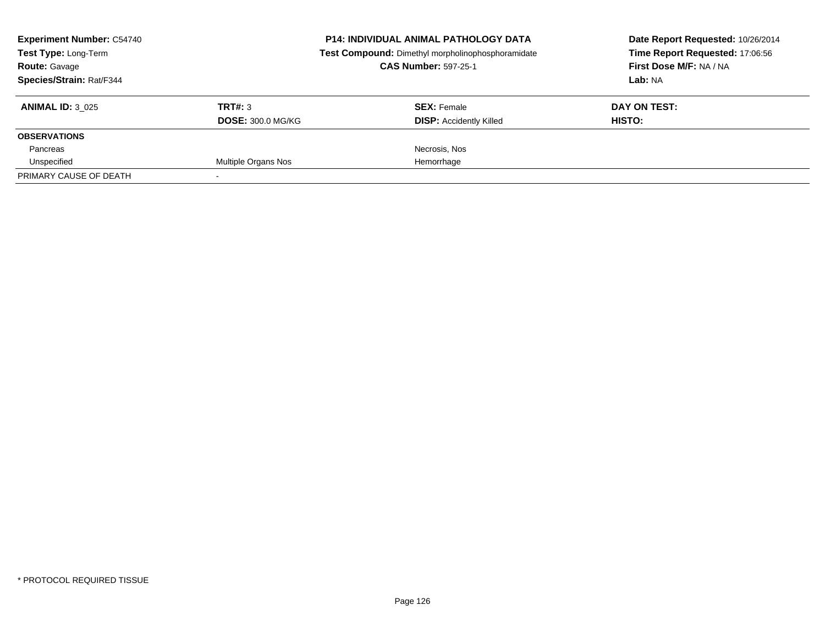| <b>Experiment Number: C54740</b><br>Test Type: Long-Term<br><b>Route: Gavage</b><br>Species/Strain: Rat/F344 |                                     | <b>P14: INDIVIDUAL ANIMAL PATHOLOGY DATA</b><br>Test Compound: Dimethyl morpholinophosphoramidate<br><b>CAS Number: 597-25-1</b> | Date Report Requested: 10/26/2014<br>Time Report Requested: 17:06:56<br>First Dose M/F: NA / NA<br>Lab: NA |
|--------------------------------------------------------------------------------------------------------------|-------------------------------------|----------------------------------------------------------------------------------------------------------------------------------|------------------------------------------------------------------------------------------------------------|
| <b>ANIMAL ID: 3 025</b>                                                                                      | TRT#: 3<br><b>DOSE: 300.0 MG/KG</b> | <b>SEX:</b> Female<br><b>DISP:</b> Accidently Killed                                                                             | DAY ON TEST:<br><b>HISTO:</b>                                                                              |
| <b>OBSERVATIONS</b>                                                                                          |                                     |                                                                                                                                  |                                                                                                            |
| Pancreas                                                                                                     |                                     | Necrosis, Nos                                                                                                                    |                                                                                                            |
| Unspecified                                                                                                  | Multiple Organs Nos                 | Hemorrhage                                                                                                                       |                                                                                                            |
| PRIMARY CAUSE OF DEATH                                                                                       |                                     |                                                                                                                                  |                                                                                                            |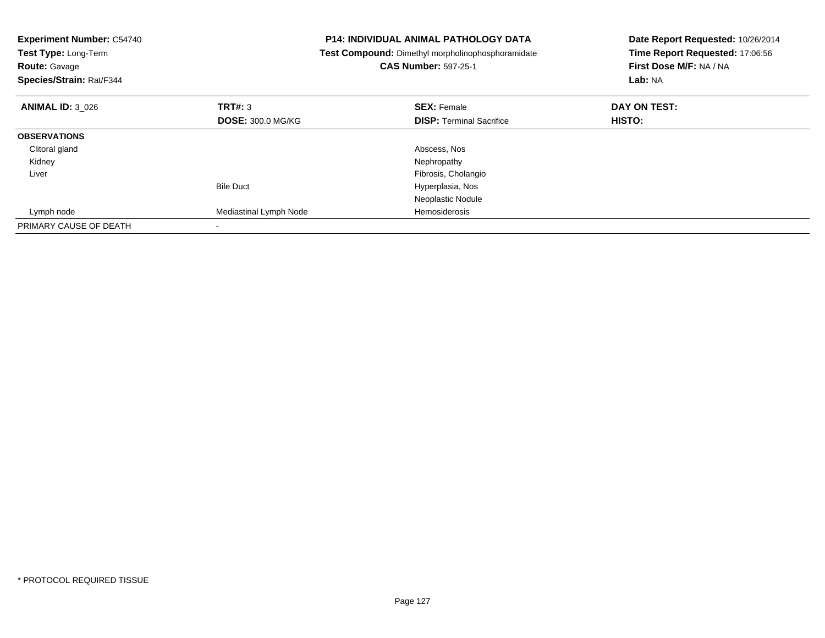| <b>Experiment Number: C54740</b><br>Test Type: Long-Term<br><b>Route: Gavage</b><br>Species/Strain: Rat/F344 |                          | <b>P14: INDIVIDUAL ANIMAL PATHOLOGY DATA</b><br><b>Test Compound:</b> Dimethyl morpholinophosphoramidate<br><b>CAS Number: 597-25-1</b> | Date Report Requested: 10/26/2014<br>Time Report Requested: 17:06:56<br>First Dose M/F: NA / NA<br>Lab: NA |
|--------------------------------------------------------------------------------------------------------------|--------------------------|-----------------------------------------------------------------------------------------------------------------------------------------|------------------------------------------------------------------------------------------------------------|
| <b>ANIMAL ID: 3 026</b>                                                                                      | <b>TRT#: 3</b>           | <b>SEX: Female</b>                                                                                                                      | DAY ON TEST:                                                                                               |
|                                                                                                              | <b>DOSE: 300.0 MG/KG</b> | <b>DISP:</b> Terminal Sacrifice                                                                                                         | HISTO:                                                                                                     |
| <b>OBSERVATIONS</b>                                                                                          |                          |                                                                                                                                         |                                                                                                            |
| Clitoral gland                                                                                               |                          | Abscess, Nos                                                                                                                            |                                                                                                            |
| Kidney                                                                                                       |                          | Nephropathy                                                                                                                             |                                                                                                            |
| Liver                                                                                                        |                          | Fibrosis, Cholangio                                                                                                                     |                                                                                                            |
|                                                                                                              | <b>Bile Duct</b>         | Hyperplasia, Nos                                                                                                                        |                                                                                                            |
|                                                                                                              |                          | Neoplastic Nodule                                                                                                                       |                                                                                                            |
| Lymph node                                                                                                   | Mediastinal Lymph Node   | Hemosiderosis                                                                                                                           |                                                                                                            |
| PRIMARY CAUSE OF DEATH                                                                                       |                          |                                                                                                                                         |                                                                                                            |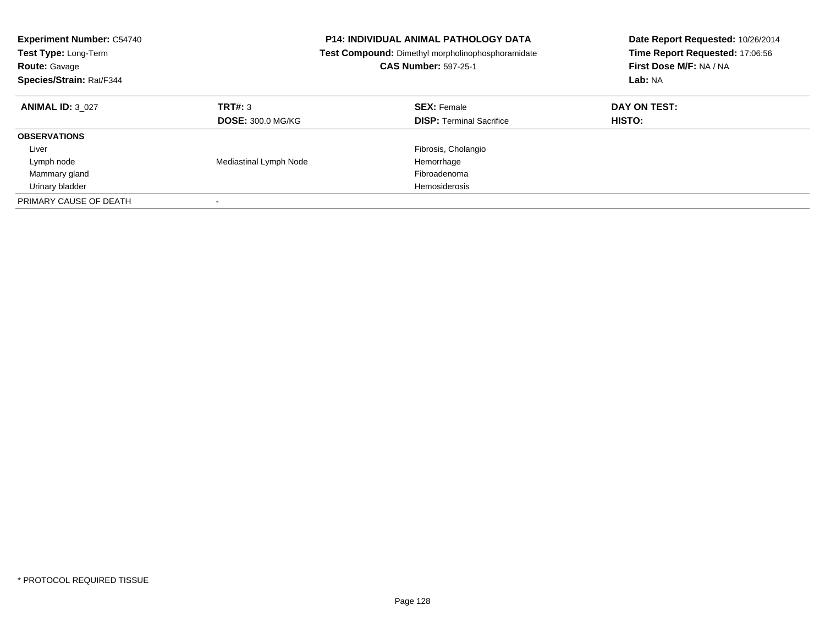| <b>Experiment Number: C54740</b><br>Test Type: Long-Term<br><b>Route: Gavage</b><br>Species/Strain: Rat/F344 |                                     | <b>P14: INDIVIDUAL ANIMAL PATHOLOGY DATA</b><br>Test Compound: Dimethyl morpholinophosphoramidate<br><b>CAS Number: 597-25-1</b> | Date Report Requested: 10/26/2014<br>Time Report Requested: 17:06:56<br>First Dose M/F: NA / NA<br>Lab: NA |
|--------------------------------------------------------------------------------------------------------------|-------------------------------------|----------------------------------------------------------------------------------------------------------------------------------|------------------------------------------------------------------------------------------------------------|
| <b>ANIMAL ID: 3 027</b>                                                                                      | TRT#: 3<br><b>DOSE: 300.0 MG/KG</b> | <b>SEX: Female</b><br><b>DISP:</b> Terminal Sacrifice                                                                            | DAY ON TEST:<br><b>HISTO:</b>                                                                              |
| <b>OBSERVATIONS</b>                                                                                          |                                     |                                                                                                                                  |                                                                                                            |
| Liver                                                                                                        |                                     | Fibrosis, Cholangio                                                                                                              |                                                                                                            |
| Lymph node                                                                                                   | Mediastinal Lymph Node              | Hemorrhage                                                                                                                       |                                                                                                            |
| Mammary gland                                                                                                |                                     | Fibroadenoma                                                                                                                     |                                                                                                            |
| Urinary bladder                                                                                              |                                     | Hemosiderosis                                                                                                                    |                                                                                                            |
| PRIMARY CAUSE OF DEATH                                                                                       |                                     |                                                                                                                                  |                                                                                                            |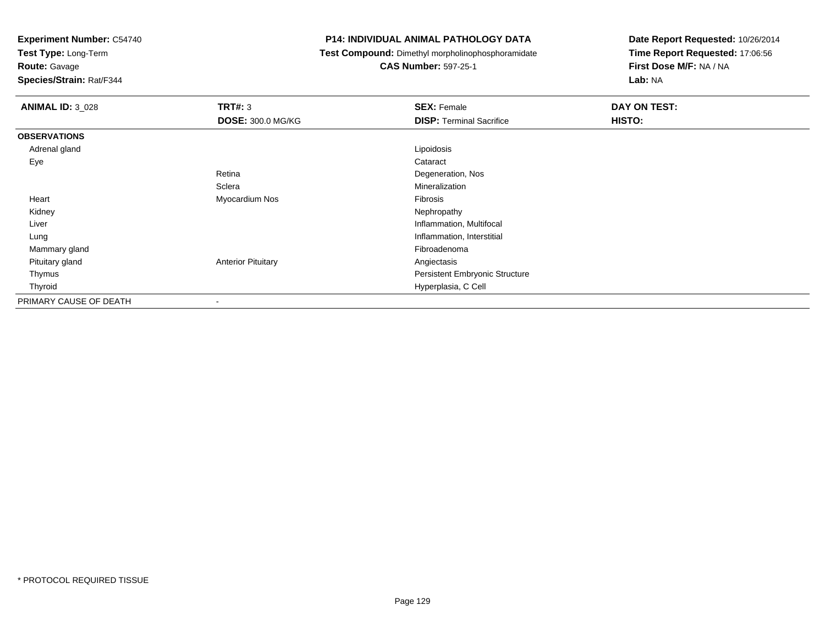**Test Type:** Long-Term

**Route:** Gavage

**Species/Strain:** Rat/F344

## **P14: INDIVIDUAL ANIMAL PATHOLOGY DATA**

**Test Compound:** Dimethyl morpholinophosphoramidate

**CAS Number:** 597-25-1

| <b>ANIMAL ID: 3_028</b> | <b>TRT#: 3</b>            | <b>SEX: Female</b>              | <b>DAY ON TEST:</b> |
|-------------------------|---------------------------|---------------------------------|---------------------|
|                         | <b>DOSE: 300.0 MG/KG</b>  | <b>DISP: Terminal Sacrifice</b> | HISTO:              |
| <b>OBSERVATIONS</b>     |                           |                                 |                     |
| Adrenal gland           |                           | Lipoidosis                      |                     |
| Eye                     |                           | Cataract                        |                     |
|                         | Retina                    | Degeneration, Nos               |                     |
|                         | Sclera                    | Mineralization                  |                     |
| Heart                   | Myocardium Nos            | Fibrosis                        |                     |
| Kidney                  |                           | Nephropathy                     |                     |
| Liver                   |                           | Inflammation, Multifocal        |                     |
| Lung                    |                           | Inflammation, Interstitial      |                     |
| Mammary gland           |                           | Fibroadenoma                    |                     |
| Pituitary gland         | <b>Anterior Pituitary</b> | Angiectasis                     |                     |
| Thymus                  |                           | Persistent Embryonic Structure  |                     |
| Thyroid                 |                           | Hyperplasia, C Cell             |                     |
| PRIMARY CAUSE OF DEATH  | -                         |                                 |                     |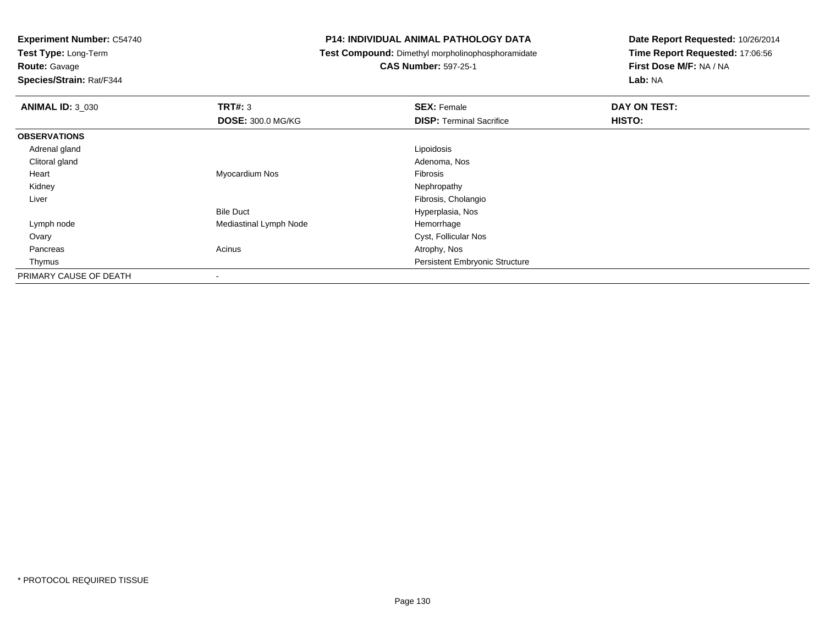**Test Type:** Long-Term

**Route:** Gavage

**Species/Strain:** Rat/F344

### **P14: INDIVIDUAL ANIMAL PATHOLOGY DATA**

**Test Compound:** Dimethyl morpholinophosphoramidate

**CAS Number:** 597-25-1

| <b>ANIMAL ID: 3 030</b> | TRT#: 3                  | <b>SEX: Female</b>                    | DAY ON TEST: |  |
|-------------------------|--------------------------|---------------------------------------|--------------|--|
|                         | <b>DOSE: 300.0 MG/KG</b> | <b>DISP: Terminal Sacrifice</b>       | HISTO:       |  |
| <b>OBSERVATIONS</b>     |                          |                                       |              |  |
| Adrenal gland           |                          | Lipoidosis                            |              |  |
| Clitoral gland          |                          | Adenoma, Nos                          |              |  |
| Heart                   | Myocardium Nos           | Fibrosis                              |              |  |
| Kidney                  |                          | Nephropathy                           |              |  |
| Liver                   |                          | Fibrosis, Cholangio                   |              |  |
|                         | <b>Bile Duct</b>         | Hyperplasia, Nos                      |              |  |
| Lymph node              | Mediastinal Lymph Node   | Hemorrhage                            |              |  |
| Ovary                   |                          | Cyst, Follicular Nos                  |              |  |
| Pancreas                | Acinus                   | Atrophy, Nos                          |              |  |
| Thymus                  |                          | <b>Persistent Embryonic Structure</b> |              |  |
| PRIMARY CAUSE OF DEATH  |                          |                                       |              |  |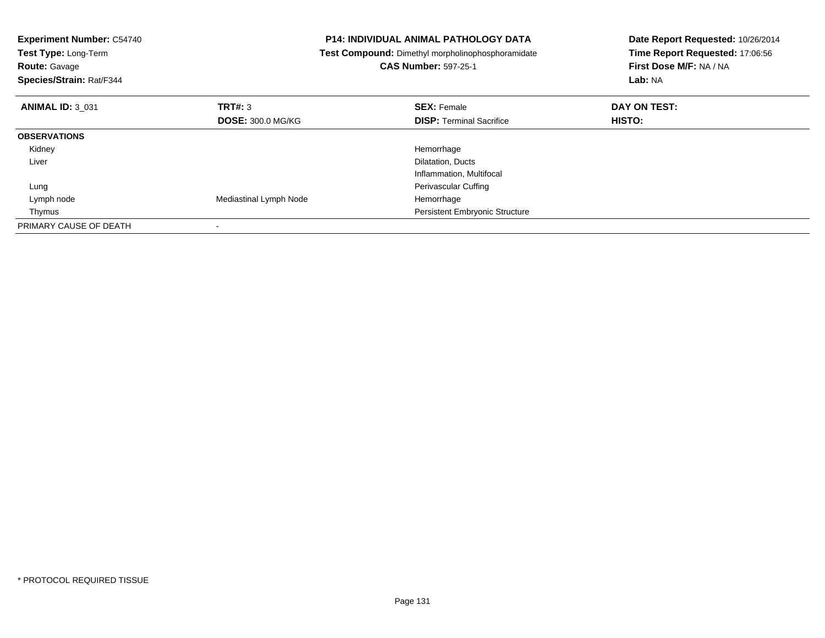| <b>Experiment Number: C54740</b><br>Test Type: Long-Term<br><b>Route: Gavage</b><br>Species/Strain: Rat/F344 |                          | <b>P14: INDIVIDUAL ANIMAL PATHOLOGY DATA</b><br>Test Compound: Dimethyl morpholinophosphoramidate<br><b>CAS Number: 597-25-1</b> | Date Report Requested: 10/26/2014<br>Time Report Requested: 17:06:56<br>First Dose M/F: NA / NA<br>Lab: NA |
|--------------------------------------------------------------------------------------------------------------|--------------------------|----------------------------------------------------------------------------------------------------------------------------------|------------------------------------------------------------------------------------------------------------|
| <b>ANIMAL ID: 3 031</b>                                                                                      | TRT#: 3                  | <b>SEX: Female</b>                                                                                                               | DAY ON TEST:                                                                                               |
|                                                                                                              | <b>DOSE: 300.0 MG/KG</b> | <b>DISP:</b> Terminal Sacrifice                                                                                                  | HISTO:                                                                                                     |
| <b>OBSERVATIONS</b>                                                                                          |                          |                                                                                                                                  |                                                                                                            |
| Kidney                                                                                                       |                          | Hemorrhage                                                                                                                       |                                                                                                            |
| Liver                                                                                                        |                          | Dilatation, Ducts                                                                                                                |                                                                                                            |
|                                                                                                              |                          | Inflammation, Multifocal                                                                                                         |                                                                                                            |
| Lung                                                                                                         |                          | <b>Perivascular Cuffing</b>                                                                                                      |                                                                                                            |
| Lymph node                                                                                                   | Mediastinal Lymph Node   | Hemorrhage                                                                                                                       |                                                                                                            |
| Thymus                                                                                                       |                          | <b>Persistent Embryonic Structure</b>                                                                                            |                                                                                                            |
| PRIMARY CAUSE OF DEATH                                                                                       |                          |                                                                                                                                  |                                                                                                            |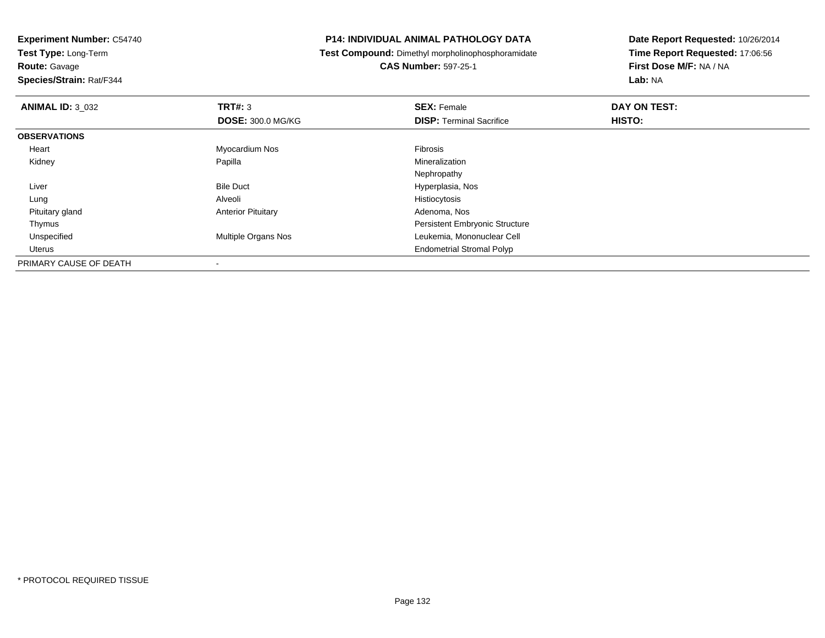**Experiment Number:** C54740**Test Type:** Long-Term

**Route:** Gavage

**Species/Strain:** Rat/F344

## **P14: INDIVIDUAL ANIMAL PATHOLOGY DATA**

**Test Compound:** Dimethyl morpholinophosphoramidate

**CAS Number:** 597-25-1

| <b>ANIMAL ID: 3_032</b> | TRT#: 3                   | <b>SEX: Female</b>                    | DAY ON TEST: |  |
|-------------------------|---------------------------|---------------------------------------|--------------|--|
|                         | <b>DOSE: 300.0 MG/KG</b>  | <b>DISP: Terminal Sacrifice</b>       | HISTO:       |  |
| <b>OBSERVATIONS</b>     |                           |                                       |              |  |
| Heart                   | Myocardium Nos            | Fibrosis                              |              |  |
| Kidney                  | Papilla                   | Mineralization                        |              |  |
|                         |                           | Nephropathy                           |              |  |
| Liver                   | <b>Bile Duct</b>          | Hyperplasia, Nos                      |              |  |
| Lung                    | Alveoli                   | Histiocytosis                         |              |  |
| Pituitary gland         | <b>Anterior Pituitary</b> | Adenoma, Nos                          |              |  |
| Thymus                  |                           | <b>Persistent Embryonic Structure</b> |              |  |
| Unspecified             | Multiple Organs Nos       | Leukemia, Mononuclear Cell            |              |  |
| Uterus                  |                           | <b>Endometrial Stromal Polyp</b>      |              |  |
| PRIMARY CAUSE OF DEATH  |                           |                                       |              |  |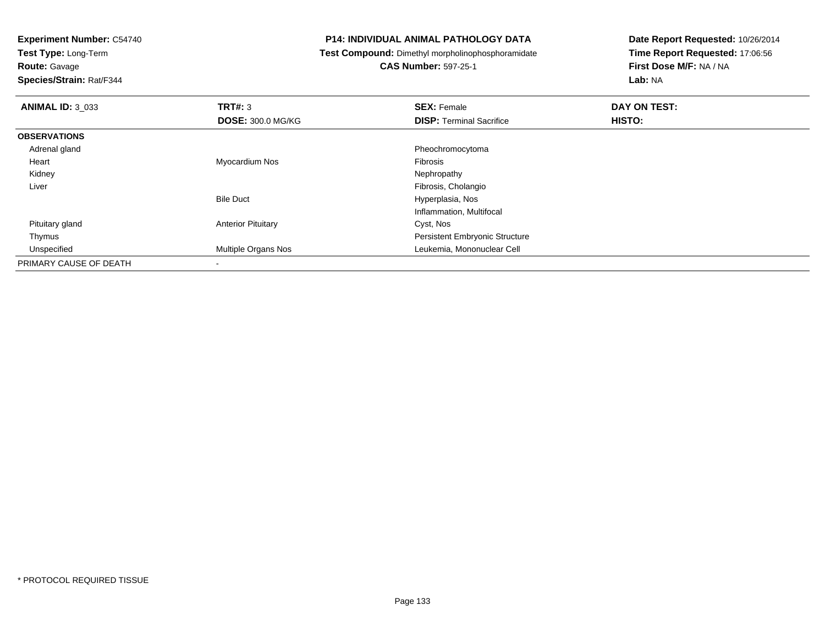**Test Type:** Long-Term

# **Route:** Gavage

**Species/Strain:** Rat/F344

### **P14: INDIVIDUAL ANIMAL PATHOLOGY DATA**

**Test Compound:** Dimethyl morpholinophosphoramidate

# **CAS Number:** 597-25-1

| <b>ANIMAL ID: 3 033</b> | TRT#: 3                   | <b>SEX: Female</b>              | DAY ON TEST: |  |
|-------------------------|---------------------------|---------------------------------|--------------|--|
|                         | <b>DOSE: 300.0 MG/KG</b>  | <b>DISP: Terminal Sacrifice</b> | HISTO:       |  |
| <b>OBSERVATIONS</b>     |                           |                                 |              |  |
| Adrenal gland           |                           | Pheochromocytoma                |              |  |
| Heart                   | Myocardium Nos            | <b>Fibrosis</b>                 |              |  |
| Kidney                  |                           | Nephropathy                     |              |  |
| Liver                   |                           | Fibrosis, Cholangio             |              |  |
|                         | <b>Bile Duct</b>          | Hyperplasia, Nos                |              |  |
|                         |                           | Inflammation, Multifocal        |              |  |
| Pituitary gland         | <b>Anterior Pituitary</b> | Cyst, Nos                       |              |  |
| Thymus                  |                           | Persistent Embryonic Structure  |              |  |
| Unspecified             | Multiple Organs Nos       | Leukemia, Mononuclear Cell      |              |  |
| PRIMARY CAUSE OF DEATH  | $\,$                      |                                 |              |  |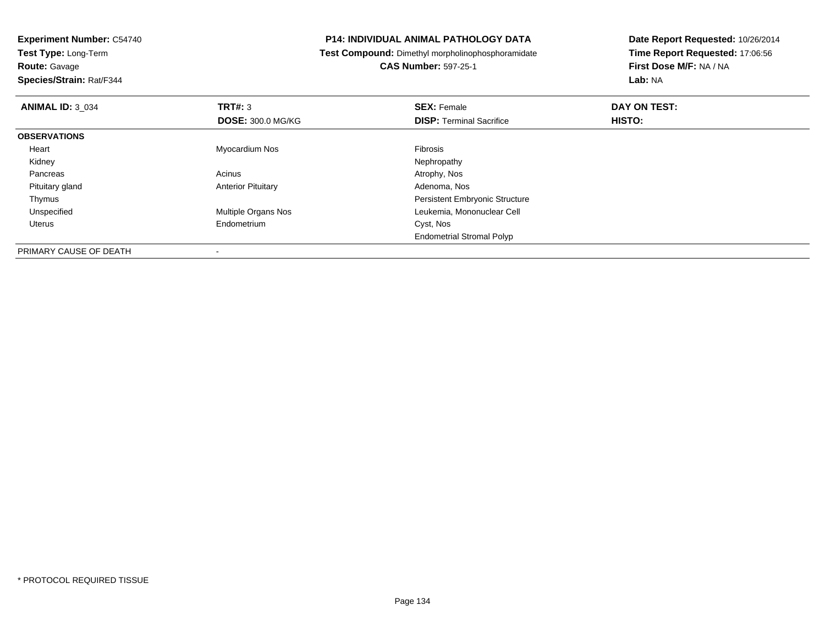**Experiment Number:** C54740**Test Type:** Long-Term**Route:** Gavage **Species/Strain:** Rat/F344**P14: INDIVIDUAL ANIMAL PATHOLOGY DATA Test Compound:** Dimethyl morpholinophosphoramidate**CAS Number:** 597-25-1**Date Report Requested:** 10/26/2014**Time Report Requested:** 17:06:56**First Dose M/F:** NA / NA**Lab:** NA**ANIMAL ID:** 3\_034**TRT#:** 3 **SEX:** Female **DAY ON TEST: DOSE:** 300.0 MG/KG**DISP:** Terminal Sacrifice **HISTO: OBSERVATIONS** Heart Myocardium Nos Fibrosis Kidneyy the control of the control of the control of the control of the control of the control of the control of the control of the control of the control of the control of the control of the control of the control of the contro Pancreass and the contract of the contract of the contract of the contract of the contract  $\mathsf{A}$  at  $\mathsf{A}$  and  $\mathsf{A}$  and  $\mathsf{A}$  and  $\mathsf{A}$  and  $\mathsf{A}$  are contract of  $\mathsf{A}$  and  $\mathsf{A}$  and  $\mathsf{A}$  are contract of Pituitary glandAnterior Pituitary **Adenoma, Nos** Adenoma, Nos Thymus Persistent Embryonic Structure Unspecified Multiple Organs Nos Leukemia, Mononuclear Cell Uterus Endometrium Cyst, Nos Endometrial Stromal PolypPRIMARY CAUSE OF DEATH

-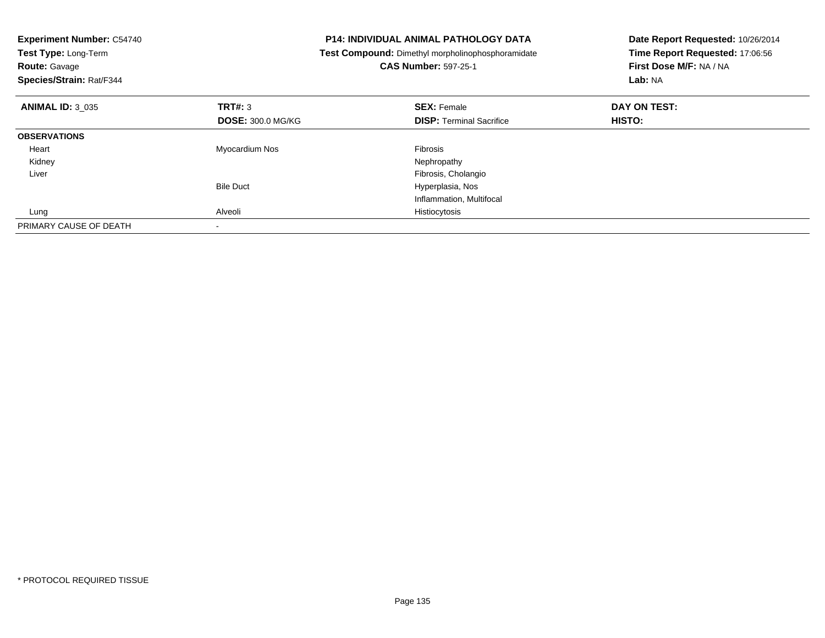| <b>Experiment Number: C54740</b><br>Test Type: Long-Term<br><b>Route: Gavage</b><br>Species/Strain: Rat/F344 |                          | <b>P14: INDIVIDUAL ANIMAL PATHOLOGY DATA</b><br>Test Compound: Dimethyl morpholinophosphoramidate<br><b>CAS Number: 597-25-1</b> | Date Report Requested: 10/26/2014<br>Time Report Requested: 17:06:56<br>First Dose M/F: NA / NA<br>Lab: NA |
|--------------------------------------------------------------------------------------------------------------|--------------------------|----------------------------------------------------------------------------------------------------------------------------------|------------------------------------------------------------------------------------------------------------|
| <b>ANIMAL ID: 3 035</b>                                                                                      | TRT#: 3                  | <b>SEX: Female</b>                                                                                                               | DAY ON TEST:                                                                                               |
|                                                                                                              | <b>DOSE: 300.0 MG/KG</b> | <b>DISP:</b> Terminal Sacrifice                                                                                                  | <b>HISTO:</b>                                                                                              |
| <b>OBSERVATIONS</b>                                                                                          |                          |                                                                                                                                  |                                                                                                            |
| Heart                                                                                                        | Myocardium Nos           | Fibrosis                                                                                                                         |                                                                                                            |
| Kidney                                                                                                       |                          | Nephropathy                                                                                                                      |                                                                                                            |
| Liver                                                                                                        |                          | Fibrosis, Cholangio                                                                                                              |                                                                                                            |
|                                                                                                              | <b>Bile Duct</b>         | Hyperplasia, Nos                                                                                                                 |                                                                                                            |
|                                                                                                              |                          | Inflammation, Multifocal                                                                                                         |                                                                                                            |
| Lung                                                                                                         | Alveoli                  | Histiocytosis                                                                                                                    |                                                                                                            |
| PRIMARY CAUSE OF DEATH                                                                                       |                          |                                                                                                                                  |                                                                                                            |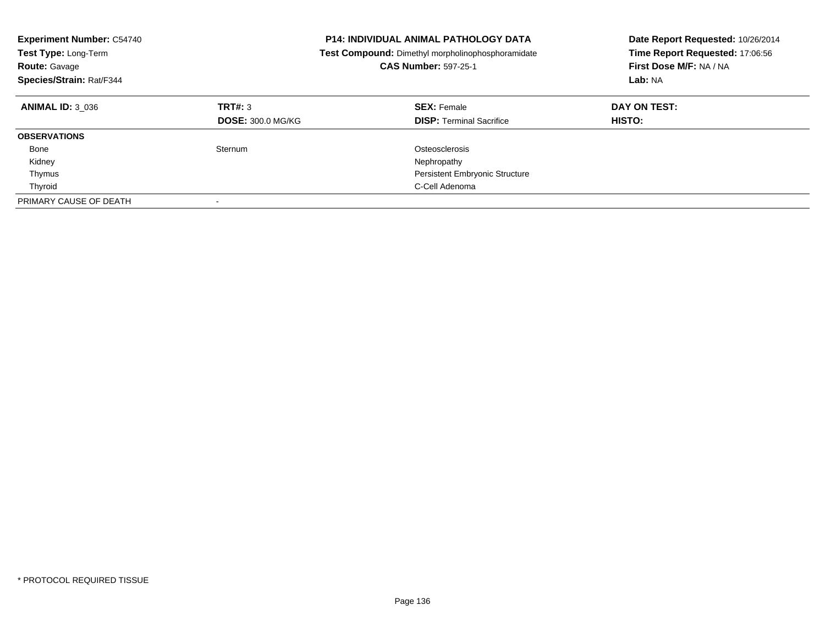| <b>Experiment Number: C54740</b><br><b>Test Type: Long-Term</b><br><b>Route: Gavage</b><br>Species/Strain: Rat/F344 |                                     | <b>P14: INDIVIDUAL ANIMAL PATHOLOGY DATA</b><br><b>Test Compound:</b> Dimethyl morpholinophosphoramidate<br><b>CAS Number: 597-25-1</b> | Date Report Requested: 10/26/2014<br>Time Report Requested: 17:06:56<br>First Dose M/F: NA / NA<br>Lab: NA |
|---------------------------------------------------------------------------------------------------------------------|-------------------------------------|-----------------------------------------------------------------------------------------------------------------------------------------|------------------------------------------------------------------------------------------------------------|
| <b>ANIMAL ID: 3 036</b>                                                                                             | TRT#: 3<br><b>DOSE: 300.0 MG/KG</b> | <b>SEX: Female</b><br><b>DISP: Terminal Sacrifice</b>                                                                                   | DAY ON TEST:<br>HISTO:                                                                                     |
| <b>OBSERVATIONS</b>                                                                                                 |                                     |                                                                                                                                         |                                                                                                            |
| Bone                                                                                                                | Sternum                             | Osteosclerosis                                                                                                                          |                                                                                                            |
| Kidney                                                                                                              |                                     | Nephropathy                                                                                                                             |                                                                                                            |
| Thymus                                                                                                              |                                     | <b>Persistent Embryonic Structure</b>                                                                                                   |                                                                                                            |
| Thyroid                                                                                                             |                                     | C-Cell Adenoma                                                                                                                          |                                                                                                            |
| PRIMARY CAUSE OF DEATH                                                                                              |                                     |                                                                                                                                         |                                                                                                            |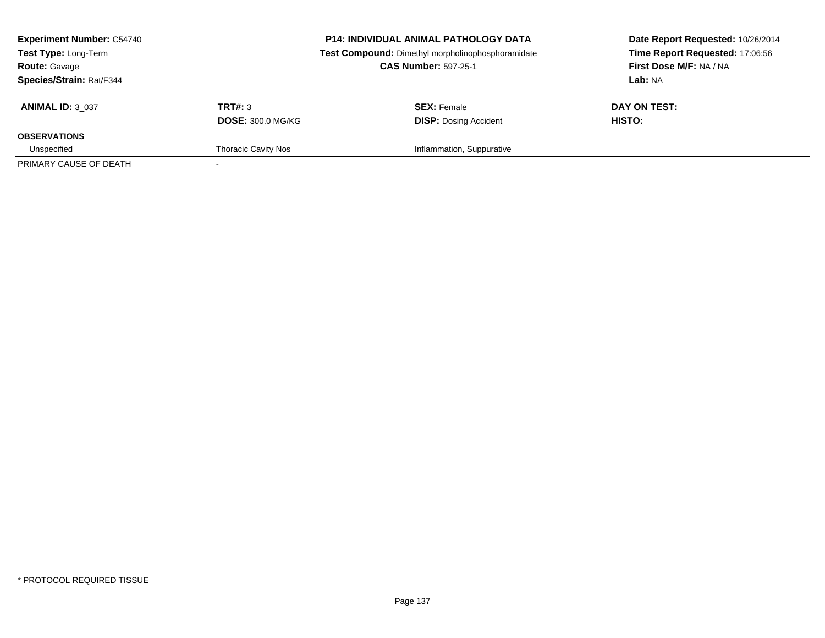| <b>Experiment Number: C54740</b><br>Test Type: Long-Term<br><b>Route: Gavage</b><br><b>Species/Strain: Rat/F344</b> |                            | <b>P14: INDIVIDUAL ANIMAL PATHOLOGY DATA</b><br>Test Compound: Dimethyl morpholinophosphoramidate<br><b>CAS Number: 597-25-1</b> | Date Report Requested: 10/26/2014<br>Time Report Requested: 17:06:56<br>First Dose M/F: NA / NA<br>Lab: NA |  |
|---------------------------------------------------------------------------------------------------------------------|----------------------------|----------------------------------------------------------------------------------------------------------------------------------|------------------------------------------------------------------------------------------------------------|--|
| <b>ANIMAL ID: 3 037</b>                                                                                             | TRT#: 3                    | <b>SEX:</b> Female                                                                                                               | DAY ON TEST:                                                                                               |  |
|                                                                                                                     | <b>DOSE: 300.0 MG/KG</b>   | <b>DISP: Dosing Accident</b>                                                                                                     | HISTO:                                                                                                     |  |
| <b>OBSERVATIONS</b>                                                                                                 |                            |                                                                                                                                  |                                                                                                            |  |
| Unspecified                                                                                                         | <b>Thoracic Cavity Nos</b> | Inflammation, Suppurative                                                                                                        |                                                                                                            |  |
| PRIMARY CAUSE OF DEATH                                                                                              |                            |                                                                                                                                  |                                                                                                            |  |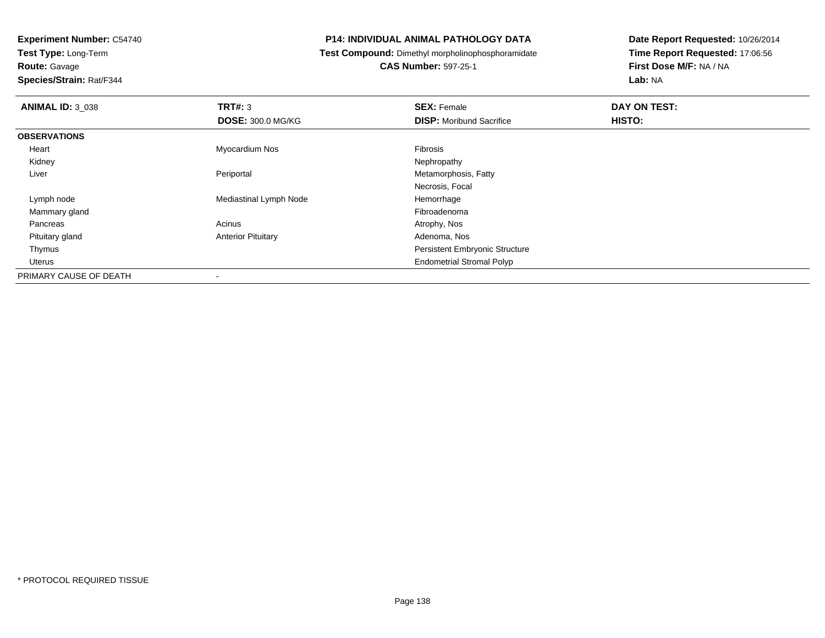**Test Type:** Long-Term**Route:** Gavage

**Species/Strain:** Rat/F344

### **P14: INDIVIDUAL ANIMAL PATHOLOGY DATA**

**Test Compound:** Dimethyl morpholinophosphoramidate

**CAS Number:** 597-25-1

| <b>ANIMAL ID: 3_038</b> | TRT#: 3                   | <b>SEX: Female</b>                    | DAY ON TEST: |  |
|-------------------------|---------------------------|---------------------------------------|--------------|--|
|                         | <b>DOSE: 300.0 MG/KG</b>  | <b>DISP:</b> Moribund Sacrifice       | HISTO:       |  |
| <b>OBSERVATIONS</b>     |                           |                                       |              |  |
| Heart                   | Myocardium Nos            | <b>Fibrosis</b>                       |              |  |
| Kidney                  |                           | Nephropathy                           |              |  |
| Liver                   | Periportal                | Metamorphosis, Fatty                  |              |  |
|                         |                           | Necrosis, Focal                       |              |  |
| Lymph node              | Mediastinal Lymph Node    | Hemorrhage                            |              |  |
| Mammary gland           |                           | Fibroadenoma                          |              |  |
| Pancreas                | Acinus                    | Atrophy, Nos                          |              |  |
| Pituitary gland         | <b>Anterior Pituitary</b> | Adenoma, Nos                          |              |  |
| Thymus                  |                           | <b>Persistent Embryonic Structure</b> |              |  |
| Uterus                  |                           | <b>Endometrial Stromal Polyp</b>      |              |  |
| PRIMARY CAUSE OF DEATH  |                           |                                       |              |  |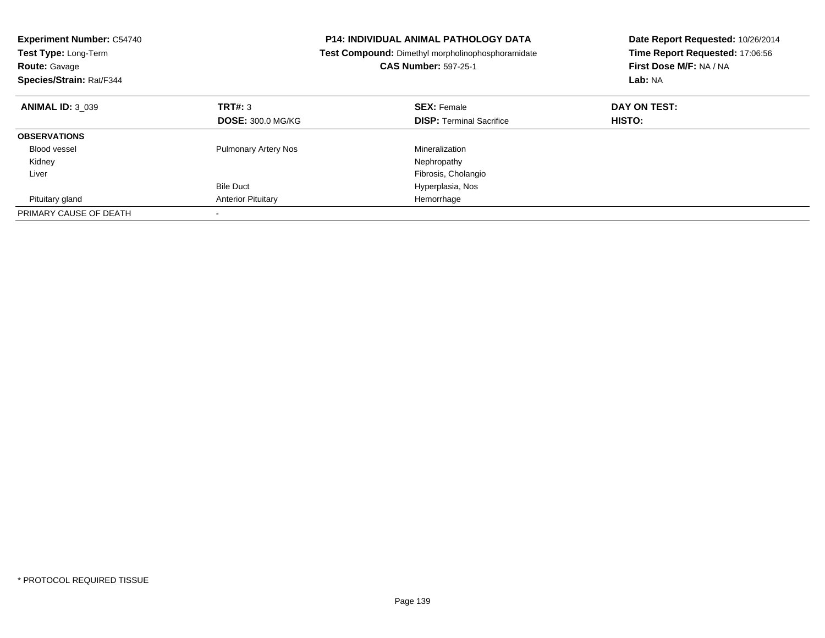| <b>Experiment Number: C54740</b><br>Test Type: Long-Term<br><b>Route: Gavage</b><br>Species/Strain: Rat/F344 |                             | <b>P14: INDIVIDUAL ANIMAL PATHOLOGY DATA</b><br>Test Compound: Dimethyl morpholinophosphoramidate<br><b>CAS Number: 597-25-1</b> | Date Report Requested: 10/26/2014<br>Time Report Requested: 17:06:56<br>First Dose M/F: NA / NA<br>Lab: NA |  |
|--------------------------------------------------------------------------------------------------------------|-----------------------------|----------------------------------------------------------------------------------------------------------------------------------|------------------------------------------------------------------------------------------------------------|--|
| <b>ANIMAL ID: 3 039</b>                                                                                      | TRT#: 3                     | <b>SEX: Female</b>                                                                                                               | DAY ON TEST:                                                                                               |  |
|                                                                                                              | <b>DOSE: 300.0 MG/KG</b>    | <b>DISP:</b> Terminal Sacrifice                                                                                                  | HISTO:                                                                                                     |  |
| <b>OBSERVATIONS</b>                                                                                          |                             |                                                                                                                                  |                                                                                                            |  |
| <b>Blood vessel</b>                                                                                          | <b>Pulmonary Artery Nos</b> | Mineralization                                                                                                                   |                                                                                                            |  |
| Kidney                                                                                                       |                             | Nephropathy                                                                                                                      |                                                                                                            |  |
| Liver                                                                                                        |                             | Fibrosis, Cholangio                                                                                                              |                                                                                                            |  |
|                                                                                                              | <b>Bile Duct</b>            | Hyperplasia, Nos                                                                                                                 |                                                                                                            |  |
| Pituitary gland                                                                                              | <b>Anterior Pituitary</b>   | Hemorrhage                                                                                                                       |                                                                                                            |  |
| PRIMARY CAUSE OF DEATH                                                                                       |                             |                                                                                                                                  |                                                                                                            |  |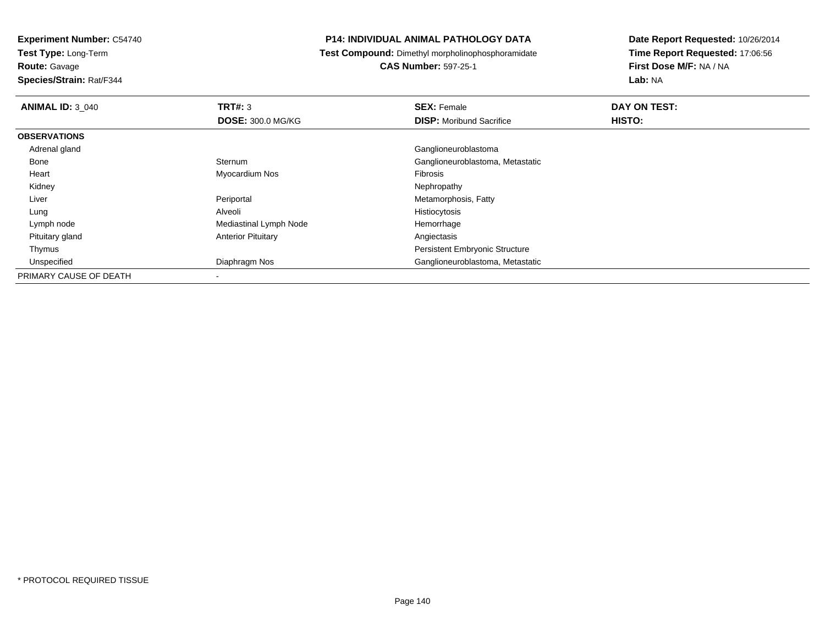**Test Type:** Long-Term

**Route:** Gavage

**Species/Strain:** Rat/F344

### **P14: INDIVIDUAL ANIMAL PATHOLOGY DATA**

**Test Compound:** Dimethyl morpholinophosphoramidate

**CAS Number:** 597-25-1

| <b>ANIMAL ID: 3 040</b> | TRT#: 3                   | <b>SEX: Female</b>                    | DAY ON TEST: |  |
|-------------------------|---------------------------|---------------------------------------|--------------|--|
|                         | <b>DOSE: 300.0 MG/KG</b>  | <b>DISP:</b> Moribund Sacrifice       | HISTO:       |  |
| <b>OBSERVATIONS</b>     |                           |                                       |              |  |
| Adrenal gland           |                           | Ganglioneuroblastoma                  |              |  |
| Bone                    | Sternum                   | Ganglioneuroblastoma, Metastatic      |              |  |
| Heart                   | Myocardium Nos            | Fibrosis                              |              |  |
| Kidney                  |                           | Nephropathy                           |              |  |
| Liver                   | Periportal                | Metamorphosis, Fatty                  |              |  |
| Lung                    | Alveoli                   | Histiocytosis                         |              |  |
| Lymph node              | Mediastinal Lymph Node    | Hemorrhage                            |              |  |
| Pituitary gland         | <b>Anterior Pituitary</b> | Angiectasis                           |              |  |
| Thymus                  |                           | <b>Persistent Embryonic Structure</b> |              |  |
| Unspecified             | Diaphragm Nos             | Ganglioneuroblastoma, Metastatic      |              |  |
| PRIMARY CAUSE OF DEATH  |                           |                                       |              |  |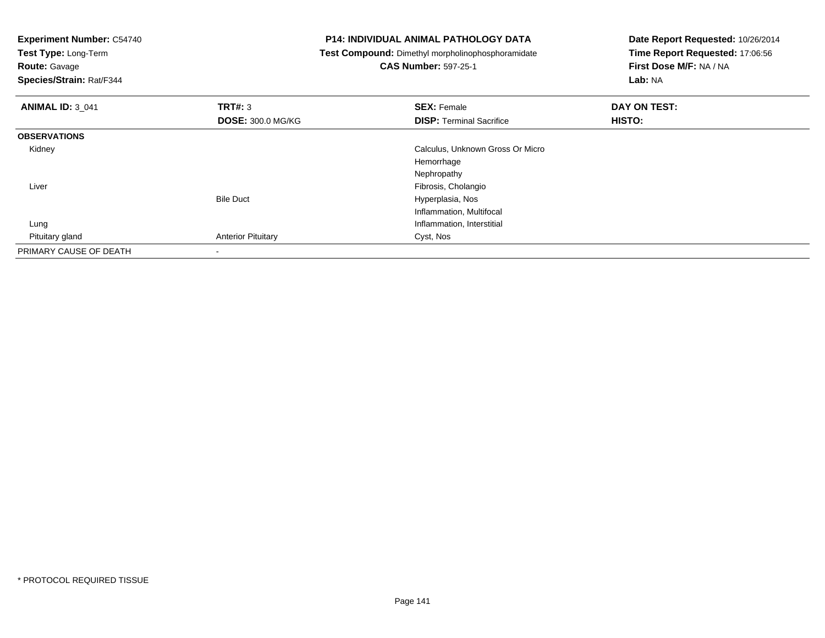**Experiment Number:** C54740**Test Type:** Long-Term**Route:** Gavage **Species/Strain:** Rat/F344**P14: INDIVIDUAL ANIMAL PATHOLOGY DATA Test Compound:** Dimethyl morpholinophosphoramidate**CAS Number:** 597-25-1**Date Report Requested:** 10/26/2014**Time Report Requested:** 17:06:56**First Dose M/F:** NA / NA**Lab:** NA**ANIMAL ID:** 3\_041**TRT#:** 3 **SEX:** Female **DAY ON TEST: DOSE:** 300.0 MG/KG**DISP:** Terminal Sacrifice **HISTO: OBSERVATIONS** Kidney Calculus, Unknown Gross Or MicroHemorrhage Nephropathy Fibrosis, Cholangio LiverBile Duct Hyperplasia, Nos Inflammation, Multifocal LungInflammation, Interstitial<br>Cyst, Nos Pituitary gland**Anterior Pituitary** PRIMARY CAUSE OF DEATH-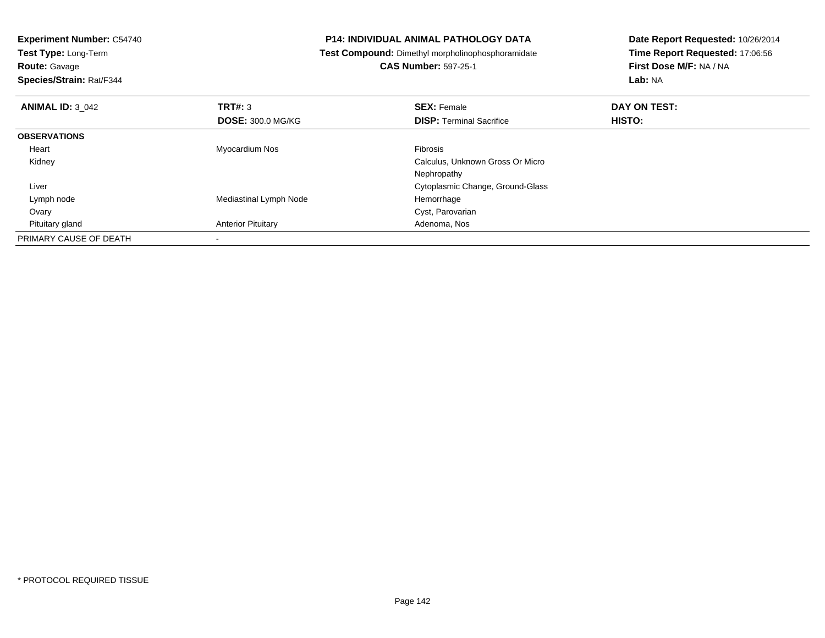| <b>Experiment Number: C54740</b> | <b>P14: INDIVIDUAL ANIMAL PATHOLOGY DATA</b> |                                                          | Date Report Requested: 10/26/2014 |  |
|----------------------------------|----------------------------------------------|----------------------------------------------------------|-----------------------------------|--|
| Test Type: Long-Term             |                                              | <b>Test Compound:</b> Dimethyl morpholinophosphoramidate | Time Report Requested: 17:06:56   |  |
| <b>Route: Gavage</b>             |                                              | <b>CAS Number: 597-25-1</b>                              | First Dose M/F: NA / NA           |  |
| Species/Strain: Rat/F344         |                                              |                                                          | Lab: NA                           |  |
| <b>ANIMAL ID: 3 042</b>          | <b>TRT#: 3</b>                               | <b>SEX: Female</b>                                       | DAY ON TEST:                      |  |
|                                  | <b>DOSE: 300.0 MG/KG</b>                     | <b>DISP: Terminal Sacrifice</b>                          | HISTO:                            |  |
| <b>OBSERVATIONS</b>              |                                              |                                                          |                                   |  |
| Heart                            | Myocardium Nos                               | <b>Fibrosis</b>                                          |                                   |  |
| Kidney                           |                                              | Calculus, Unknown Gross Or Micro                         |                                   |  |
|                                  |                                              | Nephropathy                                              |                                   |  |
| Liver                            |                                              | Cytoplasmic Change, Ground-Glass                         |                                   |  |
| Lymph node                       | Mediastinal Lymph Node                       | Hemorrhage                                               |                                   |  |
| Ovary                            |                                              | Cyst, Parovarian                                         |                                   |  |
| Pituitary gland                  | <b>Anterior Pituitary</b>                    | Adenoma, Nos                                             |                                   |  |
| PRIMARY CAUSE OF DEATH           |                                              |                                                          |                                   |  |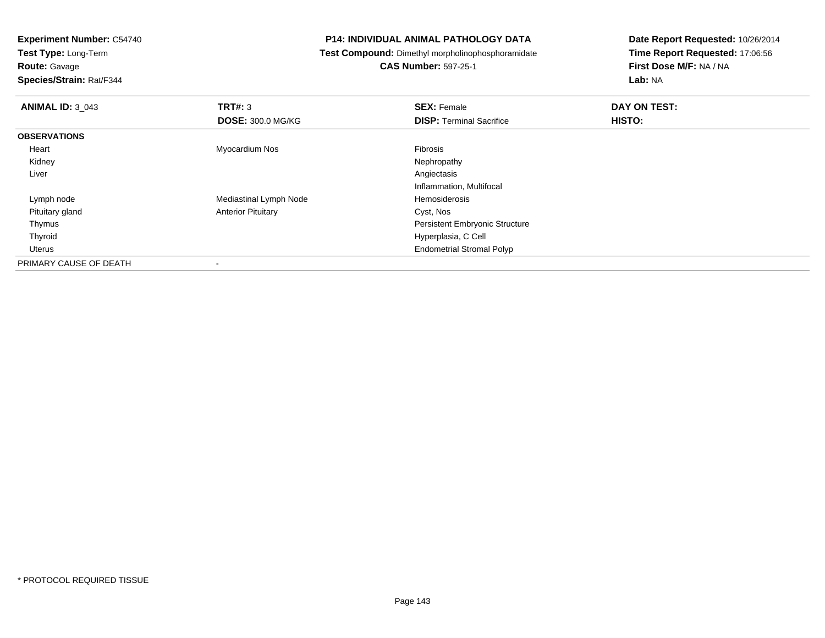**Test Type:** Long-Term

**Route:** Gavage

**Species/Strain:** Rat/F344

## **P14: INDIVIDUAL ANIMAL PATHOLOGY DATA**

**Test Compound:** Dimethyl morpholinophosphoramidate

**CAS Number:** 597-25-1

| <b>ANIMAL ID: 3 043</b> | TRT#: 3                   | <b>SEX: Female</b>                    | DAY ON TEST: |  |
|-------------------------|---------------------------|---------------------------------------|--------------|--|
|                         | <b>DOSE: 300.0 MG/KG</b>  | <b>DISP: Terminal Sacrifice</b>       | HISTO:       |  |
| <b>OBSERVATIONS</b>     |                           |                                       |              |  |
| Heart                   | Myocardium Nos            | <b>Fibrosis</b>                       |              |  |
| Kidney                  |                           | Nephropathy                           |              |  |
| Liver                   |                           | Angiectasis                           |              |  |
|                         |                           | Inflammation, Multifocal              |              |  |
| Lymph node              | Mediastinal Lymph Node    | Hemosiderosis                         |              |  |
| Pituitary gland         | <b>Anterior Pituitary</b> | Cyst, Nos                             |              |  |
| Thymus                  |                           | <b>Persistent Embryonic Structure</b> |              |  |
| Thyroid                 |                           | Hyperplasia, C Cell                   |              |  |
| Uterus                  |                           | <b>Endometrial Stromal Polyp</b>      |              |  |
| PRIMARY CAUSE OF DEATH  | $\overline{\phantom{a}}$  |                                       |              |  |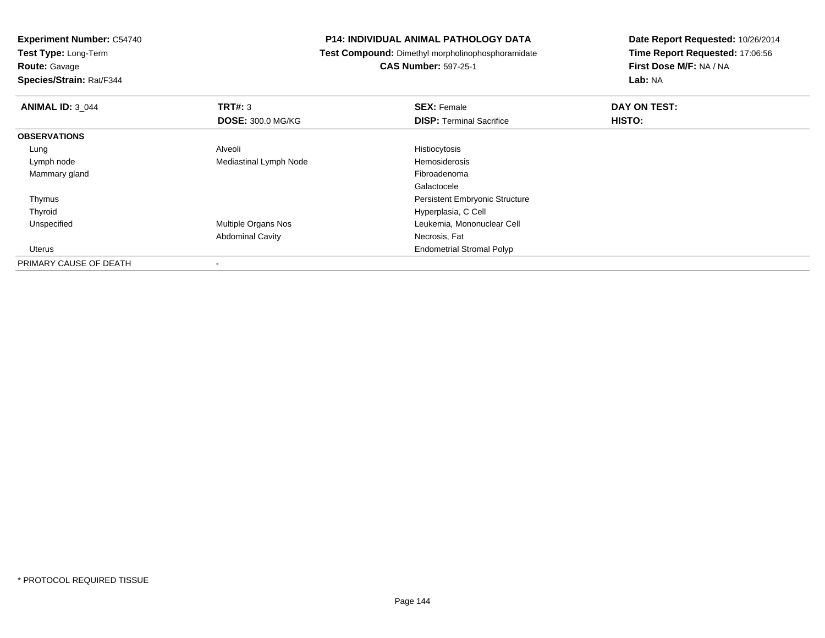**Test Type:** Long-Term

**Route:** Gavage

**Species/Strain:** Rat/F344

## **P14: INDIVIDUAL ANIMAL PATHOLOGY DATA**

**Test Compound:** Dimethyl morpholinophosphoramidate

**CAS Number:** 597-25-1

| <b>ANIMAL ID: 3 044</b> | TRT#: 3                  | <b>SEX: Female</b>                    | DAY ON TEST: |  |
|-------------------------|--------------------------|---------------------------------------|--------------|--|
|                         | <b>DOSE: 300.0 MG/KG</b> | <b>DISP: Terminal Sacrifice</b>       | HISTO:       |  |
| <b>OBSERVATIONS</b>     |                          |                                       |              |  |
| Lung                    | Alveoli                  | Histiocytosis                         |              |  |
| Lymph node              | Mediastinal Lymph Node   | Hemosiderosis                         |              |  |
| Mammary gland           |                          | Fibroadenoma                          |              |  |
|                         |                          | Galactocele                           |              |  |
| Thymus                  |                          | <b>Persistent Embryonic Structure</b> |              |  |
| Thyroid                 |                          | Hyperplasia, C Cell                   |              |  |
| Unspecified             | Multiple Organs Nos      | Leukemia, Mononuclear Cell            |              |  |
|                         | <b>Abdominal Cavity</b>  | Necrosis, Fat                         |              |  |
| Uterus                  |                          | <b>Endometrial Stromal Polyp</b>      |              |  |
| PRIMARY CAUSE OF DEATH  |                          |                                       |              |  |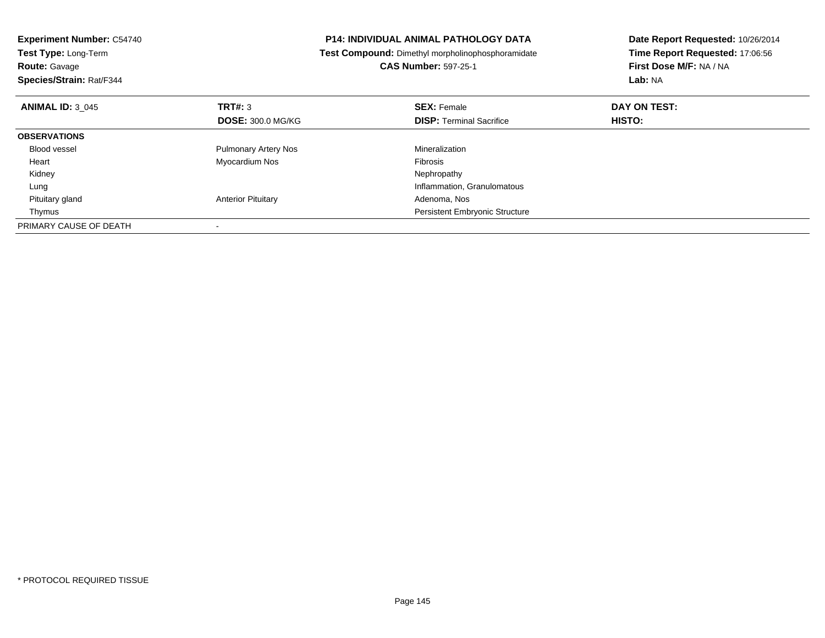| <b>Experiment Number: C54740</b><br>Test Type: Long-Term<br><b>Route: Gavage</b><br>Species/Strain: Rat/F344 |                             | <b>P14: INDIVIDUAL ANIMAL PATHOLOGY DATA</b><br>Test Compound: Dimethyl morpholinophosphoramidate<br><b>CAS Number: 597-25-1</b> | Date Report Requested: 10/26/2014<br>Time Report Requested: 17:06:56<br>First Dose M/F: NA / NA<br>Lab: NA |
|--------------------------------------------------------------------------------------------------------------|-----------------------------|----------------------------------------------------------------------------------------------------------------------------------|------------------------------------------------------------------------------------------------------------|
|                                                                                                              |                             |                                                                                                                                  |                                                                                                            |
| <b>ANIMAL ID: 3 045</b>                                                                                      | TRT#: 3                     | <b>SEX: Female</b>                                                                                                               | DAY ON TEST:                                                                                               |
|                                                                                                              | <b>DOSE: 300.0 MG/KG</b>    | <b>DISP:</b> Terminal Sacrifice                                                                                                  | HISTO:                                                                                                     |
| <b>OBSERVATIONS</b>                                                                                          |                             |                                                                                                                                  |                                                                                                            |
| <b>Blood vessel</b>                                                                                          | <b>Pulmonary Artery Nos</b> | Mineralization                                                                                                                   |                                                                                                            |
| Heart                                                                                                        | Myocardium Nos              | <b>Fibrosis</b>                                                                                                                  |                                                                                                            |
| Kidney                                                                                                       |                             | Nephropathy                                                                                                                      |                                                                                                            |
| Lung                                                                                                         |                             | Inflammation, Granulomatous                                                                                                      |                                                                                                            |
| Pituitary gland                                                                                              | <b>Anterior Pituitary</b>   | Adenoma, Nos                                                                                                                     |                                                                                                            |
| Thymus                                                                                                       |                             | <b>Persistent Embryonic Structure</b>                                                                                            |                                                                                                            |
| PRIMARY CAUSE OF DEATH                                                                                       |                             |                                                                                                                                  |                                                                                                            |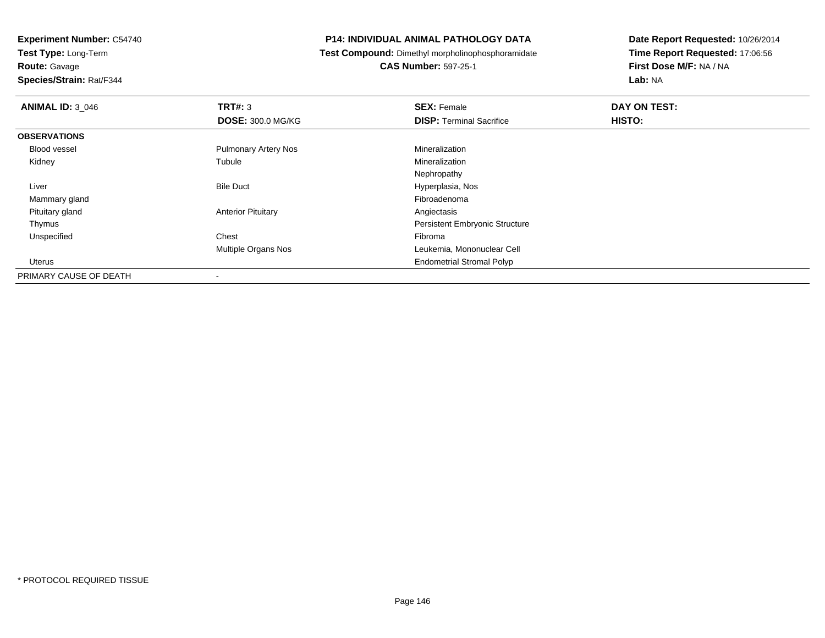**Experiment Number:** C54740**Test Type:** Long-Term

**Route:** Gavage

**Species/Strain:** Rat/F344

# **P14: INDIVIDUAL ANIMAL PATHOLOGY DATA**

**Test Compound:** Dimethyl morpholinophosphoramidate

**CAS Number:** 597-25-1

| <b>ANIMAL ID: 3 046</b> | TRT#: 3                     | <b>SEX: Female</b>                    | DAY ON TEST: |  |
|-------------------------|-----------------------------|---------------------------------------|--------------|--|
|                         | <b>DOSE: 300.0 MG/KG</b>    | <b>DISP: Terminal Sacrifice</b>       | HISTO:       |  |
| <b>OBSERVATIONS</b>     |                             |                                       |              |  |
| Blood vessel            | <b>Pulmonary Artery Nos</b> | Mineralization                        |              |  |
| Kidney                  | Tubule                      | Mineralization                        |              |  |
|                         |                             | Nephropathy                           |              |  |
| Liver                   | <b>Bile Duct</b>            | Hyperplasia, Nos                      |              |  |
| Mammary gland           |                             | Fibroadenoma                          |              |  |
| Pituitary gland         | <b>Anterior Pituitary</b>   | Angiectasis                           |              |  |
| Thymus                  |                             | <b>Persistent Embryonic Structure</b> |              |  |
| Unspecified             | Chest                       | Fibroma                               |              |  |
|                         | <b>Multiple Organs Nos</b>  | Leukemia, Mononuclear Cell            |              |  |
| Uterus                  |                             | <b>Endometrial Stromal Polyp</b>      |              |  |
| PRIMARY CAUSE OF DEATH  | $\overline{\phantom{a}}$    |                                       |              |  |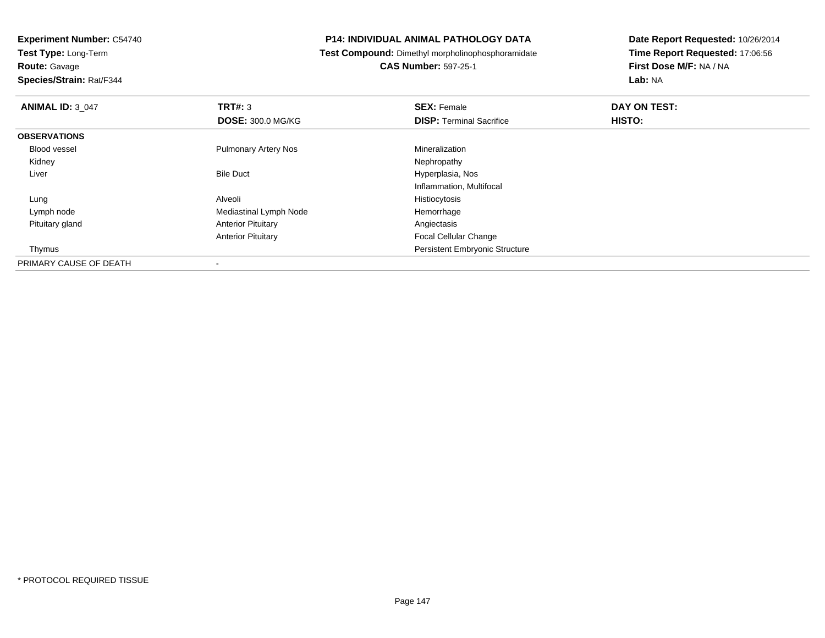**Experiment Number:** C54740**Test Type:** Long-Term

**Route:** Gavage

**Species/Strain:** Rat/F344

# **P14: INDIVIDUAL ANIMAL PATHOLOGY DATA**

**Test Compound:** Dimethyl morpholinophosphoramidate

**CAS Number:** 597-25-1

| <b>ANIMAL ID: 3 047</b> | TRT#: 3                     | <b>SEX: Female</b>                    | DAY ON TEST: |  |
|-------------------------|-----------------------------|---------------------------------------|--------------|--|
|                         | <b>DOSE: 300.0 MG/KG</b>    | <b>DISP: Terminal Sacrifice</b>       | HISTO:       |  |
| <b>OBSERVATIONS</b>     |                             |                                       |              |  |
| <b>Blood vessel</b>     | <b>Pulmonary Artery Nos</b> | Mineralization                        |              |  |
| Kidney                  |                             | Nephropathy                           |              |  |
| Liver                   | <b>Bile Duct</b>            | Hyperplasia, Nos                      |              |  |
|                         |                             | Inflammation, Multifocal              |              |  |
| Lung                    | Alveoli                     | Histiocytosis                         |              |  |
| Lymph node              | Mediastinal Lymph Node      | Hemorrhage                            |              |  |
| Pituitary gland         | <b>Anterior Pituitary</b>   | Angiectasis                           |              |  |
|                         | <b>Anterior Pituitary</b>   | <b>Focal Cellular Change</b>          |              |  |
| Thymus                  |                             | <b>Persistent Embryonic Structure</b> |              |  |
| PRIMARY CAUSE OF DEATH  |                             |                                       |              |  |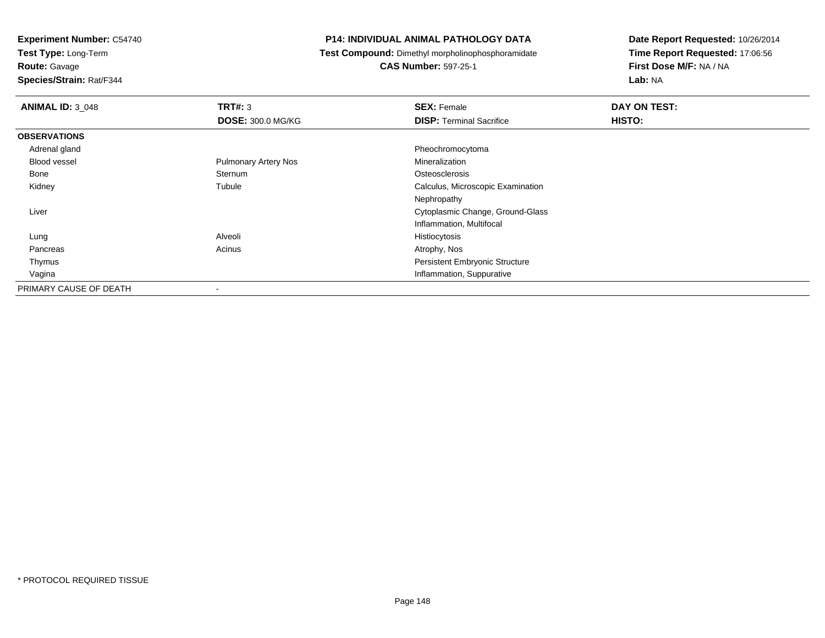**Test Type:** Long-Term

**Route:** Gavage

**Species/Strain:** Rat/F344

# **P14: INDIVIDUAL ANIMAL PATHOLOGY DATA**

**Test Compound:** Dimethyl morpholinophosphoramidate

**CAS Number:** 597-25-1

| <b>ANIMAL ID: 3 048</b> | TRT#: 3                     | <b>SEX: Female</b>                    | DAY ON TEST: |  |
|-------------------------|-----------------------------|---------------------------------------|--------------|--|
|                         | <b>DOSE: 300.0 MG/KG</b>    | <b>DISP: Terminal Sacrifice</b>       | HISTO:       |  |
| <b>OBSERVATIONS</b>     |                             |                                       |              |  |
| Adrenal gland           |                             | Pheochromocytoma                      |              |  |
| <b>Blood vessel</b>     | <b>Pulmonary Artery Nos</b> | Mineralization                        |              |  |
| Bone                    | Sternum                     | Osteosclerosis                        |              |  |
| Kidney                  | Tubule                      | Calculus, Microscopic Examination     |              |  |
|                         |                             | Nephropathy                           |              |  |
| Liver                   |                             | Cytoplasmic Change, Ground-Glass      |              |  |
|                         |                             | Inflammation, Multifocal              |              |  |
| Lung                    | Alveoli                     | Histiocytosis                         |              |  |
| Pancreas                | Acinus                      | Atrophy, Nos                          |              |  |
| Thymus                  |                             | <b>Persistent Embryonic Structure</b> |              |  |
| Vagina                  |                             | Inflammation, Suppurative             |              |  |
| PRIMARY CAUSE OF DEATH  | $\,$                        |                                       |              |  |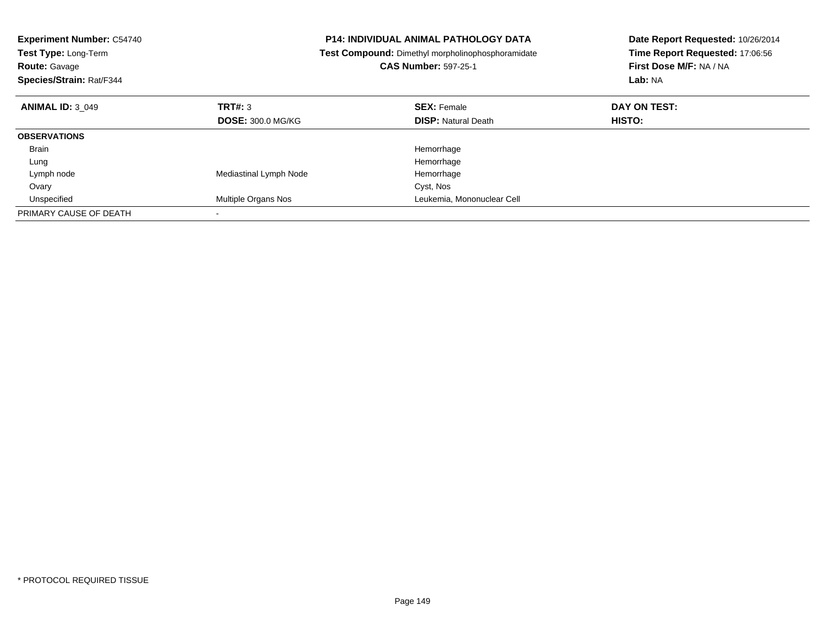| <b>Experiment Number: C54740</b><br><b>Test Type: Long-Term</b><br><b>Route: Gavage</b><br>Species/Strain: Rat/F344 |                            | <b>P14: INDIVIDUAL ANIMAL PATHOLOGY DATA</b><br>Test Compound: Dimethyl morpholinophosphoramidate<br><b>CAS Number: 597-25-1</b> | Date Report Requested: 10/26/2014<br>Time Report Requested: 17:06:56<br>First Dose M/F: NA / NA<br>Lab: NA |
|---------------------------------------------------------------------------------------------------------------------|----------------------------|----------------------------------------------------------------------------------------------------------------------------------|------------------------------------------------------------------------------------------------------------|
| <b>ANIMAL ID: 3 049</b>                                                                                             | TRT#: 3                    | <b>SEX: Female</b>                                                                                                               | DAY ON TEST:                                                                                               |
|                                                                                                                     | <b>DOSE: 300.0 MG/KG</b>   | <b>DISP: Natural Death</b>                                                                                                       | HISTO:                                                                                                     |
| <b>OBSERVATIONS</b>                                                                                                 |                            |                                                                                                                                  |                                                                                                            |
| <b>Brain</b>                                                                                                        |                            | Hemorrhage                                                                                                                       |                                                                                                            |
| Lung                                                                                                                |                            | Hemorrhage                                                                                                                       |                                                                                                            |
| Lymph node                                                                                                          | Mediastinal Lymph Node     | Hemorrhage                                                                                                                       |                                                                                                            |
| Ovary                                                                                                               |                            | Cyst, Nos                                                                                                                        |                                                                                                            |
| Unspecified                                                                                                         | <b>Multiple Organs Nos</b> | Leukemia, Mononuclear Cell                                                                                                       |                                                                                                            |
| PRIMARY CAUSE OF DEATH                                                                                              |                            |                                                                                                                                  |                                                                                                            |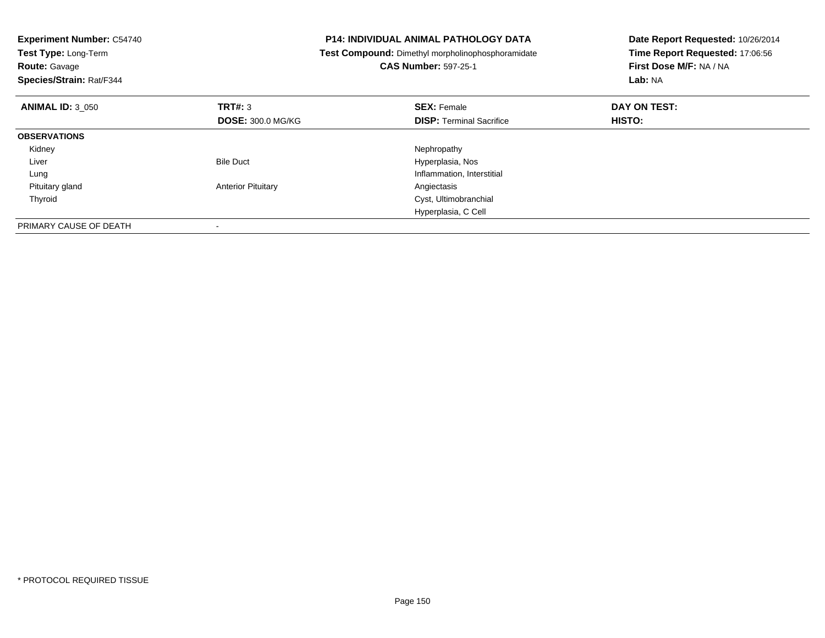| <b>Experiment Number: C54740</b><br>Test Type: Long-Term<br><b>Route: Gavage</b><br>Species/Strain: Rat/F344 |                           | <b>P14: INDIVIDUAL ANIMAL PATHOLOGY DATA</b><br><b>Test Compound:</b> Dimethyl morpholinophosphoramidate<br><b>CAS Number: 597-25-1</b> | Date Report Requested: 10/26/2014<br>Time Report Requested: 17:06:56<br>First Dose M/F: NA / NA<br>Lab: NA |
|--------------------------------------------------------------------------------------------------------------|---------------------------|-----------------------------------------------------------------------------------------------------------------------------------------|------------------------------------------------------------------------------------------------------------|
| <b>ANIMAL ID: 3 050</b>                                                                                      | TRT#: 3                   | <b>SEX: Female</b>                                                                                                                      | DAY ON TEST:                                                                                               |
|                                                                                                              | <b>DOSE: 300.0 MG/KG</b>  | <b>DISP:</b> Terminal Sacrifice                                                                                                         | HISTO:                                                                                                     |
| <b>OBSERVATIONS</b>                                                                                          |                           |                                                                                                                                         |                                                                                                            |
| Kidney                                                                                                       |                           | Nephropathy                                                                                                                             |                                                                                                            |
| Liver                                                                                                        | <b>Bile Duct</b>          | Hyperplasia, Nos                                                                                                                        |                                                                                                            |
| Lung                                                                                                         |                           | Inflammation, Interstitial                                                                                                              |                                                                                                            |
| Pituitary gland                                                                                              | <b>Anterior Pituitary</b> | Angiectasis                                                                                                                             |                                                                                                            |
| Thyroid                                                                                                      |                           | Cyst, Ultimobranchial                                                                                                                   |                                                                                                            |
|                                                                                                              |                           | Hyperplasia, C Cell                                                                                                                     |                                                                                                            |
| PRIMARY CAUSE OF DEATH                                                                                       |                           |                                                                                                                                         |                                                                                                            |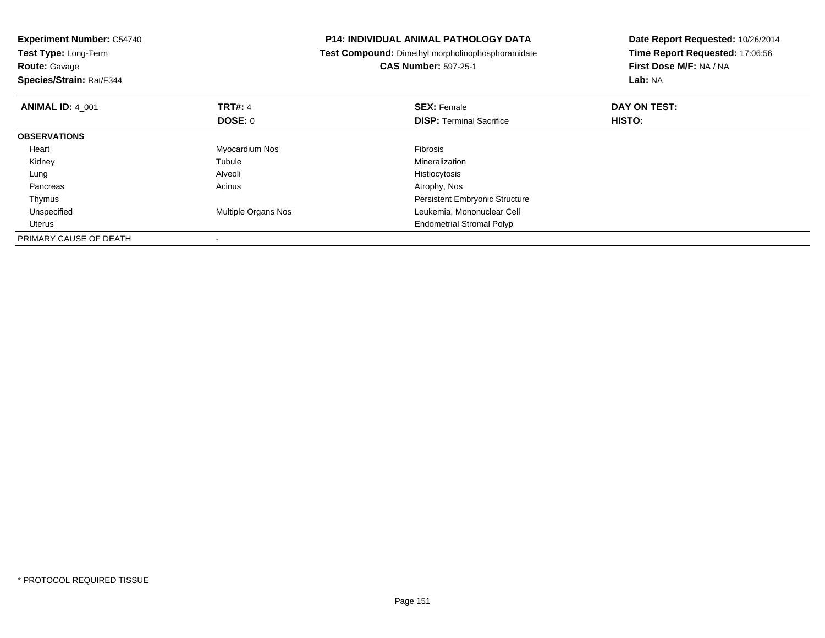| <b>Experiment Number: C54740</b><br>Test Type: Long-Term<br><b>Route: Gavage</b><br>Species/Strain: Rat/F344 |                     | <b>P14: INDIVIDUAL ANIMAL PATHOLOGY DATA</b><br>Test Compound: Dimethyl morpholinophosphoramidate<br><b>CAS Number: 597-25-1</b> | Date Report Requested: 10/26/2014<br>Time Report Requested: 17:06:56<br>First Dose M/F: NA / NA<br>Lab: NA |
|--------------------------------------------------------------------------------------------------------------|---------------------|----------------------------------------------------------------------------------------------------------------------------------|------------------------------------------------------------------------------------------------------------|
| <b>ANIMAL ID: 4 001</b>                                                                                      | <b>TRT#: 4</b>      | <b>SEX: Female</b>                                                                                                               | DAY ON TEST:                                                                                               |
|                                                                                                              | <b>DOSE: 0</b>      | <b>DISP:</b> Terminal Sacrifice                                                                                                  | HISTO:                                                                                                     |
| <b>OBSERVATIONS</b>                                                                                          |                     |                                                                                                                                  |                                                                                                            |
| Heart                                                                                                        | Myocardium Nos      | Fibrosis                                                                                                                         |                                                                                                            |
| Kidney                                                                                                       | Tubule              | Mineralization                                                                                                                   |                                                                                                            |
| Lung                                                                                                         | Alveoli             | Histiocytosis                                                                                                                    |                                                                                                            |
| Pancreas                                                                                                     | Acinus              | Atrophy, Nos                                                                                                                     |                                                                                                            |
| Thymus                                                                                                       |                     | <b>Persistent Embryonic Structure</b>                                                                                            |                                                                                                            |
| Unspecified                                                                                                  | Multiple Organs Nos | Leukemia, Mononuclear Cell                                                                                                       |                                                                                                            |
| Uterus                                                                                                       |                     | <b>Endometrial Stromal Polyp</b>                                                                                                 |                                                                                                            |
| PRIMARY CAUSE OF DEATH                                                                                       |                     |                                                                                                                                  |                                                                                                            |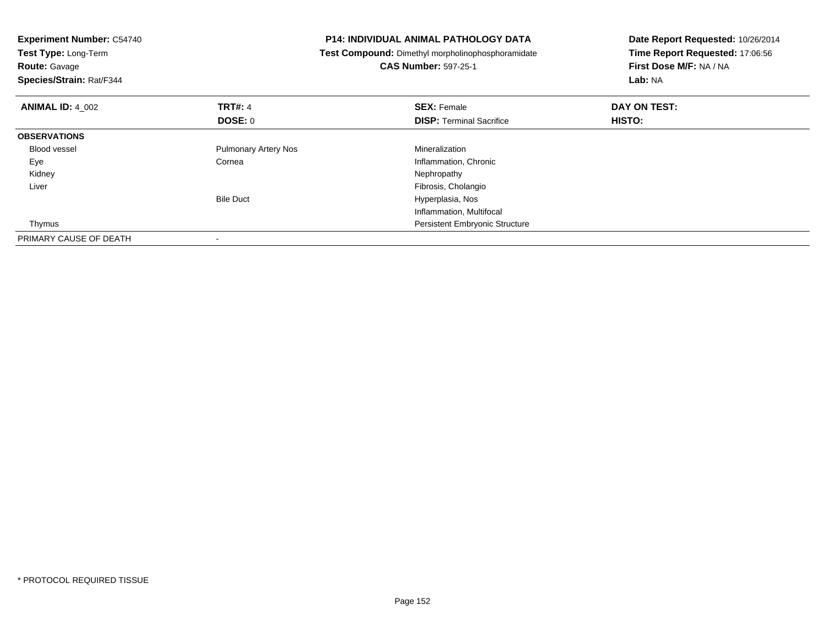| <b>Experiment Number: C54740</b><br>Test Type: Long-Term<br><b>Route: Gavage</b><br>Species/Strain: Rat/F344 |                             | <b>P14: INDIVIDUAL ANIMAL PATHOLOGY DATA</b><br>Test Compound: Dimethyl morpholinophosphoramidate<br><b>CAS Number: 597-25-1</b> | Date Report Requested: 10/26/2014<br>Time Report Requested: 17:06:56<br>First Dose M/F: NA / NA<br>Lab: NA |
|--------------------------------------------------------------------------------------------------------------|-----------------------------|----------------------------------------------------------------------------------------------------------------------------------|------------------------------------------------------------------------------------------------------------|
| <b>ANIMAL ID: 4 002</b>                                                                                      | <b>TRT#: 4</b>              | <b>SEX: Female</b>                                                                                                               | DAY ON TEST:                                                                                               |
|                                                                                                              | DOSE: 0                     | <b>DISP:</b> Terminal Sacrifice                                                                                                  | HISTO:                                                                                                     |
| <b>OBSERVATIONS</b>                                                                                          |                             |                                                                                                                                  |                                                                                                            |
| <b>Blood vessel</b>                                                                                          | <b>Pulmonary Artery Nos</b> | Mineralization                                                                                                                   |                                                                                                            |
| Eye                                                                                                          | Cornea                      | Inflammation, Chronic                                                                                                            |                                                                                                            |
| Kidney                                                                                                       |                             | Nephropathy                                                                                                                      |                                                                                                            |
| Liver                                                                                                        |                             | Fibrosis, Cholangio                                                                                                              |                                                                                                            |
|                                                                                                              | <b>Bile Duct</b>            | Hyperplasia, Nos                                                                                                                 |                                                                                                            |
|                                                                                                              |                             | Inflammation, Multifocal                                                                                                         |                                                                                                            |
| Thymus                                                                                                       |                             | <b>Persistent Embryonic Structure</b>                                                                                            |                                                                                                            |
| PRIMARY CAUSE OF DEATH                                                                                       |                             |                                                                                                                                  |                                                                                                            |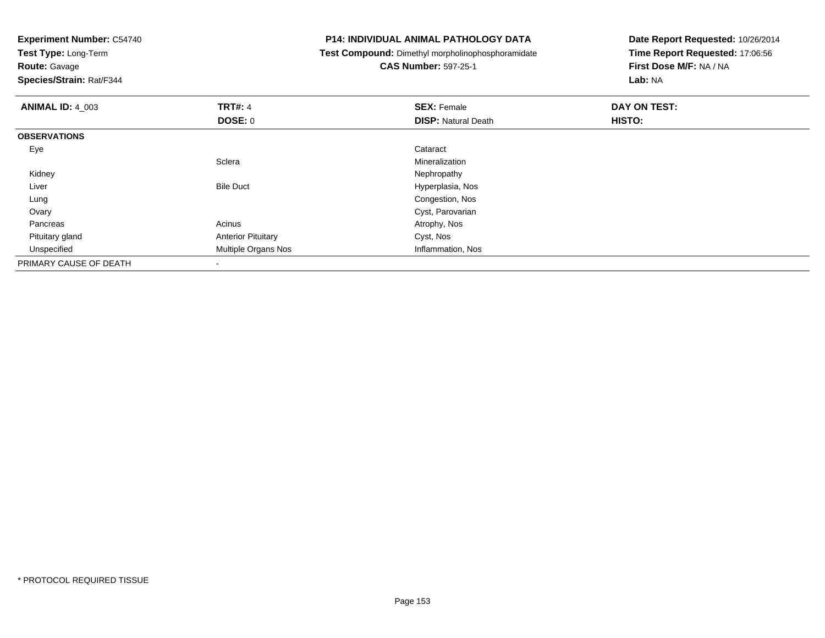**Experiment Number:** C54740**Test Type:** Long-Term**Route:** Gavage **Species/Strain:** Rat/F344**P14: INDIVIDUAL ANIMAL PATHOLOGY DATA Test Compound:** Dimethyl morpholinophosphoramidate**CAS Number:** 597-25-1**Date Report Requested:** 10/26/2014**Time Report Requested:** 17:06:56**First Dose M/F:** NA / NA**Lab:** NA**ANIMAL ID:** 4\_003**TRT#:** 4 **SEX:** Female **DAY ON TEST: DOSE:** 0**DISP:** Natural Death **HISTO: OBSERVATIONS** Eyee de la constitución de la constitución de la constitución de la constitución de la constitución de la constitución<br>En el constitución de la constitución de la constitución de la constitución de la constitución de la const **Sclera** Mineralization<br>Nephropathy Kidneyy the control of the control of the control of the control of the control of the control of the control of the control of the control of the control of the control of the control of the control of the control of the contro LiverBile Duct **Hyperplasia**, Nos Congestion, Nos Lung**Ovary** Cyst, Parovarian<br>Atrophy, Nos Pancreass and the contract of the contract of the contract of the contract of the contract  $\mathsf{A}$  at  $\mathsf{A}$  and  $\mathsf{A}$  and  $\mathsf{A}$  and  $\mathsf{A}$  and  $\mathsf{A}$  are contract of  $\mathsf{A}$  and  $\mathsf{A}$  and  $\mathsf{A}$  are contract of Pituitary glandAnterior Pituitary and Cyst, Nos<br>
Multiple Organs Nos<br>
Multiple Organs Nos UnspecifiedMultiple Organs Nos PRIMARY CAUSE OF DEATH-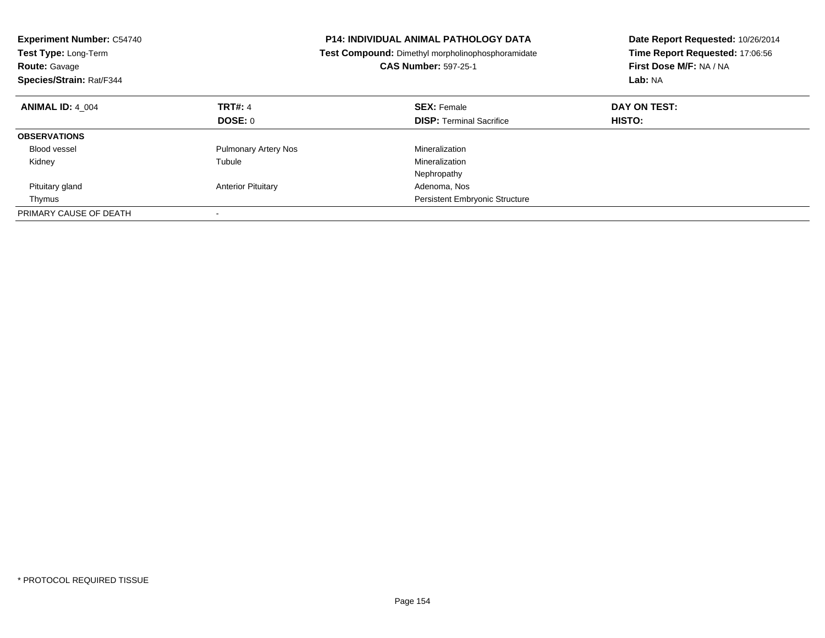| <b>Experiment Number: C54740</b><br>Test Type: Long-Term<br><b>Route: Gavage</b><br>Species/Strain: Rat/F344 |                             | <b>P14: INDIVIDUAL ANIMAL PATHOLOGY DATA</b><br>Test Compound: Dimethyl morpholinophosphoramidate<br><b>CAS Number: 597-25-1</b> | Date Report Requested: 10/26/2014<br>Time Report Requested: 17:06:56<br>First Dose M/F: NA / NA<br>Lab: NA |
|--------------------------------------------------------------------------------------------------------------|-----------------------------|----------------------------------------------------------------------------------------------------------------------------------|------------------------------------------------------------------------------------------------------------|
| <b>ANIMAL ID: 4 004</b>                                                                                      | <b>TRT#: 4</b>              | <b>SEX: Female</b>                                                                                                               | DAY ON TEST:                                                                                               |
|                                                                                                              | DOSE: 0                     | <b>DISP:</b> Terminal Sacrifice                                                                                                  | HISTO:                                                                                                     |
| <b>OBSERVATIONS</b>                                                                                          |                             |                                                                                                                                  |                                                                                                            |
| <b>Blood vessel</b>                                                                                          | <b>Pulmonary Artery Nos</b> | Mineralization                                                                                                                   |                                                                                                            |
| Kidney                                                                                                       | Tubule                      | Mineralization                                                                                                                   |                                                                                                            |
|                                                                                                              |                             | Nephropathy                                                                                                                      |                                                                                                            |
| Pituitary gland                                                                                              | <b>Anterior Pituitary</b>   | Adenoma, Nos                                                                                                                     |                                                                                                            |
| Thymus                                                                                                       |                             | Persistent Embryonic Structure                                                                                                   |                                                                                                            |
| PRIMARY CAUSE OF DEATH                                                                                       |                             |                                                                                                                                  |                                                                                                            |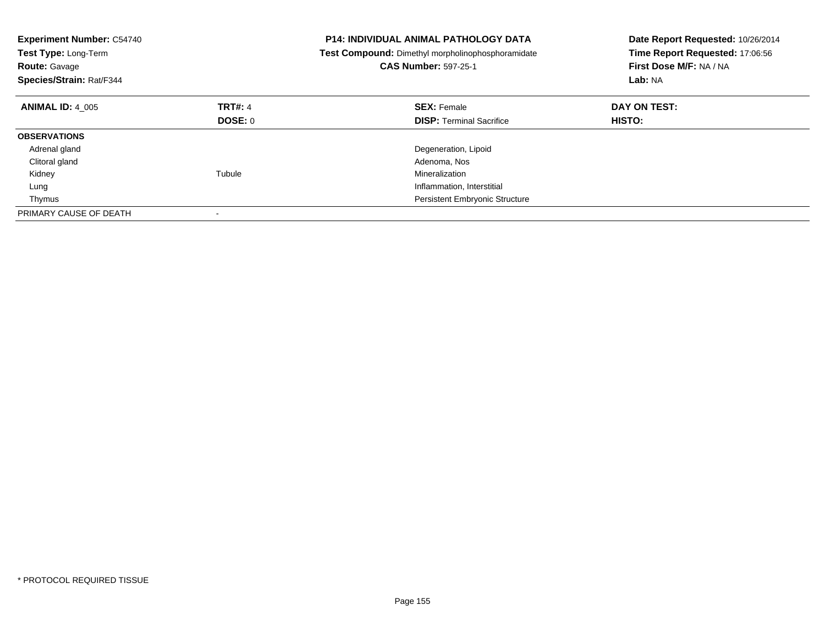| <b>Experiment Number: C54740</b><br>Test Type: Long-Term<br><b>Route: Gavage</b><br>Species/Strain: Rat/F344 |                | <b>P14: INDIVIDUAL ANIMAL PATHOLOGY DATA</b><br>Test Compound: Dimethyl morpholinophosphoramidate<br><b>CAS Number: 597-25-1</b> | Date Report Requested: 10/26/2014<br>Time Report Requested: 17:06:56<br>First Dose M/F: NA / NA<br>Lab: NA |
|--------------------------------------------------------------------------------------------------------------|----------------|----------------------------------------------------------------------------------------------------------------------------------|------------------------------------------------------------------------------------------------------------|
| <b>ANIMAL ID: 4 005</b>                                                                                      | <b>TRT#: 4</b> | <b>SEX: Female</b>                                                                                                               | DAY ON TEST:                                                                                               |
|                                                                                                              | <b>DOSE: 0</b> | <b>DISP:</b> Terminal Sacrifice                                                                                                  | <b>HISTO:</b>                                                                                              |
| <b>OBSERVATIONS</b>                                                                                          |                |                                                                                                                                  |                                                                                                            |
| Adrenal gland                                                                                                |                | Degeneration, Lipoid                                                                                                             |                                                                                                            |
| Clitoral gland                                                                                               |                | Adenoma, Nos                                                                                                                     |                                                                                                            |
| Kidney                                                                                                       | Tubule         | Mineralization                                                                                                                   |                                                                                                            |
| Lung                                                                                                         |                | Inflammation, Interstitial                                                                                                       |                                                                                                            |
| Thymus                                                                                                       |                | Persistent Embryonic Structure                                                                                                   |                                                                                                            |
| PRIMARY CAUSE OF DEATH                                                                                       |                |                                                                                                                                  |                                                                                                            |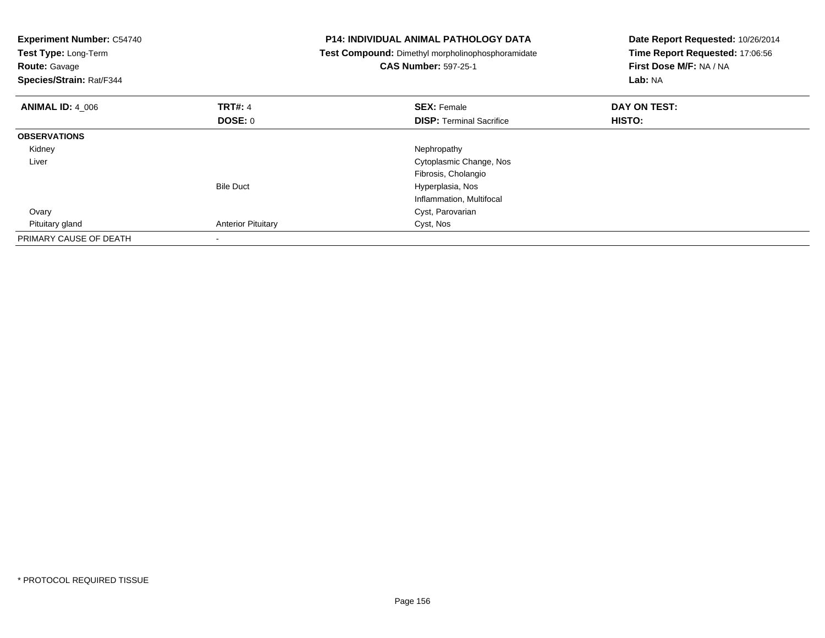| <b>Experiment Number: C54740</b><br>Test Type: Long-Term<br><b>Route: Gavage</b><br>Species/Strain: Rat/F344 |                           | <b>P14: INDIVIDUAL ANIMAL PATHOLOGY DATA</b><br>Test Compound: Dimethyl morpholinophosphoramidate<br><b>CAS Number: 597-25-1</b> | Date Report Requested: 10/26/2014<br>Time Report Requested: 17:06:56<br>First Dose M/F: NA / NA<br>Lab: NA |
|--------------------------------------------------------------------------------------------------------------|---------------------------|----------------------------------------------------------------------------------------------------------------------------------|------------------------------------------------------------------------------------------------------------|
| <b>ANIMAL ID: 4 006</b>                                                                                      | <b>TRT#: 4</b>            | <b>SEX: Female</b>                                                                                                               | DAY ON TEST:                                                                                               |
|                                                                                                              | DOSE: 0                   | <b>DISP:</b> Terminal Sacrifice                                                                                                  | HISTO:                                                                                                     |
| <b>OBSERVATIONS</b>                                                                                          |                           |                                                                                                                                  |                                                                                                            |
| Kidney                                                                                                       |                           | Nephropathy                                                                                                                      |                                                                                                            |
| Liver                                                                                                        |                           | Cytoplasmic Change, Nos                                                                                                          |                                                                                                            |
|                                                                                                              |                           | Fibrosis, Cholangio                                                                                                              |                                                                                                            |
|                                                                                                              | <b>Bile Duct</b>          | Hyperplasia, Nos                                                                                                                 |                                                                                                            |
|                                                                                                              |                           | Inflammation, Multifocal                                                                                                         |                                                                                                            |
| Ovary                                                                                                        |                           | Cyst, Parovarian                                                                                                                 |                                                                                                            |
| Pituitary gland                                                                                              | <b>Anterior Pituitary</b> | Cyst, Nos                                                                                                                        |                                                                                                            |
| PRIMARY CAUSE OF DEATH                                                                                       |                           |                                                                                                                                  |                                                                                                            |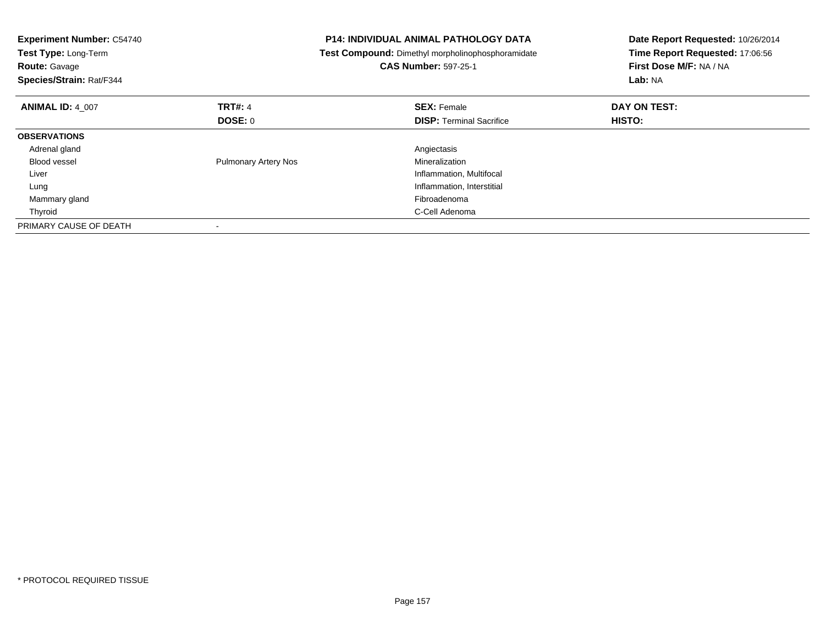| <b>Experiment Number: C54740</b><br>Test Type: Long-Term<br><b>Route: Gavage</b><br>Species/Strain: Rat/F344 |                             | <b>P14: INDIVIDUAL ANIMAL PATHOLOGY DATA</b><br>Test Compound: Dimethyl morpholinophosphoramidate<br><b>CAS Number: 597-25-1</b> | Date Report Requested: 10/26/2014<br>Time Report Requested: 17:06:56<br>First Dose M/F: NA / NA<br>Lab: NA |
|--------------------------------------------------------------------------------------------------------------|-----------------------------|----------------------------------------------------------------------------------------------------------------------------------|------------------------------------------------------------------------------------------------------------|
| <b>ANIMAL ID: 4 007</b>                                                                                      | <b>TRT#: 4</b>              | <b>SEX: Female</b>                                                                                                               | DAY ON TEST:                                                                                               |
|                                                                                                              | DOSE: 0                     | <b>DISP:</b> Terminal Sacrifice                                                                                                  | HISTO:                                                                                                     |
| <b>OBSERVATIONS</b>                                                                                          |                             |                                                                                                                                  |                                                                                                            |
| Adrenal gland                                                                                                |                             | Angiectasis                                                                                                                      |                                                                                                            |
| <b>Blood vessel</b>                                                                                          | <b>Pulmonary Artery Nos</b> | Mineralization                                                                                                                   |                                                                                                            |
| Liver                                                                                                        |                             | Inflammation, Multifocal                                                                                                         |                                                                                                            |
| Lung                                                                                                         |                             | Inflammation, Interstitial                                                                                                       |                                                                                                            |
| Mammary gland                                                                                                |                             | Fibroadenoma                                                                                                                     |                                                                                                            |
| Thyroid                                                                                                      |                             | C-Cell Adenoma                                                                                                                   |                                                                                                            |
| PRIMARY CAUSE OF DEATH                                                                                       |                             |                                                                                                                                  |                                                                                                            |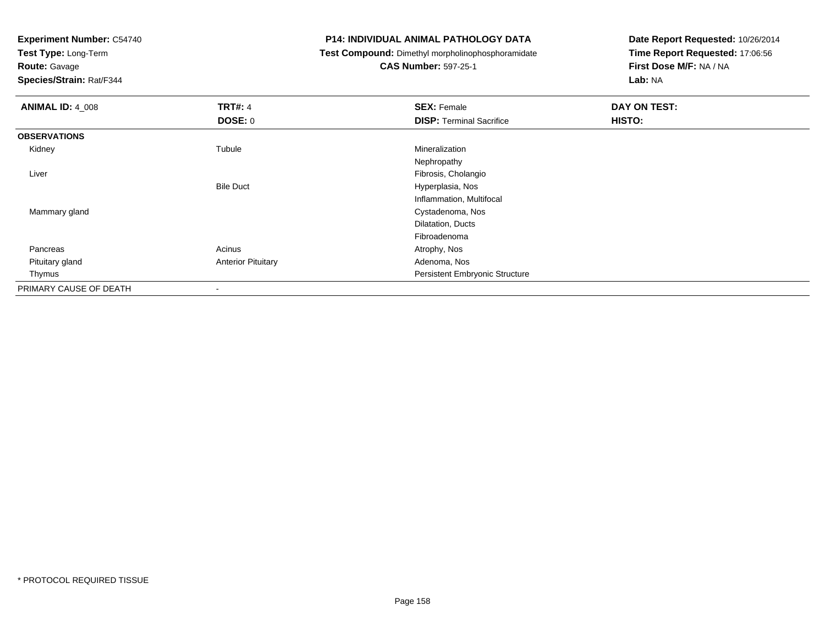**Test Type:** Long-Term

**Route:** Gavage

**Species/Strain:** Rat/F344

# **P14: INDIVIDUAL ANIMAL PATHOLOGY DATA**

**Test Compound:** Dimethyl morpholinophosphoramidate

# **CAS Number:** 597-25-1

| <b>ANIMAL ID: 4_008</b> | <b>TRT#: 4</b>            | <b>SEX: Female</b>              | DAY ON TEST: |  |
|-------------------------|---------------------------|---------------------------------|--------------|--|
|                         | <b>DOSE: 0</b>            | <b>DISP: Terminal Sacrifice</b> | HISTO:       |  |
| <b>OBSERVATIONS</b>     |                           |                                 |              |  |
| Kidney                  | Tubule                    | Mineralization                  |              |  |
|                         |                           | Nephropathy                     |              |  |
| Liver                   |                           | Fibrosis, Cholangio             |              |  |
|                         | <b>Bile Duct</b>          | Hyperplasia, Nos                |              |  |
|                         |                           | Inflammation, Multifocal        |              |  |
| Mammary gland           |                           | Cystadenoma, Nos                |              |  |
|                         |                           | Dilatation, Ducts               |              |  |
|                         |                           | Fibroadenoma                    |              |  |
| Pancreas                | Acinus                    | Atrophy, Nos                    |              |  |
| Pituitary gland         | <b>Anterior Pituitary</b> | Adenoma, Nos                    |              |  |
| Thymus                  |                           | Persistent Embryonic Structure  |              |  |
| PRIMARY CAUSE OF DEATH  | $\overline{\phantom{a}}$  |                                 |              |  |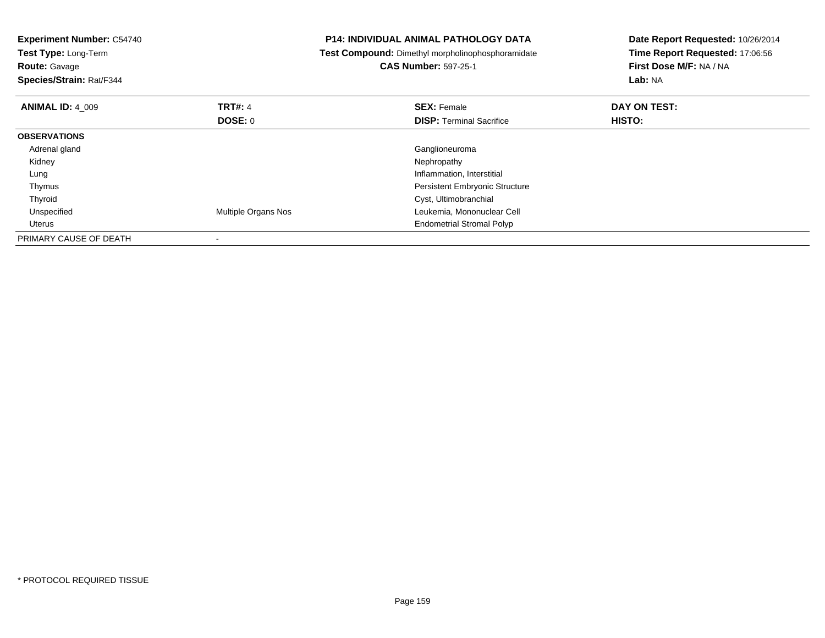| <b>Experiment Number: C54740</b><br><b>Test Type: Long-Term</b><br><b>Route: Gavage</b><br>Species/Strain: Rat/F344 |                           | <b>P14: INDIVIDUAL ANIMAL PATHOLOGY DATA</b><br>Date Report Requested: 10/26/2014<br>Time Report Requested: 17:06:56<br>Test Compound: Dimethyl morpholinophosphoramidate<br><b>CAS Number: 597-25-1</b><br>First Dose M/F: NA / NA<br>Lab: NA |                               |
|---------------------------------------------------------------------------------------------------------------------|---------------------------|------------------------------------------------------------------------------------------------------------------------------------------------------------------------------------------------------------------------------------------------|-------------------------------|
| <b>ANIMAL ID: 4 009</b>                                                                                             | <b>TRT#: 4</b><br>DOSE: 0 | <b>SEX: Female</b><br><b>DISP:</b> Terminal Sacrifice                                                                                                                                                                                          | DAY ON TEST:<br><b>HISTO:</b> |
| <b>OBSERVATIONS</b>                                                                                                 |                           |                                                                                                                                                                                                                                                |                               |
| Adrenal gland                                                                                                       |                           | Ganglioneuroma                                                                                                                                                                                                                                 |                               |
| Kidney                                                                                                              |                           | Nephropathy                                                                                                                                                                                                                                    |                               |
| Lung                                                                                                                |                           | Inflammation, Interstitial                                                                                                                                                                                                                     |                               |
| Thymus                                                                                                              |                           | <b>Persistent Embryonic Structure</b>                                                                                                                                                                                                          |                               |
| Thyroid                                                                                                             |                           | Cyst, Ultimobranchial                                                                                                                                                                                                                          |                               |
| Unspecified                                                                                                         | Multiple Organs Nos       | Leukemia, Mononuclear Cell                                                                                                                                                                                                                     |                               |
| Uterus                                                                                                              |                           | <b>Endometrial Stromal Polyp</b>                                                                                                                                                                                                               |                               |
| PRIMARY CAUSE OF DEATH                                                                                              |                           |                                                                                                                                                                                                                                                |                               |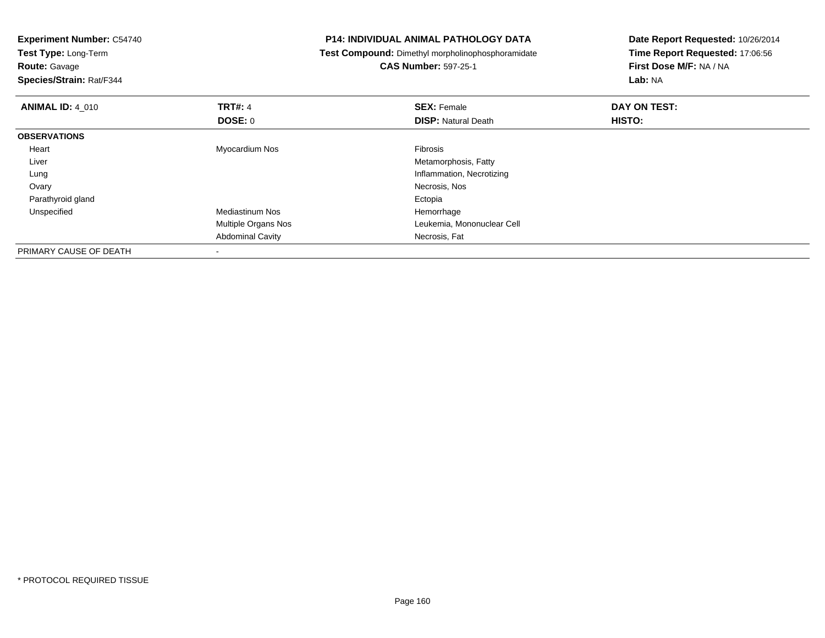| <b>Experiment Number: C54740</b> | <b>P14: INDIVIDUAL ANIMAL PATHOLOGY DATA</b> |                                                   | Date Report Requested: 10/26/2014 |  |
|----------------------------------|----------------------------------------------|---------------------------------------------------|-----------------------------------|--|
| Test Type: Long-Term             |                                              | Test Compound: Dimethyl morpholinophosphoramidate | Time Report Requested: 17:06:56   |  |
| <b>Route: Gavage</b>             |                                              | <b>CAS Number: 597-25-1</b>                       | First Dose M/F: NA / NA           |  |
| Species/Strain: Rat/F344         |                                              |                                                   | Lab: NA                           |  |
| <b>ANIMAL ID: 4_010</b>          | <b>TRT#: 4</b>                               | <b>SEX: Female</b>                                | DAY ON TEST:                      |  |
|                                  | DOSE: 0                                      | <b>DISP: Natural Death</b>                        | HISTO:                            |  |
| <b>OBSERVATIONS</b>              |                                              |                                                   |                                   |  |
| Heart                            | Myocardium Nos                               | <b>Fibrosis</b>                                   |                                   |  |
| Liver                            |                                              | Metamorphosis, Fatty                              |                                   |  |
| Lung                             |                                              | Inflammation, Necrotizing                         |                                   |  |
| Ovary                            |                                              | Necrosis, Nos                                     |                                   |  |
| Parathyroid gland                |                                              | Ectopia                                           |                                   |  |
| Unspecified                      | <b>Mediastinum Nos</b>                       | Hemorrhage                                        |                                   |  |
|                                  | Multiple Organs Nos                          | Leukemia, Mononuclear Cell                        |                                   |  |
|                                  | <b>Abdominal Cavity</b>                      | Necrosis, Fat                                     |                                   |  |
| PRIMARY CAUSE OF DEATH           |                                              |                                                   |                                   |  |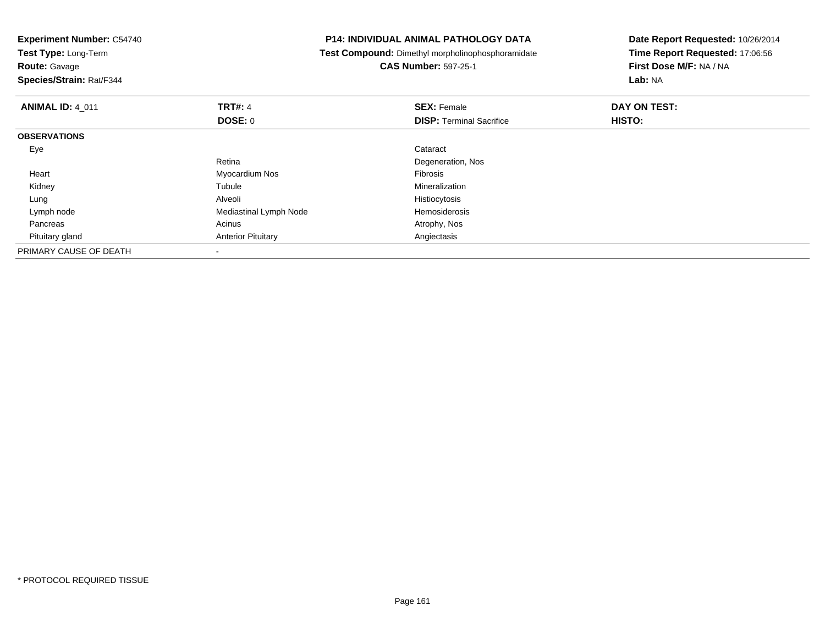| <b>Experiment Number: C54740</b><br>Test Type: Long-Term<br><b>Route: Gavage</b><br>Species/Strain: Rat/F344 |                           | <b>P14: INDIVIDUAL ANIMAL PATHOLOGY DATA</b><br>Test Compound: Dimethyl morpholinophosphoramidate<br><b>CAS Number: 597-25-1</b> | Date Report Requested: 10/26/2014<br>Time Report Requested: 17:06:56<br>First Dose M/F: NA / NA<br>Lab: NA |
|--------------------------------------------------------------------------------------------------------------|---------------------------|----------------------------------------------------------------------------------------------------------------------------------|------------------------------------------------------------------------------------------------------------|
| <b>ANIMAL ID: 4 011</b>                                                                                      | <b>TRT#: 4</b>            | <b>SEX: Female</b>                                                                                                               | DAY ON TEST:                                                                                               |
|                                                                                                              | DOSE: 0                   | <b>DISP:</b> Terminal Sacrifice                                                                                                  | HISTO:                                                                                                     |
| <b>OBSERVATIONS</b>                                                                                          |                           |                                                                                                                                  |                                                                                                            |
| Eye                                                                                                          |                           | Cataract                                                                                                                         |                                                                                                            |
|                                                                                                              | Retina                    | Degeneration, Nos                                                                                                                |                                                                                                            |
| Heart                                                                                                        | Myocardium Nos            | Fibrosis                                                                                                                         |                                                                                                            |
| Kidney                                                                                                       | Tubule                    | Mineralization                                                                                                                   |                                                                                                            |
| Lung                                                                                                         | Alveoli                   | Histiocytosis                                                                                                                    |                                                                                                            |
| Lymph node                                                                                                   | Mediastinal Lymph Node    | <b>Hemosiderosis</b>                                                                                                             |                                                                                                            |
| Pancreas                                                                                                     | Acinus                    | Atrophy, Nos                                                                                                                     |                                                                                                            |
| Pituitary gland                                                                                              | <b>Anterior Pituitary</b> | Angiectasis                                                                                                                      |                                                                                                            |
| PRIMARY CAUSE OF DEATH                                                                                       |                           |                                                                                                                                  |                                                                                                            |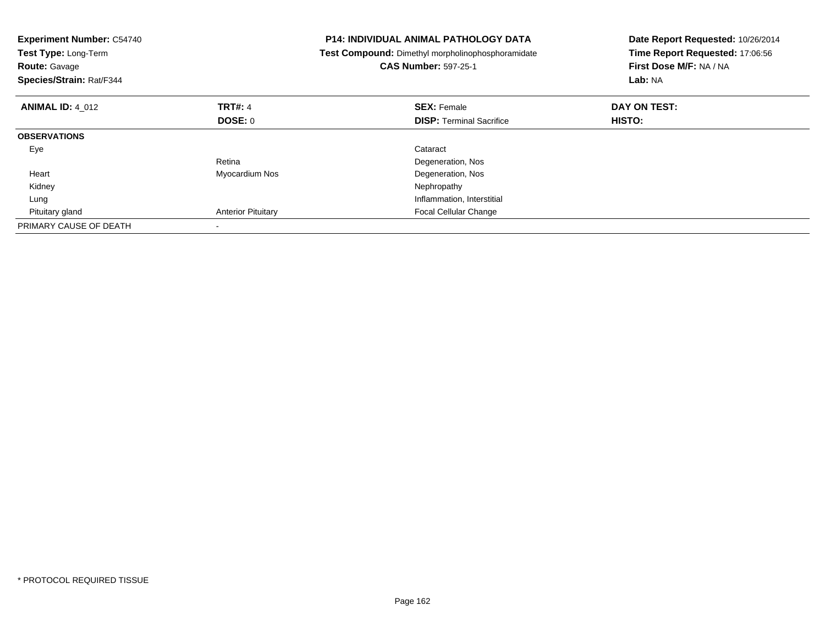| <b>Experiment Number: C54740</b><br>Test Type: Long-Term<br><b>Route: Gavage</b><br>Species/Strain: Rat/F344 |                           | <b>P14: INDIVIDUAL ANIMAL PATHOLOGY DATA</b><br>Test Compound: Dimethyl morpholinophosphoramidate<br><b>CAS Number: 597-25-1</b> | Date Report Requested: 10/26/2014<br>Time Report Requested: 17:06:56<br>First Dose M/F: NA / NA<br>Lab: NA |
|--------------------------------------------------------------------------------------------------------------|---------------------------|----------------------------------------------------------------------------------------------------------------------------------|------------------------------------------------------------------------------------------------------------|
| <b>ANIMAL ID: 4 012</b>                                                                                      | <b>TRT#: 4</b>            | <b>SEX: Female</b>                                                                                                               | DAY ON TEST:                                                                                               |
|                                                                                                              | DOSE: 0                   | <b>DISP:</b> Terminal Sacrifice                                                                                                  | <b>HISTO:</b>                                                                                              |
| <b>OBSERVATIONS</b>                                                                                          |                           |                                                                                                                                  |                                                                                                            |
| Eye                                                                                                          |                           | Cataract                                                                                                                         |                                                                                                            |
|                                                                                                              | Retina                    | Degeneration, Nos                                                                                                                |                                                                                                            |
| Heart                                                                                                        | Myocardium Nos            | Degeneration, Nos                                                                                                                |                                                                                                            |
| Kidney                                                                                                       |                           | Nephropathy                                                                                                                      |                                                                                                            |
| Lung                                                                                                         |                           | Inflammation, Interstitial                                                                                                       |                                                                                                            |
| Pituitary gland                                                                                              | <b>Anterior Pituitary</b> | <b>Focal Cellular Change</b>                                                                                                     |                                                                                                            |
| PRIMARY CAUSE OF DEATH                                                                                       |                           |                                                                                                                                  |                                                                                                            |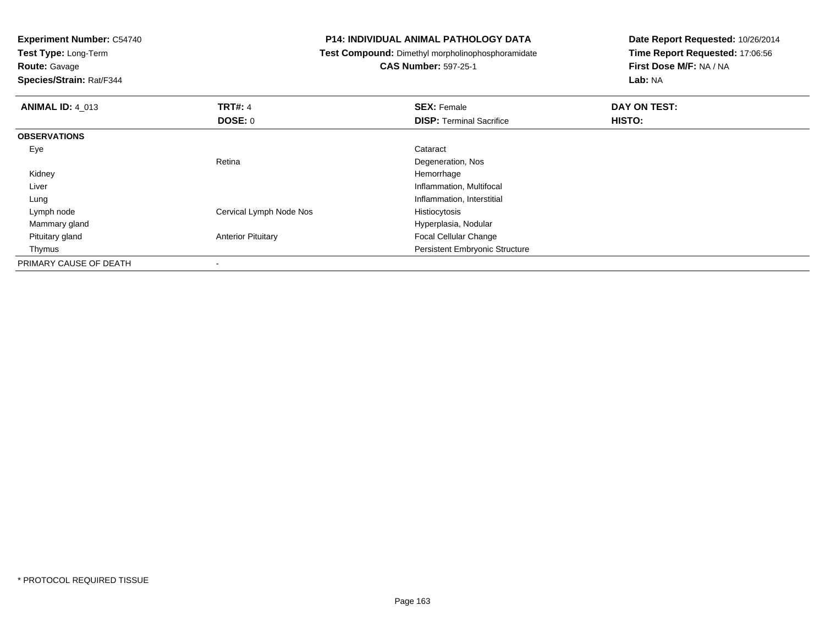**Experiment Number:** C54740**Test Type:** Long-Term**Route:** Gavage **Species/Strain:** Rat/F344**P14: INDIVIDUAL ANIMAL PATHOLOGY DATA Test Compound:** Dimethyl morpholinophosphoramidate**CAS Number:** 597-25-1**Date Report Requested:** 10/26/2014**Time Report Requested:** 17:06:56**First Dose M/F:** NA / NA**Lab:** NA**ANIMAL ID:** 4\_013**TRT#:** 4 **SEX:** Female **DAY ON TEST: DOSE:** 0**DISP:** Terminal Sacrifice **HISTO: OBSERVATIONS** Eyee de la constitución de la constitución de la constitución de la constitución de la constitución de la constitución<br>En el constitución de la constitución de la constitución de la constitución de la constitución de la const RetinaDegeneration, Nos<br>Hemorrhage Kidneyy the control of the control of the control of the control of the control of the control of the control of the control of the control of the control of the control of the control of the control of the control of the contro Inflammation, Multifocal Liver LungInflammation, Interstitial<br>Histiocytosis Lymph nodeCervical Lymph Node Nos Mammary glandHyperplasia, Nodular<br>Anterior Pituitary **Anterior Pituitary**  Pituitary glandFocal Cellular Change Thymus Persistent Embryonic StructurePRIMARY CAUSE OF DEATH-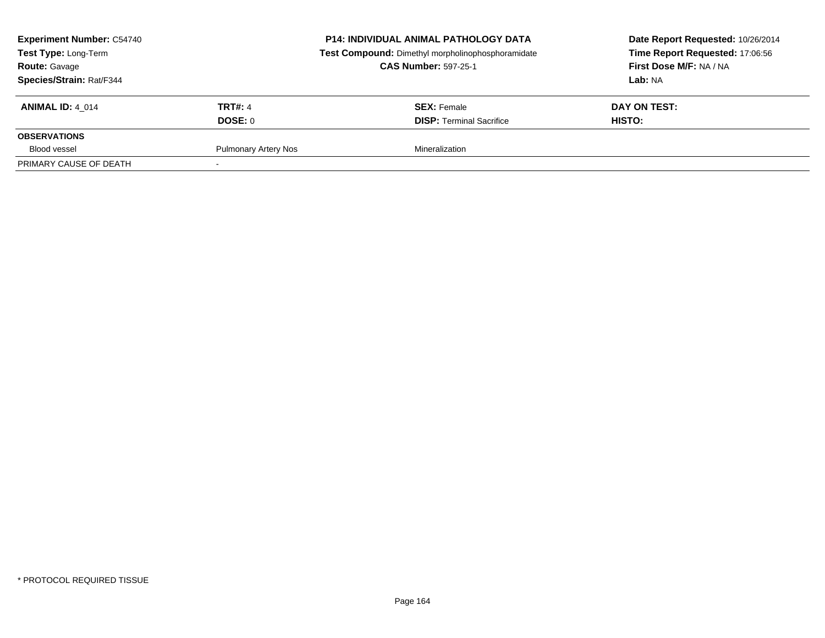| <b>Experiment Number: C54740</b><br><b>Test Type: Long-Term</b><br><b>Route: Gavage</b><br><b>Species/Strain: Rat/F344</b> | <b>P14: INDIVIDUAL ANIMAL PATHOLOGY DATA</b><br>Test Compound: Dimethyl morpholinophosphoramidate<br><b>CAS Number: 597-25-1</b> |                                 | Date Report Requested: 10/26/2014<br>Time Report Requested: 17:06:56<br>First Dose M/F: NA / NA<br><b>Lab: NA</b> |
|----------------------------------------------------------------------------------------------------------------------------|----------------------------------------------------------------------------------------------------------------------------------|---------------------------------|-------------------------------------------------------------------------------------------------------------------|
| <b>ANIMAL ID: 4 014</b>                                                                                                    | <b>TRT#: 4</b>                                                                                                                   | <b>SEX: Female</b>              | DAY ON TEST:                                                                                                      |
|                                                                                                                            | DOSE: 0                                                                                                                          | <b>DISP: Terminal Sacrifice</b> | <b>HISTO:</b>                                                                                                     |
| <b>OBSERVATIONS</b>                                                                                                        |                                                                                                                                  |                                 |                                                                                                                   |
| Blood vessel                                                                                                               | <b>Pulmonary Artery Nos</b>                                                                                                      | Mineralization                  |                                                                                                                   |
| PRIMARY CAUSE OF DEATH                                                                                                     |                                                                                                                                  |                                 |                                                                                                                   |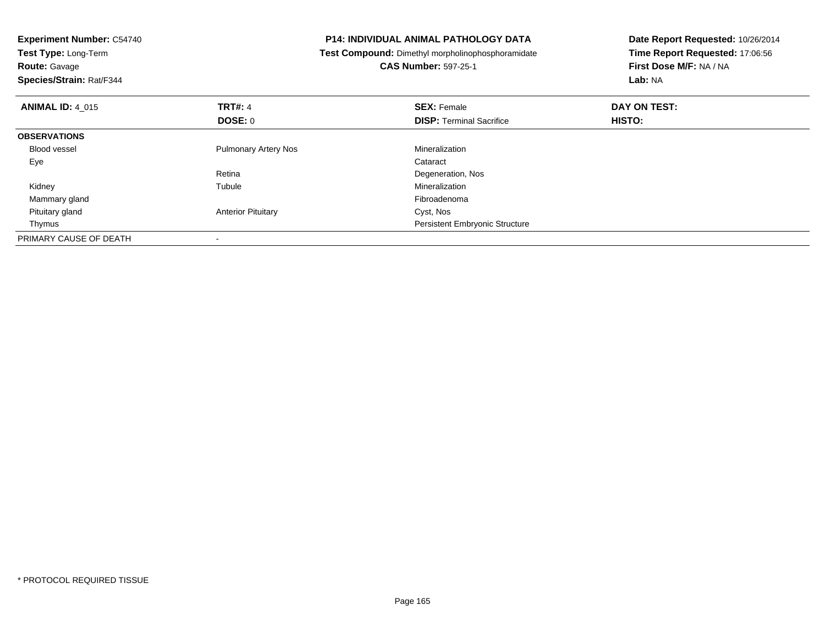| <b>Experiment Number: C54740</b><br>Test Type: Long-Term<br><b>Route: Gavage</b><br>Species/Strain: Rat/F344 |                             | <b>P14: INDIVIDUAL ANIMAL PATHOLOGY DATA</b><br>Test Compound: Dimethyl morpholinophosphoramidate<br><b>CAS Number: 597-25-1</b> | Date Report Requested: 10/26/2014<br>Time Report Requested: 17:06:56<br>First Dose M/F: NA / NA<br>Lab: NA |
|--------------------------------------------------------------------------------------------------------------|-----------------------------|----------------------------------------------------------------------------------------------------------------------------------|------------------------------------------------------------------------------------------------------------|
| <b>ANIMAL ID: 4 015</b>                                                                                      | <b>TRT#: 4</b>              | <b>SEX: Female</b>                                                                                                               | DAY ON TEST:                                                                                               |
|                                                                                                              | <b>DOSE: 0</b>              | <b>DISP:</b> Terminal Sacrifice                                                                                                  | HISTO:                                                                                                     |
| <b>OBSERVATIONS</b>                                                                                          |                             |                                                                                                                                  |                                                                                                            |
| Blood vessel                                                                                                 | <b>Pulmonary Artery Nos</b> | Mineralization                                                                                                                   |                                                                                                            |
| Eye                                                                                                          |                             | Cataract                                                                                                                         |                                                                                                            |
|                                                                                                              | Retina                      | Degeneration, Nos                                                                                                                |                                                                                                            |
| Kidney                                                                                                       | Tubule                      | Mineralization                                                                                                                   |                                                                                                            |
| Mammary gland                                                                                                |                             | Fibroadenoma                                                                                                                     |                                                                                                            |
| Pituitary gland                                                                                              | <b>Anterior Pituitary</b>   | Cyst, Nos                                                                                                                        |                                                                                                            |
| Thymus                                                                                                       |                             | <b>Persistent Embryonic Structure</b>                                                                                            |                                                                                                            |
| PRIMARY CAUSE OF DEATH                                                                                       |                             |                                                                                                                                  |                                                                                                            |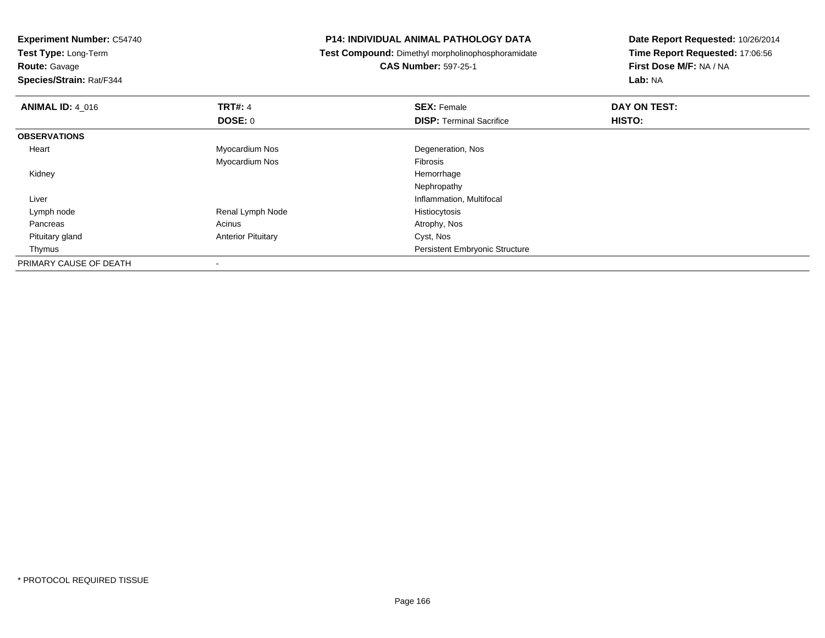**Experiment Number:** C54740**Test Type:** Long-Term**Route:** Gavage **Species/Strain:** Rat/F344**P14: INDIVIDUAL ANIMAL PATHOLOGY DATA Test Compound:** Dimethyl morpholinophosphoramidate**CAS Number:** 597-25-1**Date Report Requested:** 10/26/2014**Time Report Requested:** 17:06:56**First Dose M/F:** NA / NA**Lab:** NA**ANIMAL ID:** 4\_016**6 DAY ON TEST:** 4 **SEX:** Female **SEX: Female DAY ON TEST: DOSE:** 0**DISP:** Terminal Sacrifice **HISTO: OBSERVATIONS** Heart Myocardium Nos Degeneration, Nos Myocardium Nos Fibrosis Kidneyy the control of the control of the control of the control of the control of the control of the control of the control of the control of the control of the control of the control of the control of the control of the contro Nephropathy**Inflammation, Multifocal**  Liver Lymph nodeRenal Lymph Node Histiocytosis<br>Acinus Acinus Atrophy, Nos Pancreass and the contract of the contract of the contract of the contract of the contract  $\mathsf{A}$  at  $\mathsf{A}$  and  $\mathsf{A}$  and  $\mathsf{A}$  and  $\mathsf{A}$  and  $\mathsf{A}$  are contract of  $\mathsf{A}$  and  $\mathsf{A}$  and  $\mathsf{A}$  are contract of Pituitary glandAnterior Pituitary **Cyst, Nos**  Thymus Persistent Embryonic StructurePRIMARY CAUSE OF DEATH-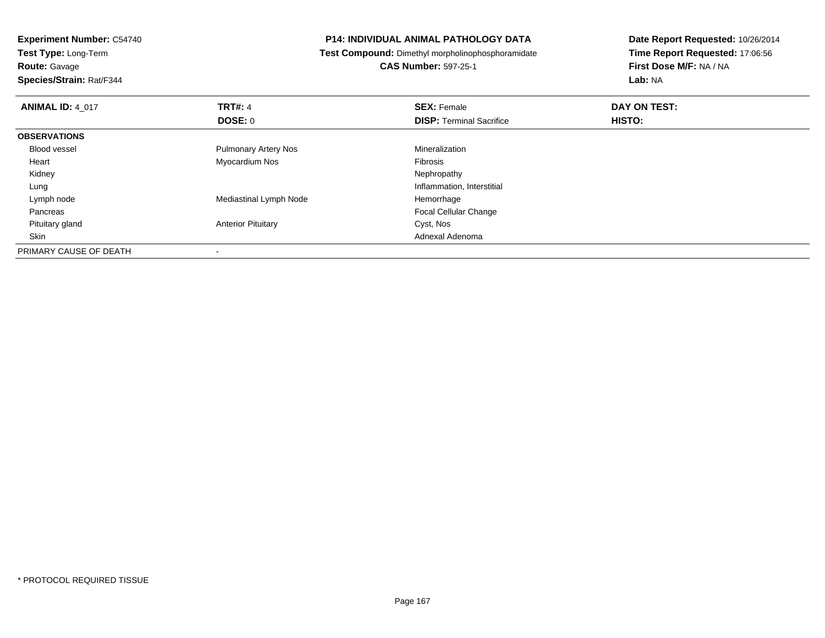**Test Type:** Long-Term

**Route:** Gavage

**Species/Strain:** Rat/F344

# **P14: INDIVIDUAL ANIMAL PATHOLOGY DATA**

**Test Compound:** Dimethyl morpholinophosphoramidate

**CAS Number:** 597-25-1

| <b>ANIMAL ID: 4 017</b> | <b>TRT#: 4</b>              | <b>SEX: Female</b>              | DAY ON TEST: |  |
|-------------------------|-----------------------------|---------------------------------|--------------|--|
|                         | DOSE: 0                     | <b>DISP: Terminal Sacrifice</b> | HISTO:       |  |
| <b>OBSERVATIONS</b>     |                             |                                 |              |  |
| Blood vessel            | <b>Pulmonary Artery Nos</b> | Mineralization                  |              |  |
| Heart                   | Myocardium Nos              | Fibrosis                        |              |  |
| Kidney                  |                             | Nephropathy                     |              |  |
| Lung                    |                             | Inflammation, Interstitial      |              |  |
| Lymph node              | Mediastinal Lymph Node      | Hemorrhage                      |              |  |
| Pancreas                |                             | <b>Focal Cellular Change</b>    |              |  |
| Pituitary gland         | <b>Anterior Pituitary</b>   | Cyst, Nos                       |              |  |
| Skin                    |                             | Adnexal Adenoma                 |              |  |
| PRIMARY CAUSE OF DEATH  | $\overline{\phantom{a}}$    |                                 |              |  |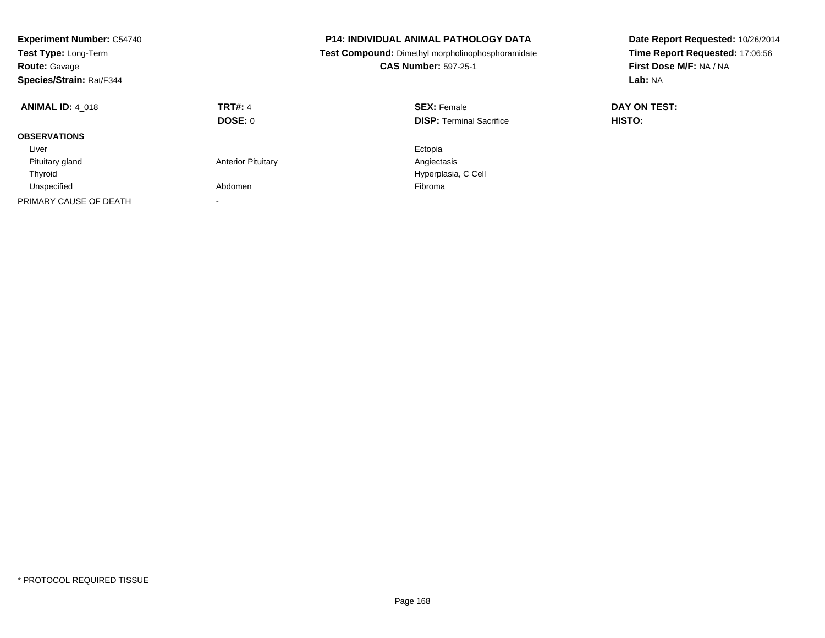| <b>Experiment Number: C54740</b><br>Test Type: Long-Term<br><b>Route: Gavage</b><br>Species/Strain: Rat/F344 |                           | <b>P14: INDIVIDUAL ANIMAL PATHOLOGY DATA</b><br>Date Report Requested: 10/26/2014<br>Time Report Requested: 17:06:56<br><b>Test Compound:</b> Dimethyl morpholinophosphoramidate<br>First Dose M/F: NA / NA<br><b>CAS Number: 597-25-1</b><br>Lab: NA |                        |
|--------------------------------------------------------------------------------------------------------------|---------------------------|-------------------------------------------------------------------------------------------------------------------------------------------------------------------------------------------------------------------------------------------------------|------------------------|
| <b>ANIMAL ID: 4 018</b>                                                                                      | <b>TRT#: 4</b><br>DOSE: 0 | <b>SEX: Female</b><br><b>DISP:</b> Terminal Sacrifice                                                                                                                                                                                                 | DAY ON TEST:<br>HISTO: |
| <b>OBSERVATIONS</b>                                                                                          |                           |                                                                                                                                                                                                                                                       |                        |
| Liver                                                                                                        |                           | Ectopia                                                                                                                                                                                                                                               |                        |
| Pituitary gland                                                                                              | <b>Anterior Pituitary</b> | Angiectasis                                                                                                                                                                                                                                           |                        |
| Thyroid                                                                                                      |                           | Hyperplasia, C Cell                                                                                                                                                                                                                                   |                        |
| Unspecified                                                                                                  | Abdomen                   | Fibroma                                                                                                                                                                                                                                               |                        |
| PRIMARY CAUSE OF DEATH                                                                                       |                           |                                                                                                                                                                                                                                                       |                        |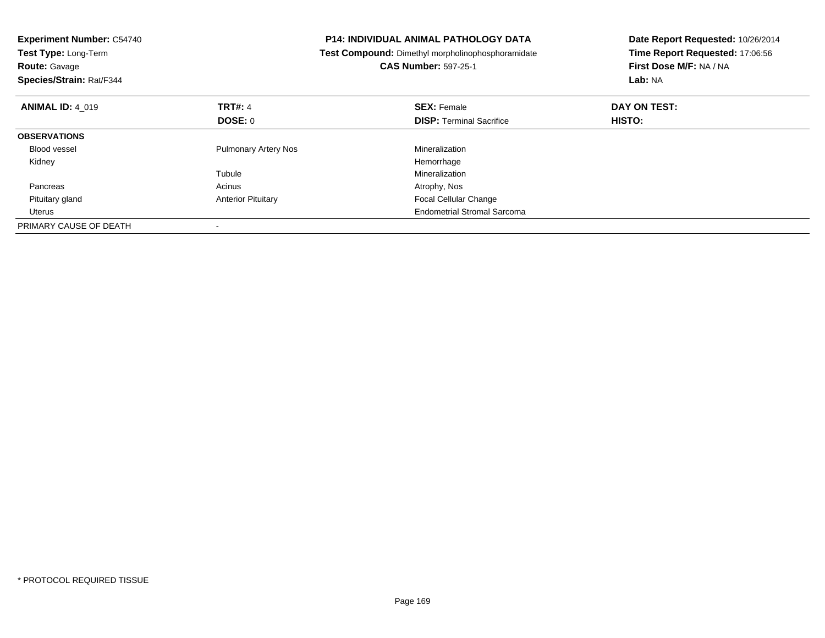| <b>Experiment Number: C54740</b><br>Test Type: Long-Term<br><b>Route: Gavage</b><br>Species/Strain: Rat/F344 |                             | <b>P14: INDIVIDUAL ANIMAL PATHOLOGY DATA</b><br>Date Report Requested: 10/26/2014<br>Time Report Requested: 17:06:56<br><b>Test Compound:</b> Dimethyl morpholinophosphoramidate<br>First Dose M/F: NA / NA<br><b>CAS Number: 597-25-1</b><br>Lab: NA |              |
|--------------------------------------------------------------------------------------------------------------|-----------------------------|-------------------------------------------------------------------------------------------------------------------------------------------------------------------------------------------------------------------------------------------------------|--------------|
| <b>ANIMAL ID: 4 019</b>                                                                                      | <b>TRT#: 4</b>              | <b>SEX: Female</b>                                                                                                                                                                                                                                    | DAY ON TEST: |
|                                                                                                              | <b>DOSE: 0</b>              | <b>DISP:</b> Terminal Sacrifice                                                                                                                                                                                                                       | HISTO:       |
| <b>OBSERVATIONS</b>                                                                                          |                             |                                                                                                                                                                                                                                                       |              |
| <b>Blood vessel</b>                                                                                          | <b>Pulmonary Artery Nos</b> | Mineralization                                                                                                                                                                                                                                        |              |
| Kidney                                                                                                       |                             | Hemorrhage                                                                                                                                                                                                                                            |              |
|                                                                                                              | Tubule                      | Mineralization                                                                                                                                                                                                                                        |              |
| Pancreas                                                                                                     | Acinus                      | Atrophy, Nos                                                                                                                                                                                                                                          |              |
| Pituitary gland                                                                                              | <b>Anterior Pituitary</b>   | <b>Focal Cellular Change</b>                                                                                                                                                                                                                          |              |
| Uterus                                                                                                       |                             | <b>Endometrial Stromal Sarcoma</b>                                                                                                                                                                                                                    |              |
| PRIMARY CAUSE OF DEATH                                                                                       |                             |                                                                                                                                                                                                                                                       |              |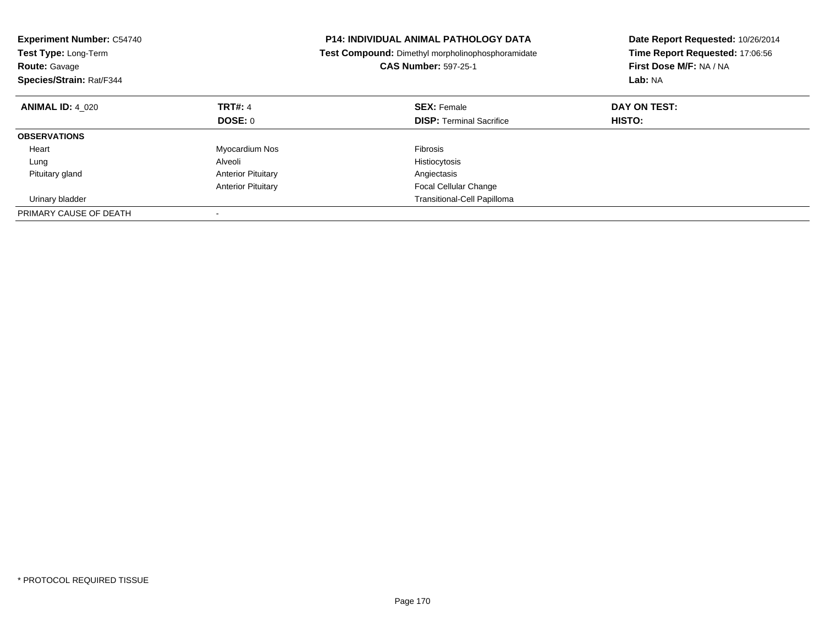| <b>Experiment Number: C54740</b><br>Test Type: Long-Term<br><b>Route: Gavage</b><br>Species/Strain: Rat/F344 |                           | <b>P14: INDIVIDUAL ANIMAL PATHOLOGY DATA</b><br>Date Report Requested: 10/26/2014<br>Time Report Requested: 17:06:56<br>Test Compound: Dimethyl morpholinophosphoramidate<br>First Dose M/F: NA / NA<br><b>CAS Number: 597-25-1</b><br>Lab: NA |              |
|--------------------------------------------------------------------------------------------------------------|---------------------------|------------------------------------------------------------------------------------------------------------------------------------------------------------------------------------------------------------------------------------------------|--------------|
| <b>ANIMAL ID: 4 020</b>                                                                                      | <b>TRT#: 4</b>            | <b>SEX: Female</b>                                                                                                                                                                                                                             | DAY ON TEST: |
|                                                                                                              | DOSE: 0                   | <b>DISP:</b> Terminal Sacrifice                                                                                                                                                                                                                | HISTO:       |
| <b>OBSERVATIONS</b>                                                                                          |                           |                                                                                                                                                                                                                                                |              |
| Heart                                                                                                        | Myocardium Nos            | <b>Fibrosis</b>                                                                                                                                                                                                                                |              |
| Lung                                                                                                         | Alveoli                   | Histiocytosis                                                                                                                                                                                                                                  |              |
| Pituitary gland                                                                                              | <b>Anterior Pituitary</b> | Angiectasis                                                                                                                                                                                                                                    |              |
|                                                                                                              | <b>Anterior Pituitary</b> | <b>Focal Cellular Change</b>                                                                                                                                                                                                                   |              |
| Urinary bladder                                                                                              |                           | Transitional-Cell Papilloma                                                                                                                                                                                                                    |              |
| PRIMARY CAUSE OF DEATH                                                                                       |                           |                                                                                                                                                                                                                                                |              |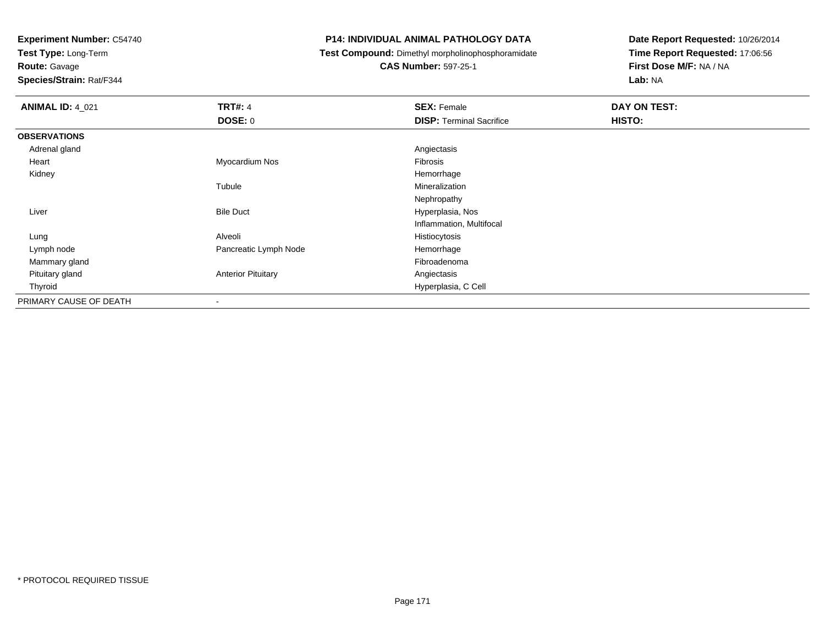**Test Type:** Long-Term

**Route:** Gavage

**Species/Strain:** Rat/F344

# **P14: INDIVIDUAL ANIMAL PATHOLOGY DATA**

**Test Compound:** Dimethyl morpholinophosphoramidate

**CAS Number:** 597-25-1

| <b>ANIMAL ID: 4_021</b> | <b>TRT#: 4</b>            | <b>SEX: Female</b>              | DAY ON TEST: |
|-------------------------|---------------------------|---------------------------------|--------------|
|                         | <b>DOSE: 0</b>            | <b>DISP: Terminal Sacrifice</b> | HISTO:       |
| <b>OBSERVATIONS</b>     |                           |                                 |              |
| Adrenal gland           |                           | Angiectasis                     |              |
| Heart                   | Myocardium Nos            | Fibrosis                        |              |
| Kidney                  |                           | Hemorrhage                      |              |
|                         | Tubule                    | Mineralization                  |              |
|                         |                           | Nephropathy                     |              |
| Liver                   | <b>Bile Duct</b>          | Hyperplasia, Nos                |              |
|                         |                           | Inflammation, Multifocal        |              |
| Lung                    | Alveoli                   | Histiocytosis                   |              |
| Lymph node              | Pancreatic Lymph Node     | Hemorrhage                      |              |
| Mammary gland           |                           | Fibroadenoma                    |              |
| Pituitary gland         | <b>Anterior Pituitary</b> | Angiectasis                     |              |
| Thyroid                 |                           | Hyperplasia, C Cell             |              |
| PRIMARY CAUSE OF DEATH  |                           |                                 |              |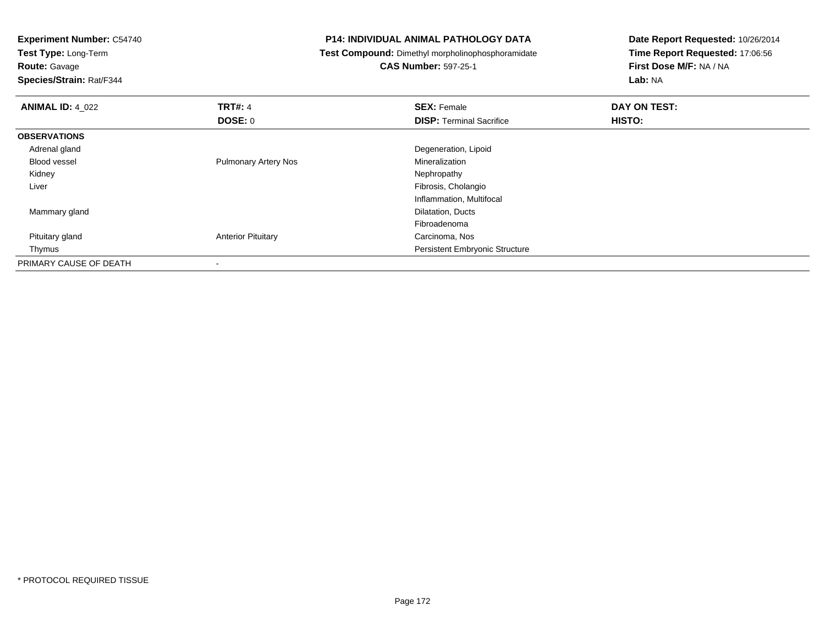**Experiment Number:** C54740**Test Type:** Long-Term**Route:** Gavage **Species/Strain:** Rat/F344**P14: INDIVIDUAL ANIMAL PATHOLOGY DATA Test Compound:** Dimethyl morpholinophosphoramidate**CAS Number:** 597-25-1**Date Report Requested:** 10/26/2014**Time Report Requested:** 17:06:56**First Dose M/F:** NA / NA**Lab:** NA**ANIMAL ID:** 4\_022**TRT#:** 4 **SEX:** Female **DAY ON TEST: DOSE:** 0**DISP:** Terminal Sacrifice **HISTO: OBSERVATIONS** Adrenal gland Degeneration, Lipoid Blood vessel Pulmonary Artery Nos MineralizationNephropathy Kidneyy the control of the control of the control of the control of the control of the control of the control of the control of the control of the control of the control of the control of the control of the control of the contro Liver Fibrosis, Cholangio Inflammation, Multifocal Mammary gland Dilatation, Ducts FibroadenomaCarcinoma, Nos Pituitary gland**Anterior Pituitary**  Thymus Persistent Embryonic StructurePRIMARY CAUSE OF DEATH-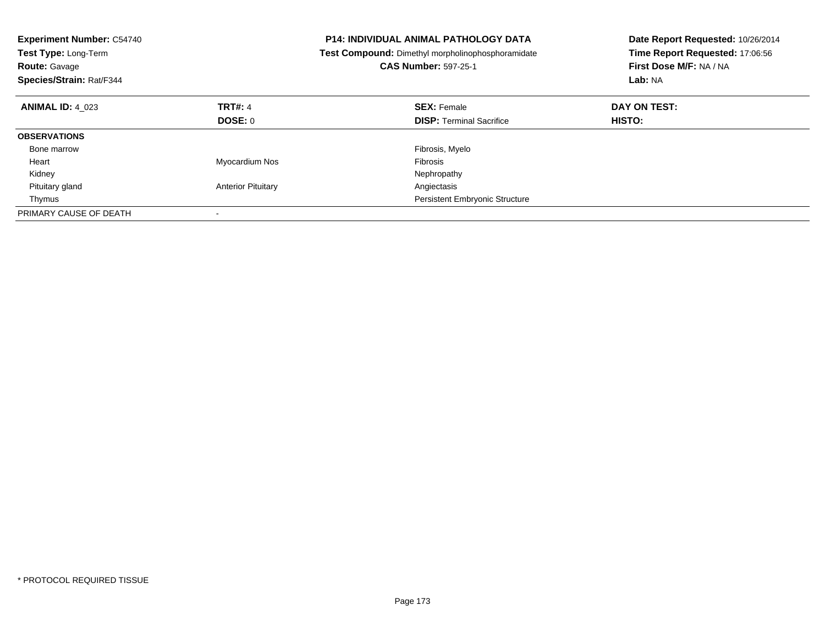| <b>Experiment Number: C54740</b><br>Test Type: Long-Term<br><b>Route: Gavage</b><br>Species/Strain: Rat/F344 |                           | <b>P14: INDIVIDUAL ANIMAL PATHOLOGY DATA</b><br><b>Test Compound:</b> Dimethyl morpholinophosphoramidate<br><b>CAS Number: 597-25-1</b> | Date Report Requested: 10/26/2014<br>Time Report Requested: 17:06:56<br>First Dose M/F: NA / NA<br>Lab: NA |
|--------------------------------------------------------------------------------------------------------------|---------------------------|-----------------------------------------------------------------------------------------------------------------------------------------|------------------------------------------------------------------------------------------------------------|
| <b>ANIMAL ID: 4 023</b>                                                                                      | <b>TRT#: 4</b>            | <b>SEX: Female</b>                                                                                                                      | DAY ON TEST:                                                                                               |
|                                                                                                              | DOSE: 0                   | <b>DISP:</b> Terminal Sacrifice                                                                                                         | HISTO:                                                                                                     |
| <b>OBSERVATIONS</b>                                                                                          |                           |                                                                                                                                         |                                                                                                            |
| Bone marrow                                                                                                  |                           | Fibrosis, Myelo                                                                                                                         |                                                                                                            |
| Heart                                                                                                        | Myocardium Nos            | <b>Fibrosis</b>                                                                                                                         |                                                                                                            |
| Kidney                                                                                                       |                           | Nephropathy                                                                                                                             |                                                                                                            |
| Pituitary gland                                                                                              | <b>Anterior Pituitary</b> | Angiectasis                                                                                                                             |                                                                                                            |
| Thymus                                                                                                       |                           | <b>Persistent Embryonic Structure</b>                                                                                                   |                                                                                                            |
| PRIMARY CAUSE OF DEATH                                                                                       |                           |                                                                                                                                         |                                                                                                            |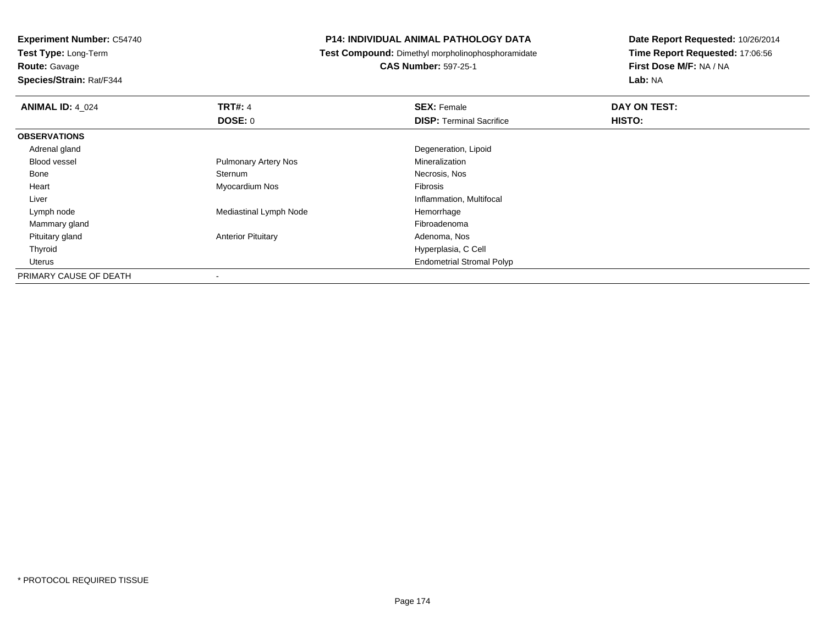**Test Type:** Long-Term

**Route:** Gavage

**Species/Strain:** Rat/F344

# **P14: INDIVIDUAL ANIMAL PATHOLOGY DATA**

**Test Compound:** Dimethyl morpholinophosphoramidate

**CAS Number:** 597-25-1

| <b>ANIMAL ID: 4 024</b> | <b>TRT#: 4</b>              | <b>SEX: Female</b>               | DAY ON TEST: |  |
|-------------------------|-----------------------------|----------------------------------|--------------|--|
|                         | DOSE: 0                     | <b>DISP: Terminal Sacrifice</b>  | HISTO:       |  |
| <b>OBSERVATIONS</b>     |                             |                                  |              |  |
| Adrenal gland           |                             | Degeneration, Lipoid             |              |  |
| Blood vessel            | <b>Pulmonary Artery Nos</b> | Mineralization                   |              |  |
| Bone                    | Sternum                     | Necrosis, Nos                    |              |  |
| Heart                   | Myocardium Nos              | Fibrosis                         |              |  |
| Liver                   |                             | Inflammation, Multifocal         |              |  |
| Lymph node              | Mediastinal Lymph Node      | Hemorrhage                       |              |  |
| Mammary gland           |                             | Fibroadenoma                     |              |  |
| Pituitary gland         | <b>Anterior Pituitary</b>   | Adenoma, Nos                     |              |  |
| Thyroid                 |                             | Hyperplasia, C Cell              |              |  |
| Uterus                  |                             | <b>Endometrial Stromal Polyp</b> |              |  |
| PRIMARY CAUSE OF DEATH  |                             |                                  |              |  |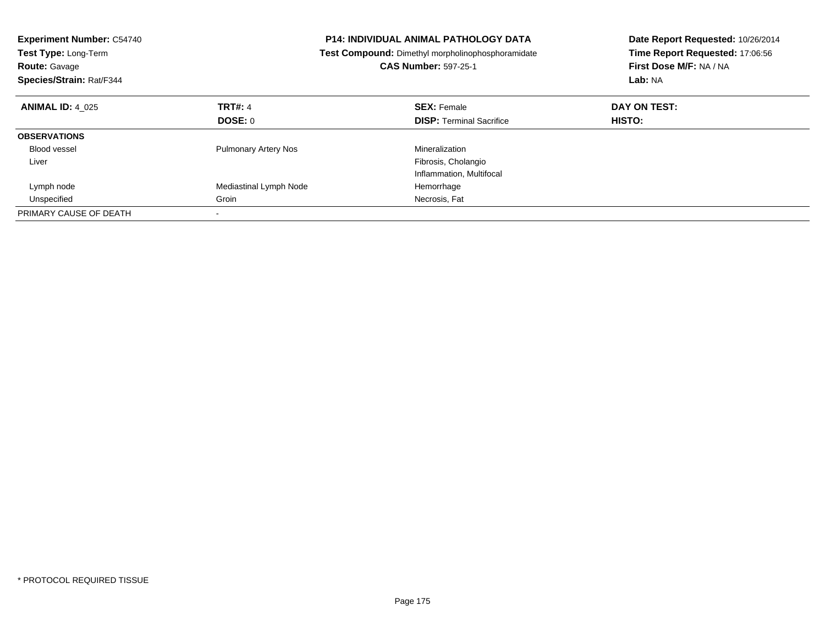| <b>Experiment Number: C54740</b><br>Test Type: Long-Term<br><b>Route: Gavage</b><br>Species/Strain: Rat/F344 | <b>P14: INDIVIDUAL ANIMAL PATHOLOGY DATA</b><br>Test Compound: Dimethyl morpholinophosphoramidate<br><b>CAS Number: 597-25-1</b> |                                 | Date Report Requested: 10/26/2014<br>Time Report Requested: 17:06:56<br>First Dose M/F: NA / NA<br>Lab: NA |  |
|--------------------------------------------------------------------------------------------------------------|----------------------------------------------------------------------------------------------------------------------------------|---------------------------------|------------------------------------------------------------------------------------------------------------|--|
| <b>ANIMAL ID: 4 025</b>                                                                                      | TRT#: 4                                                                                                                          | <b>SEX: Female</b>              | DAY ON TEST:                                                                                               |  |
|                                                                                                              | DOSE: 0                                                                                                                          | <b>DISP:</b> Terminal Sacrifice | HISTO:                                                                                                     |  |
| <b>OBSERVATIONS</b>                                                                                          |                                                                                                                                  |                                 |                                                                                                            |  |
| <b>Blood vessel</b>                                                                                          | <b>Pulmonary Artery Nos</b>                                                                                                      | Mineralization                  |                                                                                                            |  |
| Liver                                                                                                        |                                                                                                                                  | Fibrosis, Cholangio             |                                                                                                            |  |
|                                                                                                              |                                                                                                                                  | Inflammation, Multifocal        |                                                                                                            |  |
| Lymph node                                                                                                   | Mediastinal Lymph Node                                                                                                           | Hemorrhage                      |                                                                                                            |  |
| Unspecified                                                                                                  | Groin                                                                                                                            | Necrosis, Fat                   |                                                                                                            |  |
| PRIMARY CAUSE OF DEATH                                                                                       |                                                                                                                                  |                                 |                                                                                                            |  |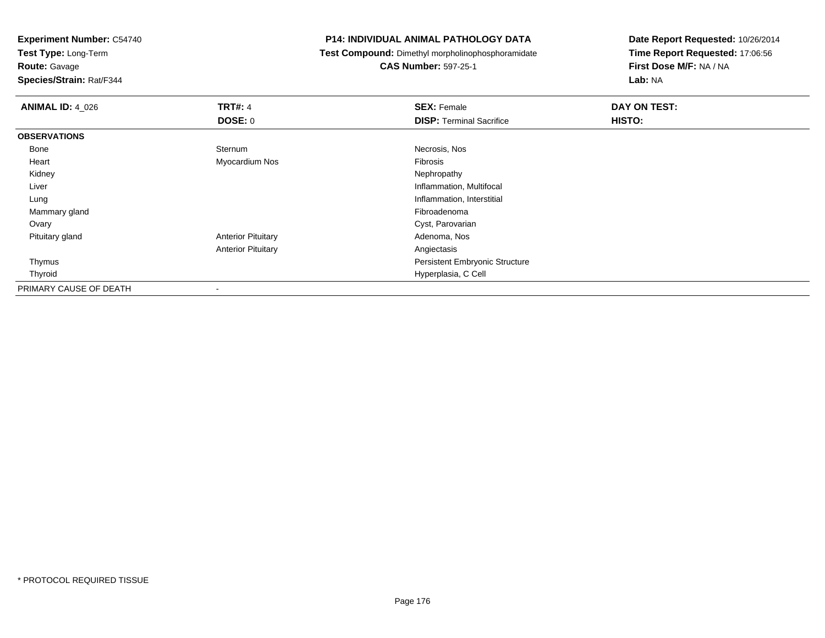**Test Type:** Long-Term

**Route:** Gavage

**Species/Strain:** Rat/F344

# **P14: INDIVIDUAL ANIMAL PATHOLOGY DATA**

**Test Compound:** Dimethyl morpholinophosphoramidate

**CAS Number:** 597-25-1

| <b>ANIMAL ID: 4_026</b> | <b>TRT#: 4</b>            | <b>SEX: Female</b>                    | DAY ON TEST: |
|-------------------------|---------------------------|---------------------------------------|--------------|
|                         | <b>DOSE: 0</b>            | <b>DISP: Terminal Sacrifice</b>       | HISTO:       |
| <b>OBSERVATIONS</b>     |                           |                                       |              |
| Bone                    | Sternum                   | Necrosis, Nos                         |              |
| Heart                   | Myocardium Nos            | Fibrosis                              |              |
| Kidney                  |                           | Nephropathy                           |              |
| Liver                   |                           | Inflammation, Multifocal              |              |
| Lung                    |                           | Inflammation, Interstitial            |              |
| Mammary gland           |                           | Fibroadenoma                          |              |
| Ovary                   |                           | Cyst, Parovarian                      |              |
| Pituitary gland         | <b>Anterior Pituitary</b> | Adenoma, Nos                          |              |
|                         | <b>Anterior Pituitary</b> | Angiectasis                           |              |
| Thymus                  |                           | <b>Persistent Embryonic Structure</b> |              |
| Thyroid                 |                           | Hyperplasia, C Cell                   |              |
| PRIMARY CAUSE OF DEATH  |                           |                                       |              |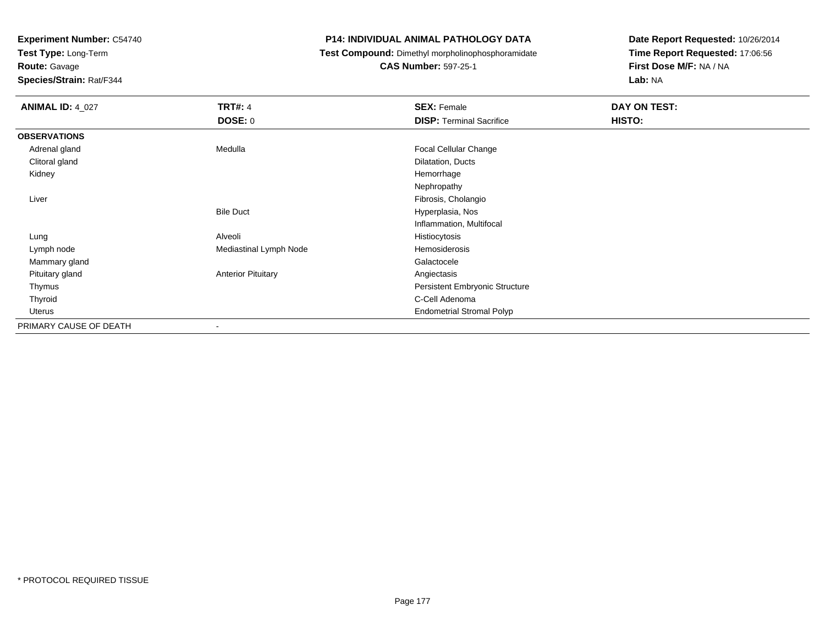**Test Type:** Long-Term

**Route:** Gavage

**Species/Strain:** Rat/F344

# **P14: INDIVIDUAL ANIMAL PATHOLOGY DATA**

**Test Compound:** Dimethyl morpholinophosphoramidate

**CAS Number:** 597-25-1

| <b>ANIMAL ID: 4_027</b> | <b>TRT#: 4</b>            | <b>SEX: Female</b>               | DAY ON TEST: |
|-------------------------|---------------------------|----------------------------------|--------------|
|                         | <b>DOSE: 0</b>            | <b>DISP: Terminal Sacrifice</b>  | HISTO:       |
| <b>OBSERVATIONS</b>     |                           |                                  |              |
| Adrenal gland           | Medulla                   | Focal Cellular Change            |              |
| Clitoral gland          |                           | Dilatation, Ducts                |              |
| Kidney                  |                           | Hemorrhage                       |              |
|                         |                           | Nephropathy                      |              |
| Liver                   |                           | Fibrosis, Cholangio              |              |
|                         | <b>Bile Duct</b>          | Hyperplasia, Nos                 |              |
|                         |                           | Inflammation, Multifocal         |              |
| Lung                    | Alveoli                   | Histiocytosis                    |              |
| Lymph node              | Mediastinal Lymph Node    | Hemosiderosis                    |              |
| Mammary gland           |                           | Galactocele                      |              |
| Pituitary gland         | <b>Anterior Pituitary</b> | Angiectasis                      |              |
| Thymus                  |                           | Persistent Embryonic Structure   |              |
| Thyroid                 |                           | C-Cell Adenoma                   |              |
| Uterus                  |                           | <b>Endometrial Stromal Polyp</b> |              |
| PRIMARY CAUSE OF DEATH  | $\overline{\phantom{a}}$  |                                  |              |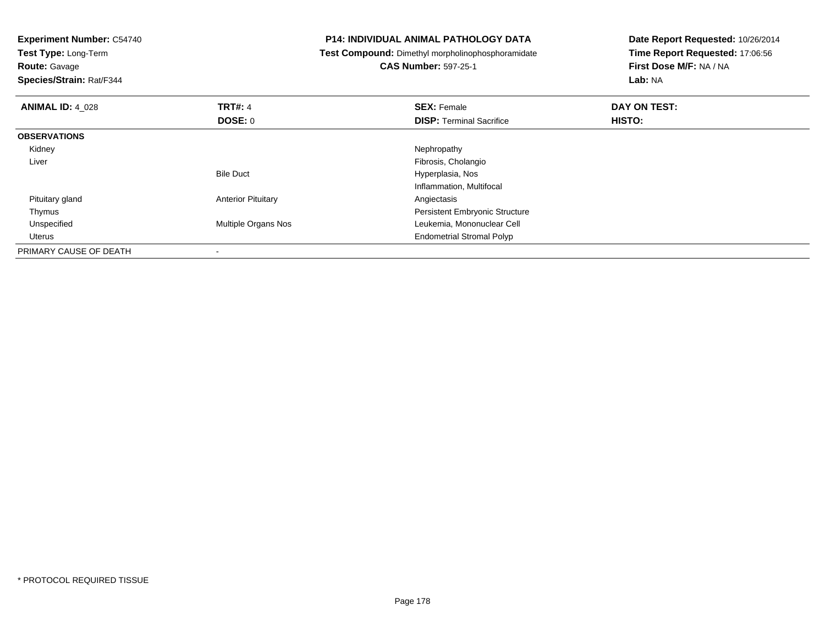**Experiment Number:** C54740**Test Type:** Long-Term**Route:** Gavage **Species/Strain:** Rat/F344**P14: INDIVIDUAL ANIMAL PATHOLOGY DATA Test Compound:** Dimethyl morpholinophosphoramidate**CAS Number:** 597-25-1**Date Report Requested:** 10/26/2014**Time Report Requested:** 17:06:56**First Dose M/F:** NA / NA**Lab:** NA**ANIMAL ID:** 4\_028**REX:** Female **DAY ON TEST: CONSIST: SEX:** Female **DAY ON TEST: DOSE:** 0**DISP:** Terminal Sacrifice **HISTO: OBSERVATIONS** Kidneyy the control of the control of the control of the control of the control of the control of the control of the control of the control of the control of the control of the control of the control of the control of the contro Liver Fibrosis, CholangioBile Duct Hyperplasia, Nos Inflammation, Multifocal Pituitary glandAnterior Pituitary **Anterior Pituitary Angiectasis**  ThymusPersistent Embryonic Structure<br>Multiple Organs Nos **Exercía Exercía Exercía Exercía Exercía Exercía Exercía Exercía Exercía Exercía Exercía E**  UnspecifiedLeukemia, Mononuclear Cell Uterus Endometrial Stromal PolypPRIMARY CAUSE OF DEATH-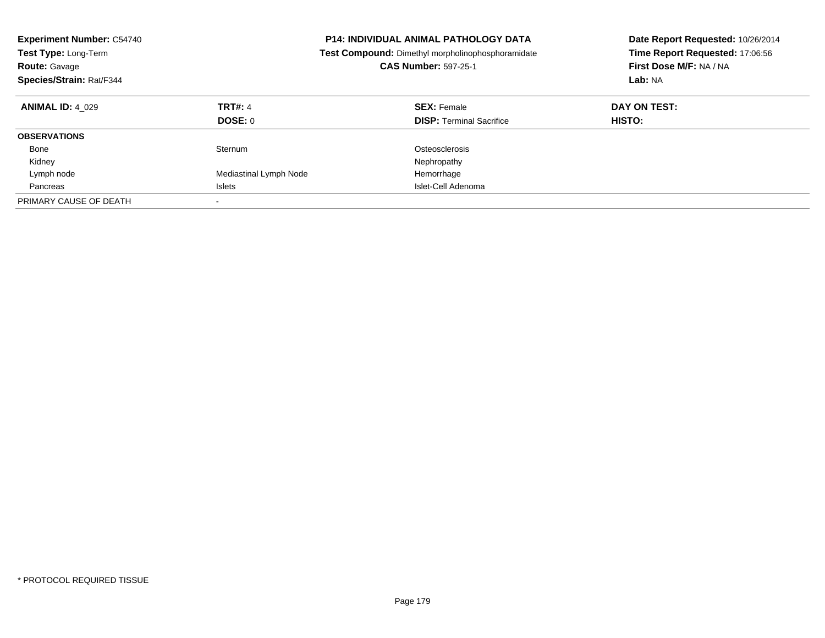| <b>Experiment Number: C54740</b><br>Test Type: Long-Term<br><b>Route: Gavage</b><br>Species/Strain: Rat/F344 | <b>P14: INDIVIDUAL ANIMAL PATHOLOGY DATA</b><br>Test Compound: Dimethyl morpholinophosphoramidate<br><b>CAS Number: 597-25-1</b> |                                                       | Date Report Requested: 10/26/2014<br>Time Report Requested: 17:06:56<br>First Dose M/F: NA / NA<br>Lab: NA |  |
|--------------------------------------------------------------------------------------------------------------|----------------------------------------------------------------------------------------------------------------------------------|-------------------------------------------------------|------------------------------------------------------------------------------------------------------------|--|
| <b>ANIMAL ID: 4 029</b>                                                                                      | <b>TRT#: 4</b><br>DOSE: 0                                                                                                        | <b>SEX: Female</b><br><b>DISP:</b> Terminal Sacrifice | DAY ON TEST:<br><b>HISTO:</b>                                                                              |  |
| <b>OBSERVATIONS</b>                                                                                          |                                                                                                                                  |                                                       |                                                                                                            |  |
| Bone                                                                                                         | Sternum                                                                                                                          | Osteosclerosis                                        |                                                                                                            |  |
| Kidney                                                                                                       |                                                                                                                                  | Nephropathy                                           |                                                                                                            |  |
| Lymph node                                                                                                   | Mediastinal Lymph Node                                                                                                           | Hemorrhage                                            |                                                                                                            |  |
| Pancreas                                                                                                     | Islets                                                                                                                           | Islet-Cell Adenoma                                    |                                                                                                            |  |
| PRIMARY CAUSE OF DEATH                                                                                       |                                                                                                                                  |                                                       |                                                                                                            |  |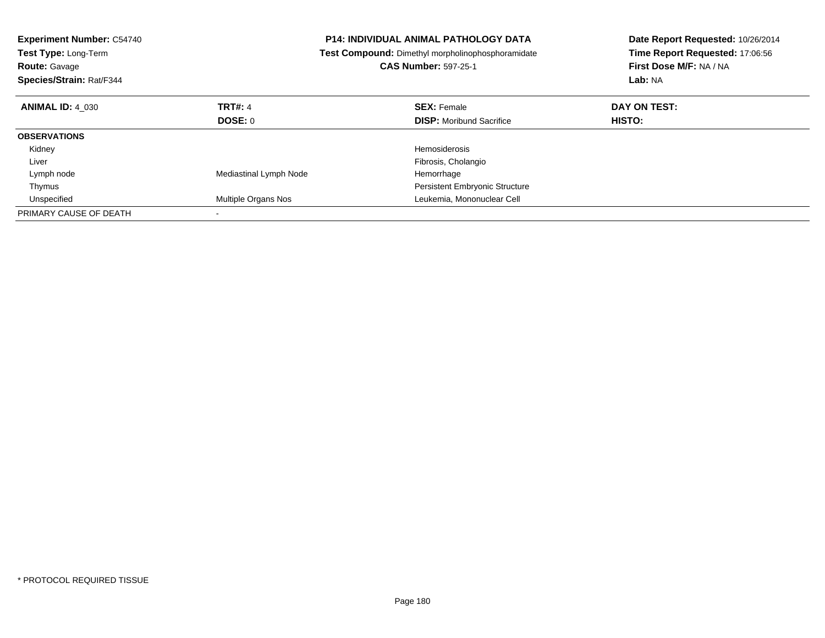| <b>Experiment Number: C54740</b><br>Test Type: Long-Term<br><b>Route: Gavage</b><br>Species/Strain: Rat/F344 |                        | <b>P14: INDIVIDUAL ANIMAL PATHOLOGY DATA</b><br>Test Compound: Dimethyl morpholinophosphoramidate<br><b>CAS Number: 597-25-1</b> | Date Report Requested: 10/26/2014<br>Time Report Requested: 17:06:56<br>First Dose M/F: NA / NA<br>Lab: NA |  |
|--------------------------------------------------------------------------------------------------------------|------------------------|----------------------------------------------------------------------------------------------------------------------------------|------------------------------------------------------------------------------------------------------------|--|
| <b>ANIMAL ID: 4 030</b>                                                                                      | <b>TRT#: 4</b>         | <b>SEX: Female</b>                                                                                                               | DAY ON TEST:                                                                                               |  |
|                                                                                                              | DOSE: 0                | <b>DISP:</b> Moribund Sacrifice                                                                                                  | HISTO:                                                                                                     |  |
| <b>OBSERVATIONS</b>                                                                                          |                        |                                                                                                                                  |                                                                                                            |  |
| Kidney                                                                                                       |                        | <b>Hemosiderosis</b>                                                                                                             |                                                                                                            |  |
| Liver                                                                                                        |                        | Fibrosis, Cholangio                                                                                                              |                                                                                                            |  |
| Lymph node                                                                                                   | Mediastinal Lymph Node | Hemorrhage                                                                                                                       |                                                                                                            |  |
| Thymus                                                                                                       |                        | Persistent Embryonic Structure                                                                                                   |                                                                                                            |  |
| Unspecified                                                                                                  | Multiple Organs Nos    | Leukemia, Mononuclear Cell                                                                                                       |                                                                                                            |  |
| PRIMARY CAUSE OF DEATH                                                                                       |                        |                                                                                                                                  |                                                                                                            |  |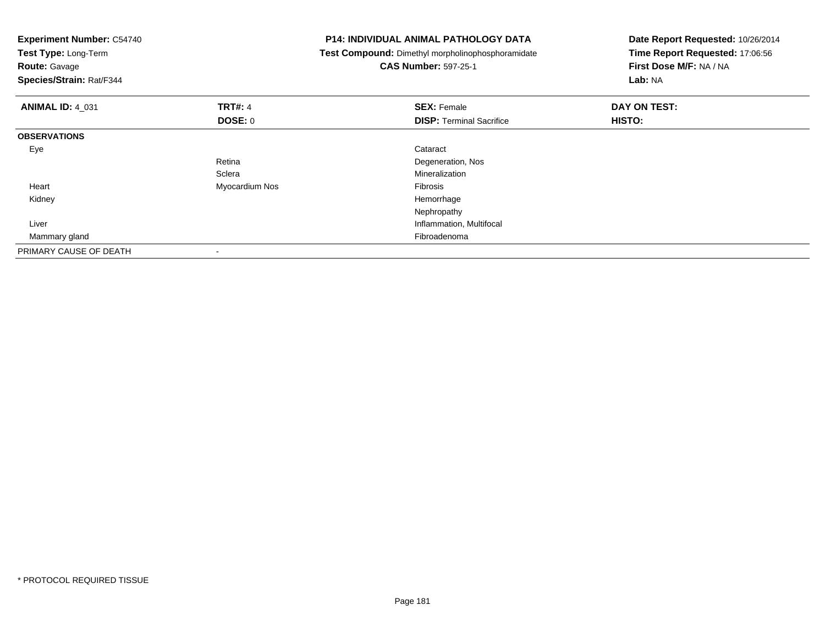| <b>Experiment Number: C54740</b><br>Test Type: Long-Term<br><b>Route: Gavage</b><br>Species/Strain: Rat/F344 |                | <b>P14: INDIVIDUAL ANIMAL PATHOLOGY DATA</b><br>Test Compound: Dimethyl morpholinophosphoramidate<br><b>CAS Number: 597-25-1</b> | Date Report Requested: 10/26/2014<br>Time Report Requested: 17:06:56<br>First Dose M/F: NA / NA<br>Lab: NA |
|--------------------------------------------------------------------------------------------------------------|----------------|----------------------------------------------------------------------------------------------------------------------------------|------------------------------------------------------------------------------------------------------------|
| <b>ANIMAL ID: 4 031</b>                                                                                      | <b>TRT#: 4</b> | <b>SEX: Female</b>                                                                                                               | DAY ON TEST:                                                                                               |
|                                                                                                              | DOSE: 0        | <b>DISP:</b> Terminal Sacrifice                                                                                                  | <b>HISTO:</b>                                                                                              |
| <b>OBSERVATIONS</b>                                                                                          |                |                                                                                                                                  |                                                                                                            |
| Eye                                                                                                          |                | Cataract                                                                                                                         |                                                                                                            |
|                                                                                                              | Retina         | Degeneration, Nos                                                                                                                |                                                                                                            |
|                                                                                                              | Sclera         | Mineralization                                                                                                                   |                                                                                                            |
| Heart                                                                                                        | Myocardium Nos | Fibrosis                                                                                                                         |                                                                                                            |
| Kidney                                                                                                       |                | Hemorrhage                                                                                                                       |                                                                                                            |
|                                                                                                              |                | Nephropathy                                                                                                                      |                                                                                                            |
| Liver                                                                                                        |                | Inflammation, Multifocal                                                                                                         |                                                                                                            |
| Mammary gland                                                                                                |                | Fibroadenoma                                                                                                                     |                                                                                                            |
| PRIMARY CAUSE OF DEATH                                                                                       |                |                                                                                                                                  |                                                                                                            |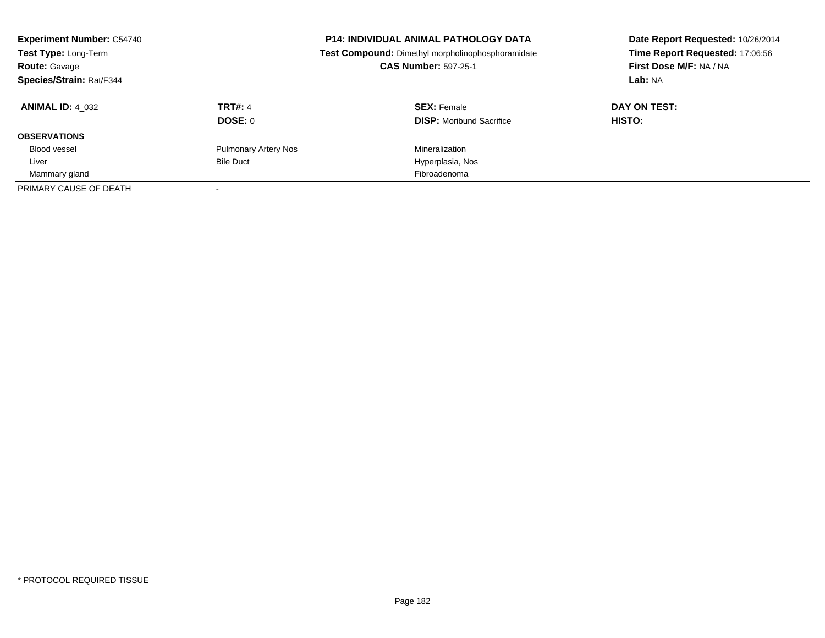| <b>Experiment Number: C54740</b><br>Test Type: Long-Term<br><b>Route: Gavage</b><br>Species/Strain: Rat/F344 |                             | <b>P14: INDIVIDUAL ANIMAL PATHOLOGY DATA</b><br>Test Compound: Dimethyl morpholinophosphoramidate<br><b>CAS Number: 597-25-1</b> | Date Report Requested: 10/26/2014<br>Time Report Requested: 17:06:56<br>First Dose M/F: NA / NA<br>Lab: NA |
|--------------------------------------------------------------------------------------------------------------|-----------------------------|----------------------------------------------------------------------------------------------------------------------------------|------------------------------------------------------------------------------------------------------------|
| <b>ANIMAL ID: 4 032</b>                                                                                      | <b>TRT#: 4</b>              | <b>SEX: Female</b>                                                                                                               | DAY ON TEST:                                                                                               |
|                                                                                                              | DOSE: 0                     | <b>DISP:</b> Moribund Sacrifice                                                                                                  | <b>HISTO:</b>                                                                                              |
| <b>OBSERVATIONS</b>                                                                                          |                             |                                                                                                                                  |                                                                                                            |
| <b>Blood vessel</b>                                                                                          | <b>Pulmonary Artery Nos</b> | Mineralization                                                                                                                   |                                                                                                            |
| Liver                                                                                                        | <b>Bile Duct</b>            | Hyperplasia, Nos                                                                                                                 |                                                                                                            |
| Mammary gland                                                                                                |                             | Fibroadenoma                                                                                                                     |                                                                                                            |
| PRIMARY CAUSE OF DEATH                                                                                       |                             |                                                                                                                                  |                                                                                                            |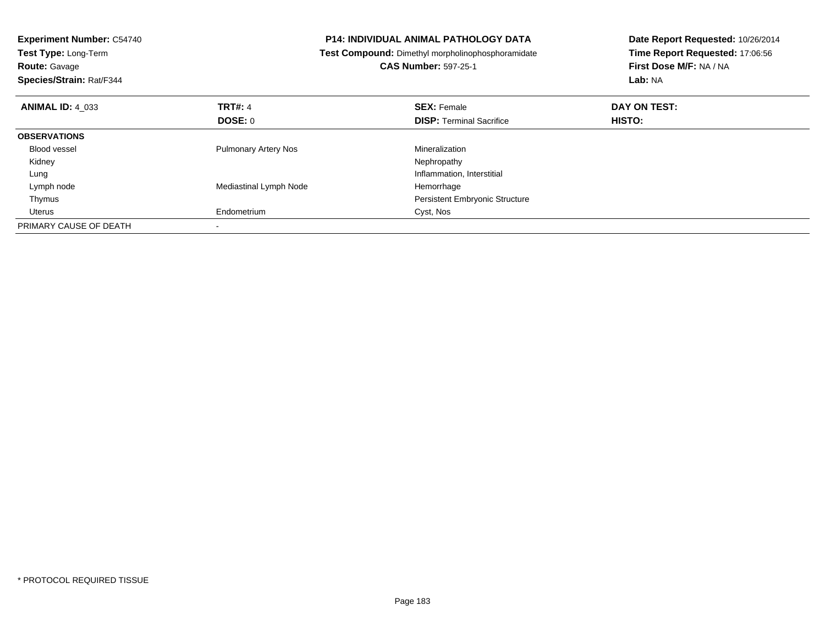| <b>Experiment Number: C54740</b><br>Test Type: Long-Term<br><b>Route: Gavage</b><br>Species/Strain: Rat/F344 |                             | P14: INDIVIDUAL ANIMAL PATHOLOGY DATA<br>Test Compound: Dimethyl morpholinophosphoramidate<br><b>CAS Number: 597-25-1</b> | Date Report Requested: 10/26/2014<br>Time Report Requested: 17:06:56<br>First Dose M/F: NA / NA<br>Lab: NA |
|--------------------------------------------------------------------------------------------------------------|-----------------------------|---------------------------------------------------------------------------------------------------------------------------|------------------------------------------------------------------------------------------------------------|
| <b>ANIMAL ID: 4 033</b>                                                                                      | <b>TRT#: 4</b>              | <b>SEX: Female</b>                                                                                                        | DAY ON TEST:                                                                                               |
|                                                                                                              | <b>DOSE: 0</b>              | <b>DISP:</b> Terminal Sacrifice                                                                                           | <b>HISTO:</b>                                                                                              |
| <b>OBSERVATIONS</b>                                                                                          |                             |                                                                                                                           |                                                                                                            |
| Blood vessel                                                                                                 | <b>Pulmonary Artery Nos</b> | Mineralization                                                                                                            |                                                                                                            |
| Kidney                                                                                                       |                             | Nephropathy                                                                                                               |                                                                                                            |
| Lung                                                                                                         |                             | Inflammation, Interstitial                                                                                                |                                                                                                            |
| Lymph node                                                                                                   | Mediastinal Lymph Node      | Hemorrhage                                                                                                                |                                                                                                            |
| Thymus                                                                                                       |                             | <b>Persistent Embryonic Structure</b>                                                                                     |                                                                                                            |
| Uterus                                                                                                       | Endometrium                 | Cyst, Nos                                                                                                                 |                                                                                                            |
| PRIMARY CAUSE OF DEATH                                                                                       |                             |                                                                                                                           |                                                                                                            |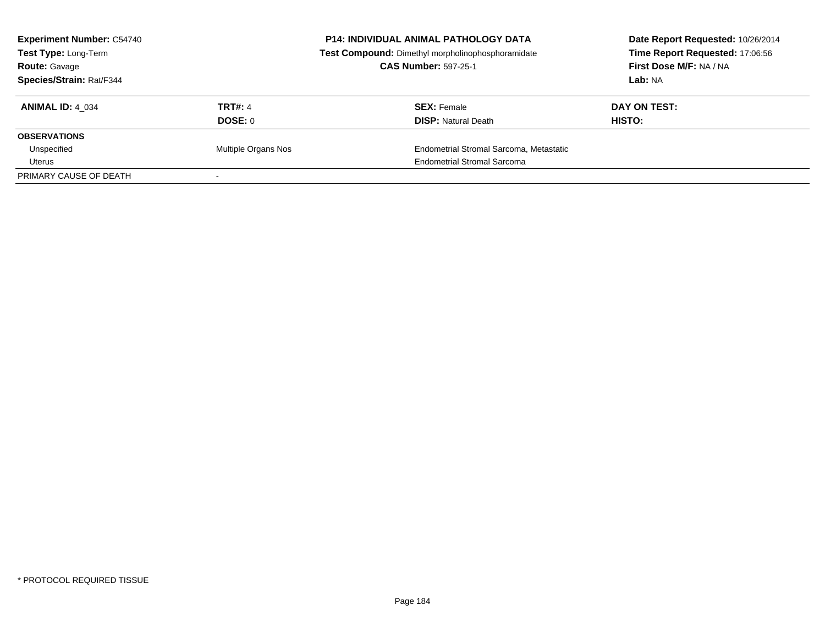| <b>Experiment Number: C54740</b><br>Test Type: Long-Term<br><b>Route: Gavage</b> |                     | <b>P14: INDIVIDUAL ANIMAL PATHOLOGY DATA</b><br>Test Compound: Dimethyl morpholinophosphoramidate<br><b>CAS Number: 597-25-1</b> | Date Report Requested: 10/26/2014<br>Time Report Requested: 17:06:56<br>First Dose M/F: NA / NA |
|----------------------------------------------------------------------------------|---------------------|----------------------------------------------------------------------------------------------------------------------------------|-------------------------------------------------------------------------------------------------|
| Species/Strain: Rat/F344                                                         |                     |                                                                                                                                  | Lab: NA                                                                                         |
| <b>ANIMAL ID: 4 034</b>                                                          | <b>TRT#: 4</b>      | <b>SEX: Female</b>                                                                                                               | DAY ON TEST:                                                                                    |
|                                                                                  | DOSE: 0             | <b>DISP:</b> Natural Death                                                                                                       | <b>HISTO:</b>                                                                                   |
| <b>OBSERVATIONS</b>                                                              |                     |                                                                                                                                  |                                                                                                 |
| Unspecified                                                                      | Multiple Organs Nos | Endometrial Stromal Sarcoma, Metastatic                                                                                          |                                                                                                 |
| Uterus                                                                           |                     | <b>Endometrial Stromal Sarcoma</b>                                                                                               |                                                                                                 |
| PRIMARY CAUSE OF DEATH                                                           |                     |                                                                                                                                  |                                                                                                 |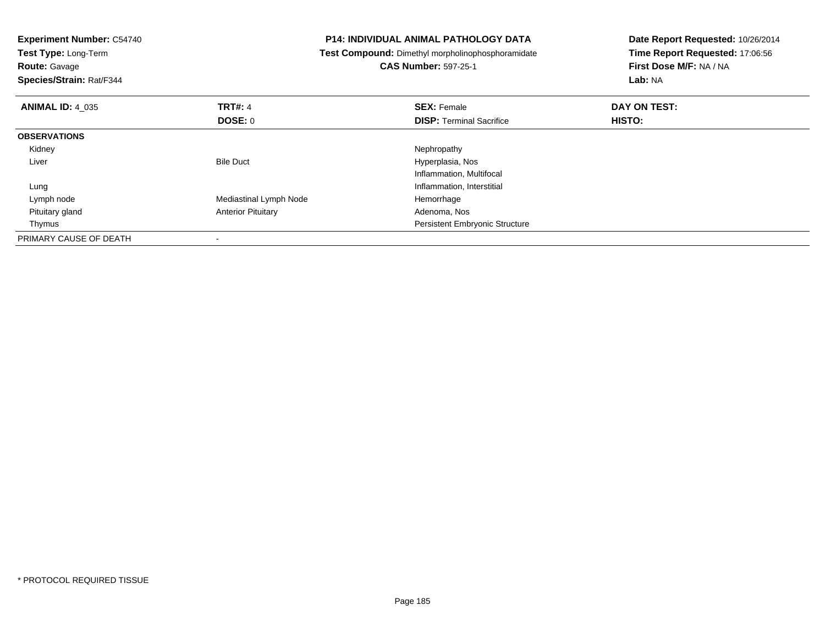| <b>Experiment Number: C54740</b><br>Test Type: Long-Term<br><b>Route: Gavage</b><br>Species/Strain: Rat/F344 |                           | <b>P14: INDIVIDUAL ANIMAL PATHOLOGY DATA</b><br>Test Compound: Dimethyl morpholinophosphoramidate<br><b>CAS Number: 597-25-1</b> | Date Report Requested: 10/26/2014<br>Time Report Requested: 17:06:56<br>First Dose M/F: NA / NA<br>Lab: NA |
|--------------------------------------------------------------------------------------------------------------|---------------------------|----------------------------------------------------------------------------------------------------------------------------------|------------------------------------------------------------------------------------------------------------|
| <b>ANIMAL ID: 4_035</b>                                                                                      | <b>TRT#: 4</b>            | <b>SEX: Female</b>                                                                                                               | DAY ON TEST:                                                                                               |
|                                                                                                              | <b>DOSE: 0</b>            | <b>DISP:</b> Terminal Sacrifice                                                                                                  | HISTO:                                                                                                     |
| <b>OBSERVATIONS</b>                                                                                          |                           |                                                                                                                                  |                                                                                                            |
| Kidney                                                                                                       |                           | Nephropathy                                                                                                                      |                                                                                                            |
| Liver                                                                                                        | <b>Bile Duct</b>          | Hyperplasia, Nos                                                                                                                 |                                                                                                            |
|                                                                                                              |                           | Inflammation, Multifocal                                                                                                         |                                                                                                            |
| Lung                                                                                                         |                           | Inflammation, Interstitial                                                                                                       |                                                                                                            |
| Lymph node                                                                                                   | Mediastinal Lymph Node    | Hemorrhage                                                                                                                       |                                                                                                            |
| Pituitary gland                                                                                              | <b>Anterior Pituitary</b> | Adenoma, Nos                                                                                                                     |                                                                                                            |
| Thymus                                                                                                       |                           | <b>Persistent Embryonic Structure</b>                                                                                            |                                                                                                            |
| PRIMARY CAUSE OF DEATH                                                                                       |                           |                                                                                                                                  |                                                                                                            |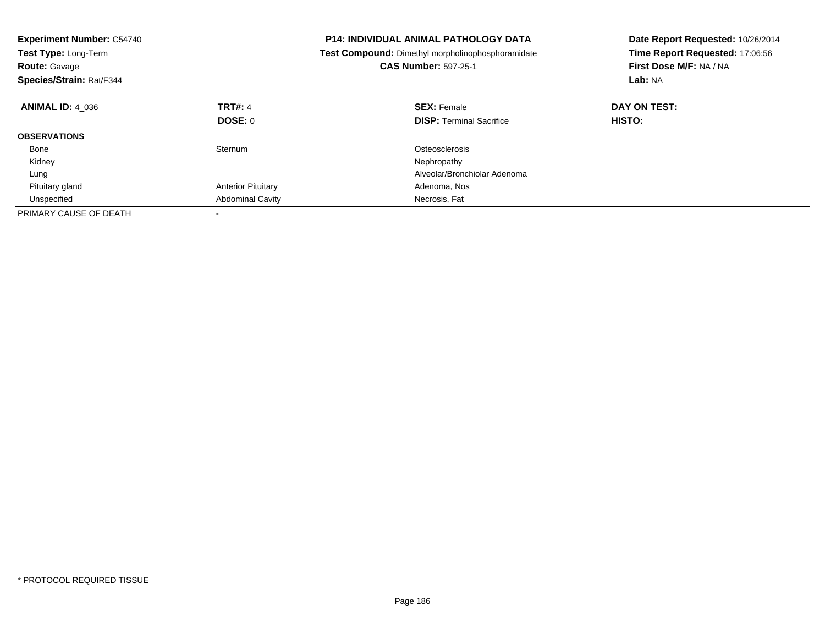| <b>Experiment Number: C54740</b><br>Test Type: Long-Term<br><b>Route: Gavage</b><br>Species/Strain: Rat/F344 |                           | <b>P14: INDIVIDUAL ANIMAL PATHOLOGY DATA</b><br>Test Compound: Dimethyl morpholinophosphoramidate<br><b>CAS Number: 597-25-1</b> | Date Report Requested: 10/26/2014<br>Time Report Requested: 17:06:56<br>First Dose M/F: NA / NA<br>Lab: NA |
|--------------------------------------------------------------------------------------------------------------|---------------------------|----------------------------------------------------------------------------------------------------------------------------------|------------------------------------------------------------------------------------------------------------|
| <b>ANIMAL ID: 4 036</b>                                                                                      | <b>TRT#: 4</b>            | <b>SEX: Female</b>                                                                                                               | DAY ON TEST:                                                                                               |
|                                                                                                              | DOSE: 0                   | <b>DISP:</b> Terminal Sacrifice                                                                                                  | <b>HISTO:</b>                                                                                              |
| <b>OBSERVATIONS</b>                                                                                          |                           |                                                                                                                                  |                                                                                                            |
| Bone                                                                                                         | Sternum                   | Osteosclerosis                                                                                                                   |                                                                                                            |
| Kidney                                                                                                       |                           | Nephropathy                                                                                                                      |                                                                                                            |
| Lung                                                                                                         |                           | Alveolar/Bronchiolar Adenoma                                                                                                     |                                                                                                            |
| Pituitary gland                                                                                              | <b>Anterior Pituitary</b> | Adenoma, Nos                                                                                                                     |                                                                                                            |
| Unspecified                                                                                                  | <b>Abdominal Cavity</b>   | Necrosis, Fat                                                                                                                    |                                                                                                            |
| PRIMARY CAUSE OF DEATH                                                                                       |                           |                                                                                                                                  |                                                                                                            |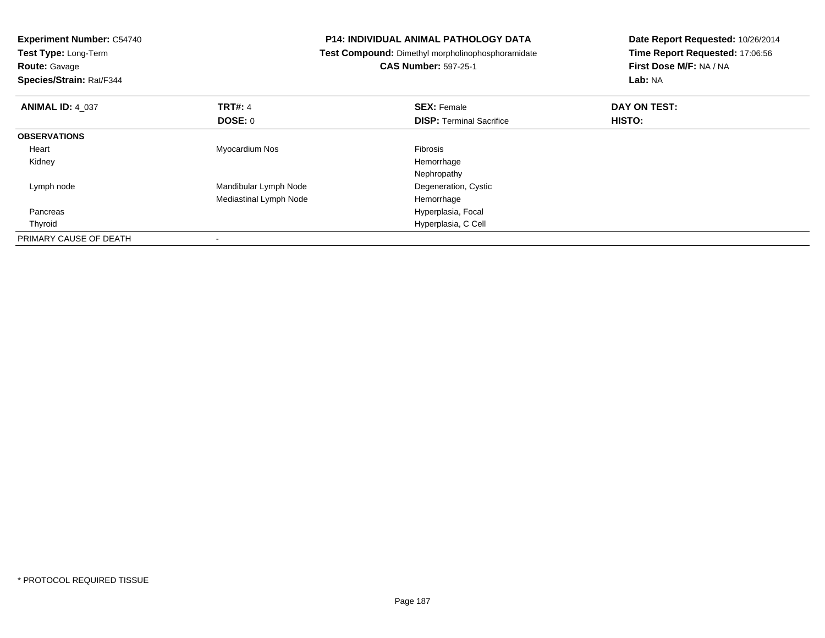| <b>P14: INDIVIDUAL ANIMAL PATHOLOGY DATA</b><br><b>Experiment Number: C54740</b> |                        |                                                   | Date Report Requested: 10/26/2014 |
|----------------------------------------------------------------------------------|------------------------|---------------------------------------------------|-----------------------------------|
| Test Type: Long-Term                                                             |                        | Test Compound: Dimethyl morpholinophosphoramidate | Time Report Requested: 17:06:56   |
| <b>Route: Gavage</b>                                                             |                        | <b>CAS Number: 597-25-1</b>                       | First Dose M/F: NA / NA           |
| Species/Strain: Rat/F344                                                         |                        |                                                   | Lab: NA                           |
| <b>ANIMAL ID: 4 037</b>                                                          | <b>TRT#: 4</b>         | <b>SEX: Female</b>                                | DAY ON TEST:                      |
|                                                                                  | <b>DOSE: 0</b>         | <b>DISP: Terminal Sacrifice</b>                   | HISTO:                            |
| <b>OBSERVATIONS</b>                                                              |                        |                                                   |                                   |
| Heart                                                                            | Myocardium Nos         | <b>Fibrosis</b>                                   |                                   |
| Kidney                                                                           |                        | Hemorrhage                                        |                                   |
|                                                                                  |                        | Nephropathy                                       |                                   |
| Lymph node                                                                       | Mandibular Lymph Node  | Degeneration, Cystic                              |                                   |
|                                                                                  | Mediastinal Lymph Node | Hemorrhage                                        |                                   |
| Pancreas                                                                         |                        | Hyperplasia, Focal                                |                                   |
| Thyroid                                                                          |                        | Hyperplasia, C Cell                               |                                   |
| PRIMARY CAUSE OF DEATH                                                           |                        |                                                   |                                   |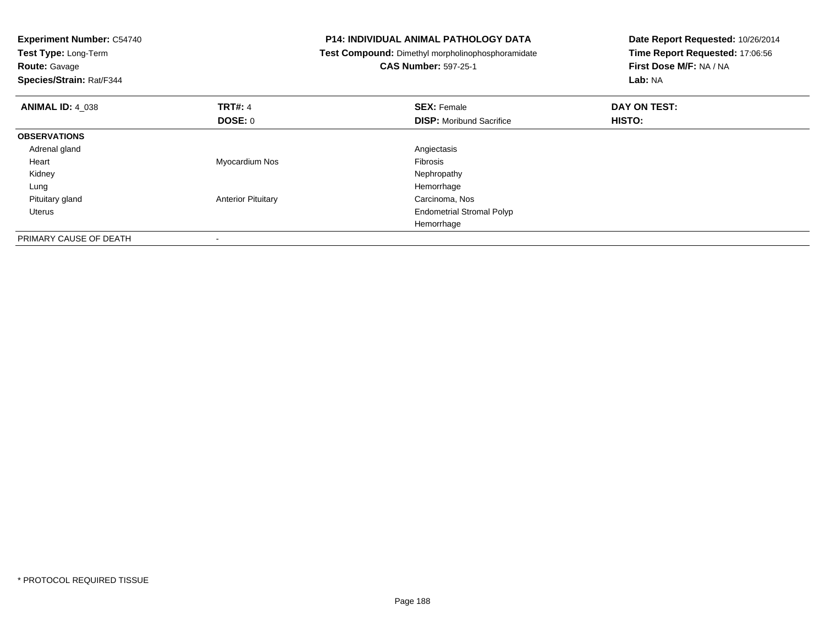| <b>Experiment Number: C54740</b><br>Test Type: Long-Term<br><b>Route: Gavage</b><br>Species/Strain: Rat/F344 |                           | <b>P14: INDIVIDUAL ANIMAL PATHOLOGY DATA</b><br>Test Compound: Dimethyl morpholinophosphoramidate<br><b>CAS Number: 597-25-1</b> | Date Report Requested: 10/26/2014<br>Time Report Requested: 17:06:56<br>First Dose M/F: NA / NA<br>Lab: NA |
|--------------------------------------------------------------------------------------------------------------|---------------------------|----------------------------------------------------------------------------------------------------------------------------------|------------------------------------------------------------------------------------------------------------|
| <b>ANIMAL ID: 4_038</b>                                                                                      | <b>TRT#: 4</b>            | <b>SEX: Female</b>                                                                                                               | DAY ON TEST:                                                                                               |
|                                                                                                              | DOSE: 0                   | <b>DISP:</b> Moribund Sacrifice                                                                                                  | HISTO:                                                                                                     |
| <b>OBSERVATIONS</b>                                                                                          |                           |                                                                                                                                  |                                                                                                            |
| Adrenal gland                                                                                                |                           | Angiectasis                                                                                                                      |                                                                                                            |
| Heart                                                                                                        | Myocardium Nos            | <b>Fibrosis</b>                                                                                                                  |                                                                                                            |
| Kidney                                                                                                       |                           | Nephropathy                                                                                                                      |                                                                                                            |
| Lung                                                                                                         |                           | Hemorrhage                                                                                                                       |                                                                                                            |
| Pituitary gland                                                                                              | <b>Anterior Pituitary</b> | Carcinoma, Nos                                                                                                                   |                                                                                                            |
| Uterus                                                                                                       |                           | <b>Endometrial Stromal Polyp</b>                                                                                                 |                                                                                                            |
|                                                                                                              |                           | Hemorrhage                                                                                                                       |                                                                                                            |
| PRIMARY CAUSE OF DEATH                                                                                       |                           |                                                                                                                                  |                                                                                                            |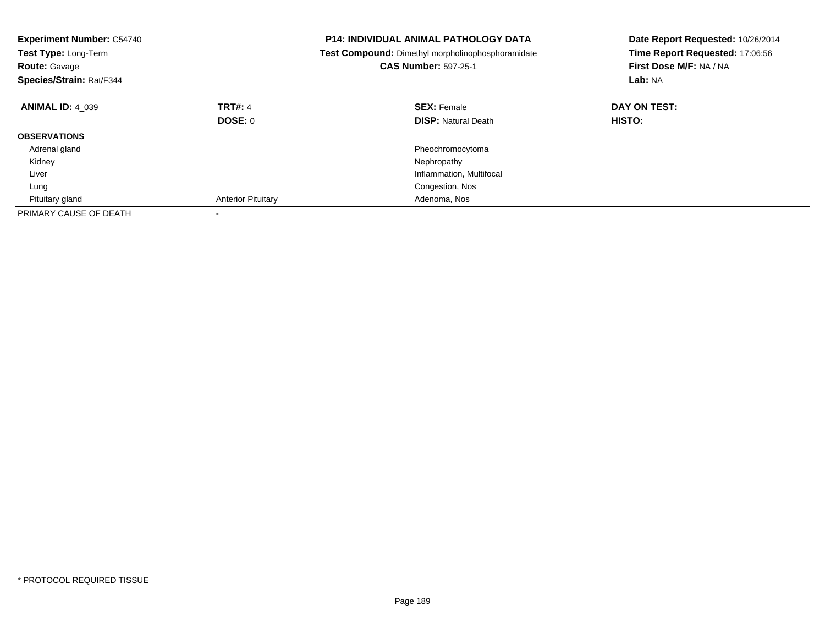| <b>Experiment Number: C54740</b><br>Test Type: Long-Term<br><b>Route: Gavage</b><br>Species/Strain: Rat/F344 |                           | <b>P14: INDIVIDUAL ANIMAL PATHOLOGY DATA</b><br>Test Compound: Dimethyl morpholinophosphoramidate<br><b>CAS Number: 597-25-1</b> | Date Report Requested: 10/26/2014<br>Time Report Requested: 17:06:56<br>First Dose M/F: NA / NA<br>Lab: NA |
|--------------------------------------------------------------------------------------------------------------|---------------------------|----------------------------------------------------------------------------------------------------------------------------------|------------------------------------------------------------------------------------------------------------|
| <b>ANIMAL ID: 4 039</b>                                                                                      | <b>TRT#: 4</b>            | <b>SEX: Female</b>                                                                                                               | DAY ON TEST:                                                                                               |
|                                                                                                              | DOSE: 0                   | <b>DISP:</b> Natural Death                                                                                                       | <b>HISTO:</b>                                                                                              |
| <b>OBSERVATIONS</b>                                                                                          |                           |                                                                                                                                  |                                                                                                            |
| Adrenal gland                                                                                                |                           | Pheochromocytoma                                                                                                                 |                                                                                                            |
| Kidney                                                                                                       |                           | Nephropathy                                                                                                                      |                                                                                                            |
| Liver                                                                                                        |                           | Inflammation, Multifocal                                                                                                         |                                                                                                            |
| Lung                                                                                                         |                           | Congestion, Nos                                                                                                                  |                                                                                                            |
| Pituitary gland                                                                                              | <b>Anterior Pituitary</b> | Adenoma, Nos                                                                                                                     |                                                                                                            |
| PRIMARY CAUSE OF DEATH                                                                                       |                           |                                                                                                                                  |                                                                                                            |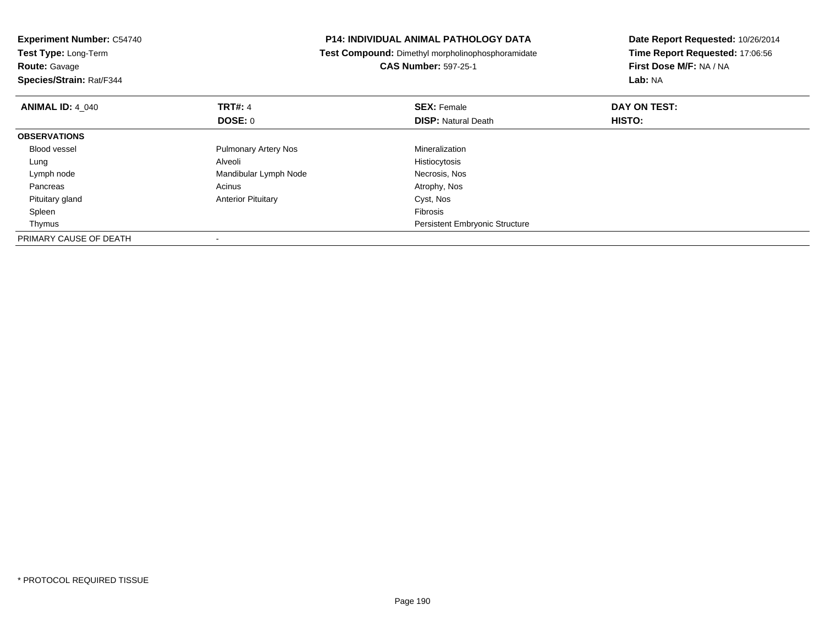| <b>Experiment Number: C54740</b> |                             | <b>P14: INDIVIDUAL ANIMAL PATHOLOGY DATA</b>             | Date Report Requested: 10/26/2014<br>Time Report Requested: 17:06:56 |
|----------------------------------|-----------------------------|----------------------------------------------------------|----------------------------------------------------------------------|
| Test Type: Long-Term             |                             | <b>Test Compound:</b> Dimethyl morpholinophosphoramidate |                                                                      |
| <b>Route: Gavage</b>             |                             | <b>CAS Number: 597-25-1</b>                              | First Dose M/F: NA / NA                                              |
| Species/Strain: Rat/F344         |                             |                                                          | Lab: NA                                                              |
| <b>ANIMAL ID: 4 040</b>          | <b>TRT#: 4</b>              | <b>SEX: Female</b>                                       | DAY ON TEST:                                                         |
|                                  | DOSE: 0                     | <b>DISP:</b> Natural Death                               | <b>HISTO:</b>                                                        |
| <b>OBSERVATIONS</b>              |                             |                                                          |                                                                      |
| <b>Blood vessel</b>              | <b>Pulmonary Artery Nos</b> | Mineralization                                           |                                                                      |
| Lung                             | Alveoli                     | Histiocytosis                                            |                                                                      |
| Lymph node                       | Mandibular Lymph Node       | Necrosis, Nos                                            |                                                                      |
| Pancreas                         | Acinus                      | Atrophy, Nos                                             |                                                                      |
| Pituitary gland                  | <b>Anterior Pituitary</b>   | Cyst, Nos                                                |                                                                      |
| Spleen                           |                             | <b>Fibrosis</b>                                          |                                                                      |
| Thymus                           |                             | <b>Persistent Embryonic Structure</b>                    |                                                                      |
| PRIMARY CAUSE OF DEATH           |                             |                                                          |                                                                      |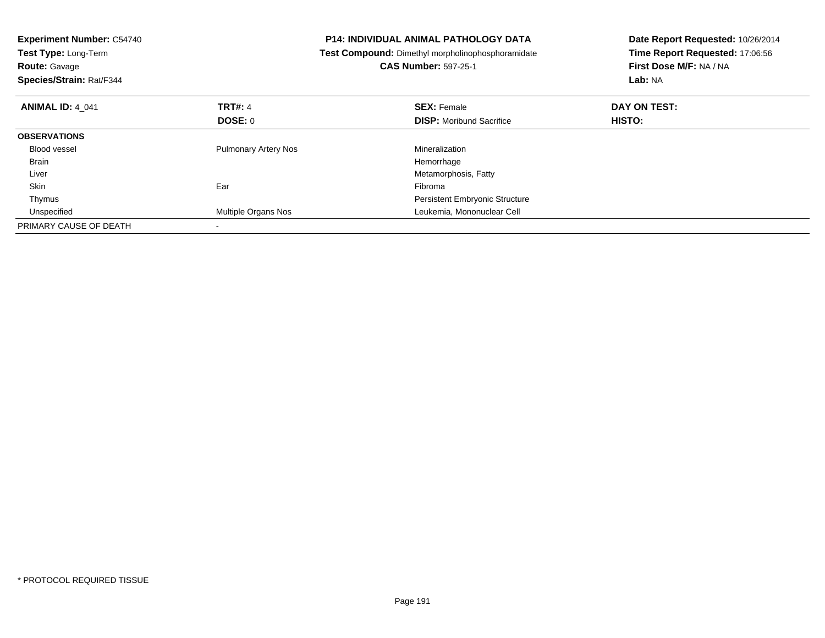| <b>Experiment Number: C54740</b><br>Test Type: Long-Term<br><b>Route: Gavage</b><br>Species/Strain: Rat/F344 |                             | <b>P14: INDIVIDUAL ANIMAL PATHOLOGY DATA</b><br>Test Compound: Dimethyl morpholinophosphoramidate<br><b>CAS Number: 597-25-1</b> | Date Report Requested: 10/26/2014<br>Time Report Requested: 17:06:56<br>First Dose M/F: NA / NA<br>Lab: NA |
|--------------------------------------------------------------------------------------------------------------|-----------------------------|----------------------------------------------------------------------------------------------------------------------------------|------------------------------------------------------------------------------------------------------------|
| <b>ANIMAL ID: 4 041</b>                                                                                      | <b>TRT#: 4</b>              | <b>SEX: Female</b>                                                                                                               | DAY ON TEST:                                                                                               |
|                                                                                                              | DOSE: 0                     | <b>DISP:</b> Moribund Sacrifice                                                                                                  | HISTO:                                                                                                     |
| <b>OBSERVATIONS</b>                                                                                          |                             |                                                                                                                                  |                                                                                                            |
| Blood vessel                                                                                                 | <b>Pulmonary Artery Nos</b> | Mineralization                                                                                                                   |                                                                                                            |
| <b>Brain</b>                                                                                                 |                             | Hemorrhage                                                                                                                       |                                                                                                            |
| Liver                                                                                                        |                             | Metamorphosis, Fatty                                                                                                             |                                                                                                            |
| Skin                                                                                                         | Ear                         | Fibroma                                                                                                                          |                                                                                                            |
| Thymus                                                                                                       |                             | <b>Persistent Embryonic Structure</b>                                                                                            |                                                                                                            |
| Unspecified                                                                                                  | Multiple Organs Nos         | Leukemia, Mononuclear Cell                                                                                                       |                                                                                                            |
| PRIMARY CAUSE OF DEATH                                                                                       |                             |                                                                                                                                  |                                                                                                            |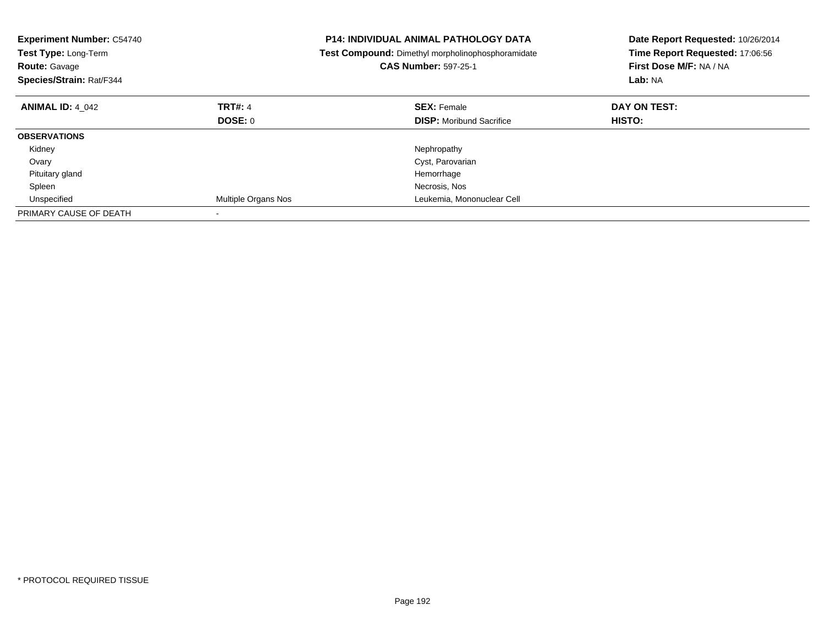| <b>Experiment Number: C54740</b><br>Test Type: Long-Term<br><b>Route: Gavage</b><br>Species/Strain: Rat/F344 |                     | <b>P14: INDIVIDUAL ANIMAL PATHOLOGY DATA</b><br>Test Compound: Dimethyl morpholinophosphoramidate<br><b>CAS Number: 597-25-1</b> | Date Report Requested: 10/26/2014<br>Time Report Requested: 17:06:56<br>First Dose M/F: NA / NA<br>Lab: NA |
|--------------------------------------------------------------------------------------------------------------|---------------------|----------------------------------------------------------------------------------------------------------------------------------|------------------------------------------------------------------------------------------------------------|
| <b>ANIMAL ID: 4 042</b>                                                                                      | <b>TRT#: 4</b>      | <b>SEX: Female</b>                                                                                                               | DAY ON TEST:                                                                                               |
|                                                                                                              | DOSE: 0             | <b>DISP:</b> Moribund Sacrifice                                                                                                  | <b>HISTO:</b>                                                                                              |
| <b>OBSERVATIONS</b>                                                                                          |                     |                                                                                                                                  |                                                                                                            |
| Kidney                                                                                                       |                     | Nephropathy                                                                                                                      |                                                                                                            |
| Ovary                                                                                                        |                     | Cyst, Parovarian                                                                                                                 |                                                                                                            |
| Pituitary gland                                                                                              |                     | Hemorrhage                                                                                                                       |                                                                                                            |
| Spleen                                                                                                       |                     | Necrosis, Nos                                                                                                                    |                                                                                                            |
| Unspecified                                                                                                  | Multiple Organs Nos | Leukemia, Mononuclear Cell                                                                                                       |                                                                                                            |
| PRIMARY CAUSE OF DEATH                                                                                       |                     |                                                                                                                                  |                                                                                                            |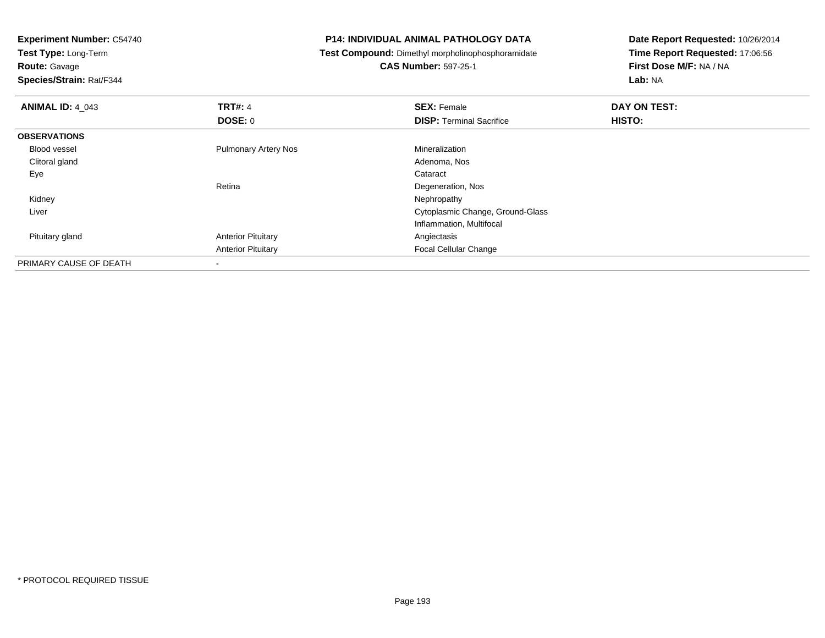**Experiment Number:** C54740**Test Type:** Long-Term**Route:** Gavage **Species/Strain:** Rat/F344**P14: INDIVIDUAL ANIMAL PATHOLOGY DATA Test Compound:** Dimethyl morpholinophosphoramidate**CAS Number:** 597-25-1**Date Report Requested:** 10/26/2014**Time Report Requested:** 17:06:56**First Dose M/F:** NA / NA**Lab:** NA**ANIMAL ID:** 4\_043**TRT#:** 4 **SEX:** Female **DAY ON TEST: DOSE:** 0**DISP:** Terminal Sacrifice **HISTO: OBSERVATIONS** Blood vessel Pulmonary Artery Nos MineralizationAdenoma, Nos Clitoral glandd and the control of the control of the control of the control of the control of the control of the control of the control of the control of the control of the control of the control of the control of the control of the co Eyee de la constitución de la constitución de la constitución de la constitución de la constitución de la constitución<br>En el constitución de la constitución de la constitución de la constitución de la constitución de la const RetinaDegeneration, Nos<br>Nephropathy Kidneyy the control of the control of the control of the control of the control of the control of the control of the control of the control of the control of the control of the control of the control of the control of the contro Liver Cytoplasmic Change, Ground-GlassInflammation, Multifocal Pituitary glandAnterior Pituitary **Anterior Pituitary Angiectasis** Anterior PituitaryFocal Cellular Change

PRIMARY CAUSE OF DEATH-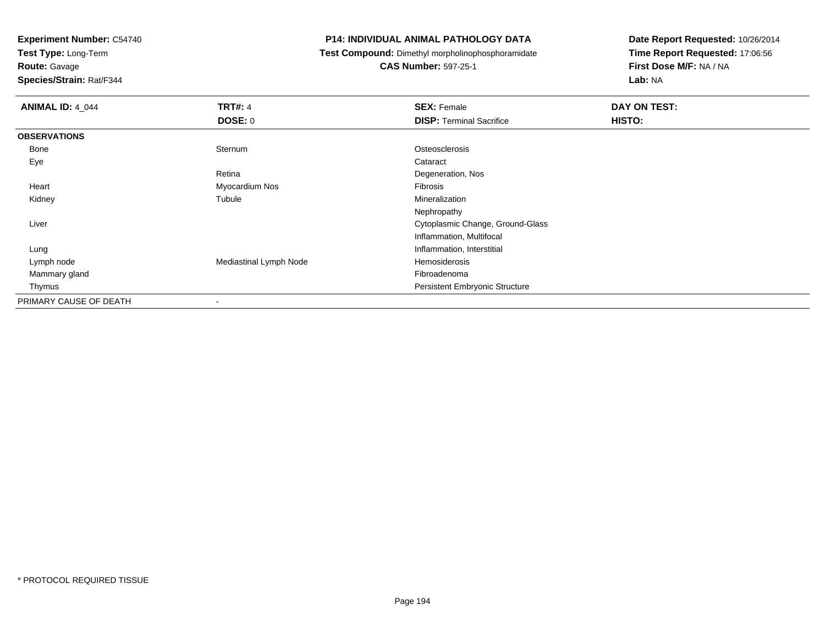**Experiment Number:** C54740

**Test Type:** Long-Term

**Route:** Gavage

**Species/Strain:** Rat/F344

## **P14: INDIVIDUAL ANIMAL PATHOLOGY DATA**

**Test Compound:** Dimethyl morpholinophosphoramidate

**CAS Number:** 597-25-1

**Date Report Requested:** 10/26/2014**Time Report Requested:** 17:06:56**First Dose M/F:** NA / NA**Lab:** NA

| <b>ANIMAL ID: 4_044</b> | <b>TRT#: 4</b>         | <b>SEX: Female</b>                    | DAY ON TEST: |
|-------------------------|------------------------|---------------------------------------|--------------|
|                         | <b>DOSE: 0</b>         | <b>DISP: Terminal Sacrifice</b>       | HISTO:       |
| <b>OBSERVATIONS</b>     |                        |                                       |              |
| Bone                    | Sternum                | Osteosclerosis                        |              |
| Eye                     |                        | Cataract                              |              |
|                         | Retina                 | Degeneration, Nos                     |              |
| Heart                   | Myocardium Nos         | Fibrosis                              |              |
| Kidney                  | Tubule                 | Mineralization                        |              |
|                         |                        | Nephropathy                           |              |
| Liver                   |                        | Cytoplasmic Change, Ground-Glass      |              |
|                         |                        | Inflammation, Multifocal              |              |
| Lung                    |                        | Inflammation, Interstitial            |              |
| Lymph node              | Mediastinal Lymph Node | Hemosiderosis                         |              |
| Mammary gland           |                        | Fibroadenoma                          |              |
| Thymus                  |                        | <b>Persistent Embryonic Structure</b> |              |
| PRIMARY CAUSE OF DEATH  |                        |                                       |              |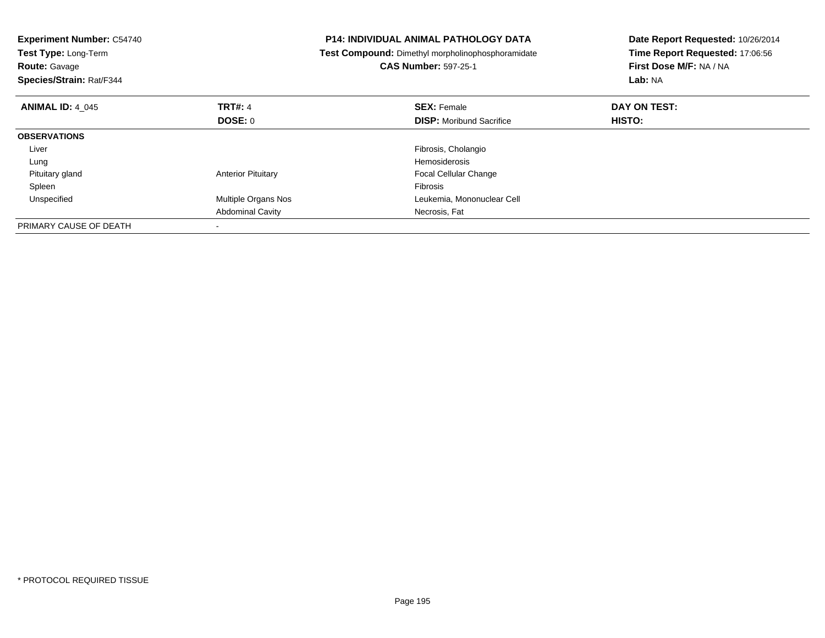| <b>Experiment Number: C54740</b><br>Test Type: Long-Term<br><b>Route: Gavage</b><br>Species/Strain: Rat/F344 |                           | <b>P14: INDIVIDUAL ANIMAL PATHOLOGY DATA</b><br><b>Test Compound:</b> Dimethyl morpholinophosphoramidate<br><b>CAS Number: 597-25-1</b> | Date Report Requested: 10/26/2014<br>Time Report Requested: 17:06:56<br>First Dose M/F: NA / NA<br>Lab: NA |
|--------------------------------------------------------------------------------------------------------------|---------------------------|-----------------------------------------------------------------------------------------------------------------------------------------|------------------------------------------------------------------------------------------------------------|
| <b>ANIMAL ID: 4 045</b>                                                                                      | <b>TRT#: 4</b>            | <b>SEX: Female</b>                                                                                                                      | DAY ON TEST:                                                                                               |
|                                                                                                              | DOSE: 0                   | <b>DISP:</b> Moribund Sacrifice                                                                                                         | <b>HISTO:</b>                                                                                              |
| <b>OBSERVATIONS</b>                                                                                          |                           |                                                                                                                                         |                                                                                                            |
| Liver                                                                                                        |                           | Fibrosis, Cholangio                                                                                                                     |                                                                                                            |
| Lung                                                                                                         |                           | <b>Hemosiderosis</b>                                                                                                                    |                                                                                                            |
| Pituitary gland                                                                                              | <b>Anterior Pituitary</b> | <b>Focal Cellular Change</b>                                                                                                            |                                                                                                            |
| Spleen                                                                                                       |                           | <b>Fibrosis</b>                                                                                                                         |                                                                                                            |
| Unspecified                                                                                                  | Multiple Organs Nos       | Leukemia, Mononuclear Cell                                                                                                              |                                                                                                            |
|                                                                                                              | <b>Abdominal Cavity</b>   | Necrosis, Fat                                                                                                                           |                                                                                                            |
| PRIMARY CAUSE OF DEATH                                                                                       |                           |                                                                                                                                         |                                                                                                            |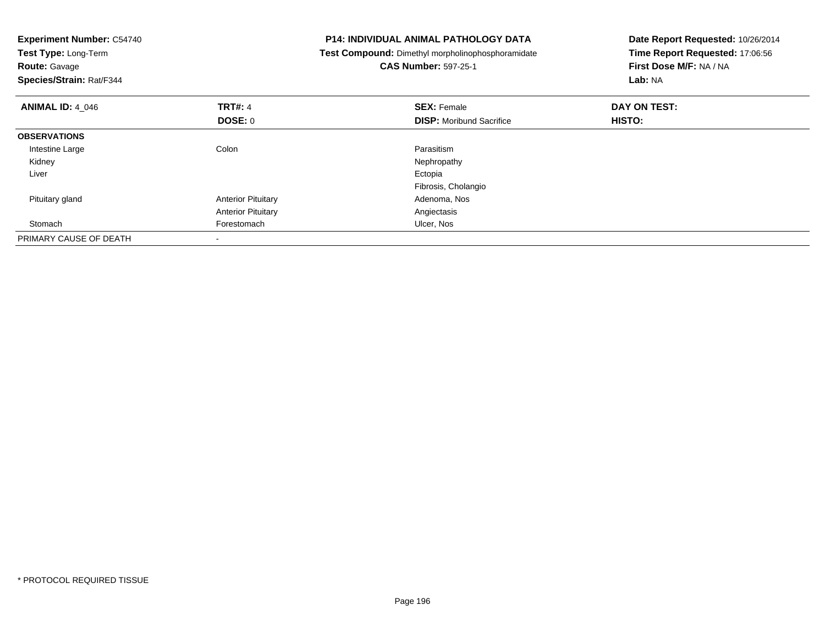| <b>Experiment Number: C54740</b><br>Test Type: Long-Term<br><b>Route: Gavage</b><br>Species/Strain: Rat/F344 |                           | <b>P14: INDIVIDUAL ANIMAL PATHOLOGY DATA</b><br>Test Compound: Dimethyl morpholinophosphoramidate<br><b>CAS Number: 597-25-1</b> | Date Report Requested: 10/26/2014<br>Time Report Requested: 17:06:56<br>First Dose M/F: NA / NA<br>Lab: NA |
|--------------------------------------------------------------------------------------------------------------|---------------------------|----------------------------------------------------------------------------------------------------------------------------------|------------------------------------------------------------------------------------------------------------|
| <b>ANIMAL ID: 4 046</b>                                                                                      | <b>TRT#: 4</b><br>DOSE: 0 | <b>SEX: Female</b><br><b>DISP:</b> Moribund Sacrifice                                                                            | DAY ON TEST:<br>HISTO:                                                                                     |
| <b>OBSERVATIONS</b>                                                                                          |                           |                                                                                                                                  |                                                                                                            |
| Intestine Large                                                                                              | Colon                     | Parasitism                                                                                                                       |                                                                                                            |
| Kidney                                                                                                       |                           | Nephropathy                                                                                                                      |                                                                                                            |
| Liver                                                                                                        |                           | Ectopia                                                                                                                          |                                                                                                            |
|                                                                                                              |                           | Fibrosis, Cholangio                                                                                                              |                                                                                                            |
| Pituitary gland                                                                                              | <b>Anterior Pituitary</b> | Adenoma, Nos                                                                                                                     |                                                                                                            |
|                                                                                                              | <b>Anterior Pituitary</b> | Angiectasis                                                                                                                      |                                                                                                            |
| Stomach                                                                                                      | Forestomach               | Ulcer, Nos                                                                                                                       |                                                                                                            |
| PRIMARY CAUSE OF DEATH                                                                                       |                           |                                                                                                                                  |                                                                                                            |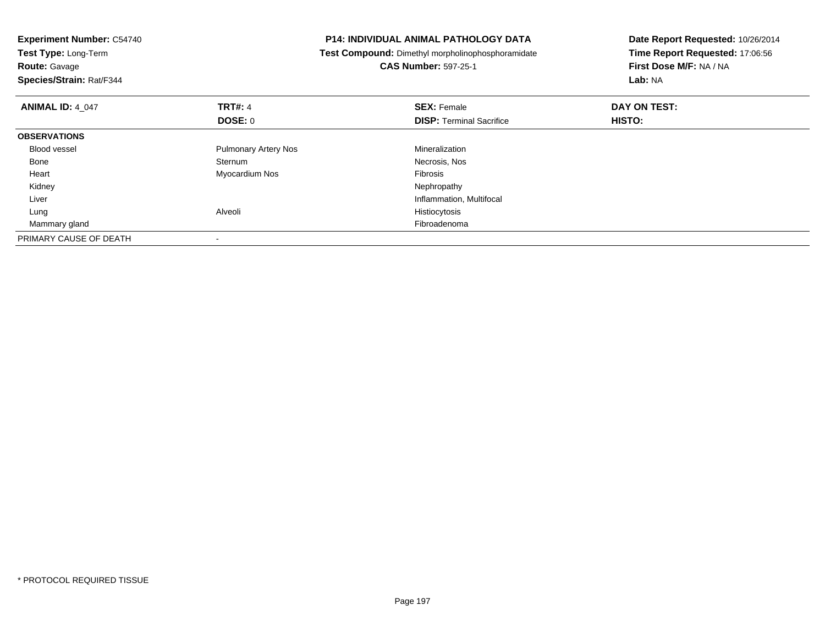| <b>Experiment Number: C54740</b><br>Test Type: Long-Term<br><b>Route: Gavage</b><br>Species/Strain: Rat/F344 |                             | <b>P14: INDIVIDUAL ANIMAL PATHOLOGY DATA</b><br>Test Compound: Dimethyl morpholinophosphoramidate<br><b>CAS Number: 597-25-1</b> | Date Report Requested: 10/26/2014<br>Time Report Requested: 17:06:56<br>First Dose M/F: NA / NA<br>Lab: NA |
|--------------------------------------------------------------------------------------------------------------|-----------------------------|----------------------------------------------------------------------------------------------------------------------------------|------------------------------------------------------------------------------------------------------------|
| <b>ANIMAL ID: 4 047</b>                                                                                      | <b>TRT#: 4</b>              | <b>SEX: Female</b>                                                                                                               | DAY ON TEST:                                                                                               |
|                                                                                                              | <b>DOSE: 0</b>              | <b>DISP:</b> Terminal Sacrifice                                                                                                  | HISTO:                                                                                                     |
| <b>OBSERVATIONS</b>                                                                                          |                             |                                                                                                                                  |                                                                                                            |
| <b>Blood vessel</b>                                                                                          | <b>Pulmonary Artery Nos</b> | Mineralization                                                                                                                   |                                                                                                            |
| Bone                                                                                                         | Sternum                     | Necrosis, Nos                                                                                                                    |                                                                                                            |
| Heart                                                                                                        | Myocardium Nos              | Fibrosis                                                                                                                         |                                                                                                            |
| Kidney                                                                                                       |                             | Nephropathy                                                                                                                      |                                                                                                            |
| Liver                                                                                                        |                             | Inflammation, Multifocal                                                                                                         |                                                                                                            |
| Lung                                                                                                         | Alveoli                     | Histiocytosis                                                                                                                    |                                                                                                            |
| Mammary gland                                                                                                |                             | Fibroadenoma                                                                                                                     |                                                                                                            |
| PRIMARY CAUSE OF DEATH                                                                                       |                             |                                                                                                                                  |                                                                                                            |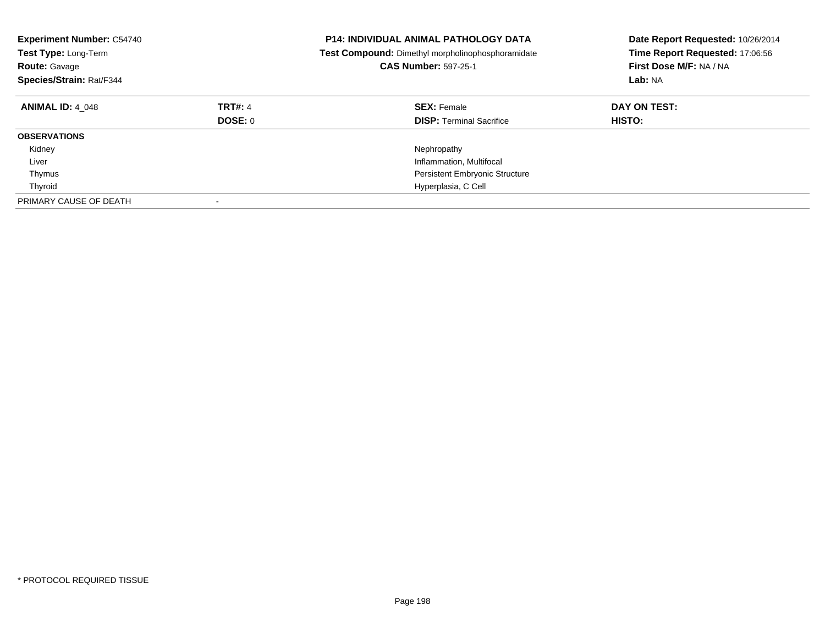| <b>Experiment Number: C54740</b><br>Test Type: Long-Term<br><b>Route: Gavage</b><br>Species/Strain: Rat/F344 |                           | <b>P14: INDIVIDUAL ANIMAL PATHOLOGY DATA</b><br>Test Compound: Dimethyl morpholinophosphoramidate<br><b>CAS Number: 597-25-1</b> | Date Report Requested: 10/26/2014<br>Time Report Requested: 17:06:56<br>First Dose M/F: NA / NA<br>Lab: NA |
|--------------------------------------------------------------------------------------------------------------|---------------------------|----------------------------------------------------------------------------------------------------------------------------------|------------------------------------------------------------------------------------------------------------|
| <b>ANIMAL ID: 4 048</b>                                                                                      | <b>TRT#: 4</b><br>DOSE: 0 | <b>SEX: Female</b><br><b>DISP:</b> Terminal Sacrifice                                                                            | DAY ON TEST:<br><b>HISTO:</b>                                                                              |
| <b>OBSERVATIONS</b>                                                                                          |                           |                                                                                                                                  |                                                                                                            |
| Kidney                                                                                                       |                           | Nephropathy                                                                                                                      |                                                                                                            |
| Liver                                                                                                        |                           | Inflammation, Multifocal                                                                                                         |                                                                                                            |
| Thymus                                                                                                       |                           | <b>Persistent Embryonic Structure</b>                                                                                            |                                                                                                            |
| Thyroid                                                                                                      |                           | Hyperplasia, C Cell                                                                                                              |                                                                                                            |
| PRIMARY CAUSE OF DEATH                                                                                       |                           |                                                                                                                                  |                                                                                                            |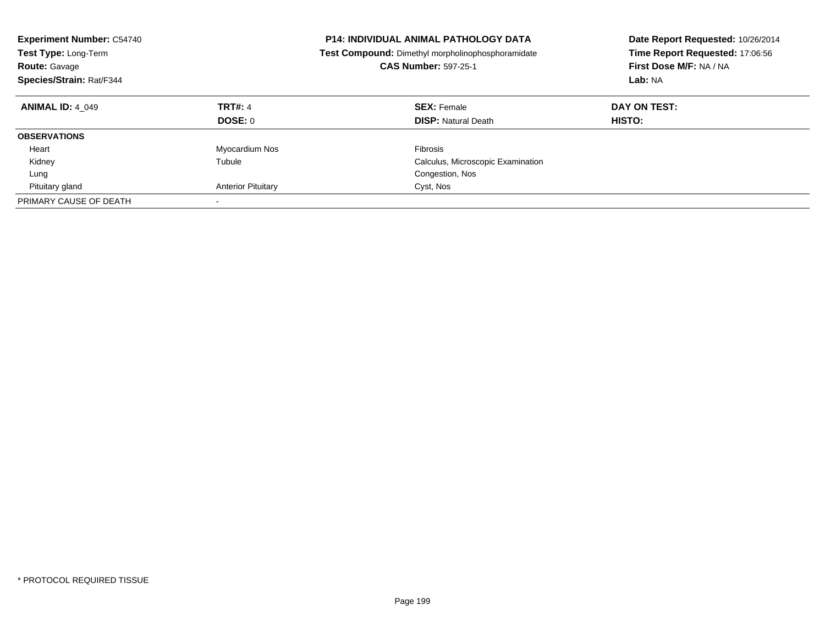| <b>Experiment Number: C54740</b><br><b>Test Type: Long-Term</b><br><b>Route: Gavage</b><br>Species/Strain: Rat/F344 |                                  | <b>P14: INDIVIDUAL ANIMAL PATHOLOGY DATA</b><br>Test Compound: Dimethyl morpholinophosphoramidate<br><b>CAS Number: 597-25-1</b> | Date Report Requested: 10/26/2014<br>Time Report Requested: 17:06:56<br>First Dose M/F: NA / NA<br>Lab: NA |
|---------------------------------------------------------------------------------------------------------------------|----------------------------------|----------------------------------------------------------------------------------------------------------------------------------|------------------------------------------------------------------------------------------------------------|
| <b>ANIMAL ID: 4 049</b>                                                                                             | <b>TRT#: 4</b><br><b>DOSE: 0</b> | <b>SEX: Female</b><br><b>DISP:</b> Natural Death                                                                                 | DAY ON TEST:<br><b>HISTO:</b>                                                                              |
| <b>OBSERVATIONS</b>                                                                                                 |                                  |                                                                                                                                  |                                                                                                            |
| Heart                                                                                                               | Myocardium Nos                   | Fibrosis                                                                                                                         |                                                                                                            |
| Kidney                                                                                                              | Tubule                           | Calculus, Microscopic Examination                                                                                                |                                                                                                            |
| Lung                                                                                                                |                                  | Congestion, Nos                                                                                                                  |                                                                                                            |
| Pituitary gland                                                                                                     | <b>Anterior Pituitary</b>        | Cyst, Nos                                                                                                                        |                                                                                                            |
| PRIMARY CAUSE OF DEATH                                                                                              | $\overline{\phantom{a}}$         |                                                                                                                                  |                                                                                                            |